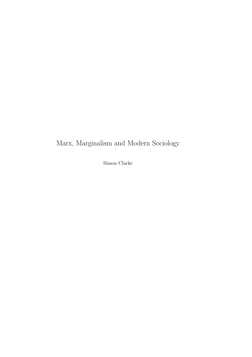## Marx, Marginalism and Modern Sociology

Simon Clarke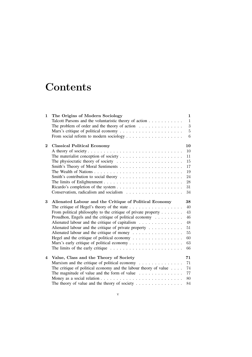# **Contents**

| 1        | The Origins of Modern Sociology                                                                                                   | $\mathbf{1}$   |
|----------|-----------------------------------------------------------------------------------------------------------------------------------|----------------|
|          | Talcott Parsons and the voluntaristic theory of action                                                                            | $\mathbf{1}$   |
|          | The problem of order and the theory of action $\dots \dots \dots \dots$                                                           | 3              |
|          |                                                                                                                                   | $\overline{5}$ |
|          |                                                                                                                                   | 6              |
| $\bf{2}$ | <b>Classical Political Economy</b>                                                                                                | 10             |
|          | A theory of society                                                                                                               | 10             |
|          |                                                                                                                                   | 11             |
|          | The physiocratic theory of society $\dots \dots \dots \dots \dots \dots \dots$                                                    | 15             |
|          |                                                                                                                                   | 17             |
|          |                                                                                                                                   | 19             |
|          |                                                                                                                                   | 24             |
|          |                                                                                                                                   | 28             |
|          |                                                                                                                                   | 31             |
|          |                                                                                                                                   | 34             |
|          |                                                                                                                                   |                |
|          |                                                                                                                                   |                |
| 3        | Alienated Labour and the Critique of Political Economy                                                                            | 38             |
|          | The critique of Hegel's theory of the state $\dots \dots \dots \dots \dots \dots$                                                 | 40             |
|          | From political philosophy to the critique of private property                                                                     | 43             |
|          | Proudhon, Engels and the critique of political economy $\dots \dots$                                                              | 46             |
|          | Alienated labour and the critique of capitalism                                                                                   | 48             |
|          |                                                                                                                                   | 51             |
|          | Alienated labour and the critique of private property<br>Alienated labour and the critique of money                               | 55             |
|          |                                                                                                                                   | 60             |
|          | Hegel and the critique of political economy                                                                                       | 63             |
|          | Marx's early critique of political economy<br>The limits of the early critique $\ldots \ldots \ldots \ldots \ldots \ldots \ldots$ | 66             |
| 4        |                                                                                                                                   | 71             |
|          | Value, Class and the Theory of Society                                                                                            | 71             |
|          | Marxism and the critique of political economy                                                                                     | 74             |
|          | The critique of political economy and the labour theory of value                                                                  | 77             |
|          |                                                                                                                                   | 80             |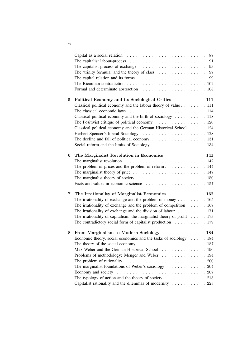|    | 87<br>The capitalist labour-process $\ldots \ldots \ldots \ldots \ldots \ldots \ldots \ldots$<br>91<br>93 |
|----|-----------------------------------------------------------------------------------------------------------|
|    | The 'trinity formula' and the theory of class $\dots \dots \dots \dots \dots$<br>97                       |
|    | 99                                                                                                        |
|    |                                                                                                           |
|    |                                                                                                           |
|    |                                                                                                           |
| 5. | Political Economy and its Sociological Critics<br>111                                                     |
|    | Classical political economy and the labour theory of value $\dots \dots \dots 111$                        |
|    |                                                                                                           |
|    | Classical political economy and the birth of sociology 118                                                |
|    | The Positivist critique of political economy $\ldots \ldots \ldots \ldots \ldots 120$                     |
|    | Classical political economy and the German Historical School 124                                          |
|    |                                                                                                           |
|    |                                                                                                           |
|    |                                                                                                           |
|    | Social reform and the limits of Sociology 134                                                             |
| 6  | The Marginalist Revolution in Economics<br>141                                                            |
|    |                                                                                                           |
|    | The marginalist revolution $\ldots \ldots \ldots \ldots \ldots \ldots \ldots \ldots \ldots 142$           |
|    | The problem of prices and the problem of reform 144                                                       |
|    | The marginalist theory of price $\ldots \ldots \ldots \ldots \ldots \ldots \ldots \ldots 147$             |
|    |                                                                                                           |
|    |                                                                                                           |
| 7  | The Irrationality of Marginalist Economics<br>162                                                         |
|    | The irrationality of exchange and the problem of money 165                                                |
|    | The irrationality of exchange and the problem of competition $\dots \dots 167$                            |
|    | The irrationality of exchange and the division of labour $\dots \dots \dots \dots 171$                    |
|    | The irrationality of capitalism: the marginalist theory of profit $\dots$ 173                             |
|    | The contradictory social form of capitalist production $\dots \dots \dots \dots \dots$ 179                |
|    |                                                                                                           |
| 8  | From Marginalism to Modern Sociology<br>184                                                               |
|    | Economic theory, social economics and the tasks of sociology 184                                          |
|    | The theory of the social economy $\ldots \ldots \ldots \ldots \ldots \ldots \ldots 187$                   |
|    |                                                                                                           |
|    | Max Weber and the German Historical School 190                                                            |
|    | Problems of methodology: Menger and Weber<br>194                                                          |
|    | 200                                                                                                       |
|    | The marginalist foundations of Weber's sociology 204                                                      |
|    |                                                                                                           |
|    | The typology of action and the theory of society $\ldots \ldots \ldots \ldots 213$                        |
|    | Capitalist rationality and the dilemmas of modernity 223                                                  |

vi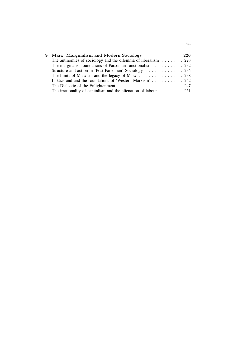| 9 Marx, Marginalism and Modern Sociology                                                   | 226 |
|--------------------------------------------------------------------------------------------|-----|
| The antinomies of sociology and the dilemma of liberalism $\ldots \ldots \ldots$ 226       |     |
| The marginalist foundations of Parsonian functionalism 232                                 |     |
| Structure and action in 'Post-Parsonian' Sociology 235                                     |     |
| The limits of Marxism and the legacy of Marx $\dots \dots \dots \dots \dots \dots$ 238     |     |
| Lukács and and the foundations of 'Western Marxism' 242                                    |     |
|                                                                                            |     |
| The irrationality of capitalism and the alienation of labour $\dots \dots \dots \dots$ 251 |     |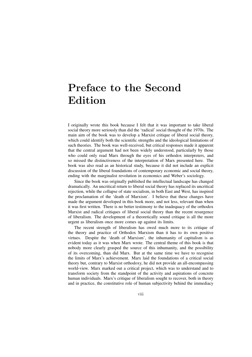# Preface to the Second Edition

I originally wrote this book because I felt that it was important to take liberal social theory more seriously than did the 'radical' social thought of the 1970s. The main aim of the book was to develop a Marxist critique of liberal social theory, which could identify both the scientific strengths and the ideological limitations of such theories. The book was well-received, but critical responses made it apparent that the central argument had not been widely understood, particularly by those who could only read Marx through the eyes of his orthodox interpreters, and so missed the distinctiveness of the interpretation of Marx presented here. The book was also read as an historical study, because it did not include an explicit discussion of the liberal foundations of contemporary economic and social theory, ending with the marginalist revolution in economics and Weber's sociology.

Since the book was originally published the intellectual landscape has changed dramatically. An uncritical return to liberal social theory has replaced its uncritical rejection, while the collapse of state socialism, in both East and West, has inspired the proclamation of the 'death of Marxism'. I believe that these changes have made the argument developed in this book more, and not less, relevant than when it was first written. There is no better testimony to the inadequacy of the orthodox Marxist and radical critiques of liberal social theory than the recent resurgence of liberalism. The development of a theoretically sound critique is all the more urgent as liberalism once more comes up against its limits.

The recent strength of liberalism has owed much more to its critique of the theory and practice of Orthodox Marxism than it has to its own positive virtues. Despite the 'death of Marxism', the inhumanity of capitalism is as evident today as it was when Marx wrote. The central theme of this book is that nobody more clearly grasped the source of this inhumanity, and the possibility of its overcoming, than did Marx. But at the same time we have to recognise the limits of Marx's achievement. Marx laid the foundations of a critical social theory but, contrary to Marxist orthodoxy, he did not provide an all-encompassing world-view. Marx marked out a critical project, which was to understand and to transform society from the standpoint of the activity and aspirations of concrete human individuals. Marx's critique of liberalism sought to recover, both in theory and in practice, the constitutive role of human subjectivity behind the immediacy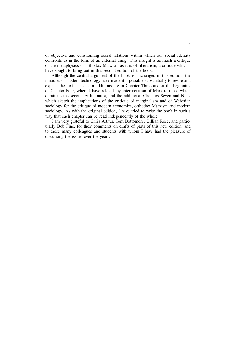of objective and constraining social relations within which our social identity confronts us in the form of an external thing. This insight is as much a critique of the metaphysics of orthodox Marxism as it is of liberalism, a critique which I have sought to bring out in this second edition of the book.

Although the central argument of the book is unchanged in this edition, the miracles of modern technology have made it it possible substantially to revise and expand the text. The main additions are in Chapter Three and at the beginning of Chapter Four, where I have related my interpretation of Marx to those which dominate the secondary literature, and the additional Chapters Seven and Nine, which sketch the implications of the critique of marginalism and of Weberian sociology for the critique of modern economics, orthodox Marxism and modern sociology. As with the original edition, I have tried to write the book in such a way that each chapter can be read independently of the whole.

I am very grateful to Chris Arthur, Tom Bottomore, Gillian Rose, and particularly Bob Fine, for their comments on drafts of parts of this new edition, and to those many colleagues and students with whom I have had the pleasure of discussing the issues over the years.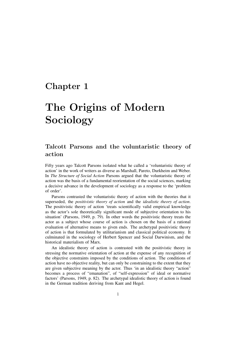### Chapter 1

# The Origins of Modern Sociology

### Talcott Parsons and the voluntaristic theory of action

Fifty years ago Talcott Parsons isolated what he called a 'voluntaristic theory of action' in the work of writers as diverse as Marshall, Pareto, Durkheim and Weber. In *The Structure of Social Action* Parsons argued that the voluntaristic theory of action was the basis of a fundamental reorientation of the social sciences, marking a decisive advance in the development of sociology as a response to the 'problem of order'.

Parsons contrasted the voluntaristic theory of action with the theories that it superseded, the *positivistic theory of action* and the *idealistic theory of action*. The positivistic theory of action 'treats scientifically valid empirical knowledge as the actor's sole theoretically significant mode of subjective orientation to his situation' (Parsons, 1949, p. 79). In other words the positivistic theory treats the actor as a subject whose course of action is chosen on the basis of a rational evaluation of alternative means to given ends. The archetypal positivistic theory of action is that formulated by utilitarianism and classical political economy. It culminated in the sociology of Herbert Spencer and Social Darwinism, and the historical materialism of Marx.

An idealistic theory of action is contrasted with the positivistic theory in stressing the normative orientation of action at the expense of any recognition of the objective constraints imposed by the conditions of action. The conditions of action have no objective reality, but can only be constraining to the extent that they are given subjective meaning by the actor. Thus 'in an idealistic theory "action" becomes a process of "emanation", of "self-expression" of ideal or normative factors' (Parsons, 1949, p. 82). The archetypal idealistic theory of action is found in the German tradition deriving from Kant and Hegel.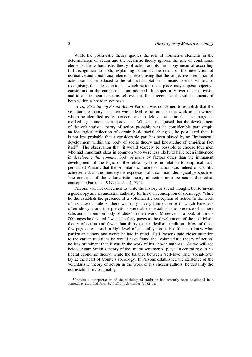While the positivistic theory ignores the role of normative elements in the determination of action and the idealistic theory ignores the role of conditional elements, the voluntaristic theory of action adopts the happy mean of according full recognition to both, explaining action as the result of the interaction of normative and conditional elements, recognising that the subjective orientation of action cannot be reduced to the rational adaptation of means to ends, while also recognising that the situation in which action takes place may impose objective constraints on the course of action adopted. Its superiority over the positivistic and idealistic theories seems self-evident, for it reconciles the valid elements of both within a broader synthesis.

In *The Structure of Social Action* Parsons was concerned to establish that the voluntaristic theory of action was indeed to be found in the work of the writers whom he identified as its pioneers, and to defend the claim that its emergence marked a genuine scientific advance. While he recognised that the development of the voluntaristic theory of action probably was 'in considerable part simply an ideological reflection of certain basic social changes', he postulated that 'it is not less probable that a considerable part has been played by an "immanent" development within the body of social theory and knowledge of empirical fact itself'. The observation that 'it would scarcely be possible to choose four men who had important ideas in common who were less likely to have been influenced in *developing this common body of ideas* by factors other than the immanent development of the logic of theoretical systems in relation to empirical fact' persuaded Parsons that the voluntaristic theory of action was indeed a scientific achievement, and not merely the expression of a common ideological perspective: 'the concepts of the voluntaristic theory of action must be sound theoretical concepts' (Parsons, 1947, pp. 5, 14, 724).

Parsons was not concerned to write the history of social thought, but to invent a genealogy and an ancestral authority for his own conception of sociology. While he did establish the presence of a voluntaristic conception of action in the work of his chosen authors, there was only a very limited sense in which Parsons's often idiosyncratic interpretations were able to establish the presence of a more substantial 'common body of ideas' in their work. Moreover in a book of almost 800 pages he devoted fewer than forty pages to the development of the positivistic theory of action and fewer than thirty to the idealistic tradition. Most of those few pages are at such a high level of generality that it is difficult to know what particular authors and works he had in mind. Had Parsons paid closer attention to the earlier traditions he would have found the 'voluntaristic theory of action' no less prominent than it was in the work of his chosen authors.<sup>1</sup> As we will see below, Adam Smith's theory of the 'moral sentiments' played a central role in his liberal economic theory, while the balance between 'self-love' and 'social-love' lay at the heart of Comte's sociology. If Parsons established the existence of the voluntaristic theory of action in the work of his chosen authors, he certainly did not establish its originality.

<sup>1</sup>Parsons's interpretation of the sociological tradition has recently been developed in a somewhat modified form by Jeffrey Alexander (1982–4).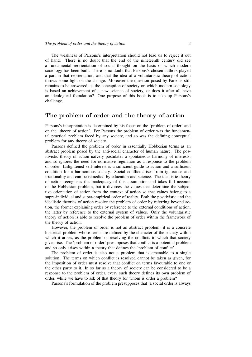The weakness of Parsons's interpretation should not lead us to reject it out of hand. There is no doubt that the end of the nineteenth century did see a fundamental reorientation of social thought on the basis of which modern sociology has been built. There is no doubt that Parsons's chosen authors played a part in that reorientation, and that the idea of a voluntaristic theory of action throws some light on the change. Moreover the question posed by Parsons still remains to be answered: is the conception of society on which modern sociology is based an achievement of a new science of society, or does it after all have an ideological foundation? One purpose of this book is to take up Parsons's challenge.

#### The problem of order and the theory of action

Parsons's interpretation is determined by his focus on the 'problem of order' and on the 'theory of action'. For Parsons the problem of order was the fundamental practical problem faced by any society, and so was the defining conceptual problem for any theory of society.

Parsons defined the problem of order in essentially Hobbesian terms as an abstract problem posed by the anti-social character of human nature. The positivistic theory of action naïvely postulates a spontaneous harmony of interests, and so ignores the need for normative regulation as a response to the problem of order. Enlightened self-interest is a sufficient guide to action and a sufficient condition for a harmonious society. Social conflict arises from ignorance and irrationality and can be remedied by education and science. The idealistic theory of action recognises the inadequacy of this assumption and takes full account of the Hobbesian problem, but it divorces the values that determine the subjective orientation of action from the context of action so that values belong to a supra-individual and supra-empirical order of reality. Both the positivistic and the idealistic theories of action resolve the problem of order by referring beyond action, the former explaining order by reference to the external conditions of action, the latter by reference to the external system of values. Only the voluntaristic theory of action is able to resolve the problem of order within the framework of the theory of action.

However, the problem of order is not an abstract problem; it is a concrete historical problem whose terms are defined by the character of the society within which it arises, as the problem of resolving the conflicts to which that society gives rise. The 'problem of order' presupposes that conflict is a potential problem and so only arises within a theory that defines the 'problem of conflict'.

The problem of order is also not a problem that is amenable to a single solution. The terms on which conflict is resolved cannot be taken as given, for the imposition of order must resolve that conflict on terms favourable to one or the other party to it. In so far as a theory of society can be considered to be a response to the problem of order, every such theory defines its own problem of order, while we have to ask of that theory for whom is order a problem?

Parsons's formulation of the problem presupposes that 'a social order is always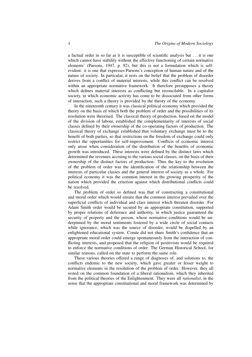a factual order in so far as it is susceptible of scientific analysis but . . . it is one which cannot have stability without the effective functioning of certain normative elements' (Parsons, 1947, p. 92), but this is not a formulation which is selfevident: it is one that expresses Parsons's conception of human nature and of the nature of society. In particular, it rests on the belief that the problem of disorder derives from a conflict of material interests, while this conflict can be resolved within an appropriate normative framework. It therefore presupposes a theory which defines material interests as conflicting but reconcilable. In a capitalist society, in which economic activity has come to be dissociated from other forms of interaction, such a theory is provided by the theory of the economy.

In the nineteenth century it was classical political economy which provided the theory on the basis of which both the problem of order and the possibilities of its resolution were theorised. The classical theory of production, based on the model of the division of labour, established the complementarity of interests of social classes defined by their ownership of the co-operating factors of production. The classical theory of exchange established that voluntary exchange must be to the benefit of both parties, so that restrictions on the freedom of exchange could only restrict the opportunities for self-improvement. Conflicts of economic interest only arose when consideration of the distribution of the benefits of economic growth was introduced. These interests were defined by the distinct laws which determined the revenues accruing to the various social classes, on the basis of their ownership of the distinct factors of production. Thus the key to the resolution of the problem of order was the identification of the relationship between the interests of particular classes and the general interest of society as a whole. For political economy it was the common interest in the growing prosperity of the nation which provided the criterion against which distributional conflicts could be resolved.

The problem of order so defined was that of constructing a constitutional and moral order which would ensure that the common interest prevailed over the superficial conflicts of individual and class interest which threaten disorder. For Adam Smith order would be secured by an appropriate constitution, supported by proper relations of deference and authority, in which justice guaranteed the security of property and the person, whose normative conditions would be underpinned by the moral sentiments fostered by a wide circle of social contacts while ignorance, which was the source of disorder, would be dispelled by an enlightened educational system. Comte did not share Smith's confidence that an appropriate moral order could emerge spontaneously from the interaction of conflicting interests, and proposed that the religion of positivism would be required to enforce the normative conditions of order. The German Historical School, for similar reasons, called on the state to perform the same role.

These various theories offered a range of diagnoses of, and solutions to, the conflicts endemic to the new society, which gave greater or lesser weight to normative elements in the resolution of the problem of order. However, they all rested on the common foundation of a liberal rationalism, which they inherited from the political theories of the Enlightenment. They were all *rationalist*, in the sense that the appropriate constitutional and moral framework was determined by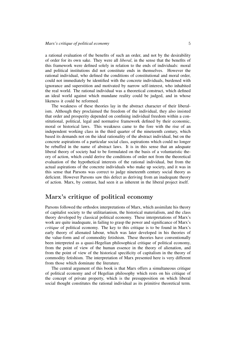a rational evaluation of the benefits of such an order, and not by the desirability of order for its own sake. They were all *liberal*, in the sense that the benefits of this framework were defined solely in relation to the ends of individuals: moral and political institutions did not constitute ends in themselves. However the rational individual, who defined the conditions of constitutional and moral order, could not immediately be identified with the concrete individuals, burdened with ignorance and superstition and motivated by narrow self-interest, who inhabited the real world. The rational individual was a theoretical construct, which defined an ideal world against which mundane reality could be judged, and in whose likeness it could be reformed.

The weakness of these theories lay in the abstract character of their liberalism. Although they proclaimed the freedom of the individual, they also insisted that order and prosperity depended on confining individual freedom within a constitutional, political, legal and normative framework defined by their economic, moral or historical laws. This weakness came to the fore with the rise of an independent working class in the third quarter of the nineteenth century, which based its demands not on the ideal rationality of the abstract individual, but on the concrete aspirations of a particular social class, aspirations which could no longer be rebuffed in the name of abstract laws. It is in this sense that an adequate liberal theory of society had to be formulated on the basis of a voluntaristic theory of action, which could derive the conditions of order not from the theoretical evaluation of the hypothetical interests of the rational individual, but from the actual aspirations of the concrete individuals who make up society, and it was in this sense that Parsons was correct to judge nineteenth century social theory as deficient. However Parsons saw this defect as deriving from an inadequate theory of action. Marx, by contrast, had seen it as inherent in the liberal project itself.

### Marx's critique of political economy

Parsons followed the orthodox interpretations of Marx, which assimilate his theory of capitalist society to the utilitarianism, the historical materialism, and the class theory developed by classical political economy. These interpretations of Marx's work are quite inadequate, in failing to grasp the power and significance of Marx's *critique* of political economy. The key to this critique is to be found in Marx's early theory of alienated labour, which was later developed in his theories of the value-form and of commodity fetishism. These theories have conventionally been interpreted as a quasi-Hegelian philosophical critique of political economy, from the point of view of the human essence in the theory of alienation, and from the point of view of the historical specificity of capitalism in the theory of commodity fetishism. The interpretation of Marx presented here is very different from those which dominate the literature.

The central argument of this book is that Marx offers a simultaneous critique of political economy and of Hegelian philosophy which rests on his critique of the concept of private property, which is the presupposition on which liberal social thought constitutes the rational individual as its primitive theoretical term.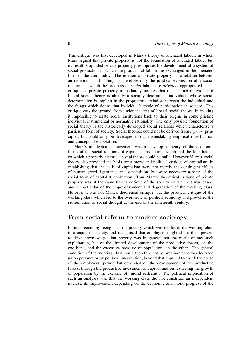This critique was first developed in Marx's theory of alienated labour, in which Marx argued that private property is not the foundation of alienated labour but its result. Capitalist private property presupposes the development of a system of social production in which the products of labour are exchanged in the alienated form of the commodity. The relation of private property, as a relation between an individual and a thing, is therefore only the juridical expression of a social relation, in which the products of *social* labour are *privately* appropriated. This critique of private property immediately implies that the abstract individual of liberal social theory is already a socially determined individual, whose social determination is implicit in the proprietorial relation between the individual and the things which define that individual's mode of participation in society. This critique cuts the ground from under the feet of liberal social theory, in making it impossible to relate social institutions back to their origins in some pristine individual instrumental or normative rationality. The only possible foundation of social theory is the historically developed social relations which characterise a particular form of society. Social theories could not be derived from *a priori* principles, but could only be developed through painstaking empirical investigation and conceptual elaboration.

Marx's intellectual achievement was to develop a theory of the economic forms of the social relations of capitalist production, which laid the foundations on which a properly historical social theory could be built. However Marx's social theory also provided the basis for a moral and political critique of capitalism, in establishing that the evils of capitalism were not merely the contingent effects of human greed, ignorance and superstition, but were necessary aspects of the social form of capitalist production. Thus Marx's theoretical critique of private property was at the same time a critique of the society on which it was based, and in particular of the impoverishment and degradation of the working class. However it was not Marx's theoretical critique, but the practical critique of the working class which led to the overthrow of political economy and provoked the reorientation of social thought at the end of the nineteenth century.

#### From social reform to modern sociology

Political economy recognised the poverty which was the lot of the working class in a capitalist society, and recognised that employers might abuse their powers to drive down wages, but poverty was in general not the result of any such exploitation, but of the limited development of the productive forces, on the one hand, and the excessive pressure of population, on the other. The general condition of the working class could therefore not be ameliorated either by trade union pressure or by political intervention, beyond that required to check the abuse of the employers' power, but depended on the development of the productive forces, through the productive investment of capital, and on restricting the growth of population by the exercise of 'moral restraint'. The political implication of such an analysis was that the working class did not constitute an independent interest, its improvement depending on the economic and moral progress of the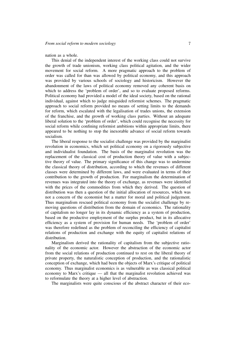nation as a whole.

This denial of the independent interest of the working class could not survive the growth of trade unionism, working class political agitation, and the wider movement for social reform. A more pragmatic approach to the problem of order was called for than was allowed by political economy, and this approach was provided by various schools of sociology and historicism. However the abandonment of the laws of political economy removed any coherent basis on which to address the 'problem of order', and so to evaluate proposed reforms. Political economy had provided a model of the ideal society, based on the rational individual, against which to judge misguided reformist schemes. The pragmatic approach to social reform provided no means of setting limits to the demands for reform, which escalated with the legalisation of trades unions, the extension of the franchise, and the growth of working class parties. Without an adequate liberal solution to the 'problem of order', which could recognise the necessity for social reform while confining reformist ambitions within appropriate limits, there appeared to be nothing to stop the inexorable advance of social reform towards socialism.

The liberal response to the socialist challenge was provided by the marginalist revolution in economics, which set political economy on a rigorously subjective and individualist foundation. The basis of the marginalist revolution was the replacement of the classical cost of production theory of value with a subjective theory of value. The primary significance of this change was to undermine the classical theory of distribution, according to which the revenues of different classes were determined by different laws, and were evaluated in terms of their contribution to the growth of production. For marginalism the determination of revenues was integrated into the theory of exchange, as revenues were identified with the prices of the commodities from which they derived. The question of distribution was then a question of the initial allocation of resources, which was not a concern of the economist but a matter for moral and political judgement. Thus marginalism rescued political economy from the socialist challenge by removing questions of distribution from the domain of economics. The rationality of capitalism no longer lay in its dynamic efficiency as a system of production, based on the productive employment of the surplus product, but in its allocative efficiency as a system of provision for human needs. The 'problem of order' was therefore redefined as the problem of reconciling the efficiency of capitalist relations of production and exchange with the equity of capitalist relations of distribution.

Marginalism derived the rationality of capitalism from the subjective rationality of the economic actor. However the abstraction of the economic actor from the social relations of production continued to rest on the liberal theory of private property, the naturalistic conception of production, and the rationalistic conception of exchange, which had been the objects of Marx's critique of political economy. Thus marginalist economics is as vulnerable as was classical political economy to Marx's critique — all that the marginalist revolution achieved was to reformulate the theory at a higher level of abstraction.

The marginalists were quite conscious of the abstract character of their eco-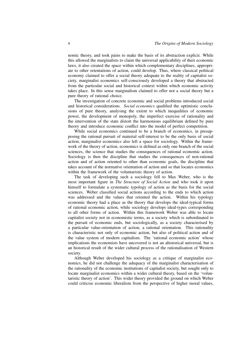nomic theory, and took pains to make the basis of its abstraction explicit. While this allowed the marginalists to claim the universal applicability of their economic laws, it also created the space within which complementary disciplines, appropriate to other orientations of action, could develop. Thus, where classical political economy claimed to offer a social theory adequate to the reality of capitalist society, marginalist economics self-consciously developed a theory that abstracted from the particular social and historical context within which economic activity takes place. In this sense marginalism claimed to offer not a social theory but a pure theory of rational choice.

The investigation of concrete economic and social problems introduced social and historical considerations. *Social economics* qualified the optimistic conclusions of pure theory, analysing the extent to which inequalities of economic power, the development of monopoly, the imperfect exercise of rationality and the intervention of the state distort the harmonious equilibrium defined by pure theory and introduce economic conflict into the model of perfect competition.

While social economics continued to be a branch of economics, in presupposing the rational pursuit of material self-interest to be the only basis of social action, marginalist economics also left a space for sociology. Within the framework of the theory of action, economics is defined as only one branch of the social sciences, the science that studies the consequences of rational economic action. Sociology is then the discipline that studies the consequences of non-rational action and of action oriented to other than economic goals, the discipline that takes account of the normative orientation of action and so that locates economics within the framework of the voluntaristic theory of action.

The task of developing such a sociology fell to Max Weber, who is the most important figure in *The Structure of Social Action* and who took it upon himself to formulate a systematic typology of action as the basis for the social sciences. Weber classified social actions according to the ends to which action was addressed and the values that oriented the action. Within his typology economic theory had a place as the theory that develops the ideal-typical forms of rational economic action, while sociology develops ideal-types corresponding to all other forms of action. Within this framework Weber was able to locate capitalist society not in economistic terms, as a society which is subordinated to the pursuit of economic ends, but sociologically, as a society characterised by a particular value-orientation of action, a rational orientation. This rationality is characteristic not only of economic action, but also of political action and of the value system of modern capitalism. The 'rational economic action' whose implications the economists have uncovered is not an ahistorical universal, but is an historical result of the wider cultural process of the rationalisation of Western society.

Although Weber developed his sociology as a critique of marginalist economics, he did not challenge the adequacy of the marginalist characterisation of the rationality of the economic institutions of capitalist society, but sought only to locate marginalist economics within a wider cultural theory, based on the 'voluntaristic theory of action'. This wider theory provided the ground on which Weber could criticise economic liberalism from the perspective of higher moral values,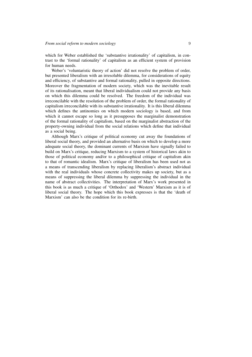which for Weber established the 'substantive irrationality' of capitalism, in contrast to the 'formal rationality' of capitalism as an efficient system of provision for human needs.

Weber's 'voluntaristic theory of action' did not resolve the problem of order, but presented liberalism with an irresoluble dilemma, for considerations of equity and efficiency, of substantive and formal rationality, pulled in opposite directions. Moreover the fragmentation of modern society, which was the inevitable result of its rationalisation, meant that liberal individualism could not provide any basis on which this dilemma could be resolved. The freedom of the individual was irreconcilable with the resolution of the problem of order, the formal rationality of capitalism irreconcilable with its substantive irrationality. It is this liberal dilemma which defines the antinomies on which modern sociology is based, and from which it cannot escape so long as it presupposes the marginalist demonstration of the formal rationality of capitalism, based on the marginalist abstraction of the property-owning individual from the social relations which define that individual as a social being.

Although Marx's critique of political economy cut away the foundations of liberal social theory, and provided an alternative basis on which to develop a more adequate social theory, the dominant currents of Marxism have signally failed to build on Marx's critique, reducing Marxism to a system of historical laws akin to those of political economy and/or to a philosophical critique of capitalism akin to that of romantic idealism. Marx's critique of liberalism has been used not as a means of transcending liberalism by replacing liberalism's abstract individual with the real individuals whose concrete collectivity makes up society, but as a means of suppressing the liberal dilemma by suppressing the individual in the name of abstract collectivities. The interpretation of Marx's work presented in this book is as much a critique of 'Orthodox' and 'Western' Marxism as it is of liberal social theory. The hope which this book expresses is that the 'death of Marxism' can also be the condition for its re-birth.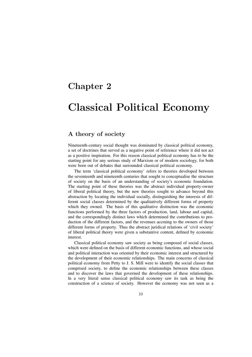### Chapter 2

## Classical Political Economy

### A theory of society

Nineteenth-century social thought was dominated by classical political economy, a set of doctrines that served as a negative point of reference where it did not act as a positive inspiration. For this reason classical political economy has to be the starting point for any serious study of Marxism or of modern sociology, for both were born out of debates that surrounded classical political economy.

The term 'classical political economy' refers to theories developed between the seventeenth and nineteenth centuries that sought to conceptualise the structure of society on the basis of an understanding of society's economic foundation. The starting point of these theories was the abstract individual property-owner of liberal political theory, but the new theories sought to advance beyond this abstraction by locating the individual socially, distinguishing the interests of different social classes determined by the qualitatively different forms of property which they owned. The basis of this qualitative distinction was the economic functions performed by the three factors of production, land, labour and capital, and the correspondingly distinct laws which determined the contributions to production of the different factors, and the revenues accruing to the owners of those different forms of property. Thus the abstract juridical relations of 'civil society' of liberal political theory were given a substantive content, defined by economic interest.

Classical political economy saw society as being composed of social classes, which were defined on the basis of different economic functions, and whose social and political interaction was oriented by their economic interest and structured by the development of their economic relationships. The main concerns of classical political economy from Petty to J. S. Mill were to identify the social classes that comprised society, to define the economic relationships between these classes and to discover the laws that governed the development of these relationships. ln a very literal sense classical political economy saw its task as being the construction of a science of society. However the economy was not seen as a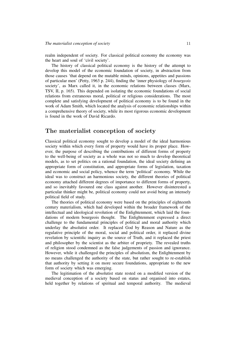realm independent of society. For classical political economy the economy was the heart and soul of 'civil society'.

The history of classical political economy is the history of the attempt to develop this model of the economic foundation of society, in abstraction from those causes 'that depend on the mutable minds, opinions, appetites and passions of particular men' (Petty, 1963 p. 244), finding the 'inner physiology of *bourgeois* society', as Marx called it, in the economic relations between classes (Marx, TSV, II, p. 165). This depended on isolating the economic foundations of social relations from extraneous moral, political or religious considerations. The most complete and satisfying development of political economy is to be found in the work of Adam Smith, which located the analysis of economic relationships within a comprehensive theory of society, while its most rigorous economic development is found in the work of David Ricardo.

#### The materialist conception of society

Classical political economy sought to develop a model of the ideal harmonious society within which every form of property would have its proper place. However, the purpose of describing the contributions of different forms of property to the well-being of society as a whole was not so much to develop theoretical models, as to set politics on a rational foundation, the ideal society defining an appropriate form of constitution, and appropriate forms of legislation, taxation and economic and social policy, whence the term 'political' economy. While the ideal was to construct an harmonious society, the different theories of political economy attached different degrees of importance to different forms of property, and so inevitably favoured one class against another. However disinterested a particular thinker might be, political economy could not avoid being an intensely political field of study.

The theories of political economy were based on the principles of eighteenth century materialism, which had developed within the broader framework of the intellectual and ideological revolution of the Enlightenment, which laid the foundations of modern bourgeois thought. The Enlightenment expressed a direct challenge to the fundamental principles of political and moral authority which underlay the absolutist order. It replaced God by Reason and Nature as the regulative principle of the moral, social and political order, it replaced divine revelation by scientific inquiry as the source of Truth, and it replaced the priest and philosopher by the scientist as the arbiter of propriety. The revealed truths of religion stood condemned as the false judgements of passion and ignorance. However, while it challenged the principles of absolutism, the Enlightenment by no means challenged the authority of the state, but rather sought to re-establish that authority by setting it on more secure foundations, appropriate to the new form of society which was emerging.

The legitimation of the absolutist state rested on a modified version of the medieval conception of a society based on status and organised into estates, held together by relations of spiritual and temporal authority. The medieval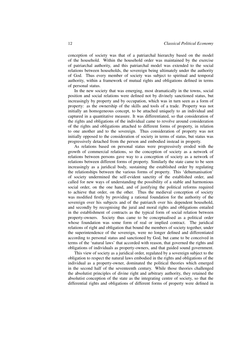conception of society was that of a patriarchal hierarchy based on the model of the household. Within the household order was maintained by the exercise of patriarchal authority, and this patriarchal model was extended to the social relations between households, the sovereign being ultimately under the authority of God. Thus every member of society was subject to spiritual and temporal authority, within a framework of mutual rights and obligations defined in terms of personal status.

In the new society that was emerging, most dramatically in the towns, social position and social relations were defined not by divinely sanctioned status, but increasingly by property and by occupation, which was in turn seen as a form of property: as the ownership of the skills and tools of a trade. Property was not initially an homogeneous concept, to be attached uniquely to an individual and captured in a quantitative measure. It was differentiated, so that consideration of the rights and obligations of the individual came to revolve around consideration of the rights and obligations attached to different forms of property, in relation to one another and to the sovereign. Thus consideration of property was not initially opposed to the consideration of society in terms of status, but status was progressively detached from the person and embodied instead in property.

As relations based on personal status were progressively eroded with the growth of commercial relations, so the conception of society as a network of relations between persons gave way to a conception of society as a network of relations between different forms of property. Similarly the state came to be seen increasingly as a juridical body, sustaining the established order by regulating the relationships between the various forms of property. This 'dehumanisation' of society undermined the self-evident sanctity of the established order, and called for new ways of understanding the possibility of a stable and harmonious social order, on the one hand, and of justifying the political reforms required to achieve that order, on the other. Thus the medieval conception of society was modified firstly by providing a rational foundation for the authority of the sovereign over his subjects and of the patriarch over his dependent household, and secondly by recognising the jural and moral rights and obligations entailed in the establishment of contracts as the typical form of social relation between property-owners. Society thus came to be conceptualised as a political order whose foundation was some form of real or implied contract. The juridical relations of right and obligation that bound the members of society together, under the superintendence of the sovereign, were no longer defined and differentiated according to personal status and sanctioned by God, but came to be conceived in terms of the 'natural laws' that accorded with reason, that governed the rights and obligations of individuals as property-owners, and that guided sound government.

This view of society as a juridical order, regulated by a sovereign subject to the obligation to respect the natural laws embodied in the rights and obligations of the individual as a property-owner, dominated the political theories which emerged in the second half of the seventeenth century. While those theories challenged the absolutist principles of divine right and arbitrary authority, they retained the absolutist conception of the state as the integrating centre of society, so that the differential rights and obligations of different forms of property were defined in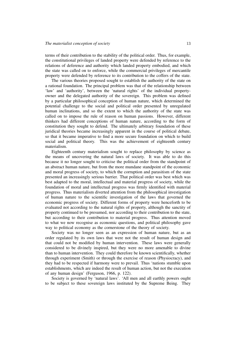terms of their contribution to the stability of the political order. Thus, for example, the constitutional privileges of landed property were defended by reference to the relations of deference and authority which landed property embodied, and which the state was called on to enforce, while the commercial privileges of mercantile property were defended by reference to its contribution to the coffers of the state.

The various theories proposed sought to establish the authority of the state on a rational foundation. The principal problem was that of the relationship between 'law' and 'authority', between the 'natural rights' of the individual propertyowner and the delegated authority of the sovereign. This problem was defined by a particular philosophical conception of human nature, which determined the potential challenge to the social and political order presented by unregulated human inclinations, and so the extent to which the authority of the state was called on to impose the rule of reason on human passions. However, different thinkers had different conceptions of human nature, according to the form of constitution they sought to defend. The ultimately arbitrary foundation of these juridical theories became increasingly apparent in the course of political debate, so that it became imperative to find a more secure foundation on which to build social and political theory. This was the achievement of eighteenth century materialism.

Eighteenth century materialism sought to replace philosophy by science as the means of uncovering the natural laws of society. It was able to do this because it no longer sought to criticise the political order from the standpoint of an abstract human nature, but from the more mundane standpoint of the economic and moral progress of society, to which the corruption and parasitism of the state presented an increasingly serious barrier. That political order was best which was best adapted to the moral, intellectual and material progress of society, while the foundation of moral and intellectual progress was firmly identified with material progress. Thus materialism diverted attention from the philosophical investigation of human nature to the scientific investigation of the laws that governed the economic progress of society. Different forms of property were henceforth to be evaluated not according to the natural rights of property, although the sanctity of property continued to be presumed, nor according to their contribution to the state, but according to their contribution to material progress. Thus attention moved to what we now recognise as economic questions, and political philosophy gave way to political economy as the cornerstone of the theory of society.

Society was no longer seen as an expression of human nature, but as an order regulated by its own laws that were not the result of human design and that could not be modified by human intervention. These laws were generally considered to be divinely inspired, but they were no more amenable to divine than to human intervention. They could therefore be known scientifically, whether through experiment (Smith) or through the exercise of reason (Physiocracy), and they had to be respected if harmony were to prevail. Thus 'nations stumble upon establishments, which are indeed the result of human action, but not the execution of any human design' (Ferguson, 1966, p. 122).

Society is governed by 'natural laws'. 'All men and all earthly powers ought to be subject to these sovereign laws instituted by the Supreme Being. They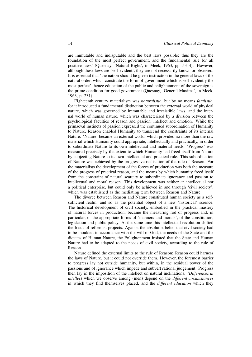are immutable and indisputable and the best laws possible; thus they are the foundation of the most perfect government, and the fundamental rule for all positive laws' (Quesnay, 'Natural Right', in Meek, 1963, pp. 53–4). However, although these laws are 'self-evident', they are not necessarily known or observed. It is essential that 'the nation should be given instruction in the general laws of the natural order, which constitute the form of government which is self-evidently the most perfect', hence education of the public and enlightenment of the sovereign is the prime condition for good government (Quesnay, 'General Maxims', in Meek, 1963, p. 231).

Eighteenth century materialism was *naturalistic*, but by no means *fatalistic*, for it introduced a fundamental distinction between the external world of physical nature, which was governed by immutable and irresistible laws, and the internal world of human nature, which was characterised by a division between the psychological faculties of reason and passion, intellect and emotion. While the primaeval instincts of passion expressed the continued subordination of Humanity to Nature, Reason enabled Humanity to transcend the constraints of its internal Nature. 'Nature' became an external world, which provided no more than the raw material which Humanity could appropriate, intellectually and practically, in order to subordinate Nature to its own intellectual and material needs. 'Progress' was measured precisely by the extent to which Humanity had freed itself from Nature by subjecting Nature to its own intellectual and practical rule. This subordination of Nature was achieved by the progressive realisation of the rule of Reason. For the materialists the development of the forces of production was both the measure of the progress of practical reason, and the means by which humanity freed itself from the constraint of natural scarcity to subordinate ignorance and passion to intellectual and moral reason. This development was neither an intellectual nor a political enterprise, but could only be achieved in and through 'civil society', which was established as the mediating term between Reason and Nature.

The divorce between Reason and Nature constituted human society as a selfsufficient realm, and so as the potential object of a new 'historical' science. The historical development of civil society, embodied in the practical mastery of natural forces in production, became the measuring rod of progress and, in particular, of the appropriate forms of 'manners and morals', of the constitution, legislation and public policy. At the same time this intellectual revolution shifted the focus of reformist projects. Against the absolutist belief that civil society had to be moulded in accordance with the will of God, the needs of the State and the dictates of Human Nature, the Enlightenment insisted that the State and Human Nature had to be adapted to the needs of civil society, according to the rule of Reason.

Nature defined the external limits to the rule of Reason: Reason could harness the laws of Nature, but it could not override them. However, the foremost barrier to progress lay not outside humanity, but within, in the residual power of the passions and of ignorance which impede and subvert rational judgement. Progress then lay in the imposition of the intellect on natural inclinations. '*Differences in intellect* which we observe among (men) depend on the *different circumstances* in which they find themselves placed, and the *different education* which they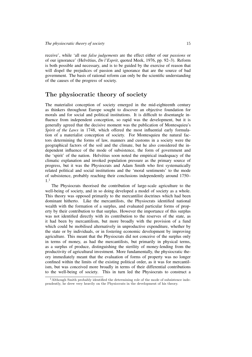receive', while 'all our *false judgements* are the effect either of our *passions* or of our ignorance' (Helvétius, *De l'Esprit*, quoted Meek, 1976, pp. 92–3). Reform is both possible and necessary, and is to be guided by the exercise of reason that will dispel the prejudices of passion and ignorance that are the source of bad government. The basis of rational reform can only be the scientific understanding of the causes of the progress of society.

#### The physiocratic theory of society

The materialist conception of society emerged in the mid-eighteenth century as thinkers throughout Europe sought to discover an objective foundation for morals and for social and political institutions. It is difficult to disentangle influence from independent conception, so rapid was the development, but it is generally agreed that the decisive moment was the publication of Montesquieu's *Spirit of the Laws* in 1748, which offered the most influential early formulation of a materialist conception of society. For Montesquieu the natural factors determining the forms of law, manners and customs in a society were the geographical factors of the soil and the climate, but he also considered the independent influence of the mode of subsistence, the form of government and the 'spirit' of the nation. Helvetius soon noted the empirical inadequacy of the climatic explanation and invoked population pressure as the primary source of progress, but it was the Physiocrats and Adam Smith who first systematically related political and social institutions and the 'moral sentiments' to the mode of subsistence, probably reaching their conclusions independently around 1750– 1.<sup>1</sup>

The Physiocrats theorised the contribution of large-scale agriculture to the well-being of society, and in so doing developed a model of society as a whole. This theory was opposed primarily to the mercantilist doctrines which had been dominant hitherto. Like the mercantilists, the Physiocrats identified national wealth with the formation of a surplus, and evaluated particular forms of property by their contribution to that surplus. However the importance of this surplus was not identified directly with its contribution to the reserves of the state, as it had been by mercantilism, but more broadly with the provision of a fund which could be mobilised alternatively in unproductive expenditure, whether by the state or by individuals, or in fostering economic development by improving agriculture. This meant that the Physiocrats did not conceive of the surplus only in terms of money, as had the mercantilists, but primarily in physical terms, as a surplus of produce, distinguishing the sterility of money-lending from the productivity of agricultural investment. More fundamentally, the physiocratic theory immediately meant that the evaluation of forms of property was no longer confined within the limits of the existing political order, as it was for mercantilism, but was conceived more broadly in terms of their differential contributions to the well-being of society. This in turn led the Physiocrats to construct a

<sup>&</sup>lt;sup>1</sup>Although Smith probably identified the determining role of the mode of subsistence independently, he drew very heavily on the Physiocrats in the development of his theory.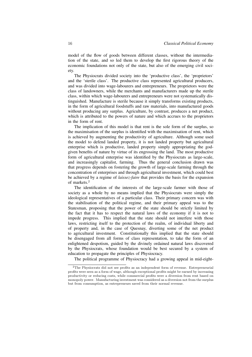model of the flow of goods between different classes, without the intermediation of the state, and so led them to develop the first rigorous theory of the economic foundations not only of the state, but also of the emerging civil society.

The Physiocrats divided society into the 'productive class', the 'proprietors' and the 'sterile class'. The productive class represented agricultural producers, and was divided into wage-labourers and entrepreneurs. The proprietors were the class of landowners, while the merchants and manufacturers made up the sterile class, within which wage-labourers and entrepreneurs were not systematically distinguished. Manufacture is sterile because it simply transforms existing products, in the form of agricultural foodstuffs and raw materials, into manufactured goods without producing any surplus. Agriculture, by contrast, produces a net product, which is attributed to the powers of nature and which accrues to the proprietors in the form of rent.

The implication of this model is that rent is the sole form of the surplus, so the maximisation of the surplus is identified with the maximisation of rent, which is achieved by augmenting the productivity of agriculture. Although some used the model to defend landed property, it is not landed property but agricultural enterprise which is productive, landed property simply appropriating the godgiven benefits of nature by virtue of its engrossing the land. The most productive form of agricultural enterprise was identified by the Physiocrats as large-scale, and increasingly capitalist, farming. Thus the general conclusion drawn was that progress depends on fostering the growth of large-scale farming through the concentration of enterprises and through agricultural investment, which could best be achieved by a regime of *laissez-faire* that provides the basis for the expansion of markets.<sup>2</sup>

The identification of the interests of the large-scale farmer with those of society as a whole by no means implied that the Physiocrats were simply the ideological representatives of a particular class. Their primary concern was with the stabilisation of the political regime, and their primary appeal was to the Statesman, proposing that the power of the state should be strictly limited by the fact that it has to respect the natural laws of the economy if it is not to impede progress. This implied that the state should not interfere with those laws, restricting itself to the protection of the realm, of individual liberty and of property and, in the case of Quesnay, diverting some of the net product to agricultural investment. Constitutionally this implied that the state should be disengaged from all forms of class representation, to take the form of an enlightened despotism, guided by the divinely ordained natural laws discovered by the Physiocrats, whose foundation would be best secured by a system of education to propagate the principles of Physiocracy.

The political programme of Physiocracy had a growing appeal in mid-eight-

<sup>2</sup>The Physiocrats did not see profits as an independent form of revenue. Entrepreneurial profits were seen as a form of wage, although exceptional profits might be earned by increasing productivity or reducing costs, while commercial profits were a diversion from rent based on monopoly power. Manufacturing investment was considered as a diversion not from the surplus but from consumption, as entrepreneurs saved from their normal revenue.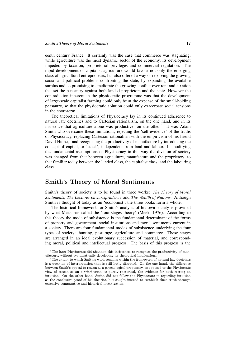eenth century France. It certainly was the case that commerce was stagnating, while agriculture was the most dynamic sector of the economy, its development impeded by taxation, proprietorial privileges and commercial regulation. The rapid development of capitalist agriculture would favour not only the emerging class of agricultural entrepreneurs, but also offered a way of resolving the growing social and political problems confronting the state, by expanding the available surplus and so promising to ameliorate the growing conflict over rent and taxation that set the peasantry against both landed proprietors and the state. However the contradiction inherent in the physiocratic programme was that the development of large-scale capitalist farming could only be at the expense of the small-holding peasantry, so that the physiocratic solution could only exacerbate social tensions in the short-term.

The theoretical limitations of Physiocracy lay in its continued adherence to natural law doctrines and to Cartesian rationalism, on the one hand, and in its insistence that agriculture alone was productive, on the other.<sup>3</sup> It was Adam Smith who overcame these limitations, rejecting the 'self-evidence' of the truths of Physiocracy, replacing Cartesian rationalism with the empiricism of his friend David Hume,<sup>4</sup> and recognising the productivity of manufacture by introducing the concept of capital, or 'stock', independent from land and labour. In modifying the fundamental assumptions of Physiocracy in this way the division of society was changed from that between agriculture, manufacture and the proprietors, to that familiar today between the landed class, the capitalist class, and the labouring class.

#### Smith's Theory of Moral Sentiments

Smith's theory of society is to be found in three works: *The Theory of Moral Sentiments*, *The Lectures on Jurisprudence* and *The Wealth of Nations*. Although Smith is thought of today as an 'economist', the three books form a whole.

The historical framework for Smith's analysis of his own society is provided by what Meek has called the 'four-stages theory' (Meek, 1976). According to this theory the mode of subsistence is the fundamental determinant of the forms of property and government, social institutions and moral sentiments current in a society. There are four fundamental modes of subsistence underlying the four types of society: hunting, pasturage, agriculture and commerce. These stages are arranged in an ideal evolutionary succession of material, and corresponding moral, political and intellectual progress. The basis of this progress is the

<sup>&</sup>lt;sup>3</sup>The later Physiocrats did abandon this insistence, to recognise the productivity of manufacture, without systematically developing its theoretical implications.

<sup>&</sup>lt;sup>4</sup>The extent to which Smith's work remains within the framework of natural law doctrines is a question of interpretation that is still hotly disputed. On the one hand, the difference between Smith's appeal to reason as a psychological propensity, as opposed to the Physiocrats view of reason as an *a priori* truth, is purely rhetorical, the evidence for both resting on intuition. On the other hand, Smith did not follow the Physiocrats in regarding intuition as the conclusive proof of his theories, but sought instead to establish their truth through extensive comparative and historical investigation.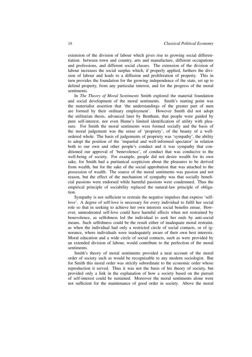extension of the division of labour which gives rise to growing social differentiation: between town and country, arts and manufacture, different occupations and professions, and different social classes. The extension of the division of labour increases the social surplus which, if properly applied, furthers the division of labour and leads to a diffusion and proliferation of property. This in turn provides the foundation for the growing independence of the state, set up to defend property, from any particular interest, and for the progress of the moral sentiments.

In *The Theory of Moral Sentiments* Smith explored the material foundation and social development of the moral sentiments. Smith's starting point was the materialist assertion that 'the understandings of the greater part of men are formed by their ordinary employment'. However Smith did not adopt the utilitarian thesis, advanced later by Bentham, that people were guided by pure self-interest, nor even Hume's limited identification of utility with pleasure. For Smith the moral sentiments were formed socially and the basis of the moral judgement was the sense of 'propriety', of the beauty of a wellordered whole. The basis of judgements of propriety was 'sympathy', the ability to adopt the position of the 'impartial and well-informed spectator' in relation both to our own and other people's conduct and it was sympathy that conditioned our approval of 'benevolence', of conduct that was conducive to the well-being of society. For example, people did not desire wealth for its own sake, for Smith had a puritanical scepticism about the pleasures to be derived from wealth, but for the sake of the social approbation that was attached to the possession of wealth. The source of the moral sentiments was passion and not reason, but the effect of the mechanism of sympathy was that socially beneficial passions were endorsed while harmful passions were condemned. Thus the empirical principle of sociability replaced the natural-law principle of obligation.

Sympathy is not sufficient to restrain the negative impulses that express 'selflove'. A degree of self-love is necessary for every individual to fulfil her social role so that in seeking to achieve her own interests social benefits ensue. However, unmoderated self-love could have harmful effects when not restrained by benevolence, as selfishness led the individual to seek her ends by anti-social means. Such selfishness could be the result either of inadequate moral restraint, as when the individual had only a restricted circle of social contacts, or of ignorance, where individuals were inadequately aware of their own best interests. Moral education and a wide circle of social contacts, such as were provided by an extended division of labour, would contribute to the perfection of the moral sentiments.

Smith's theory of moral sentiments provided a neat account of the moral order of society such as would be recognizable to any modern sociologist. But for Smith this moral order was strictly subordinate to the economic order whose reproduction it served. Thus it was not the basis of his theory of society, but provided only a link in the explanation of how a society based on the pursuit of self-interest could be sustained. Moreover the moral sentiments alone were not sufficient for the maintenance of good order in society. Above the moral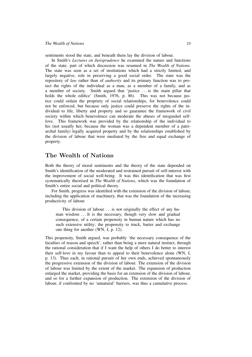#### *The Wealth of Nations* 19

sentiments stood the state, and beneath them lay the division of labour.

In Smith's *Lectures on Jurisprudence* he examined the nature and functions of the state, part of which discussion was resumed in *The Wealth of Nations*. The state was seen as a set of institutions which had a strictly limited, and largely negative, role in preserving a good social order. The state was the repository of *law* rather than of *authority* and its primary function was to protect the rights of the individual as a man, as a member of a family, and as a member of society. Smith argued that 'justice . . . is the main pillar that holds the whole edifice' (Smith, 1976, p. 86). This was not because justice could ordain the propriety of social relationships, for benevolence could not be enforced, but because only justice could preserve the rights of the individual to life, liberty and property and so guarantee the framework of civil society within which benevolence can moderate the abuses of misguided selflove. This framework was provided by the relationship of the individual to his (not usually her, because the woman was a dependent member of a patriarchal family) legally acquired property and by the relationships established by the division of labour that were mediated by the free and equal exchange of property.

### The Wealth of Nations

Both the theory of moral sentiments and the theory of the state depended on Smith's identification of the moderated and restrained pursuit of self-interest with the improvement of social well-being. It was this identification that was first systematically theorised in *The Wealth of Nations*, which was the foundation of Smith's entire social and political theory.

For Smith, progress was identified with the extension of the division of labour, including the application of machinery, that was the foundation of the increasing productivity of labour.

This division of labour . . . is not originally the effect of any human wisdom ... It is the necessary, though very slow and gradual consequence, of a certain propensity in human nature which has no such extensive utility; the propensity to truck, barter and exchange one thing for another (WN, I, p. 12).

This propensity, Smith argued, was probably 'the necessary consequence of the faculties of reason and speech', rather than being a mere natural instinct, through the rational consideration that if I want the help of others I do better to interest their self-love in my favour than to appeal to their benevolence alone (WN, I, p. 13). Thus each, in rational pursuit of her own ends, achieved spontaneously the progressive extension of the division of labour. The extension of the division of labour was limited by the extent of the market. The expansion of production enlarged the market, providing the basis for an extension of the division of labour, and so for a further expansion of production. The extension of the division of labour, if confronted by no 'unnatural' barriers, was thus a cumulative process.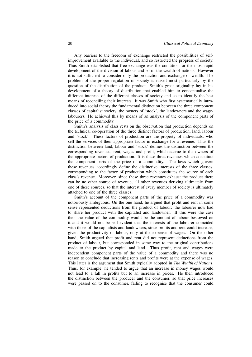Any barriers to the freedom of exchange restricted the possibilities of selfimprovement available to the individual, and so restricted the progress of society. Thus Smith established that free exchange was the condition for the most rapid development of the division of labour and so of the wealth of nations. However it is not sufficient to consider only the production and exchange of wealth. The problem of the proper regulation of society is raised most particularly by the question of the distribution of the product. Smith's great originality lay in his development of a theory of distribution that enabled him to conceptualise the different interests of the different classes of society and so to identify the best means of reconciling their interests. It was Smith who first systematically introduced into social theory the fundamental distinction between the three component classes of capitalist society, the owners of 'stock', the landowners and the wagelabourers. He achieved this by means of an analysis of the component parts of the price of a commodity.

Smith's analysis of class rests on the observation that production depends on the technical co-operation of the three distinct factors of production, land, labour and 'stock'. These factors of production are the property of individuals, who sell the services of their appropriate factor in exchange for a revenue. Thus the distinction between land, labour and 'stock' defines the distinction between the corresponding revenues, rent, wages and profit, which accrue to the owners of the appropriate factors of production. It is these three revenues which constitute the component parts of the price of a commodity. The laws which govern these revenues accordingly define the distinctive interests of the three classes, corresponding to the factor of production which constitutes the source of each class's revenue. Moreover, since these three revenues exhaust the product there can be no other source of revenue, all other revenues deriving ultimately from one of these sources, so that the interest of every member of society is ultimately attached to one of the three classes.

Smith's account of the component parts of the price of a commodity was notoriously ambiguous. On the one hand, he argued that profit and rent in some sense represented deductions from the product of labour: the labourer now had to share her product with the capitalist and landowner. If this were the case then the value of the commodity would be the amount of labour bestowed on it and it would not be self-evident that the interests of the labourer coincided with those of the capitalists and landowners, since profits and rent could increase, given the productivity of labour, only at the expense of wages. On the other hand, Smith argued that profit and rent did not represent deductions from the product of labour, but corresponded in some way to the original contributions made to the product by capital and land. Thus profit, rent and wages were independent component parts of the value of a commodity and there was no reason to conclude that increasing rents and profits were at the expense of wages. This latter is the argument that Smith typically adopted in *The Wealth of Nations*. Thus, for example, he tended to argue that an increase in money wages would not lead to a fall in profits but to an increase in prices. He then introduced the distinction between the producer and the consumer, so that price increases were passed on to the consumer, failing to recognise that the consumer could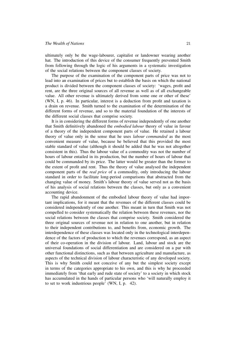#### *The Wealth of Nations* 21

ultimately only be the wage-labourer, capitalist or landowner wearing another hat. The introduction of this device of the consumer frequently prevented Smith from following through the logic of his arguments in a systematic investigation of the social relations between the component classes of society.

The purpose of the examination of the component parts of price was not to lead into an examination of prices but to establish the basis on which the national product is divided between the component classes of society: 'wages, profit and rent, are the three original sources of all revenue as well as of all exchangeable value. All other revenue is ultimately derived from some one or other of these' (WN, I, p. 46). In particular, interest is a deduction from profit and taxation is a drain on revenue. Smith turned to the examination of the determination of the different forms of revenue, and so to the material foundation of the interests of the different social classes that comprise society.

It is in considering the different forms of revenue independently of one another that Smith definitively abandoned the *embodied labour* theory of value in favour of a theory of the independent component parts of value. He retained a labour theory of value only in the sense that he uses *labour commanded* as the most convenient measure of value, because he believed that this provided the most stable standard of value (although it should be added that he was not altogether consistent in this). Thus the labour value of a commodity was not the number of hours of labour entailed in its production, but the number of hours of labour that could be commanded by its price. The latter would be greater than the former to the extent of profit and rent. Thus the theory of value analysed the independent component parts of the *real price* of a commodity, only introducing the labour standard in order to facilitate long-period comparisons that abstracted from the changing value of money. Smith's labour theory of value served not as the basis of his analysis of social relations between the classes, but only as a convenient accounting device.

The rapid abandonment of the embodied labour theory of value had important implications, for it meant that the revenues of the different classes could be considered independently of one another. This meant in turn that Smith was not compelled to consider systematically the relation between these revenues, nor the social relations between the classes that comprise society. Smith considered the three original sources of revenue not in relation to one another, but in relation to their independent contributions to, and benefits from, economic growth. The interdependence of these classes was located only in the technological interdependence of the factors of production to which the revenues correspond, as an aspect of their co-operation in the division of labour. Land, labour and stock are the universal foundations of social differentiation and are considered on a par with other functional distinctions, such as that between agriculture and manufacture, as aspects of the technical division of labour characteristic of any developed society. This is why Smith could not conceive of any but the simplest society except in terms of the categories appropriate to his own, and this is why he proceeded immediately from 'that early and rude state of society' to a society in which stock has accumulated in the hands of particular persons who 'will naturally employ it to set to work industrious people' (WN, I, p. 42).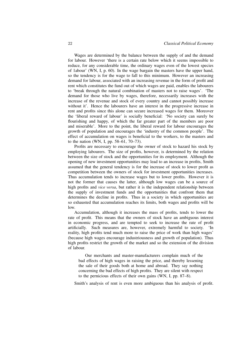Wages are determined by the balance between the supply of and the demand for labour. However 'there is a certain rate below which it seems impossible to reduce, for any considerable time, the ordinary wages even of the lowest species of 1abour' (WN, I, p. 60). In the wage bargain the masters have the upper hand, so the tendency is for the wage to fall to this minimum. However an increasing demand for labour, associated with an increasing revenue in the form of profit and rent which constitutes the fund out of which wages are paid, enables the labourers to 'break through the natural combination of masters not to raise wages'. 'The demand for those who live by wages, therefore, necessarily increases with the increase of the revenue and stock of every country and cannot possibly increase without it'. Hence the labourers have an interest in the progressive increase in rent and profits since this alone can secure increased wages for them. Moreover the 'liberal reward of labour' is socially beneficial: 'No society can surely be flourishing and happy, of which the far greater part of the members are poor and miserable'. More to the point, the liberal reward for labour encourages the growth of population and encourages the 'industry of the common people'. The effect of accumulation on wages is beneficial to the workers, to the masters and to the nation (WN, I, pp. 58–61, 70–73).

Profits are necessary to encourage the owner of stock to hazard his stock by employing labourers. The size of profits, however, is determined by the relation between the size of stock and the opportunities for its employment. Although the opening of new investment opportunities may lead to an increase in profits, Smith assumed that the general tendency is for the increase of stock to lower profit as competition between the owners of stock for investment opportunities increases. Thus accumulation tends to increase wages but to lower profits. However it is not the former that causes the latter, although low wages can be a source of high profits and *vice versa*, but rather it is the independent relationship between the supply of investment funds and the opportunities that confront them that determines the decline in profits. Thus in a society in which opportunities are so exhausted that accumulation reaches its limits, both wages and profits will be low.

Accumulation, although it increases the mass of profits, tends to lower the rate of profit. This means that the owners of stock have an ambiguous interest in economic progress, and are tempted to seek to increase the rate of profit artificially. Such measures are, however, extremely harmful to society. 'In reality, high profits tend much more to raise the price of work than high wages' (because high wages encourage industriousness and growth of population). Thus high profits restrict the growth of the market and so the extension of the division of labour.

Our merchants and master-manufacturers complain much of the bad effects of high wages in raising the price, and thereby lessening the sale of their goods both at home and abroad. They say nothing concerning the bad effects of high profits. They are silent with respect to the pernicious effects of their own gains (WN, I, pp. 87–8).

Smith's analysis of rent is even more ambiguous than his analysis of profit.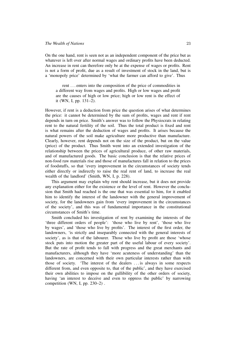#### *The Wealth of Nations* 23

On the one hand, rent is seen not as an independent component of the price but as whatever is left over after normal wages and ordinary profits have been deducted. An increase in rent can therefore only be at the expense of wages or profits. Rent is not a form of profit, due as a result of investment of stock in the land, but is a 'monopoly price' determined by 'what the farmer can afford to give'. Thus

rent . . . enters into the composition of the price of commodities in a different way from wages and profits. High or low wages and profit are the causes of high or low price; high or low rent is the effect of it (WN, I, pp. 131–2).

However, if rent is a deduction from price the question arises of what determines the price: it cannot be determined by the sum of profits, wages and rent if rent depends in turn on price. Smith's answer was to follow the Physiocrats in relating rent to the natural fertility of the soil. Thus the total product is fixed and rent is what remains after the deduction of wages and profits. It arises because the natural powers of the soil make agriculture more productive than manufacture. Clearly, however, rent depends not on the size of the product, but on the value (price) of the product. Thus Smith went into an extended investigation of the relationship between the prices of agricultural produce, of other raw materials, and of manufactured goods. The basic conclusion is that the relative prices of non-food raw materials rise and those of manufactures fall in relation to the prices of foodstuffs, so that 'every improvement in the circumstances of society tends either directly or indirectly to raise the real rent of land, to increase the real wealth of the landlord' (Smith, WN, I, p. 228).

This argument may explain why rent should increase, but it does not provide any explanation either for the existence or the level of rent. However the conclusion that Smith had reached is the one that was essential to him, for it enabled him to identify the interest of the landowner with the general improvement of society, for the landowners gain from 'every improvement in the circumstances of the society', and this was of fundamental importance in the constitutional circumstances of Smith's time.

Smith concluded his investigation of rent by examining the interests of the 'three different orders of people': 'those who live by rent', 'those who live by wages', and 'those who live by profits'. The interest of the first order, the landowners, 'is strictly and inseparably connected with the general interests of society', as is that of the labourer. Those who live by profit are those 'whose stock puts into motion the greater part of the useful labour of every society'. But the rate of profit tends to fall with progress and the great merchants and manufacturers, although they have 'more acuteness of understanding' than the landowners, are concerned with their own particular interests rather than with those of society. 'The interest of the dealers . . . is always in some respects different from, and even opposite to, that of the public', and they have exercised their own abilities to impose on the gullibility of the other orders of society, having 'an interest to deceive and even to oppress the public' by narrowing competition (WN, I, pp. 230–2) .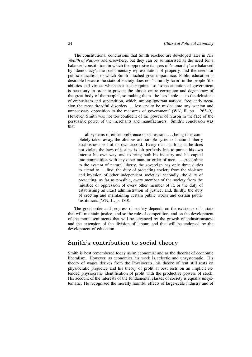The constitutional conclusions that Smith reached are developed later in *The Wealth of Nations* and elsewhere, but they can be summarised as the need for a balanced constitution, in which the oppressive dangers of 'monarchy' are balanced by 'democracy', the parliamentary representation of property, and the need for public education, to which Smith attached great importance. Public education is desirable because the state of society does not 'naturally form' in the people 'the abilities and virtues which that state requires' so 'some attention of government is necessary in order to prevent the almost entire corruption and degeneracy of the great body of the people', so making them 'the less liable . . . to the delusions of enthusiasm and superstition, which, among ignorant nations, frequently occasion the most dreadful disorders . . . less apt to be misled into any wanton and unnecessary opposition to the measures of government' (WN, II, pp. 263–9). However, Smith was not too confident of the powers of reason in the face of the persuasive power of the merchants and manufacturers. Smith's conclusion was that

all systems of either preference or of restraint . . . being thus completely taken away, the obvious and simple system of natural liberty establishes itself of its own accord. Every man, as long as he does not violate the laws of justice, is left perfectly free to pursue his own interest his own way, and to bring both his industry and his capital into competition with any other man, or order of men. . . . According to the system of natural liberty, the sovereign has only three duties to attend to . . . first, the duty of protecting society from the violence and invasion of other independent societies; secondly, the duty of protecting, as far as possible, every member of the society from the injustice or oppression of every other member of it, or the duty of establishing an exact administration of justice; and, thirdly, the duty of erecting and maintaining certain public works and certain public institutions (WN, II, p. 180).

The good order and progress of society depends on the existence of a state that will maintain justice, and so the rule of competition, and on the development of the moral sentiments that will be advanced by the growth of industriousness and the extension of the division of labour, and that will be endorsed by the development of education.

#### Smith's contribution to social theory

Smith is best remembered today as an economist and as the theorist of economic liberalism. However, as economics his work is eclectic and unsystematic. His theory of wages derives from the Physiocrats, his theory of rent still rests on physiocratic prejudice and his theory of profit at best rests on an implicit extended physiocratic identification of profit with the productive powers of stock. His account of the interests of the fundamental classes of society is equally unsystematic. He recognised the morally harmful effects of large-scale industry and of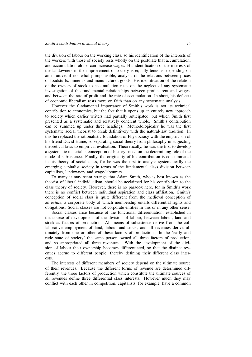the division of labour on the working class, so his identification of the interests of the workers with those of society rests wholly on the postulate that accumulation, and accumulation alone, can increase wages. His identification of the interests of the landowners in the improvement of society is equally tenuous, depending on an intuitive, if not wholly implausible, analysis of the relations between prices of foodstuffs, minerals and manufactured goods. His identification of the relation of the owners of stock to accumulation rests on the neglect of any systematic investigation of the fundamental relationships between profits, rent and wages, and between the rate of profit and the rate of accumulation. In short, his defence of economic liberalism rests more on faith than on any systematic analysis.

However the fundamental importance of Smith's work is not its technical contribution to economics, but the fact that it opens up an entirely new approach to society which earlier writers had partially anticipated, but which Smith first presented as a systematic and relatively coherent whole. Smith's contribution can be summed up under three headings. Methodologically he was the first systematic social theorist to break definitively with the natural-law tradition. In this he replaced the rationalistic foundation of Physiocracy with the empiricism of his friend David Hume, so separating social theory from philosophy in subjecting theoretical laws to empirical evaluation. Theoretically, he was the first to develop a systematic materialist conception of history based on the determining role of the mode of subsistence. Finally, the originality of his contribution is consummated in his theory of social class, for he was the first to analyse systematically the emerging capitalist society in terms of the fundamental class division between capitalists, landowners and wage-labourers.

To many it may seem strange that Adam Smith, who is best known as the theorist of liberal individualism, should be acclaimed for his contribution to the class theory of society. However, there is no paradox here, for in Smith's work there is no conflict between individual aspiration and class affiliation. Smith's conception of social class is quite different from the medieval conception of an *estate*, a corporate body of which membership entails differential rights and obligations. Social classes are not corporate entities in this or in any other sense.

Social classes arise because of the functional differentiation, established in the course of development of the division of labour, between labour, land and stock as factors of production. All means of subsistence derive from the collaborative employment of land, labour and stock, and all revenues derive ultimately from one or other of these factors of production. In the 'early and rude state of society' the same person owned all three factors of production, and so appropriated all three revenues. With the development of the division of labour their ownership becomes differentiated, so that the distinct revenues accrue to different people, thereby defining their different class interests.

The interests of different members of society depend on the ultimate source of their revenues. Because the different forms of revenue are determined differently, the three factors of production which constitute the ultimate sources of all revenues define three differential class interests. However much they may conflict with each other in competition, capitalists, for example, have a common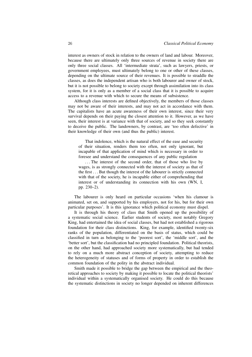interest as owners of stock in relation to the owners of land and labour. Moreover, because there are ultimately only three sources of revenue in society there are only three social classes. All 'intermediate strata', such as lawyers, priests, or government employees, must ultimately belong to one or other of these classes, depending on the ultimate source of their revenues. It is possible to straddle the classes, as does the independent artisan who is both labourer and owner of stock, but it is not possible to belong to society except through assimilation into its class system, for it is only as a member of a social class that it is possible to acquire access to a revenue with which to secure the means of subsistence.

Although class interests are defined objectively, the members of those classes may not be aware of their interests, and may not act in accordance with them. The capitalists have an acute awareness of their own interest, since their very survival depends on their paying the closest attention to it. However, as we have seen, their interest is at variance with that of society, and so they seek constantly to deceive the public. The landowners, by contrast, are 'too often defective' in their knowledge of their own (and thus the public) interest.

That indolence, which is the natural effect of the ease and security of their situation, renders them too often, not only ignorant, but incapable of that application of mind which is necessary in order to foresee and understand the consequences of any public regulation

. . . The interest of the second order, that of those who live by wages, is as strongly connected with the interest of society as that of the first . . . But though the interest of the labourer is strictly connected with that of the society, he is incapable either of comprehending that interest or of understanding its connection with his own (WN, I, pp. 230–2).

The labourer is only heard on particular occasions 'when his clamour is animated, set on, and supported by his employers, not for his, but for their own particular purposes'. It is this ignorance which political economy must dispel.

It is through his theory of class that Smith opened up the possibility of a systematic social science. Earlier students of society, most notably Gregory King, had entertained the idea of social classes, but had not established a rigorous foundation for their class distinctions. King, for example, identified twenty-six ranks of the population, differentiated on the basis of status, which could be classified in turn as belonging to the 'poorest sort', the 'middle sort', and the 'better sort', but the classification had no principled foundation. Political theorists, on the other hand, had approached society more systematically, but had tended to rely on a much more abstract conception of society, attempting to reduce the heterogeneity of statuses and of forms of property in order to establish the common foundation of the polity in the abstract individual.

Smith made it possible to bridge the gap between the empirical and the theoretical approaches to society by making it possible to locate the political theorists' individual within a systematically organised society. He could do this because the systematic distinctions in society no longer depended on inherent differences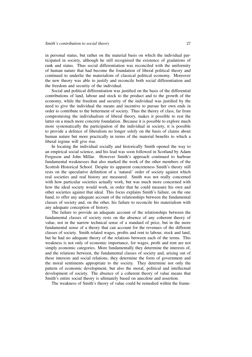in personal status, but rather on the material basis on which the individual participated in society, although he still recognised the existence of gradations of rank and status. Thus social differentiation was reconciled with the uniformity of human nature that had become the foundation of liberal political theory and continued to underlie the materialism of classical political economy. Moreover the new theory was able to justify and reconcile both social differentiation and the freedom and security of the individual.

Social and political differentiation was justified on the basis of the differential contributions of land, labour and stock to the product and to the growth of the economy, while the freedom and security of the individual was justified by the need to give the individual the means and incentive to pursue her own ends in order to contribute to the betterment of society. Thus the theory of class, far from compromising the individualism of liberal theory, makes it possible to rest the latter on a much more concrete foundation. Because it is possible to explore much more systematically the participation of the individual in society, it is possible to provide a defence of liberalism no longer solely on the basis of claims about human nature but more practically in terms of the material benefits to which a liberal regime will give rise.

In locating the individual socially and historically Smith opened the way to an empirical social science, and his lead was soon followed in Scotland by Adam Ferguson and John Millar. However Smith's approach continued to harbour fundamental weaknesses that also marked the work of the other members of the Scottish Historical School. Despite its apparent concreteness Smith's theory still rests on the speculative definition of a 'natural' order of society against which real societies and real history are measured. Smith was not really concerned with how particular societies actually work, but was much more concerned with how the ideal society would work, in order that he could measure his own and other societies against that ideal. This focus explains Smith's failure, on the one hand, to offer any adequate account of the relationships between the fundamental classes of society and, on the other, his failure to reconcile his materialism with any adequate conception of history.

The failure to provide an adequate account of the relationships between the fundamental classes of society rests on the absence of any coherent theory of value, not in the narrow technical sense of a standard of price, but in the more fundamental sense of a theory that can account for the revenues of the different classes of society. Smith related wages, profits and rent to labour, stock and land, but he had no adequate theory of the relations between each of the terms. This weakness is not only of economic importance, for wages, profit and rent are not simply economic categories. More fundamentally they determine the interests of, and the relations between, the fundamental classes of society and, arising out of these interests and social relations, they determine the form of government and the moral sentiments appropriate to the society. They determine not only the pattern of economic development, but also the moral, political and intellectual development of society. The absence of a coherent theory of value means that Smith's entire social theory is ultimately based on anecdote and assertion.

The weakness of Smith's theory of value could be remedied within the frame-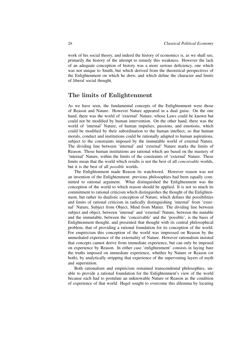work of his social theory, and indeed the history of economics is, as we shall see, primarily the history of the attempt to remedy this weakness. However the lack of an adequate conception of history was a more serious deficiency, one which was not unique to Smith, but which derived from the theoretical perspectives of the Enlightenment on which he drew, and which define the character and limits of liberal social thought.

#### The limits of Enlightenment

As we have seen, the fundamental concepts of the Enlightenment were those of Reason and Nature. However Nature appeared in a dual guise. On the one hand, there was the world of 'external' Nature, whose Laws could be known but could not be modified by human intervention. On the other hand, there was the world of 'internal' Nature, of human impulses, passions, and emotions, which could be modified by their subordination to the human intellect, so that human morals, conduct and institutions could be rationally adapted to human aspirations, subject to the constraints imposed by the immutable world of external Nature. The dividing line between 'internal' and 'external' Nature marks the limits of Reason. Those human institutions are rational which are based on the mastery of 'internal' Nature, within the limits of the constraints of 'external' Nature. These limits mean that the world which results is not the best of all *conceivable* worlds, but it is the best of all *possible* worlds.

The Enlightenment made Reason its watchword. However reason was not an invention of the Enlightenment: previous philosophies had been equally committed to rational argument. What distinguished the Enlightenment was the conception of the world to which reason should be applied. It is not so much its commitment to rational criticism which distinguishes the thought of the Enlightenment, but rather its dualistic conception of Nature, which defines the possibilities and limits of rational criticism in radically distinguishing 'internal' from 'external' Nature, Subject from Object, Mind from Matter. The dividing line between subject and object, between 'internal' and 'external' Nature, between the mutable and the immutable, between the 'conceivable' and the 'possible', is the basis of Enlightenment thought, and presented that thought with its central philosophical problem, that of providing a rational foundation for its conception of the world. For empiricism this conception of the world was impressed on Reason by the unmediated experience of the externality of Nature. However rationalism insisted that concepts cannot derive from immediate experience, but can only be imposed on experience by Reason. In either case 'enlightenment' consists in laying bare the truths imposed on immediate experience, whether by Nature or Reason (or both), by analytically stripping that experience of the supervening layers of myth and superstition.

Both rationalism and empiricism remained transcendental philosophies, unable to provide a rational foundation for the Enlightenment's view of the world because each had to postulate an unknowable Nature or Reason as the condition of experience of that world. Hegel sought to overcome this dilemma by locating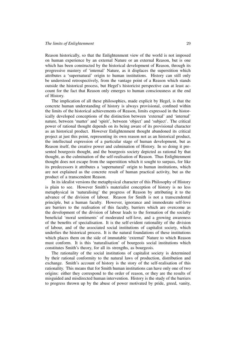Reason historically, so that the Enlightenment view of the world is not imposed on human experience by an external Nature or an external Reason, but is one which has been constructed by the historical development of Reason, through its progressive mastery of 'internal' Nature, as it displaces the superstition which attributes a 'supernatural' origin to human institutions. History can still only be understood retrospectively, from the vantage point of a Reason which stands outside the historical process, but Hegel's historicist perspective can at least account for the fact that Reason only emerges to human consciousness at the end of History.

The implication of all these philosophies, made explicit by Hegel, is that the concrete human understanding of history is always provisional, confined within the limits of the historical achievements of Reason, limits expressed in the historically developed conceptions of the distinction between 'external' and 'internal' nature, between 'matter' and 'spirit', between 'object' and 'subject'. The critical power of rational thought depends on its being aware of its provisional character as an historical product. However Enlightenment thought abandoned its critical project at just this point, representing its own reason not as an historical product, the intellectual expression of a particular stage of human development, but as Reason itself, the creative power and culmination of History. In so doing it presented bourgeois thought, and the bourgeois society depicted as rational by that thought, as the culmination of the self-realisation of Reason. Thus Enlightenment thought does not escape from the superstition which it sought to surpass, for like its predecessors it attributes a 'supernatural' origin to human institutions, which are not explained as the concrete result of human practical activity, but as the product of a transcendent Reason.

In its idealist versions the metaphysical character of this Philosophy of History is plain to see. However Smith's materialist conception of history is no less metaphysical in 'naturalising' the progress of Reason by attributing it to the advance of the division of labour. Reason for Smith is not a transcendental principle, but a human faculty. However, ignorance and immoderate self-love are barriers to the realisation of this faculty, barriers which are overcome as the development of the division of labour leads to the formation of the socially beneficial 'moral sentiments' of moderated self-love, and a growing awareness of the benefits of specialisation. It is the self-evident rationality of the division of labour, and of the associated social institutions of capitalist society, which underlies the historical process. It is the natural foundations of these institutions which places them on the side of immutable 'external' Nature to which Reason must conform. It is this 'naturalisation' of bourgeois social institutions which constitutes Smith's theory, for all its strengths, as bourgeois.

The rationality of the social institutions of capitalist society is determined by their rational conformity to the natural laws of production, distribution and exchange. Smith's account of history is the story of the self-realisation of this rationality. This means that for Smith human institutions can have only one of two origins: either they correspond to the order of reason, or they are the results of misguided and misdirected human intervention. History is the study of the barriers to progress thrown up by the abuse of power motivated by pride, greed, vanity,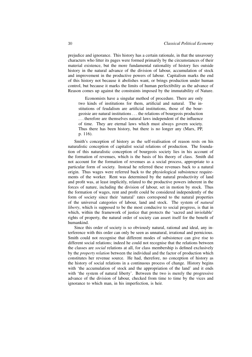prejudice and ignorance. This history has a certain rationale, in that the unsavoury characters who litter its pages were formed primarily by the circumstances of their material existence, but the more fundamental rationality of history lies outside history in the natural advance of the division of labour, accumulation of stock and improvement in the productive powers of labour. Capitalism marks the end of this history not because it abolishes want, or brings production under human control, but because it marks the limits of human perfectibility as the advance of Reason comes up against the constraints imposed by the immutability of Nature.

Economists have a singular method of procedure. There are only two kinds of institutions for them, artificial and natural. The institutions of feudalism are artificial institutions, those of the bourgeoisie are natural institutions . . . the relations of bourgeois production . . . therefore are themselves natural laws independent of the influence of time. They are eternal laws which must always govern society. Thus there has been history, but there is no longer any (Marx, PP, p. 116).

Smith's conception of history as the self-realisation of reason rests on his naturalistic conception of capitalist social relations of production. The foundation of this naturalistic conception of bourgeois society lies in his account of the formation of revenues, which is the basis of his theory of class. Smith did not account for the formation of revenues as a social process, appropriate to a particular form of society. Instead he referred these revenues back to a natural origin. Thus wages were referred back to the physiological subsistence requirements of the worker. Rent was determined by the natural productivity of land and profit was, at least implicitly, related to the productive powers inherent in the forces of nature, including the division of labour, set in motion by stock. Thus the formation of wages, rent and profit could be considered independently of the form of society since their 'natural' rates correspond to the natural properties of the universal categories of labour, land and stock. The system of *natural liberty*, which is supposed to be the most conducive to social progress, is that in which, within the framework of justice that protects the 'sacred and inviolable' rights of property, the natural order of society can assert itself for the benefit of humankind.

Since this order of society is so obviously natural, rational and ideal, any interference with this order can only be seen as unnatural, irrational and pernicious. Smith could not recognise that different modes of subsistence can give rise to different social relations; indeed he could not recognise that the relations between the classes are *social* relations at all, for class membership is defined exclusively by the *property relation* between the individual and the factor of production which constitutes her revenue source. He had, therefore, no conception of history as the history of social relations in a continuous process of change. History begins with 'the accumulation of stock and the appropriation of the land' and it ends with 'the system of natural liberty'. Between the two is merely the progressive advance of the division of labour, checked from time to time by the vices and ignorance to which man, in his imperfection, is heir.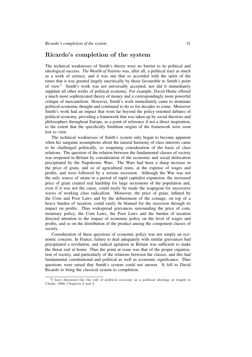#### Ricardo's completion of the system

The technical weaknesses of Smith's theory were no barrier to its political and ideological success. *The Wealth of Nations* was, after all, a political tract as much as a work of science, and it was one that so accorded with the spirit of the times that it was greeted largely uncritically by those favourable to Smith's point of view.<sup>5</sup> Smith's work was not universally accepted, nor did it immediately supplant all other works of political economy. For example, David Hume offered a much more sophisticated theory of money and a correspondingly more powerful critique of mercantilism. However, Smith's work immediately came to dominate political-economic thought and continued to do so for decades to come. Moreover Smith's work had an impact that went far beyond the policy-oriented debates of political economy, providing a framework that was taken up by social theorists and philosophers throughout Europe, as a point of reference if not a direct inspiration, to the extent that the specifically Smithian origins of the framework were soon lost to view.

The technical weaknesses of Smith's system only began to become apparent when his sanguine assumptions about the natural harmony of class interests came to be challenged politically, so reopening consideration of the basis of class relations. The question of the relation between the fundamental classes of society was reopened in Britain by consideration of the economic and social dislocation precipitated by the Napoleonic Wars. The Wars had been a sharp increase in the price of grain, and so of agricultural rents, at the expense of wages and profits, and were followed by a serious recession. Although the War was not the only source of strain in a period of rapid capitalist expansion, the increased price of grain created real hardship for large sectionons of the population and, even if it was not the cause, could easily be made the scapegoat for successive waves of working class radicalism. Moreover, the price of grain, inflated by the Corn and Poor Laws and by the debasement of the coinage, on top of a heavy burden of taxation, could easily be blamed for the recession through its impact on profits. Thus widespread grievances surrounding the price of corn, monetary policy, the Corn Laws, the Poor Laws and the burden of taxation directed attention to the impact of economic policy on the level of wages and profits, and so on the distribution of the product among the component classes of society.

Consideration of these questions of economic policy was not simply an economic concern. In France, failure to deal adequately with similar grievances had precipitated a revolution, and radical agitation in Britain was sufficient to make the threat real at home. Thus the point at issue was that of the proper organisation of society, and particularly of the relations between the classes, and this had fundamental constitutional and political as well as economic significance. Thus questions were raised that Smith's system could not answer. It fell to David Ricardo to bring the classical system to completion.

<sup>&</sup>lt;sup>5</sup>I have discussed the the role of political economy as a political ideology at length in Clarke, 1988, Chapters 2 and 3.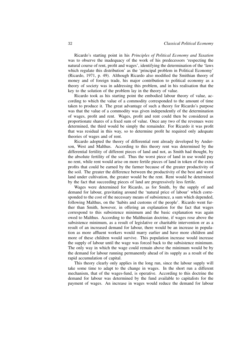Ricardo's starting point in his *Principles of Political Economy and Taxation* was to observe the inadequacy of the work of his predecessors 'respecting the natural course of rent, profit and wages', identifying the determination of the 'laws which regulate this distribution' as the 'principal problem in Political Economy' (Ricardo, 1971, p. 49). Although Ricardo also modified the Smithian theory of money and of foreign trade, his major contribution to political economy as a theory of society was in addressing this problem, and in his realisation that the key to the solution of the problem lay in the theory of value.

Ricardo took as his starting point the embodied labour theory of value, according to which the value of a commodity corresponded to the amount of time taken to produce it. The great advantage of such a theory for Ricardo's purpose was that the value of a commodity was given independently of the determination of wages, profit and rent. Wages, profit and rent could then be considered as proportionate shares of a fixed sum of value. Once any two of the revenues were determined, the third would be simply the remainder. For Ricardo it was profit that was residual in this way, so to determine profit he required only adequate theories of wages and of rent.

Ricardo adopted the theory of differential rent already developed by Anderson, West and Malthus. According to this theory rent was determined by the differential fertility of different pieces of land and not, as Smith had thought, by the absolute fertility of the soil. Thus the worst piece of land in use would pay no rent, while rent would arise on more fertile pieces of land in token of the extra profits that could be earned by the farmer because of the greater productivity of the soil. The greater the difference between the productivity of the best and worst land under cultivation, the greater would be the rent. Rent would be determined by the fact that succeeding pieces of land are progressively less fertile.

Wages were determined for Ricardo, as for Smith, by the supply of and demand for labour, gravitating around the 'natural price of labour' which corresponded to the cost of the necessary means of subsistence, a sum which depended, following Malthus, on the 'habits and customs of the people'. Ricardo went further than Smith, however, in offering an explanation for the fact that wages correspond to this subsistence minimum and the basic explanation was again owed to Malthus. According to the Malthusian doctrine, if wages rose above the subsistence minimum, as a result of legislative or charitable intervention or as a result of an increased demand for labour, there would be an increase in population as more affluent workers would marry earlier and have more children and more of these children would survive. This population increase would increase the supply of labour until the wage was forced back to the subsistence minimum. The only way in which the wage could remain above the minimum would be by the demand for labour running permanently ahead of its supply as a result of the rapid accumulation of capital.

This theory clearly only applies in the long run, since the labour supply will take some time to adapt to the change in wages. In the short run a different mechanism, that of the wages-fund, is operative. According to this doctrine the demand for labour was determined by the fund available to capitalists for the payment of wages. An increase in wages would reduce the demand for labour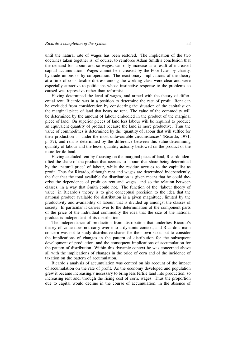until the natural rate of wages has been restored. The implication of the two doctrines taken together is, of course, to reinforce Adam Smith's conclusion that the demand for labour, and so wages, can only increase as a result of increased capital accumulation. Wages cannot be increased by the Poor Law, by charity, by trade unions or by co-operation. The reactionary implications of the theory at a time of considerable distress among the working class were clear and were especially attractive to politicians whose instinctive response to the problems so caused was repressive rather than reformist.

Having determined the level of wages, and armed with the theory of differential rent, Ricardo was in a position to determine the rate of profit. Rent can be excluded from consideration by considering the situation of the capitalist on the marginal piece of land that bears no rent. The value of the commodity will be determined by the amount of labour embodied in the product of the marginal piece of land. On superior pieces of land less labour will be required to produce an equivalent quantity of product because the land is more productive. Thus the value of commodities is determined by the 'quantity of labour that will suffice for their production . . . under the most unfavourable circumstances' (Ricardo, 1971, p. 37), and rent is determined by the difference between this value-determining quantity of labour and the lesser quantity actually bestowed on the product of the more fertile land.

Having excluded rent by focusing on the marginal piece of land, Ricardo identified the share of the product that accrues to labour, that share being determined by the 'natural price' of labour, while the residue accrues to the capitalist as profit. Thus for Ricardo, although rent and wages are determined independently, the fact that the total available for distribution is given meant that he could theorise the dependence of profit on rent and wages, and so the relation between classes, in a way that Smith could not. The function of the 'labour theory of value' in Ricardo's theory is to give conceptual precision to the idea that the national product available for distribution is a given magnitude, limited by the productivity and availability of labour, that is divided up amongst the classes of society. In particular it carries over to the determination of the component parts of the price of the individual commodity the idea that the size of the national product is independent of its distribution.

The independence of production from distribution that underlies Ricardo's theory of value does not carry over into a dynamic context, and Ricardo's main concern was not to study distributive shares for their own sake, but to consider the implications of changes in the pattern of distribution for the subsequent development of production, and the consequent implications of accumulation for the pattern of distribution. Within this dynamic context he was concerned above all with the implications of changes in the price of corn and of the incidence of taxation on the pattern of accumulation.

Ricardo's analysis of accumulation was centred on his account of the impact of accumulation on the rate of profit. As the economy developed and population grew it became increasingly necessary to bring less fertile land into production, so increasing rent and, through the rising cost of corn, wages. Thus the proportion due to capital would decline in the course of accumulation, in the absence of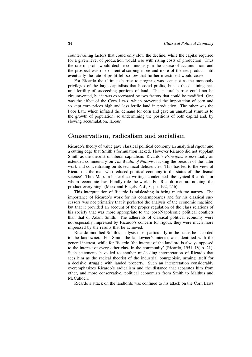countervailing factors that could only slow the decline, while the capital required for a given level of production would rise with rising costs of production. Thus the rate of profit would decline continuously in the course of accumulation, and the prospect was one of rent absorbing more and more of the net product until eventually the rate of profit fell so low that further investment would cease.

For Ricardo the ultimate barrier to progress was seen not as the monopoly privileges of the large capitalists that boosted profits, but as the declining natural fertility of succeeding portions of land. This natural barrier could not be circumvented, but it was exacerbated by two factors that could be modified. One was the effect of the Corn Laws, which prevented the importation of corn and so kept corn prices high and less fertile land in production. The other was the Poor Law, which inflated the demand for corn and gave an unnatural stimulus to the growth of population, so undermining the positions of both capital and, by slowing accumulation, labour.

#### Conservatism, radicalism and socialism

Ricardo's theory of value gave classical political economy an analytical rigour and a cutting edge that Smith's formulation lacked. However Ricardo did not supplant Smith as the theorist of liberal capitalism. Ricardo's *Principles* is essentially an extended commentary on *The Wealth of Nations*, lacking the breadth of the latter work and concentrating on its technical deficiencies. This has led to the view of Ricardo as the man who reduced political economy to the status of 'the dismal science'. Thus Marx in his earliest writings condemned 'the cynical Ricardo' for whom 'economic laws blindly rule the world. For Ricardo men are nothing, the product everything' (Marx and Engels, *CW*, 3, pp. 192, 256).

This interpretation of Ricardo is misleading in being much too narrow. The importance of Ricardo's work for his contemporaries and for his classical successors was not primarily that it perfected the analysis of the economic machine, but that it provided an account of the proper regulation of the class relations of his society that was more appropriate to the post-Napoleonic political conflicts than that of Adam Smith. The adherents of classical political economy were not especially impressed by Ricardo's concern for rigour, they were much more impressed by the results that he achieved.

Ricardo modified Smith's analysis most particularly in the status he accorded to the landowner. For Smith the landowner's interest was identified with the general interest, while for Ricardo 'the interest of the landlord is always opposed to the interest of every other class in the community' (Ricardo, 1951, IV, p. 21). Such statements have led to another misleading interpretation of Ricardo that sees him as the radical theorist of the industrial bourgeoisie, arming itself for a decisive struggle with landed property. Such an interpretation considerably overemphasizes Ricardo's radicalism and the distance that separates him from other, and more conservative, political economists from Smith to Malthus and McCulloch.

Ricardo's attack on the landlords was confined to his attack on the Corn Laws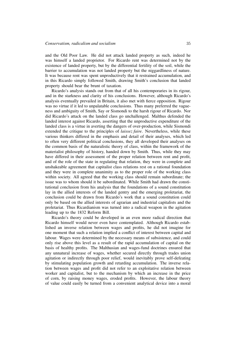and the Old Poor Law. He did not attack landed property as such, indeed he was himself a landed proprietor. For Ricardo rent was determined not by the existence of landed property, but by the differential fertility of the soil, while the barrier to accumulation was not landed property but the niggardliness of nature. It was because rent was spent unproductively that it restrained accumulation, and in this Ricardo simply followed Smith, drawing Smith's conclusion that landed property should bear the brunt of taxation.

Ricardo's analysis stands out from that of all his contemporaries in its rigour, and in the starkness and clarity of his conclusions. However, although Ricardo's analysis eventually prevailed in Britain, it also met with fierce opposition. Rigour was no virtue if it led to unpalatable conclusions. Thus many preferred the vagueness and ambiguity of Smith, Say or Sismondi to the harsh rigour of Ricardo. Nor did Ricardo's attack on the landed class go unchallenged. Malthus defended the landed interest against Ricardo, asserting that the unproductive expenditure of the landed class is a virtue in averting the dangers of over-production, while Sismondi extended the critique to the principles of *laissez faire*. Nevertheless, while these various thinkers differed in the emphasis and detail of their analyses, which led to often very different political conclusions, they all developed their analyses on the common basis of the naturalistic theory of class, within the framework of the materialist philosophy of history, handed down by Smith. Thus, while they may have differed in their assessment of the proper relation between rent and profit, and of the role of the state in regulating that relation, they were in complete and unshakeable agreement that capitalist class relations rest on a rational foundation and they were in complete unanimity as to the proper role of the working class within society. All agreed that the working class should remain subordinate; the issue was to whom should it be subordinated. While Smith had drawn the constitutional conclusion from his analysis that the foundations of a sound constitution lay in the allied interests of the landed gentry and the emerging proletariat, the conclusion could be drawn from Ricardo's work that a sound constitution could only be based on the allied interests of agrarian and industrial capitalists and the proletariat. Thus Ricardianism was turned into a radical weapon in the agitation leading up to the 1832 Reform Bill.

Ricardo's theory could be developed in an even more radical direction that Ricardo himself would never even have contemplated. Although Ricardo established an inverse relation between wages and profits, he did not imagine for one moment that such a relation implied a conflict of interest between capital and labour. Wages were determined by the necessary means of subsistence, and could only rise above this level as a result of the rapid accumulation of capital on the basis of healthy profits. The Malthusian and wages-fund doctrines ensured that any unnatural increase of wages, whether secured directly through trades union agitation or indirectly through poor relief, would inevitably prove self-defeating by stimulating population growth and retarding accumulation. The inverse relation between wages and profit did not refer to an exploitative relation between worker and capitalist, but to the mechanism by which an increase in the price of corn, by raising money wages, eroded profits. However, the labour theory of value could easily be turned from a convenient analytical device into a moral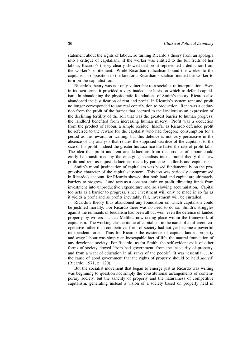statement about the rights of labour, so turning Ricardo's theory from an apologia into a critique of capitalism. If the worker was entitled to the full fruits of her labour, Ricardo's theory clearly showed that profit represented a deduction from the worker's entitlement. While Ricardian radicalism bound the worker to the capitalist in opposition to the landlord, Ricardian socialism incited the worker to turn on the capitalist too.

Ricardo's theory was not only vulnerable to a socialist re-interpretation. Even in its own terms it provided a very inadequate basis on which to defend capitalism. In abandoning the physiocratic foundations of Smith's theory, Ricardo also abandoned the justification of rent and profit. In Ricardo's system rent and profit no longer corresponded to any real contribution to production. Rent was a deduction from the profit of the farmer that accrued to the landlord as an expression of the declining fertility of the soil that was the greatest barrier to human progress: the landlord benefited from increasing human misery. Profit was a deduction from the product of labour, a simple residue. Insofar as Ricardo defended profit he referred to the reward for the capitalist who had foregone consumption for a period as the reward for waiting, but this defence is not very persuasive in the absence of any analysis that relates the supposed sacrifice of the capitalist to the size of his profit: indeed the greater his sacrifice the faster the rate of profit falls. The idea that profit and rent are deductions from the product of labour could easily be transformed by the emerging socialists into a moral theory that saw profit and rent as unjust deductions made by parasitic landlords and capitalists.

Smith's moral justification of capitalism was based fundamentally on the progressive character of the capitalist system. This too was seriously compromised in Ricardo's account, for Ricardo showed that both land and capital are ultimately barriers to progress. Land acts as a constant drain on profit, directing funds from investment into unproductive expenditure and so slowing accumulation. Capital too acts as a barrier to progress, since investment will only be made in so far as it yields a profit and as profits inevitably fall, investment will be curtailed.

Ricardo's theory thus abandoned any foundation on which capitalism could be justified morally. For Ricardo there was no need to do so: Smith's struggles against the remnants of feudalism had been all but won, even the defence of landed property by writers such as Malthus now taking place within the framework of capitalism. The working class critique of capitalism in the name of a different, cooperative rather than competitive, form of society had not yet become a powerful independent force. Thus for Ricardo the existence of capital, landed property and wage labour was simply an inescapable fact of life, the natural foundation of any developed society. For Ricardo, as for Smith, the self-evident evils of other forms of society flowed 'from bad government, from the insecurity of property, and from a want of education in all ranks of the people'. It was 'essential . . . to the cause of good government that the rights of property should be held *sacred*' (Ricardo, 1971, p. 120).

But the socialist movement that began to emerge just as Ricardo was writing was beginning to question not simply the constitutional arrangements of contemporary society, but the sanctity of property and the naturalness of competitive capitalism, generating instead a vision of a society based on property held in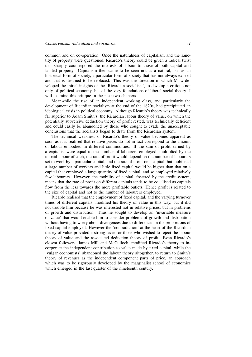common and on co-operation. Once the naturalness of capitalism and the sanctity of property were questioned, Ricardo's theory could be given a radical twist that sharply counterposed the interests of labour to those of both capital and landed property. Capitalism then came to be seen not as a natural, but as an historical form of society, a particular form of society that has not always existed and that is destined to be replaced. This was the direction in which Marx developed the initial insights of the 'Ricardian socialists', to develop a critique not only of political economy, but of the very foundations of liberal social theory. I will examine this critique in the next two chapters.

Meanwhile the rise of an independent working class, and particularly the development of Ricardian socialism at the end of the 1820s, had precipitated an ideological crisis in political economy. Although Ricardo's theory was technically far superior to Adam Smith's, the Ricardian labour theory of value, on which the potentially subversive deduction theory of profit rested, was technically deficient and could easily be abandoned by those who sought to evade the unacceptable conclusions that the socialists began to draw from the Ricardian system.

The technical weakness of Ricardo's theory of value becomes apparent as soon as it is realised that relative prices do not in fact correspond to the amount of labour embodied in different commodities. If the sum of profit earned by a capitalist were equal to the number of labourers employed, multiplied by the unpaid labour of each, the rate of profit would depend on the number of labourers set to work by a particular capital, and the rate of profit on a capital that mobilised a large number of workers and little fixed capital would be higher than that on a capital that employed a large quantity of fixed capital, and so employed relatively few labourers. However, the mobility of capital, fostered by the credit system, means that the rate of profit on different capitals tends to be equalised as capitals flow from the less towards the more profitable outlets. Hence profit is related to the size of capital and not to the number of labourers employed.

Ricardo realised that the employment of fixed capital, and the varying turnover times of different capitals, modified his theory of value in this way, but it did not trouble him because he was interested not in relative prices, but in problems of growth and distribution. Thus he sought to develop an 'invariable measure of value' that would enable him to consider problems of growth and distribution without having to worry about divergences due to differences in the proportions of fixed capital employed. However the 'contradiction' at the heart of the Ricardian theory of value provided a strong lever for those who wished to reject the labour theory of value and the associated deduction theory of profit. Even Ricardo's closest followers, James Mill and McCulloch, modified Ricardo's theory to incorporate the independent contribution to value made by fixed capital, while the 'vulgar economists' abandoned the labour theory altogether, to return to Smith's theory of revenues as the independent component parts of price, an approach which was to be rigorously developed by the marginalist school of economics which emerged in the last quarter of the nineteenth century.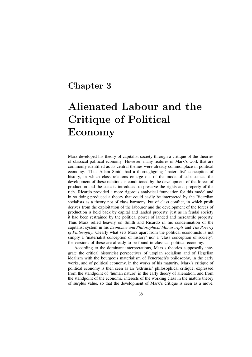## Chapter 3

# Alienated Labour and the Critique of Political Economy

Marx developed his theory of capitalist society through a critique of the theories of classical political economy. However, many features of Marx's work that are commonly identified as its central themes were already commonplace in political economy. Thus Adam Smith had a thoroughgoing 'materialist' conception of history, in which class relations emerge out of the mode of subsistence, the development of these relations is conditioned by the development of the forces of production and the state is introduced to preserve the rights and property of the rich. Ricardo provided a more rigorous analytical foundation for this model and in so doing produced a theory that could easily be interpreted by the Ricardian socialists as a theory not of class harmony, but of class conflict, in which profit derives from the exploitation of the labourer and the development of the forces of production is held back by capital and landed property, just as in feudal society it had been restrained by the political power of landed and mercantile property. Thus Marx relied heavily on Smith and Ricardo in his condemnation of the capitalist system in his *Economic and Philosophical Manuscripts* and *The Poverty of Philosophy*. Clearly what sets Marx apart from the political economists is not simply a 'materialist conception of history' nor a 'class conception of society', for versions of these are already to be found in classical political economy.

According to the dominant interpretations, Marx's theories supposedly integrate the critical historicist perspectives of utopian socialism and of Hegelian idealism with the bourgeois materialism of Feuerbach's philosophy, in the early works, and of political economy, in the works of his maturity. Marx's critique of political economy is then seen as an 'extrinsic' philosophical critique, expressed from the standpoint of 'human nature' in the early theory of alienation, and from the standpoint of the economic interests of the working class in the mature theory of surplus value, so that the development of Marx's critique is seen as a move,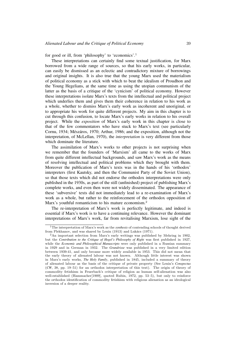for good or ill, from 'philosophy' to 'economics'.<sup>1</sup>

These interpretations can certainly find some textual justification, for Marx borrowed from a wide range of sources, so that his early works, in particular, can easily be dismissed as an eclectic and contradictory mixture of borrowings and original insights. It is also true that the young Marx used the materialism of political economy as a stick with which to beat the idealism of Proudhon and the Young Hegelians, at the same time as using the utopian communism of the latter as the basis of a critique of the 'cynicism' of political economy. However these interpretations isolate Marx's texts from the intellectual and political project which underlies them and gives them their coherence in relation to his work as a whole, whether to dismiss Marx's early work as incoherent and unoriginal, or to appropriate his work for quite different projects. My aim in this chapter is to cut through this confusion, to locate Marx's early works in relation to his overall project. While the *exposition* of Marx's early work in this chapter is close to that of the few commentators who have stuck to Marx's text (see particularly Cornu, 1934; Mészáros, 1970; Arthur, 1986; and the exposition, although not the interpretation, of McLellan, 1970), the *interpretation* is very different from those which dominate the literature.

The assimilation of Marx's works to other projects is not surprising when we remember that the founders of 'Marxism' all came to the works of Marx from quite different intellectual backgrounds, and saw Marx's work as the means of resolving intellectual and political problems which they brought with them. Moreover the publication of Marx's texts was in the hands of his 'orthodox' interpreters (first Kautsky, and then the Communist Party of the Soviet Union), so that those texts which did not endorse the orthodox interpretations were only published in the 1930s, as part of the still (unfinished) project of publishing Marx's complete works, and even then were not widely disseminated. The appearance of these 'subversive' texts did not immediately lead to a re-examination of Marx's work as a whole, but rather to the reinforcement of the orthodox opposition of Marx's youthful romanticism to his mature economism.<sup>2</sup>

The re-interpretation of Marx's work is perfectly legitimate, and indeed is essential if Marx's work is to have a continuing relevance. However the dominant interpretations of Marx's work, far from revitalising Marxism, lose sight of the

<sup>1</sup>The interpretation of Marx's work as the *synthesis* of contending schools of thought derived from Plekhanov, and was shared by Lenin (1913) and Lukács (1971).

<sup>2</sup>An important selection from Marx's early writings was published by Mehring in 1902, but the *Contribution to the Critique of Hegel's Philosophy of Right* was first published in 1927, while the *Economic and Philosophical Manuscripts* were only published in a Russian summary in 1929 and in German in 1932. The *Grundrisse* was published in a very limited edition between 1939-41, and only became more widely available in 1953. This did not mean that the early theory of alienated labour was not known. Although little interest was shown in Marx's early works, *The Holy Family*, published in 1845, included a summary of theory of alienated labour as the basis of the critique of private property (See Lenin's *Conspectus* (*CW*, 38, pp. 19–51) for an orthodox interpretation of this text). The origin of theory of commodity fetishism in Feuerbach's critique of religion as human self-alienation was also well-established (Hammacher[1909], quoted Rubin, 1972, pp. 53–5), but only to reinforce the orthodox identification of commodity fetishism with religious alienation as an ideological inversion of a deeper reality.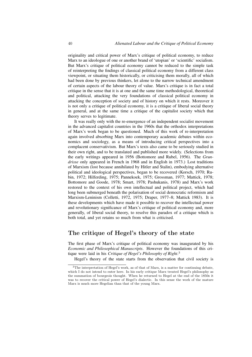originality and critical power of Marx's critique of political economy, to reduce Marx to an ideologue of one or another brand of 'utopian' or 'scientific' socialism. But Marx's critique of political economy cannot be reduced to the simple task of reinterpreting the findings of classical political economy from a different class viewpoint, or situating them historically, or criticising them morally, all of which had been done by previous thinkers, let alone to the narrow technical amendment of certain aspects of the labour theory of value. Marx's critique is in fact a total critique in the sense that it is at one and the same time methodological, theoretical and political, attacking the very foundations of classical political economy in attacking the conception of society and of history on which it rests. Moreover it is not only a critique of political economy, it is a critique of liberal social theory in general, and at the same time a critique of the capitalist society which that theory serves to legitimate.

It was really only with the re-emergence of an independent socialist movement in the advanced capitalist countries in the 1960s that the orthodox interpretations of Marx's work began to be questioned. Much of this work of re-interpretation again involved absorbing Marx into contemporary academic debates within economics and sociology, as a means of introducing critical perspectives into a complacent conservativism. But Marx's texts also came to be seriously studied in their own right, and to be translated and published more widely. (Selections from the early writings appeared in 1956 (Bottomore and Rubel, 1956). The *Grundrisse* only appeared in French in 1968 and in English in 1973.) Lost traditions of Marxism (lost because annihilated by Hitler and Stalin), embodying alternative political and ideological perspectives, began to be recovered (Korsch, 1970; Rubin, 1972; Hilferding, 1975; Pannekoek, 1975; Grossman, 1977; Mattick, 1978; Bottomore and Goode, 1978; Smart, 1978; Pashukanis, 1978) and Marx's work restored to the context of his own intellectual and political project, which had long been submerged beneath the polarisation of social democratic reformism and Marxism-Leninism (Colletti, 1972, 1975; Draper, 1977–8; Mattick 1983). It is these developments which have made it possible to recover the intellectual power and revolutionary significance of Marx's critique of political economy and, more generally, of liberal social theory, to resolve this paradox of a critique which is both total, and yet retains so much from what is criticised.

#### The critique of Hegel's theory of the state

The first phase of Marx's critique of political economy was inaugurated by his *Economic and Philosophical Manuscripts*. However the foundations of this critique were laid in his *Critique of Hegel's Philosophy of Right*. 3

Hegel's theory of the state starts from the observation that civil society is

<sup>3</sup>The interpretation of Hegel's work, as of that of Marx, is a matter for continuing debate, which I do not intend to enter here. In his early critique Marx treated Hegel's philosophy as the summation of bourgeois thought. When he returned to Hegel at the end of the 1850s it was to recover the critical power of Hegel's dialectic. In this sense the work of the mature Marx is much more Hegelian than that of the young Marx.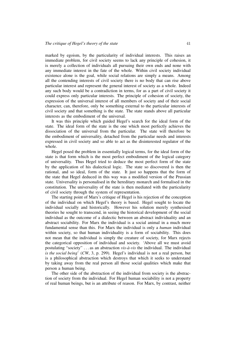marked by egoism, by the particularity of individual interests. This raises an immediate problem, for civil society seems to lack any principle of cohesion, it is merely a collection of individuals all pursuing their own ends and none with any immediate interest in the fate of the whole. Within civil society individual existence alone is the goal, while social relations are simply a means. Among all the contending interests of civil society there is no body that can rise above particular interest and represent the general interest of society as a whole. Indeed any such body would be a contradiction in terms, for as a part of civil society it could express only particular interests. The principle of cohesion of society, the expression of the universal interest of all members of society and of their social character, can, therefore, only be something external to the particular interests of civil society and that something is the state. The state stands above all particular interests as the embodiment of the universal.

It was this principle which guided Hegel's search for the ideal form of the state. The ideal form of the state is the one which most perfectly achieves the dissociation of the universal from the particular. The state will therefore be the embodiment of universality, detached from the particular needs and interests expressed in civil society and so able to act as the disinterested regulator of the whole.

Hegel posed the problem in essentially logical terms, for the ideal form of the state is that form which is the most perfect embodiment of the logical category of universality. Thus Hegel tried to deduce the most perfect form of the state by the application of his dialectical logic. The state so discovered is then the rational, and so ideal, form of the state. It just so happens that the form of the state that Hegel deduced in this way was a modified version of the Prussian state. Universality is personalised in the hereditary monarch and formalised in the constitution. The universality of the state is then mediated with the particularity of civil society through the system of representation.

The starting point of Marx's critique of Hegel is his rejection of the conception of the individual on which Hegel's theory is based. Hegel sought to locate the individual socially and historically. However his solution merely synthesised theories he sought to transcend, in seeing the historical development of the social individual as the outcome of a dialectic between an abstract individuality and an abstract sociability. For Marx the individual is a social animal in a much more fundamental sense than this. For Marx the individual is only a *human* individual within society, so that human individuality is a form of sociability. This does not mean that the individual is simply the creature of society, for Marx rejects the categorical opposition of individual and society. 'Above all we must avoid postulating "society" . . . as an abstraction *vis-à-vis* the individual. The individual *is the social being*' (*CW*, 3, p. 299). Hegel's individual is not a real person, but is a philosophical abstraction which destroys that which it seeks to understand by taking away from the real person all those social qualities which make that person a human being.

The other side of the abstraction of the individual from society is the abstraction of society from the individual. For Hegel human sociability is not a property of real human beings, but is an attribute of reason. For Marx, by contrast, neither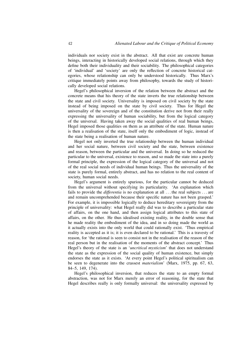individuals nor society exist in the abstract. All that exist are concrete human beings, interacting in historically developed social relations, through which they define both their individuality and their sociability. The philosophical categories of 'individual' and 'society' are only the reflection of concrete historical categories, whose relationship can only be understood historically. Thus Marx's critique immediately points away from philosophy, towards the study of historically developed social relations.

Hegel's philosophical inversion of the relation between the abstract and the concrete means that his theory of the state inverts the true relationship between the state and civil society. Universality is imposed on civil society by the state instead of being imposed on the state by civil society. Thus for Hegel the universality of the sovereign and of the constitution derive not from their really expressing the universality of human sociability, but from the logical category of the universal. Having taken away the social qualities of real human beings, Hegel imposed those qualities on them as an attribute of the state. Human nature is then a realisation of the state, itself only the embodiment of logic, instead of the state being a realisation of human nature.

Hegel not only inverted the true relationship between the human individual and her social nature, between civil society and the state, between existence and reason, between the particular and the universal. In doing so he reduced the particular to the universal, existence to reason, and so made the state into a purely formal principle, the expression of the logical category of the universal and not of the real social needs of individual human beings. Thus the universality of the state is purely formal, entirely abstract, and has no relation to the real content of society, human social needs.

Hegel's argument is entirely spurious, for the particular cannot be deduced from the universal without specifying its particularity. 'An explanation which fails to provide the *differentia* is no explanation at all ... the real subjects ... are and remain uncomprehended because their specific nature has not been grasped.' For example, it is impossible logically to deduce hereditary sovereignty from the principle of universality: what Hegel really did was to describe a particular state of affairs, on the one hand, and then assign logical attributes to this state of affairs, on the other. He thus idealised existing reality, in the double sense that he made reality the embodiment of the idea, and in so doing made the world as it actually exists into the only world that could rationally exist. 'Thus empirical reality is accepted as it is; it is even declared to be rational.' This is a travesty of reason, for 'the rational is seen to consist not in the realisation of the reason of the real person but in the realisation of the moments of the abstract concept.' Thus Hegel's theory of the state is an '*uncritical mysticism*' that does not understand the state as the expression of the social quality of human existence, but simply endorses the state as it exists. 'At every point Hegel's political spiritualism can be seen to degenerate into the crassest *materialism*' (Marx, 1975, pp. 67, 63, 84–5, 149, 174).

Hegel's philosophical inversion, that reduces the state to an empty formal abstraction, was not for Marx merely an error of reasoning, for the state that Hegel describes really is only formally universal: the universality expressed by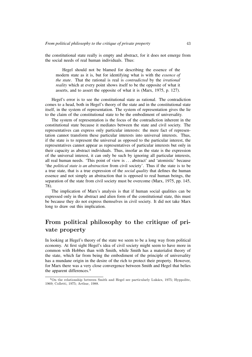the constitutional state really is empty and abstract, for it does not emerge from the social needs of real human individuals. Thus:

Hegel should not be blamed for describing the essence of the modern state as it is, but for identifying what is with the *essence of the state*. That the rational is real is *contradicted* by the *irrational reality* which at every point shows itself to be the opposite of what it asserts, and to assert the opposite of what it is (Marx, 1975, p. 127).

Hegel's error is to see the constitutional state as rational. The contradiction comes to a head, both in Hegel's theory of the state and in the constitutional state itself, in the system of representation. The system of representation gives the lie to the claim of the constitutional state to be the embodiment of universality.

The system of representation is the focus of the contradiction inherent in the constitutional state because it mediates between the state and civil society. The representatives can express only particular interests: the mere fact of representation cannot transform these particular interests into universal interests. Thus, if the state is to represent the universal as opposed to the particular interest, the representatives cannot appear as representatives of particular interests but only in their capacity as abstract individuals. Thus, insofar as the state is the expression of the universal interest, it can only be such by ignoring all particular interests, all real human needs. 'This point of view is . . . abstract' and 'atomistic' because 'the *political state is an abstraction* from civil society'. Thus if the state is to be a true state, that is a true expression of the *social quality* that defines the human essence and not simply an abstraction that is opposed to real human beings, the separation of the state from civil society must be overcome (Marx, 1975, pp. 145, 78).

The implication of Marx's analysis is that if human social qualities can be expressed only in the abstract and alien form of the constitutional state, this must be because they do not express themselves in civil society. It did not take Marx long to draw out this implication.

### From political philosophy to the critique of private property

In looking at Hegel's theory of the state we seem to be a long way from political economy. At first sight Hegel's idea of civil society might seem to have more in common with Hobbes than with Smith, while Smith has a materialist theory of the state, which far from being the embodiment of the principle of universality has a mundane origin in the desire of the rich to protect their property. However, for Marx there was a very close convergence between Smith and Hegel that belies the apparent differences.<sup>4</sup>

 $4$ On the relationship between Smith and Hegel see particularly Lukács, 1975; Hyppolite, 1969; Colletti, 1975; Arthur, 1988.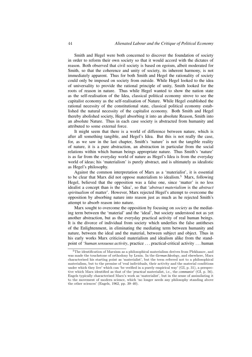Smith and Hegel were both concerned to discover the foundation of society in order to reform their own society so that it would accord with the dictates of reason. Both observed that civil society is based on egoism, albeit moderated for Smith, so that the coherence and unity of society, its inherent harmony, is not immediately apparent. Thus for both Smith and Hegel the rationality of society could only be imposed on society from outside. While Hegel looked to the idea of universality to provide the rational principle of unity, Smith looked for the roots of reason in nature. Thus while Hegel wanted to show the nation state as the self-realisation of the Idea, classical political economy strove to see the capitalist economy as the self-realisation of Nature. While Hegel established the rational necessity of the constitutional state, classical political economy established the natural necessity of the capitalist economy. Both Smith and Hegel thereby abolished society, Hegel absorbing it into an absolute Reason, Smith into an absolute Nature. Thus in each case society is abstracted from humanity and attributed to some external force.

It might seem that there is a world of difference between nature, which is after all something tangible, and Hegel's Idea. But this is not really the case, for, as we saw in the last chapter, Smith's 'nature' is not the tangible reality of nature, it is a pure abstraction, an abstraction in particular from the social relations within which human beings appropriate nature. Thus Smith's 'nature' is as far from the everyday world of nature as Hegel's Idea is from the everyday world of ideas; his 'materialism' is purely abstract, and is ultimately as idealistic as Hegel's philosophy.

Against the common interpretation of Marx as a 'materialist', it is essential to be clear that Marx did not oppose materialism to idealism.<sup>5</sup> Marx, following Hegel, believed that the opposition was a false one, since 'matter' is no less idealist a concept than is the 'idea', so that '*abstract materialism* is the *abstract spiritualism* of matter'. However, Marx rejected Hegel's attempt to overcome the opposition by absorbing nature into reason just as much as he rejected Smith's attempt to absorb reason into nature.

Marx sought to overcome the opposition by focusing on *society* as the mediating term between the 'material' and the 'ideal', but society understood not as yet another abstraction, but as the everyday practical activity of real human beings. It is the divorce of individual from society which underlies the false antitheses of the Enlightenment, in eliminating the mediating term between humanity and nature, between the ideal and the material, between subject and object. Thus in his early works Marx criticised materialism and idealism alike from the standpoint of '*human sensuous activity*, practice . . . practical-critical activity . . . human

<sup>5</sup>The identification of Marxism as a philosophical materialism derives from Plekhanov, and was made the touchstone of orthodoxy by Lenin. In the *German Ideology*, and elsewhere, Marx characterised his starting point as 'materialist', but the term referred not to a philosophical materialism, but to the premise of 'real individuals, their activity and the material conditions under which they live' which can 'be verified in a purely empirical way' (GI, p. 31), a perspective which Marx identified as that of the '*practical* materialist, i.e., the *communist*' (GI, p. 56). Engels typically characterised Marx's work as 'materialist', but in the sense of assimilating it to the movement of modern science, which 'no longer needs any philosophy standing above the other sciences' (Engels, 1962, pp. 39–40).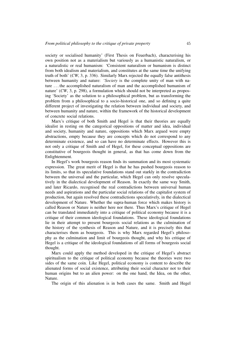society or socialised humanity' (First Thesis on Feuerbach), characterising his own position not as a materialism but variously as a humanistic naturalism, or a naturalistic or real humanism: 'Consistent naturalism or humanism is distinct from both idealism and materialism, and constitutes at the same time the unifying truth of both' (*CW*, 3, p. 336). Similarly Marx rejected the equally false antithesis between humanity and nature: '*Society* is the complete unity of man with nature . . . the accomplished naturalism of man and the accomplished humanism of nature' (*CW*, 3, p. 298), a formulation which should not be interpreted as proposing 'Society' as the solution to a philosophical problem, but as transforming the problem from a philosophical to a socio-historical one, and so defining a quite different project of investigating the relation between individual and society, and between humanity and nature, within the framework of the historical development of concrete social relations.

Marx's critique of both Smith and Hegel is that their theories are equally idealist in resting on the categorical oppositions of matter and idea, individual and society, humanity and nature, oppositions which Marx argued were empty abstractions, empty because they are concepts which do not correspond to any determinate existence, and so can have no determinate effects. However this is not only a critique of Smith and of Hegel, for these conceptual oppositions are constitutive of bourgeois thought in general, as that has come down from the Enlightenment.

In Hegel's work bourgeois reason finds its summation and its most systematic expression. The great merit of Hegel is that he has pushed bourgeois reason to its limits, so that its speculative foundations stand out starkly in the contradiction between the universal and the particular, which Hegel can only resolve speculatively in the dialectical development of Reason. In exactly the same way Smith, and later Ricardo, recognised the real contradictions between universal human needs and aspirations and the particular social relations of the capitalist system of production, but again resolved these contradictions speculatively, in the dialectical development of Nature. Whether the supra-human force which makes history is called Reason or Nature is neither here nor there. Thus Marx's critique of Hegel can be translated immediately into a critique of political economy because it is a critique of their common ideological foundations. These ideological foundations lie in their attempt to present bourgeois social relations as the culmination of the history of the synthesis of Reason and Nature, and it is precisely this that characterises them as bourgeois. This is why Marx regarded Hegel's philosophy as the culmination and limit of bourgeois thought, and why his critique of Hegel is a critique of the ideological foundations of all forms of bourgeois social thought.

Marx could apply the method developed in the critique of Hegel's abstract spiritualism to the critique of political economy because the theories were two sides of the same coin. Like Hegel, political economy is content to describe the alienated forms of social existence, attributing their social character not to their human origins but to an alien power: on the one hand, the Idea, on the other, Nature.

The origin of this alienation is in both cases the same. Smith and Hegel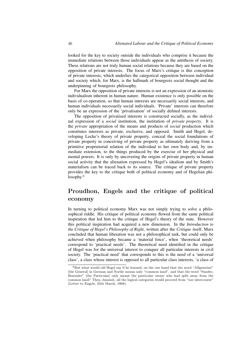looked for the key to society outside the individuals who comprise it because the immediate relations between those individuals appear as the antithesis of society. These relations are not truly human social relations because they are based on the opposition of private interests. The focus of Marx's critique is this conception of private interests, which underlies the categorical opposition between individual and society which, for Marx, is the hallmark of bourgeois social thought and the underpinning of bourgeois philosophy.

For Marx the opposition of private interests is not an expression of an atomistic individualism inherent in human nature. Human existence is only possible on the basis of co-operation, so that human interests are necessarily social interests, and human individuals necessarily social individuals. 'Private' interests can therefore only be an expression of the 'privatisation' of socially defined interests.

The opposition of privatised interests is constructed socially, as the individual expression of a *social* institution, the institution of *private property*. It is the *private* appropriation of the means and products of *social* production which constitutes interests as private, exclusive, and opposed. Smith and Hegel, developing Locke's theory of private property, conceal the social foundations of private property in conceiving of private property as ultimately deriving from a primitive proprietorial relation of the individual to her own body and, by immediate extension, to the things produced by the exercise of her physical and mental powers. It is only by uncovering the origins of private property in human social activity that the alienation expressed by Hegel's idealism and by Smith's materialism can be traced back to its source. The critique of private property provides the key to the critique both of political economy and of Hegelian philosophy.<sup>6</sup>

#### Proudhon, Engels and the critique of political economy

In turning to political economy Marx was not simply trying to solve a philosophical riddle. His critique of political economy flowed from the same political inspiration that led him to the critique of Hegel's theory of the state. However this political inspiration had acquired a new dimension. In the *Introduction to the Critique of Hegel's Philosophy of Right*, written after the *Critique* itself, Marx concluded that human liberation was not a philosophical task, but could only be achieved when philosophy became a 'material force', when 'theoretical needs' correspond to 'practical needs'. The theoretical need identified in the critique of Hegel was for the universal interest to conquer all particular interests in civil society. The 'practical need' that corresponds to this is the need of a 'universal class', a class whose interest is opposed to all particular class interests, 'a class of

 $6$ But what would old Hegel say if he learned, on the one hand that the word "Allgemeine" [the General] in German and Nordic means only "common land", and that the word "Sundre, Besondre" [the Particular] only meant the particular owner who had split away from the common land? Then, dammit, all the logical categories would proceed from "our intercourse" (Letter to Engels, 25th March, 1868).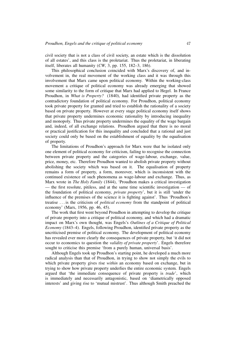civil society that is not a class of civil society, an estate which is the dissolution of all estates', and this class is the proletariat. Thus the proletariat, in liberating itself, liberates all humanity (*CW*, 3, pp. 155, 182–3, 186).

This philosophical conclusion coincided with Marx's discovery of, and involvement in, the real movement of the working class and it was through this involvement that Marx came upon political economy. Within the working-class movement a critique of political economy was already emerging that showed some similarity to the form of critique that Marx had applied to Hegel. In France Proudhon, in *What is Property?* (1840), had identified private property as the contradictory foundation of political economy. For Proudhon, political economy took private property for granted and tried to establish the rationality of a society based on private property. However at every stage political economy itself shows that private property undermines economic rationality by introducing inequality and monopoly. Thus private property undermines the equality of the wage bargain and, indeed, of all exchange relations. Proudhon argued that there is no moral or practical justification for this inequality and concluded that a rational and just society could only be based on the establishment of equality by the equalisation of property.

The limitations of Proudhon's approach for Marx were that he isolated only one element of political economy for criticism, failing to recognise the connection between private property and the categories of wage-labour, exchange, value, price, money, etc. Therefore Proudhon wanted to abolish private property without abolishing the society which was based on it. The equalisation of property remains a form of property, a form, moreover, which is inconsistent with the continued existence of such phenomena as wage-labour and exchange. Thus, as Marx wrote in *The Holy Family* (1844), 'Proudhon makes a critical investigation — the first resolute, pitiless, and at the same time scientific investigation — of the foundation of political economy, *private property*', but it is still 'under the influence of the premises of the science it is fighting against'. Thus 'Proudhon's treatise . . . is the criticism of *political economy* from the standpoint of political economy' (Marx, 1956, pp. 46, 45).

The work that first went beyond Proudhon in attempting to develop the critique of private property into a critique of political economy, and which had a dramatic impact on Marx's own thought, was Engels's *Outlines of a Critique of Political Economy* (1843–4). Engels, following Proudhon, identified private property as the uncriticised premise of political economy. The development of political economy has revealed ever more clearly the consequences of private property, but 'it did not occur to economics to question the *validity of private property*'. Engels therefore sought to criticise this premise 'from a purely human, universal basis'.

Although Engels took up Proudhon's starting point, he developed a much more radical analysis than that of Proudhon, in trying to show not simply the evils to which private property gives rise *within* an economy based on exchange, but in trying to show how private property underlies the entire economic system. Engels argued that 'the immediate consequence of private property is *trade*', which is immediately and necessarily antagonistic, based on 'diametrically opposed interests' and giving rise to 'mutual mistrust'. Thus although Smith preached the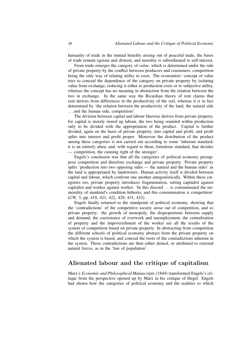humanity of trade in the mutual benefits arising out of peaceful trade, the bases of trade remain egoism and distrust, and morality is subordinated to self-interest.

From trade emerges the category of *value*, which is determined under the rule of private property by the conflict between producers and consumers, competition being the only way of relating utility to costs. The economists' concept of value tries to conceal the dependence of the category on private property by isolating value from exchange, reducing it either to production costs or to subjective utility, whereas the concept has no meaning in abstraction from the relation between the two in exchange. In the same way the Ricardian theory of rent claims that rent derives from differences in the productivity of the soil, whereas it is in fact determined by 'the relation between the productivity of the land, the natural side . . . and the human side, competition'.

The division between capital and labour likewise derives from private property, for capital is merely stored up labour, the two being reunited within production only to be divided with the appropriation of the product. Capital is further divided, again on the basis of private property, into capital and profit, and profit splits into interest and profit proper. Moreover the distribution of the product among these categories is not carried out according to some 'inherent standard; it is an entirely alien, and, with regard to them, fortuitous standard, that decides — competition, the cunning right of the stronger'.

Engels's conclusion was that all the categories of political economy presuppose competition and therefore exchange and private property. Private property splits 'production into two opposing sides — the natural and the human sides' as the land is appropriated by landowners. Human activity itself is divided between capital and labour, which confront one another antagonistically. Within these categories too, private property introduces fragmentation, setting capitalist against capitalist and worker against worker. 'In this discord . . . is consummated the immorality of mankind's condition hitherto; and this consummation is competition' (*CW*, 3, pp. 419, 421, 422, 429, 431, 432).

Engels finally returned to the standpoint of political economy, showing that the 'contradictions' of the competitive society arose out of competition, and so private property: the growth of monopoly, the disproportions between supply and demand, the coexistence of overwork and unemployment, the centralisation of property and the impoverishment of the worker are all the results of the system of competition based on private property. In abstracting from competition the different schools of political economy abstract from the private property on which the system is based, and conceal the roots of the contradictions inherent in the system. These contradictions are then either denied, or attributed to external natural forces, as in the 'law of population'.

#### Alienated labour and the critique of capitalism

Marx's *Economic and Philosophical Manuscripts* (1844) transformed Engels's critique from the perspective opened up by Marx in his critique of Hegel. Engels had shown how the categories of political economy and the realities to which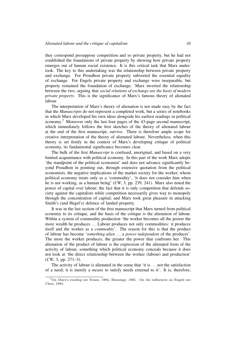they correspond presuppose competition and so private property, but he had not established the foundations of private property by showing how private property emerges out of human social existence. It is this critical task that Marx undertook. The key to this undertaking was the relationship between private property and exchange. For Proudhon private property subverted the essential equality of exchange. For Engels private property and exchange were inseparable, but property remained the foundation of exchange. Marx inverted the relationship between the two, arguing that *social relations of exchange are the basis of modern private property*. This is the significance of Marx's famous theory of alienated labour.

The interpretation of Marx's theory of alienation is not made easy by the fact that the *Manuscripts* do not represent a completed work, but a series of notebooks in which Marx developed his own ideas alongside his earliest readings in political economy.<sup>7</sup> Moreover only the last four pages of the 43-page second manuscript, which immediately follows the first sketches of the theory of alienated labour at the end of the first manuscript, survive. There is therefore ample scope for creative interpretation of the theory of alienated labour. Nevertheless, when this theory is set firmly in the context of Marx's developing critique of political economy, its fundamental significance becomes clear.

The bulk of the first *Manuscript* is confused, unoriginal, and based on a very limited acquaintance with political economy. In this part of the work Marx adopts 'the standpoint of the political economist' and does not advance significantly beyond Proudhon in pointing out, through extensive quotation from the political economists, the negative implications of the market society for the worker, whom political economy treats only as a 'commodity', 'it does not consider him when he is not working, as a human being' (*CW*, 3, pp. 239, 241). Marx also noted the power of capital over labour; the fact that it is only competition that defends society against the capitalists while competition necessarily gives way to monopoly through the concentration of capital; and Marx took great pleasure in attacking Smith's (and Hegel's) defence of landed property.

It was in the last section of the first manuscript that Marx turned from political economy to its critique, and the basis of the critique is the alienation of labour. Within a system of commodity production 'the worker becomes all the poorer the more wealth he produces . . . Labour produces not only commodities: it produces itself and the worker as a *commodity*'. The reason for this is that the product of labour has become '*something alien* . . . a *power independent* of the producer'. The more the worker produces, the greater the power that confronts her. This alienation of the product of labour is the expression of the alienated form of the activity of labour, something which political economy conceals because it does not look at 'the direct relationship between the worker (labour) and production' (*CW*, 3, pp. 271–3).

The activity of labour is alienated in the sense that 'it is . . . not the satisfaction of a need; it is merely a *means* to satisfy needs external to it'. It is, therefore,

<sup>7</sup>On Marx's reading see Evans, 1984, Hennings, 1985. On the influences on Engels see Claes, 1984.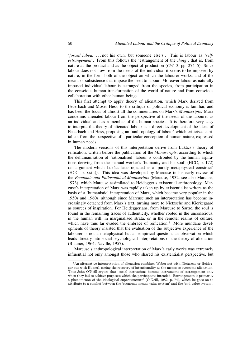'*forced labour* . . . not his own, but someone else's'. This is labour as '*selfestrangement*'. From this follows the 'estrangement of the *thing*', that is, from nature as the product and as the object of production (*CW*, 3, pp. 274–5). Since labour does not flow from the needs of the individual it seems to be imposed by nature, in the form both of the object on which the labourer works, and of the means of subsistence that impose the need to labour. Moreover labour as naturally imposed individual labour is estranged from the species, from participation in the conscious human transformation of the world of nature and from conscious collaboration with other human beings.

This first attempt to apply theory of alienation, which Marx derived from Feuerbach and Moses Hess, to the critique of political economy is familiar, and has been the focus of almost all the commentaries on Marx's *Manuscripts*. Marx condemns alienated labour from the perspective of the needs of the labourer as an individual and as a member of the human species. It is therefore very easy to interpret the theory of alienated labour as a direct development of the ideas of Feuerbach and Hess, proposing an 'anthropology of labour' which criticises capitalism from the perspective of a particular conception of human nature, expressed in human needs.

The modern versions of this interpretation derive from Lukács's theory of reification, written before the publication of the *Manuscripts*, according to which the dehumanisation of 'rationalised' labour is confronted by the human aspirations deriving from the manual worker's 'humanity and his soul' (HCC, p. 172) (an argument which Lukacs later rejected as a 'purely metaphysical construct' ´ (HCC, p. xxiii)). This idea was developed by Marcuse in his early review of the *Economic and Philosophical Manuscripts* (Marcuse, 1932, see also Marcuse, 1973), which Marcuse assimilated to Heidegger's existential anthropology. Marcuse's interpretation of Marx was rapidly taken up by existentialist writers as the basis of a 'humanistic' interpretation of Marx, which became very popular in the 1950s and 1960s, although since Marcuse such an interpretation has become increasingly detached from Marx's text, turning more to Nietzsche and Kierkegaard as sources of inspiration. For Heideggerians, from Marcuse to Sartre, the soul is found in the remaining traces of authenticity, whether rooted in the unconscious, in the human will, in marginalised strata, or in the remoter realms of culture, which have thus far evaded the embrace of reification.<sup>8</sup> More mundane developments of theory insisted that the evaluation of the subjective experience of the labourer is not a metaphysical but an empirical question, an observation which leads directly into social psychological interpretations of the theory of alienation (Blauner, 1964; Naville, 1957).

Marcuse's anthropological interpretation of Marx's early works was extremely influential not only amongst those who shared his existentialist perspective, but

<sup>8</sup>An alternative interpretation of alienation combines Weber not with Nietzsche or Heidegger but with Husserl, seeing the recovery of intentionality as the means to overcome alienation. Thus John O'Neill argues that 'social institutions become instruments of estrangement only when they fail to achieve purposes which the participants intended. Estrangement is primarily a phenomenon of the ideological superstructure' (O'Neill, 1982, p. 74), which he goes on to attribute to a conflict between the 'economic means-value system' and the 'end-value system'.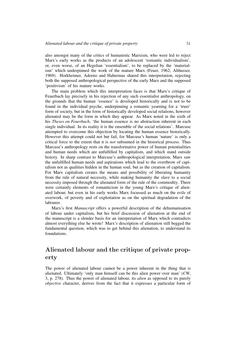also amongst many of the critics of humanistic Marxism, who were led to reject Marx's early works as the products of an adolescent 'romantic individualism', or, even worse, of an Hegelian 'essentialism', to be replaced by the 'materialism' which underpinned the work of the mature Marx (Feuer, 1962; Althusser, 1969). Horkheimer, Adorno and Habermas shared this interpretation, rejecting both the supposed anthropological perspective of the early Marx and the supposed 'positivism' of his mature works.

The main problem which this interpretation faces is that Marx's critique of Feuerbach lay precisely in his rejection of any such essentialist anthropology, on the grounds that the human 'essence' is developed historically and is not to be found in the individual psyche, underpinning a romantic yearning for a 'truer' form of society, but in the form of historically developed social relations, however alienated may be the form in which they appear. As Marx noted in the sixth of his *Theses on Feuerbach*, 'the human essence is no abstraction inherent in each single individual. In its reality it is the ensemble of the social relations'. Marcuse attempted to overcome this objection by locating the human essence historically. However this attempt could not but fail, for Marcuse's human 'nature' is only a critical force to the extent that it is *not* subsumed in the historical process. Thus Marcuse's anthropology rests on the transformative power of human potentialities and human needs which are unfulfilled by capitalism, and which stand outside history. In sharp contrast to Marcuse's anthropological interpretation, Marx saw the unfulfilled human needs and aspirations which lead to the overthrow of capitalism not as qualities hidden in the human soul, but as the creation of capitalism. For Marx capitalism creates the means and possibility of liberating humanity from the rule of natural necessity, while making humanity the slave to a social necessity imposed through the alienated form of the rule of the commodity. There were certainly elements of romanticism in the young Marx's critique of alienated labour, but even in his early works Marx focussed as much on the evils of overwork, of poverty and of exploitation as on the spiritual degradation of the labourer.

Marx's first *Manuscript* offers a powerful description of the dehumanisation of labour under capitalism, but his brief discussion of alienation at the end of the manuscript is a slender basis for an interpretation of Marx which contradicts almost everything else he wrote! Marx's description of alienation still begged the fundamental question, which was to get behind this alienation, to understand its foundations.

#### Alienated labour and the critique of private property

The power of alienated labour cannot be a power inherent in the thing that is alienated. Ultimately 'only man himself can be this alien power over man' (*CW*, 3, p. 278). Thus the power of alienated labour, its *alien* as opposed to its purely *objective* character, derives from the fact that it expresses a particular form of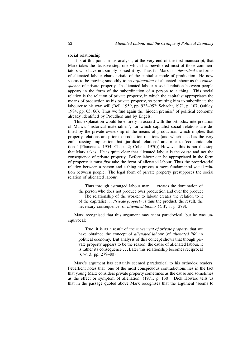social relationship.

It is at this point in his analysis, at the very end of the first manuscript, that Marx takes the decisive step, one which has bewildered most of those commentators who have not simply passed it by. Thus far Marx has *described* the forms of alienated labour characteristic of the capitalist mode of production. He now seems to be moving smoothly to an *explanation* of alienated labour as the *consequence* of private property. In alienated labour a social relation between people appears in the form of the subordination of a person to a thing. This social relation is the relation of private property, in which the capitalist appropriates the means of production as his private property, so permitting him to subordinate the labourer to his own will (Bell, 1959, pp. 933–952; Schacht, 1971, p. 107; Oakley, 1984, pp. 63, 66). Thus we find again the 'hidden premise' of political economy, already identified by Proudhon and by Engels.

This explanation would be entirely in accord with the orthodox interpretation of Marx's 'historical materialism', for which capitalist social relations are defined by the private ownership of the means of production, which implies that property relations are prior to production relations (and which also has the very embarrassing implication that 'juridical relations' are prior to 'economic relations' (Plamenatz, 1954, Chap. 2; Cohen, 1970)) However this is not the step that Marx takes. He is quite clear that alienated labour is the *cause* and not the consequence of private property. Before labour can be appropriated in the form of property it must *first* take the form of alienated labour. Thus the proprietorial relation between a person and a thing expresses a more fundamental social relation between people. The legal form of private property presupposes the social relation of alienated labour:

Thus through estranged labour man . . . creates the domination of the person who does not produce over production and over the product . . . The relationship of the worker to labour creates the relation to it of the capitalist . . . *Private property* is thus the product, the result, the necessary consequence, of *alienated labour* (*CW*, 3, p. 279).

Marx recognised that this argument may seem paradoxical, but he was unequivocal:

True, it is as a result of the *movement of private property* that we have obtained the concept of *alienated labour* (of *alienated life*) in political economy. But analysis of this concept shows that though private property appears to be the reason, the cause of alienated labour, it is rather its consequence . . . Later this relationship becomes reciprocal (*CW*, 3, pp. 279–80).

Marx's argument has certainly seemed paradoxical to his orthodox readers. Feuerlicht notes that 'one of the most conspicuous contradictions lies in the fact that young Marx considers private property sometimes as the cause and sometimes as the effect or symptom of alienation' (1971, p. 130). Dick Howard tells us that in the passage quoted above Marx recognises that the argument 'seems to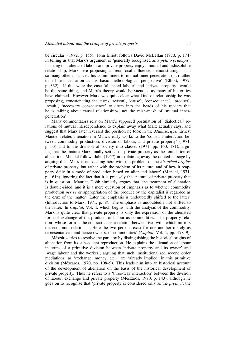be circular' (1972, p. 155). John Elliott follows David McLellan (1970, p. 174) in telling us that Marx's argument is 'generally recognised as a *petitio principii*', insisting that alienated labour and private property enjoy a mutual and indissoluble relationship, Marx here proposing a 'reciprocal influence, demonstrating, as in so many other instances, his commitment to mutual inner-penetration (sic) rather than linear causation as his basic methodological perspective' (Elliott, 1979, p. 332). If this were the case 'alienated labour' and 'private property' would be the same thing, and Marx's theory would be vacuous, as many of his critics have claimed. However Marx was quite clear what kind of relationship he was proposing, concatenating the terms 'reason', 'cause', 'consequence', 'product', 'result', 'necessary consequence' to drum into the heads of his readers that he is talking about causal relationships, not the mish-mash of 'mutual innerpenetration'.

Many commentators rely on Marx's supposed postulation of 'dialectical' relations of mutual interdependence to explain away what Marx actually says, and suggest that Marx later reversed the position he took in the *Manuscripts*. Ernest Mandel relates alienation in Marx's early works to the 'constant interaction between commodity production, division of labour, and private property' (1971, p. 33) and to the division of society into classes (1971, pp. 160, 181), arguing that the mature Marx finally settled on private property as the foundation of alienation. Mandel follows Jahn (1957) in explaining away the quoted passage by arguing that 'Marx is not dealing here with the problem of the *historical origins* of private property, but rather with the problem of its nature, and of how it reappears daily in a mode of production based on alienated labour' (Mandel, 1971, p. 161n), ignoring the fact that it is precisely the 'nature' of private property that is in question. Maurice Dobb similarly argues that 'the treatment of alienation is double-sided, and it is a mere question of emphasis as to whether commodity production *per se* or appropriation of the product by the capitalist is regarded as the crux of the matter. Later the emphasis is undoubtedly shifted to the latter' (Introduction to Marx, 1971, p. 8). The emphasis is undoubtedly not shifted to the latter. In *Capital*, Vol. I, which begins with the analysis of the commodity, Marx is quite clear that private property is only the expression of the alienated form of exchange of the products of labour as commodities. The property relation 'whose form is the contract . . . is a relation between two wills which mirrors the economic relation . . . Here the two persons exist for one another merely as representatives, and hence owners, of commodities' (*Capital*, Vol. 1, pp. 178–9).

Mészáros tries to resolve the paradox by distinguishing the historical origins of alienation from its subsequent reproduction. He explains the alienation of labour in terms of a primitive division between 'private property and its owner' and 'wage labour and the worker', arguing that such 'institutionalised second order mediations' as 'exchange, money, etc.' are 'already implied' in this primitive division (Mészáros, 1970, pp. 108–9). This leads him into an historical account of the development of alienation on the basis of the historical development of private property. Thus he refers to a 'three-way interaction' between the division of labour, exchange and private property (Mészáros, 1970, p. 143), although he goes on to recognise that 'private property is considered only as the *product*, the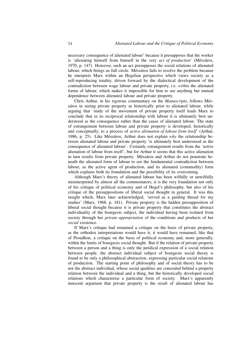necessary consequence of alienated labour' because it presupposes that the worker is 'alienating himself from himself in the very *act of production*' (Mészáros, 1970, p. 147). However, such an act presupposes the social relations of alienated labour, which brings us full circle. Mészáros fails to resolve the problem because he interprets Marx within an Hegelian perspective which views society as a self-reproducing totality, driven forward by the dialectical development of the contradiction between wage labour and private property, i.e. *within* the alienated forms of labour, which makes it impossible for him to see anything but mutual dependence between alienated labour and private property.

Chris Arthur, in his rigorous commentary on the *Manuscripts*, follows Mes- ´ záros in seeing private property as historically prior to alienated labour, while arguing that 'study of the movement of private property itself leads Marx to conclude that in its reciprocal relationship with labour it is ultimately best understood as the consequence rather than the cause of alienated labour. The state of estrangement between labour and private property is developed, historically and conceptually, to a process of *active alienation of labour from itself*' (Arthur, 1986, p. 25). Like Mészáros, Arthur does not explain why the relationship between alienated labour and private property 'is ultimately best understood as the consequence of alienated labour'. Certainly estrangement results from the 'active alienation of labour from itself', but for Arthur it seems that this active alienation in turn results from private property. Mészáros and Arthur do not penetrate beneath the alienated form of labour to see the fundamental contradiction between labour, as the active agent of production, and its alienated (commodity) form which explains both its foundation and the possibility of its overcoming.

Although Marx's theory of alienated labour has been wilfully or unwilfully misinterpreted by almost all the commentators, it is the very foundation not only of his critique of political economy and of Hegel's philosophy, but also of his critique of the presuppositions of liberal social thought in general. It was this insight which, Marx later acknowledged, 'served as a guiding thread for my studies' (Marx, 1968, p. 181). Private property is the hidden presupposition of liberal social thought because it is private property that constitutes the abstract individuality of the bourgeois subject, the individual having been isolated from society through her *private appropriation* of the conditions and products of her *social* existence.

If Marx's critique had remained a critique on the basis of private property, as the orthodox interpretations would have it, it would have remained, like that of Proudhon, a critique on the basis of political economy and, more generally, within the limits of bourgeois social thought. But if the relation of private property between a person and a thing is only the juridical expression of a social relation between people, the abstract individual subject of bourgeois social theory is found to be only a philosophical abstraction, expressing particular social relations of production. The starting point of philosophy and of social theory has to be not the abstract individual, whose social qualities are concealed behind a property relation between the individual and a thing, but the historically developed social relations which characterise a particular form of society. Marx's apparently innocent argument that private property is the result of alienated labour has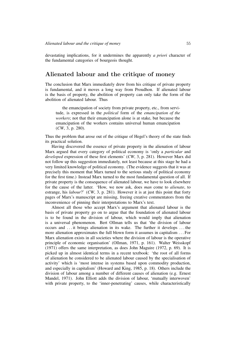devastating implications, for it undermines the apparently *a priori* character of the fundamental categories of bourgeois thought.

#### Alienated labour and the critique of money

The conclusion that Marx immediately drew from his critique of private property is fundamental, and it moves a long way from Proudhon. If alienated labour is the basis of property, the abolition of property can only take the form of the abolition of alienated labour. Thus

the emancipation of society from private property, etc., from servitude, is expressed in the *political* form of the *emancipation of the workers*; not that their emancipation alone is at stake, but because the emancipation of the workers contains universal human emancipation (*CW*, 3, p. 280).

Thus the problem that arose out of the critique of Hegel's theory of the state finds its practical solution.

Having discovered the essence of private property in the alienation of labour Marx argued that every category of political economy is 'only a *particular* and *developed* expression of these first elements' (*CW*, 3, p. 281). However Marx did not follow up this suggestion immediately, not least because at this stage he had a very limited knowledge of political economy. (The evidence suggests that it was at precisely this moment that Marx turned to the serious study of political economy for the first time.) Instead Marx turned to the most fundamental question of all. If private property is the consequence of alienated labour, we have to look elsewhere for the cause of the latter. 'How, we now ask, does *man* come to *alienate*, to estrange, his *labour*?' (*CW*, 3, p. 281). However it is at just this point that forty pages of Marx's manuscript are missing, freeing creative commentators from the inconvenience of pinning their interpretations to Marx's text.

Almost all those who accept Marx's argument that alienated labour is the basis of private property go on to argue that the foundation of alienated labour is to be found in the division of labour, which would imply that alienation is a universal phenomenon. Bert Ollman tells us that 'the division of labour occurs and . . . it brings alienation in its wake. The further it develops . . . the more alienation approximates the full blown form it assumes in capitalism . . . For Marx alienation exists in all societies where the division of labour is the operative principle of economic organisation' (Ollman, 1971, p. 161). Walter Weisskopf (1971) offers the same interpretation, as does John Maguire (1972, p. 69). It is picked up in almost identical terms in a recent textbook: 'the root of all forms of alienation he considered to be alienated labour caused by the specialisation of activity' which is 'most intense in systems based upon commodity production, and especially in capitalism' (Howard and King, 1985, p. 18). Others include the division of labour among a number of different causes of alienation (e.g. Ernest Mandel, 1971). John Elliott adds the division of labour, 'mutually interwoven' with private property, to the 'inner-penetrating' causes, while characteristically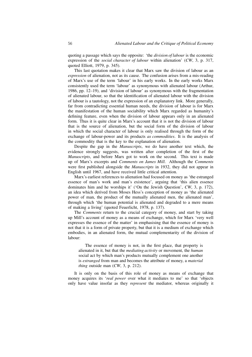quoting a passage which says the opposite: 'the *division of labour* is the economic expression of the *social character of labour* within alienation' (*CW*, 3, p. 317, quoted Elliott, 1979, p. 345).

This last quotation makes it clear that Marx saw the division of labour as an *expression* of alienation, not as its cause. The confusion arises from a mis-reading of Marx's use of the term 'labour' in his early works. In the early works Marx consistently used the term 'labour' as synonymous with alienated labour (Arthur, 1986, pp. 12–19), and 'division of labour' as synonymous with the fragmentation of alienated labour, so that the identification of alienated labour with the division of labour is a tautology, not the expression of an explanatory link. More generally, far from contradicting essential human needs, the division of labour is for Marx the manifestation of the human sociability which Marx regarded as humanity's defining feature, even when the division of labour appears only in an alienated form. Thus it is quite clear in Marx's account that it is not the division of labour that is the source of alienation, but the social form of the division of labour in which the social character of labour is only realised through the form of the exchange of labour-power and its products *as commodities*. It is the analysis of the commodity that is the key to the explanation of alienation.

Despite the gap in the *Manuscripts*, we do have another text which, the evidence strongly suggests, was written after completion of the first of the *Manuscripts*, and before Marx got to work on the second. This text is made up of Marx's excerpts and *Comments on James Mill*. Although the *Comments* were first published alongside the *Manuscripts* in 1932, they did not appear in English until 1967, and have received little critical attention.

Marx's earliest references to alienation had focused on money as 'the estranged essence of man's work and man's existence', arguing that 'this alien essence dominates him and he worships it' ('On the Jewish Question', *CW*, 3, p. 172), an idea which derived from Moses Hess's conception of money as 'the alienated power of man, the product of the mutually alienated men, the alienated man', through which 'the human potential is alienated and degraded to a mere means of making a living' (quoted Feuerlicht, 1978, p. 137).

The *Comments* return to the crucial category of money, and start by taking up Mill's account of money as a means of exchange, which for Marx 'very well expresses the essence of the matter' in emphasising that the essence of money is not that it is a form of private property, but that it is a medium of exchange which embodies, in an alienated form, the mutual complementarity of the division of labour:

The essence of money is not, in the first place, that property is alienated in it, but that the *mediating activity* or movement, the *human* social act by which man's products mutually complement one another is *estranged* from man and becomes the attribute of money, a *material thing* outside man (*CW*, 3, p. 212).

It is only on the basis of this role of money as means of exchange that money acquires its '*real power* over what it mediates to me' so that 'objects only have value insofar as they *represent* the mediator, whereas originally it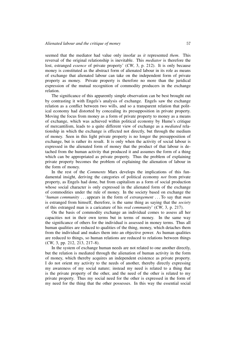seemed that the mediator had value only insofar as *it* represented *them*. This reversal of the original relationship is inevitable. This *mediator* is therefore the lost, estranged *essence* of private property' (*CW*, 3, p. 212). It is only because money is constituted as the abstract form of alienated labour in its role as means of exchange that alienated labour can take on the independent form of private property as money. Private property is therefore no more than the juridical expression of the mutual recognition of commodity producers in the exchange relation.

The significance of this apparently simple observation can be best brought out by contrasting it with Engels's analysis of exchange. Engels saw the exchange relation as a conflict between two wills, and so a transparent relation that political economy had distorted by concealing its presupposition in private property. Moving the focus from money as a form of private property to money as a means of exchange, which was achieved within political economy by Hume's critique of mercantilism, leads to a quite different view of exchange as a *mediated* relationship in which the exchange is effected not directly, but through the medium of money. Seen in this light private property is no longer the presupposition of exchange, but is rather its result. It is only when the activity of social labour is expressed in the alienated form of money that the product of that labour is detached from the human activity that produced it and assumes the form of a thing which can be appropriated as private property. Thus the problem of explaining private property becomes the problem of explaining the alienation of labour in the form of money.

In the rest of the *Comments* Marx develops the implications of this fundamental insight, deriving the categories of political economy *not* from private property, as Engels had done, but from capitalism as a form of social production whose social character is only expressed in the alienated form of the exchange of commodities under the rule of money. In the society based on exchange the '*human community* . . . appears in the form of *estrangement* . . . To say that *man* is estranged from himself, therefore, is the same thing as saying that the *society* of this estranged man is a caricature of his *real community*' (*CW*, 3, p. 217).

On the basis of commodity exchange an individual comes to assess all her capacities not in their own terms but in terms of money. In the same way the significance of others for the individual is assessed in money terms. Thus all human qualities are reduced to qualities of the thing, money, which detaches them from the individual and makes them into an objective power. As human qualities are reduced to things, so human relations are reduced to relations between things (*CW*, 3, pp. 212, 213, 217–8).

In the system of exchange human needs are not related to one another directly, but the relation is mediated through the alienation of human activity in the form of money, which thereby acquires an independent existence as private property. I do not orient my activity to the needs of another, thereby directly expressing my awareness of my social nature; instead my need is related to a thing that is the private property of the other, and the need of the other is related to my private property. Thus my social need for the other is expressed in the form of my need for the thing that the other possesses. In this way the essential social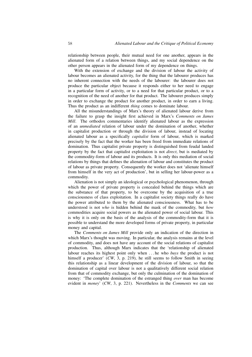relationship between people, their mutual need for one another, appears in the alienated form of a relation between things, and my social dependence on the other person appears in the alienated form of my dependence on things.

With the extension of exchange and the division of labour the activity of labour becomes an alienated activity, for the thing that the labourer produces has no inherent connection with the needs of the labourer: the labourer does not produce the particular object because it responds either to her need to engage in a particular form of activity, or to a need for that particular product, or to a recognition of the need of another for that product. The labourer produces simply in order to exchange the product for another product, in order to earn a living. Thus the product as an indifferent *thing* comes to dominate labour.

All the misunderstandings of Marx's theory of alienated labour derive from the failure to grasp the insight first achieved in Marx's *Comments on James Mill*. The orthodox commentaries identify alienated labour as the expression of an *unmediated* relation of labour under the domination of another, whether in capitalist production or through the division of labour, instead of locating alienated labour as a specifically *capitalist* form of labour, which is marked precisely by the fact that the worker has been freed from immediate relations of domination. Thus capitalist private property is distinguished from feudal landed property by the fact that capitalist exploitation is not *direct*, but is mediated by the commodity-form of labour and its products. It is only this mediation of social relations by things that defines the alienation of labour and constitutes the product of labour as private property. Consequently the worker does not 'alienate himself from himself in the very act of production', but in selling her labour-power as a commodity.

Alienation is not simply an ideological or psychological phenomenon, through which the power of private property is concealed behind the things which are the substance of that property, to be overcome by the acquisition of a true consciousness of class exploitation. In a capitalist society things really do have the power attributed to them by the alienated consciousness. What has to be understood is not *who* is hidden behind the mask of the commodity, but *how* commodities acquire social powers as the alienated power of social labour. This is why it is only on the basis of the analysis of the commodity-form that it is possible to understand the more developed forms of private property, in particular money and capital.

The *Comments on James Mill* provide only an indication of the direction in which Marx's thought was moving. In particular, the analysis remains at the level of commodity, and does not have any account of the social relations of capitalist production. Thus, although Marx indicates that the 'relationship of alienated labour reaches its highest point only when . . . he who *buys* the product is not himself a producer' *(CW, 3, p. 219)*, he still seems to follow Smith in seeing this relationship as a linear development of the division of labour, so that the domination of capital over labour is not a qualitatively different social relation from that of commodity exchange, but only the culmination of the domination of money: 'The complete domination of the estranged thing *over* man has become evident in *money*' (*CW*, 3, p. 221). Nevertheless in the *Comments* we can see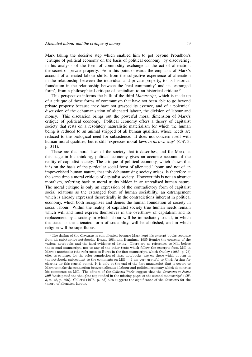Marx taking the decisive step which enabled him to get beyond Proudhon's 'critique of political economy on the basis of political economy' by discovering, in his analysis of the form of commodity exchange as the act of alienation, the secret of private property. From this point onwards the emphasis of Marx's account of alienated labour shifts, from the subjective experience of alienation in the relationship between the individual and private property, to its historical foundation in the relationship between the 'real community' and its 'estranged form', from a philosophical critique of capitalism to an historical critique.<sup>9</sup>

This perspective informs the bulk of the third *Manuscript*, which is made up of a critique of those forms of communism that have not been able to go beyond private property because they have not grasped its essence, and of a polemical discussion of the dehumanisation of alienated labour, the division of labour and money. This discussion brings out the powerful moral dimension of Marx's critique of political economy. Political economy offers a theory of capitalist society that rests on a resolutely naturalistic materialism for which the human being is reduced to an animal stripped of all human qualities, whose needs are reduced to the biological need for subsistence. It does not concern itself with human moral qualities, but it still 'expresses moral laws *in its own way*' (*CW*, 3, p. 311).

These are the moral laws of the society that it describes, and for Marx, at this stage in his thinking, political economy gives an accurate account of the reality of capitalist society. The critique of political economy, which shows that it is on the basis of the particular social form of alienated labour, and not of an impoverished human nature, that this dehumanising society arises, is therefore at the same time a moral critique of capitalist society. However this is not an abstract moralism, referring back to moral truths hidden in an unrealised human nature. The moral critique is only an expression of the contradictory form of capitalist social relations as the estranged form of human sociability, an estrangement which is already expressed theoretically in the contradictions inherent in political economy, which both recognises and denies the human foundation of society in social labour. Within the reality of capitalist society true human needs remain which will and must express themselves in the overthrow of capitalism and its replacement by a society in which labour will be immediately social, in which the state, as the alienated form of sociability, will be abolished, and in which religion will be superfluous.

<sup>9</sup>The dating of the *Comments* is complicated because Marx kept his excerpt books separate from his substantive notebooks. Evans, 1984 and Hennings, 1985 itemise the contents of the various notebooks and the hard evidence of dating. There are no references to Mill before the second manuscript, nor to any of the other texts which follow the excerpts from Mill in Marx's notebooks (the references to Buret in the first manuscript, which Oakley (1983, p. 27) cites as evidence for the prior completion of these notebooks, are *not* those which appear in the notebooks subsequent to the comments on Mill — I am very grateful to Chris Arthur for clearing up this crucial point). It is only at the end of the first manuscript that it occurs to Marx to make the connection between alienated labour and political economy which dominates his comments on Mill. The editors of the *Collected Works* suggest that the *Comments on James Mill* 'anticipated the thoughts expounded in the missing pages of the second manuscript' (*CW*, 3, n. 48, p. 596). Colletti (1975, p. 53) also suggests the significance of the *Comments* for the theory of alienated labour.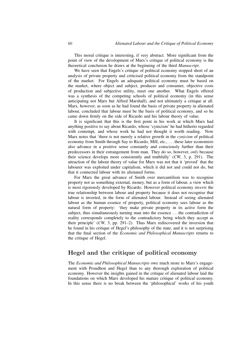This moral critique is interesting, if very abstract. More significant from the point of view of the development of Marx's critique of political economy is the theoretical conclusion he draws at the beginning of the third *Manuscript*.

We have seen that Engels's critique of political economy stopped short of an analysis of private property and criticised political economy from the standpoint of the market. For Engels an adequate political economy must be based on the market, where object and subject, producer and consumer, objective costs of production and subjective utility, meet one another. What Engels offered was a synthesis of the competing schools of political economy (in this sense anticipating not Marx but Alfred Marshall), and not ultimately a critique at all. Marx, however, as soon as he had found the basis of private property in alienated labour, concluded that labour must be the basis of political economy, and so he came down firmly on the side of Ricardo and his labour theory of value.

It is significant that this is the first point in his work at which Marx had anything positive to say about Ricardo, whose 'cynicism' he had hitherto regarded with contempt, and whose work he had not thought it worth reading. Now Marx notes that 'there is not merely a relative growth in the *cynicism* of political economy from Smith through Say to Ricardo, Mill, etc., . . . these later economists also advance in a positive sense constantly and consciously further than their predecessors in their estrangement from man. They do so, however, *only* because their science develops more consistently and truthfully' (*CW*, 3, p. 291). The attraction of the labour theory of value for Marx was not that it 'proved' that the labourer was exploited under capitalism, which it did not and could not do, but that it connected labour with its alienated forms.

For Marx the great advance of Smith over mercantilism was to recognise property not as something external, money, but as a form of labour, a view which is most rigorously developed by Ricardo. However political economy *inverts* the true relationship between labour and property because it does not recognise that labour is inverted, in the form of alienated labour. Instead of seeing alienated labour as the human essence of property, political economy sees labour as the natural form of property: 'they make private property in its active form the subject, thus simultaneously turning man into the essence . . . the contradiction of reality corresponds completely to the contradictory being which they accept as their principle' (*CW*, 3, pp. 291–2). Thus Marx rediscovered the inversion that he found in his critique of Hegel's philosophy of the state, and it is not surprising that the final section of the *Economic and Philosophical Manuscripts* returns to the critique of Hegel.

#### Hegel and the critique of political economy

The *Economic and Philosophical Manuscripts* owe much more to Marx's engagement with Proudhon and Hegel than to any thorough exploration of political economy. However the insights gained in the critique of alienated labour laid the foundations on which Marx developed his mature critique of political economy. In this sense there is no break between the 'philosophical' works of his youth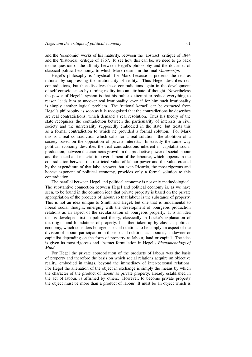and the 'economic' works of his maturity, between the 'abstract' critique of 1844 and the 'historical' critique of 1867. To see how this can be, we need to go back to the question of the affinity between Hegel's philosophy and the doctrines of classical political economy, to which Marx returns in the final *Manuscript*.

Hegel's philosophy is 'mystical' for Marx because it presents the real as rational by suppressing the irrationality of reality. Thus Hegel describes real contradictions, but then dissolves these contradictions again in the development of self-consciousness by turning reality into an attribute of thought. Nevertheless the power of Hegel's system is that his ruthless attempt to reduce everything to reason leads him to uncover real irrationality, even if for him such irrationality is simply another logical problem. The 'rational kernel' can be extracted from Hegel's philosophy as soon as it is recognised that the contradictions he describes are real contradictions, which demand a real resolution. Thus his theory of the state recognises the contradiction between the particularity of interests in civil society and the universality supposedly embodied in the state, but treats this as a formal contradiction to which he provided a formal solution. For Marx this is a real contradiction which calls for a real solution: the abolition of a society based on the opposition of private interests. In exactly the same way political economy describes the real contradictions inherent in capitalist social production, between the enormous growth in the productive power of social labour and the social and material impoverishment of the labourer, which appears in the contradiction between the restricted value of labour-power and the value created by the expenditure of that labour-power, but even Ricardo, the most rigorous and honest exponent of political economy, provides only a formal solution to this contradiction.

The parallel between Hegel and political economy is not only methodological. The substantive connection between Hegel and political economy is, as we have seen, to be found in the common idea that private property is based on the private appropriation of the products of labour, so that labour is the substance of property. This is not an idea unique to Smith and Hegel, but one that is fundamental to liberal social thought, emerging with the development of bourgeois production relations as an aspect of the secularisation of bourgeois property. It is an idea that is developed first in political theory, classically in Locke's explanation of the origins and foundations of property. It is then taken up by classical political economy, which considers bourgeois social relations to be simply an aspect of the division of labour, participation in those social relations as labourer, landowner or capitalist depending on the form of property as labour, land or capital. The idea is given its most rigorous and abstract formulation in Hegel's *Phenomenology of Mind*.

For Hegel the private appropriation of the products of labour was the basis of property and therefore the basis on which social relations acquire an objective reality, embodied in things, beyond the immediacy of inter-personal relations. For Hegel the alienation of the object in exchange is simply the means by which the character of the product of labour as private property, already established in the act of labour, is affirmed by others. However, to become private property the object must be more than a product of labour. It must be an object which is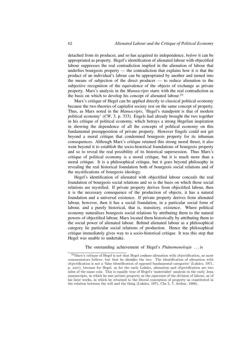detached from its producer, and so has acquired its independence, *before* it can be appropriated as property. Hegel's identification of alienated labour with objectified labour suppresses the real contradiction implied in the alienation of labour that underlies bourgeois property — the contradiction that explains how it is that the product of an individual's labour can be appropriated by another and turned into the means of subjection of the direct producer — to reduce alienation to the subjective recognition of the equivalence of the objects of exchange as private property. Marx's analysis in the *Manuscripts* starts with the real contradiction as the basis on which to develop his concept of alienated labour.<sup>10</sup>

Marx's critique of Hegel can be applied directly to classical political economy because the two theories of capitalist society rest on the same concept of property. Thus, as Marx noted in the *Manuscripts*, 'Hegel's standpoint is that of modern political economy' (*CW*, 3, p. 333). Engels had already brought the two together in his critique of political economy, which betrays a strong Hegelian inspiration in showing the dependence of all the concepts of political economy on this fundamental presupposition of private property. However Engels could not get beyond a moral critique that condemned bourgeois property for its inhuman consequences. Although Marx's critique retained this strong moral thrust, it also went beyond it to establish the socio-historical foundations of bourgeois property and so to reveal the real possibility of its historical supersession. Thus Marx's critique of political economy is a moral critique, but it is much more than a moral critique. It is a philosophical critique, but it goes beyond philosophy in revealing the real historical foundation both of bourgeois social relations and of the mystifications of bourgeois ideology.

Hegel's identification of alienated with objectified labour conceals the real foundation of bourgeois social relations and so is the basis on which those social relations are mystified. If private property derives from objectified labour, then it is the necessary consequence of the production of objects, it has a natural foundation and a universal existence. If private property derives from alienated labour, however, then it has a social foundation, in a particular social form of labour, and a purely historical, that is, transitory, existence. Where political economy naturalises bourgeois social relations by attributing them to the natural powers of objectified labour, Marx located them historically by attributing them to the social power of alienated labour. Behind alienated labour as a philosophical category lie particular social relations of production. Hence the philosophical critique immediately gives way to a socio-historical critique. It was this step that Hegel was unable to undertake.

#### The outstanding achievement of Hegel's *Phänomenologie* ... is

 $^{10}\mathrm{Marx's}$  critique of Hegel is not that Hegel *confuses* alienation with objectification, as most commentators believe, but that he *identifies* the two. The identification of alienation with objectification is not a 'false identification of opposed fundamental categories' (Lukács, 1971, p. xxiv), because for Hegel, as for the early Lukács, alienation and objectification are two sides of the same coin. This is equally true of Hegel's 'materialist' analysis in the early Jena manuscripts, in which he saw private property as the *expression* of the division of labour, as of his later works, in which he returned to the liberal conception of property as constituted in the relation between the will and the thing (Lukács, 1971, Chs 5, 7; Arthur, 1988).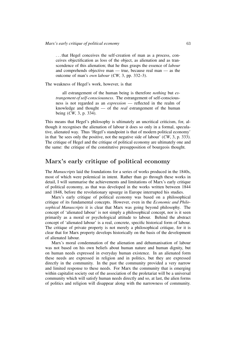. . . that Hegel conceives the self-creation of man as a process, conceives objectification as loss of the object, as alienation and as transcendence of this alienation; that he thus grasps the essence of *labour* and comprehends objective man — true, because real man — as the outcome of man's *own labour* (*CW*, 3, pp. 332–3).

The weakness of Hegel's work, however, is that

all estrangement of the human being is therefore *nothing* but *estrangement of self-consciousness*. The estrangement of self-consciousness is not regarded as an *expression* — reflected in the realm of knowledge and thought — of the *real* estrangement of the human being (*CW*, 3, p. 334).

This means that Hegel's philosophy is ultimately an uncritical criticism, for, although it recognises the alienation of labour it does so only in a formal, speculative, alienated way. Thus 'Hegel's standpoint is that of modern political economy' in that 'he sees only the positive, not the negative side of labour' (*CW*, 3, p. 333). The critique of Hegel and the critique of political economy are ultimately one and the same: the critique of the constitutive presupposition of bourgeois thought.

#### Marx's early critique of political economy

The *Manuscripts* laid the foundations for a series of works produced in the 1840s, most of which were polemical in intent. Rather than go through these works in detail, I will summarise the achievements and limitations of Marx's early critique of political economy, as that was developed in the works written between 1844 and 1848, before the revolutionary upsurge in Europe interrupted his studies.

Marx's early critique of political economy was based on a philosophical critique of its fundamental concepts. However, even in the *Economic and Philosophical Manuscripts* it is clear that Marx was going beyond philosophy. The concept of 'alienated labour' is not simply a philosophical concept, nor is it seen primarily as a moral or psychological attitude to labour. Behind the abstract concept of 'alienated labour' is a real, concrete, specific historical form of labour. The critique of private property is not merely a philosophical critique, for it is clear that for Marx property develops historically on the basis of the development of alienated labour.

Marx's moral condemnation of the alienation and dehumanisation of labour was not based on his own beliefs about human nature and human dignity, but on human needs expressed in everyday human existence. In an alienated form these needs are expressed in religion and in politics, but they are expressed directly in the community. In the past the community provided a very narrow and limited response to these needs. For Marx the community that is emerging within capitalist society out of the association of the proletariat will be a universal community which will satisfy human needs directly and so, at last, the alien forms of politics and religion will disappear along with the narrowness of community.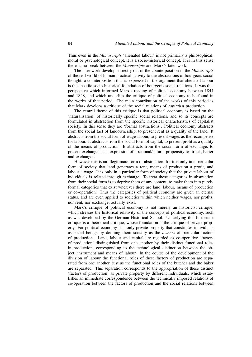Thus even in the *Manuscripts* 'alienated labour' is not primarily a philosophical, moral or psychological concept, it is a socio-historical concept. It is in this sense there is no break between the *Manuscripts* and Marx's later work.

The later work develops directly out of the counterposition in the *Manuscripts* of the real world of human practical activity to the abstractions of bourgeois social thought, a counterposition that is expressed in the argument that alienated labour is the specific socio-historical foundation of bourgeois social relations. It was this perspective which informed Marx's reading of political economy between 1844 and 1848, and which underlies the critique of political economy to be found in the works of that period. The main contribution of the works of this period is that Marx develops a critique of the social relations of *capitalist* production.

The central theme of this critique is that political economy is based on the 'naturalisation' of historically specific social relations, and so its concepts are formulated in abstraction from the specific historical characteristics of capitalist society. In this sense they are 'formal abstractions'. Political economy abstracts from the social fact of landownership, to present rent as a quality of the land. It abstracts from the social form of wage-labour, to present wages as the recompense for labour. It abstracts from the social form of capital, to present profit as a quality of the means of production. It abstracts from the social form of exchange, to present exchange as an expression of a rational/natural propensity to 'truck, barter and exchange'.

However this is an illegitimate form of abstraction, for it is only in a particular form of society that land generates a rent, means of production a profit, and labour a wage. It is only in a particular form of society that the private labour of individuals is related through exchange. To treat these categories in abstraction from their social form is to deprive them of any content, to make them into purely formal categories that exist wherever there are land, labour, means of production or co-operation. Thus the categories of political economy are given an eternal status, and are even applied to societies within which neither wages, nor profits, nor rent, nor exchange, actually exist.

Marx's critique of political economy is not merely an historicist critique, which stresses the historical relativity of the concepts of political economy, such as was developed by the German Historical School. Underlying this historicist critique is a theoretical critique, whose foundation is the critique of private property. For political economy it is only private property that constitutes individuals as social beings by defining them socially as the *owners* of particular factors of production. Land, labour and capital are regarded as co-operative 'factors of production' distinguished from one another by their distinct functional roles in production, corresponding to the technological distinction between the object, instrument and means of labour. In the course of the development of the division of labour the functional roles of these factors of production are separated from one another, just as the functional roles of the butcher and the baker are separated. This separation corresponds to the appropriation of these distinct 'factors of production' as private property by different individuals, which establishes an immediate correspondence between the technically imposed relations of co-operation between the factors of production and the social relations between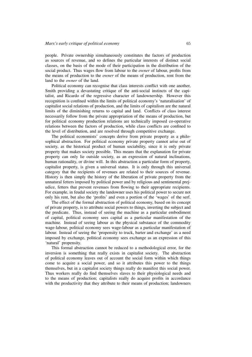people. Private ownership simultaneously constitutes the factors of production as sources of revenue, and so defines the particular interests of distinct social classes, on the basis of the mode of their participation in the distribution of the social product. Thus wages flow from labour to the *owner* of labour, profits from the means of production to the *owner* of the means of production, rent from the land to the *owner* of the land.

Political economy can recognise that class interests conflict with one another, Smith providing a devastating critique of the anti-social instincts of the capitalist, and Ricardo of the regressive character of landownership. However this recognition is confined within the limits of political economy's 'naturalisation' of capitalist social relations of production, and the limits of capitalism are the natural limits of the diminishing returns to capital and land. Conflicts of class interest necessarily follow from the private appropriation of the means of production, but for political economy production relations are technically imposed co-operative relations between the factors of production, while class conflicts are confined to the level of distribution, and are resolved through competitive exchange.

The political economists' concepts derive from private property as a philosophical abstraction. For political economy private property cannot arise out of society, as the historical product of human sociability, since it is only private property that makes society possible. This means that the explanation for private property can only lie outside society, as an expression of natural inclinations, human rationality, or divine will. In this abstraction a particular form of property, capitalist property, is given a universal status. It is only through this universal category that the recipients of revenues are related to their sources of revenue. History is then simply the history of the liberation of private property from the unnatural fetters imposed by political power and by religious and sentimental prejudice, fetters that prevent revenues from flowing to their appropriate recipients. For example, in feudal society the landowner uses his political power to secure not only his rent, but also the 'profits' and even a portion of the 'wages' of the serf.

The effect of the formal abstraction of political economy, based on its concept of private property, is to attribute social powers to things, inverting the subject and the predicate. Thus, instead of seeing the machine as a particular embodiment of capital, political economy sees capital as a particular manifestation of the machine. Instead of seeing labour as the physical substance of the commodity wage-labour, political economy sees wage-labour as a particular manifestation of labour. Instead of seeing the 'propensity to truck, barter and exchange' as a need imposed by exchange, political economy sees exchange as an expression of this 'natural' propensity.

This formal abstraction cannot be reduced to a methodological error, for the inversion is something that really exists in capitalist society. The abstraction of political economy leaves out of account the social form within which things come to acquire a social power, and so it attributes this power to the things themselves, but in a capitalist society things really do manifest this social power. Thus workers really do find themselves slaves to their physiological needs and to the means of production; capitalists really do acquire profits in accordance with the productivity that they attribute to their means of production; landowners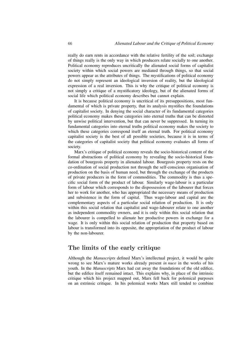really do earn rents in accordance with the relative fertility of the soil; exchange of things really is the only way in which producers relate socially to one another. Political economy reproduces uncritically the alienated social forms of capitalist society within which social powers are mediated through things, so that social powers appear as the attributes of things. The mystifications of political economy do not simply represent an ideological inversion of reality, but the ideological expression of a real inversion. This is why the critique of political economy is not simply a critique of a mystificatory ideology, but of the alienated forms of social life which political economy describes but cannot explain.

It is because political economy is uncritical of its presuppositions, most fundamental of which is private property, that its analysis mystifies the foundations of capitalist society. In denying the social character of its fundamental categories political economy makes these categories into eternal truths that can be distorted by unwise political intervention, but that can never be suppressed. In turning its fundamental categories into eternal truths political economy makes the society to which these categories correspond itself an eternal truth. For political economy capitalist society is the best of all possible societies, because it is in terms of the categories of capitalist society that political economy evaluates all forms of society.

Marx's critique of political economy reveals the socio-historical content of the formal abstractions of political economy by revealing the socio-historical foundation of bourgeois property in alienated labour. Bourgeois property rests on the co-ordination of social production not through the self-conscious organisation of production on the basis of human need, but through the exchange of the products of private producers in the form of commodities. The commodity is thus a specific social form of the product of labour. Similarly wage-labour is a particular form of labour which corresponds to the dispossession of the labourer that forces her to work for another, who has appropriated the necessary means of production and subsistence in the form of capital. Thus wage-labour and capital are the complementary aspects of a particular social relation of production. It is only within this social relation that capitalist and wage-labourer relate to one another as independent commodity owners, and it is only within this social relation that the labourer is compelled to alienate her productive powers in exchange for a wage. It is only within this social relation of production that property based on labour is transformed into its opposite, the appropriation of the product of labour by the non-labourer.

#### The limits of the early critique

Although the *Manuscripts* defined Marx's intellectual project, it would be quite wrong to see Marx's mature works already present *in nuce* in the works of his youth. In the *Manuscripts* Marx had cut away the foundations of the old edifice, but the edifice itself remained intact. This explains why, in place of the intrinsic critique which his project mapped out, Marx fell back for polemical purposes on an extrinsic critique. In his polemical works Marx still tended to combine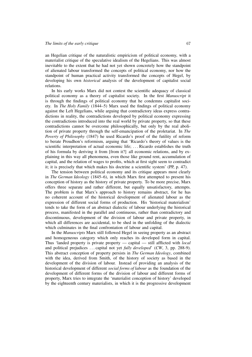an Hegelian critique of the naturalistic empiricism of political economy, with a materialist critique of the speculative idealism of the Hegelians. This was almost inevitable to the extent that he had not yet shown concretely how the standpoint of alienated labour transformed the concepts of political economy, nor how the standpoint of human practical activity transformed the concepts of Hegel, by developing his own *historical* analysis of the development of capitalist social relations.

In his early works Marx did not contest the scientific adequacy of classical political economy as a theory of capitalist society. In the first *Manuscript* it is through the findings of political economy that he condemns capitalist society. In *The Holy Family* (1844–5) Marx used the findings of political economy against the Left Hegelians, while arguing that contradictory ideas express contradictions in reality, the contradictions developed by political economy expressing the contradictions introduced into the real world by private property, so that these contradictions cannot be overcome philosophically, but only by the real abolition of private property through the self-emancipation of the proletariat. In *The Poverty of Philosophy* (1847) he used Ricardo's proof of the futility of reform to berate Proudhon's reformism, arguing that 'Ricardo's theory of values is the scientific interpretation of actual economic life; . . . Ricardo establishes the truth of his formula by deriving it from [from it?] all economic relations, and by explaining in this way all phenomena, even those like ground rent, accumulation of capital, and the relation of wages to profits, which at first sight seem to contradict it; it is precisely that which makes his doctrine a scientific system' (PP, p. 47).

The tension between political economy and its critique appears most clearly in *The German Ideology* (1845–6), in which Marx first attempted to present his conception of history as the history of private property. To be more precise, Marx offers three separate and rather different, but equally unsatisfactory, attempts. The problem is that Marx's approach to history remains abstract, for he has no coherent account of the historical development of alienated labour as the expression of different social forms of production. His 'historical materialism' tends to take the form of an abstract dialectic of labour underlying the historical process, manifested in the parallel and continuous, rather than contradictory and discontinuous, development of the division of labour and private property, in which all differences are accidental, to be shed in the unfolding of the dialectic which culminates in the final confrontation of labour and capital.

In the *Manuscripts* Marx still followed Hegel in seeing property as an abstract and homogeneous category which only reaches its developed form in capital. Thus 'landed property is private property — capital — still afflicted with *local* and political prejudices . . . capital not yet *fully developed*' (*CW*, 3, pp. 288-9). This abstract conception of property persists in *The German Ideology*, combined with the idea, derived from Smith, of the history of society as based in the development of the division of labour. Instead of providing an analysis of the historical development of different *social forms of labour* as the foundation of the development of different forms of the division of labour and different forms of property, Marx tries to integrate the 'materialist conception of history' developed by the eighteenth century materialists, in which it is the progressive development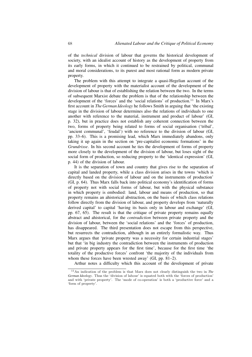of the *technical* division of labour that governs the historical development of society, with an idealist account of history as the development of property from its early forms, in which it continued to be restrained by political, communal and moral considerations, to its purest and most rational form as modern private property.

The problem with this attempt to integrate a quasi-Hegelian account of the development of property with the materialist account of the development of the division of labour is that of establishing the relation between the two. In the terms of subsequent Marxist debate the problem is that of the relationship between the development of the 'forces' and the 'social relations' of production.<sup>11</sup> In Marx's first account in *The German Ideology* he follows Smith in arguing that 'the existing stage in the division of labour determines also the relations of individuals to one another with reference to the material, instrument and product of labour' (GI, p. 32), but in practice does not establish any coherent connection between the two, forms of property being related to forms of social organisation ('tribal', 'ancient communal', 'feudal') with no reference to the division of labour (GI, pp. 33–6). This is a promising lead, which Marx immediately abandons, only taking it up again in the section on 'pre-capitalist economic formations' in the *Grundrisse*. In his second account he ties the development of forms of property more closely to the development of the division of labour, but loses sight of the social form of production, so reducing property to the 'identical expression' (GI, p. 44) of the division of labour.

It is the separation of town and country that gives rise to the separation of capital and landed property, while a class division arises in the towns 'which is directly based on the division of labour and on the instruments of production' (GI, p. 64). Thus Marx falls back into political economy's identification of forms of property not with social forms of labour, but with the physical substance in which property is embodied: land, labour and means of production, so that property remains an ahistorical abstraction, on the basis of which class relations follow directly from the division of labour, and property develops from 'naturally derived capital' to capital 'having its basis only in labour and exchange' (GI, pp. 67, 65). The result is that the critique of private property remains equally abstract and ahistorical, for the *contradiction* between private property and the division of labour, between the 'social relations' and the 'forces' of production, has disappeared. The third presentation does not escape from this perspective, but resurrects the contradiction, although in an entirely formalistic way. Thus Marx argues that 'private property was a necessity for certain industrial stages' but that 'in big industry the contradiction between the instruments of production and private property appears for the first time', because for the first time 'the totality of the productive forces' confront 'the majority of the individuals from whom these forces have been wrested away' (GI, pp. 81–2).

Arthur notes a difficulty which this account of the development of private

<sup>11</sup>An indication of the problem is that Marx does not clearly distinguish the two in *The German Ideology*. Thus the 'division of labour' is equated both with the 'forces of production' and with 'private property'. The 'mode of co-operation' is both a 'productive force' and a 'form of property'.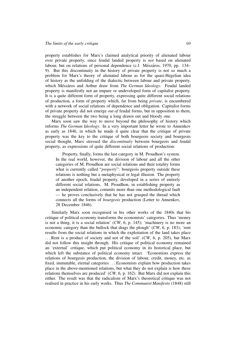property establishes for Marx's claimed analytical priority of alienated labour over private property, since feudal landed property is *not* based on alienated labour, but on relations of personal dependence  $(c.f.$  Mészáros, 1970, pp. 134– 9). But this discontinuity in the history of private property is not so much a problem for Marx's theory of alienated labour as for the quasi-Hegelian idea of history as the unfolding of the dialectic between labour and private property, which Mészáros and Arthur draw from *The German Ideology*. Feudal landed property is manifestly not an impure or undeveloped form of capitalist property. It is a quite different form of property, expressing quite different social relations of production, a form of property which, far from being *private*, is encumbered with a network of social relations of dependence and obligation. Capitalist forms of private property did not emerge *out of* feudal forms, but in opposition to them, the struggle between the two being a long drawn out and bloody one.

Marx soon saw the way to move beyond the philosophy of history which informs *The German Ideology*. In a very important letter he wrote to Annenkov as early as 1846, in which he made it quite clear that the critique of private property was the key to the critique of both bourgeois society and bourgeois social thought, Marx stressed the *discontinuity* between bourgeois and feudal property, as expressions of quite different social relations of production:

Property, finally, forms the last category in M. Proudhon's system. In the real world, however, the division of labour and all the other categories of M. Proudhon are social relations and their totality forms what is currently called "*property*": bourgeois property outside these relations is nothing but a metaphysical or legal illusion. The property of another epoch, feudal property, developed in a series of entirely different social relations. M. Proudhon, in establishing property as an independent relation, commits more than one methodological fault — he proves conclusively that he has not grasped the thread which connects all the forms of *bourgeois* production (Letter to Annenkov, 28 December 1846).

Similarly Marx soon recognised in his other works of the 1840s that his critique of political economy transforms the economists' categories. Thus 'money is not a thing, it is a social relation' (*CW*, 6, p. 145); 'machinery is no more an economic category than the bullock that drags the plough' (*CW*, 6, p. 183); 'rent results from the social relations in which the exploitation of the land takes place . . . Rent is a product of society and not of the soil' (*CW*, 6, p. 205), but Marx did not follow this insight through. His critique of political economy remained an 'external' critique, which put political economy in its historical place, but which left the substance of political economy intact. 'Economists express the relations of bourgeois production, the division of labour, credit, money, etc. as fixed, immutable, eternal categories . . . Economists explain how production takes place in the above-mentioned relations, but what they do not explain is how these relations themselves are produced' (*CW*, 6, p. 162). But Marx did not explain this either. The result was that the radicalism of Marx's theoretical critique was not realised in practice in his early works. Thus *The Communist Manifesto* (1848) still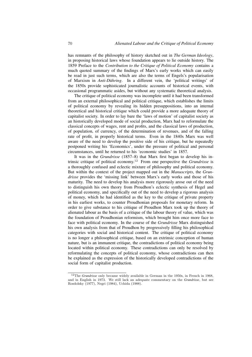has remnants of the philosophy of history sketched out in *The German Ideology*, in proposing historical laws whose foundation appears to lie outside history. The 1859 Preface to the *Contribution to the Critique of Political Economy* contains a much quoted summary of the findings of Marx's early works which can easily be read in just such terms, which are also the terms of Engels's popularisation of Marxism in *Anti-Dühring*. In a different vein, the 'political writings' of the 1850s provide sophisticated journalistic accounts of historical events, with occasional programmatic asides, but without any systematic theoretical analysis.

The critique of political economy was incomplete until it had been transformed from an external philosophical and political critique, which establishes the limits of political economy by revealing its hidden presuppositions, into an internal theoretical and historical critique which could provide a more adequate theory of capitalist society. In order to lay bare the 'laws of motion' of capitalist society as an historically developed mode of social production, Marx had to reformulate the classical concepts of wages, rent and profits, and the classical laws of production, of population, of currency, of the determination of revenues, and of the falling rate of profit, in properly historical terms. Even in the 1840s Marx was well aware of the need to develop the positive side of his critique, but he repeatedly postponed writing his 'Economics', under the pressure of political and personal circumstances, until he returned to his 'economic studies' in 1857.

It was in the *Grundrisse* (1857–8) that Marx first began to develop his intrinsic critique of political economy.<sup>12</sup> From one perspective the *Grundrisse* is a thoroughly confused and eclectic mixture of philosophy and political economy. But within the context of the project mapped out in the *Manuscripts*, the *Grundrisse* provides the 'missing link' between Marx's early works and those of his maturity. The need to develop his analysis more rigorously arose out of the need to distinguish his own theory from Proudhon's eclectic synthesis of Hegel and political economy, and specifically out of the need to develop a rigorous analysis of money, which he had identified as the key to the critique of private property in his earliest works, to counter Proudhonian proposals for monetary reform. In order to give substance to his critique of Proudhon Marx took up the theory of alienated labour as the basis of a critique of the labour theory of value, which was the foundation of Proudhonian reformism, which brought him once more face to face with political economy. In the course of the *Grundrisse* Marx distinguished his own analysis from that of Proudhon by progressively filling his philosophical categories with social and historical content. The critique of political economy is no longer a philosophical critique, based on an extrinsic conception of human nature, but is an immanent critique, the contradictions of political economy being located within political economy. These contradictions can only be resolved by reformulating the concepts of political economy, whose contradictions can then be explained as the expression of the historically developed contradictions of the social form of capitalist production.

<sup>&</sup>lt;sup>12</sup>The *Grundrisse* only became widely available in German in the 1950s, in French in 1968, and in English in 1973. We still lack an adequate commentary on the *Grundrisse*, but see Rosdolsky (1977), Negri (1984), Uchida (1988).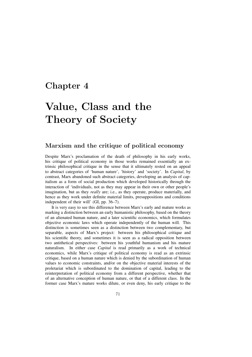# Chapter 4

# Value, Class and the Theory of Society

#### Marxism and the critique of political economy

Despite Marx's proclamation of the death of philosophy in his early works, his critique of political economy in those works remained essentially an extrinsic philosophical critique in the sense that it ultimately rested on an appeal to abstract categories of 'human nature', 'history' and 'society'. In *Capital*, by contrast, Marx abandoned such abstract categories, developing an analysis of capitalism as a form of social production which developed historically through the interaction of 'individuals, not as they may appear in their own or other people's imagination, but as they *really* are; i.e., as they operate, produce materially, and hence as they work under definite material limits, presuppositions and conditions independent of their will' (GI, pp. 36–7).

It is very easy to see this difference between Marx's early and mature works as marking a distinction between an early humanistic philosophy, based on the theory of an alienated human nature, and a later scientific economics, which formulates objective economic laws which operate independently of the human will. This distinction is sometimes seen as a distinction between two complementary, but separable, aspects of Marx's project: between his philosophical critique and his scientific theory, and sometimes it is seen as a radical opposition between two antithetical perspectives: between his youthful humanism and his mature naturalism. In either case *Capital* is read primarily as a work of technical economics, while Marx's critique of political economy is read as an extrinsic critique, based on a human nature which is denied by the subordination of human values to economic constraints, and/or on the objective material interests of the proletariat which is subordinated to the domination of capital, leading to the reinterpretation of political economy from a different perspective, whether that of an alternative conception of human nature, or that of a different class. In the former case Marx's mature works dilute, or even deny, his early critique to the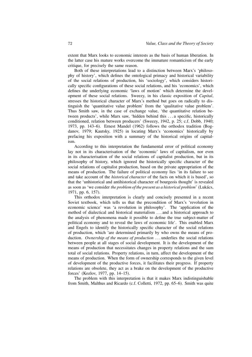extent that Marx looks to economic interests as the basis of human liberation. In the latter case his mature works overcome the immature romanticism of the early critique, for precisely the same reason.

Both of these interpretations lead to a distinction between Marx's 'philosophy of history', which defines the ontological primacy and historical variability of the social relations of production, his 'sociology', which considers historically specific configurations of these social relations, and his 'economics', which defines the underlying economic 'laws of motion' which determine the development of these social relations. Sweezy, in his classic exposition of *Capital*, stresses the historical character of Marx's method but goes on radically to distinguish the 'quantitative value problem' from the 'qualitative value problem'. Thus Smith saw, in the case of exchange value, 'the quantitative relation between products', while Marx saw, 'hidden behind this . . . a specific, historically conditioned, relation between producers' (Sweezy, 1942, p. 25; c.f. Dobb, 1940; 1973, pp. 143–6). Ernest Mandel (1962) follows the orthodox tradition (Bogdanov, 1979; Kautsky, 1925) in locating Marx's 'economics' historically by prefacing his exposition with a summary of the historical origins of capitalism.

According to this interpretation the fundamental error of political economy lay not in its characterisation of the 'economic' laws of capitalism, nor even in its characterisation of the social relations of capitalist production, but in its philosophy of history, which ignored the historically specific character of the social relations of capitalist production, based on the private appropriation of the means of production. The failure of political economy lies 'in its failure to see and take account of the *historical character* of the facts on which it is based', so that the 'unhistorical and antihistorical character of bourgeois thought' is revealed as soon as 'we consider *the problem of the present as a historical problem*' (Lukács, 1971, pp. 6, 157).

This orthodox interpretation is clearly and concisely presented in a recent Soviet textbook, which tells us that the precondition of Marx's 'revolution in economic science' was 'a revolution in philosophy'. The 'application of the method of dialectical and historical materialism . . . and a historical approach to the analysis of phenomena made it possible to define the true subject-matter of political economy and to reveal the laws of economic life'. This enabled Marx and Engels to identify the historically specific character of the social relations of production, which 'are determined primarily by who owns the means of production. *Ownership of the means of production* . . . underlies the social relations between people at all stages of social development. It is the development of the means of production that necessitates changes in property relations and the sum total of social relations. Property relations, in turn, affect the development of the means of production. When the form of ownership corresponds to the given level of development of the productive forces, it facilitates their progress. If property relations are obsolete, they act as a brake on the development of the productive forces' (Kozlov, 1977, pp. 14–15).

The problem with this interpretation is that it makes Marx indistinguishable from Smith, Malthus and Ricardo (c.f. Colletti, 1972, pp. 65–6). Smith was quite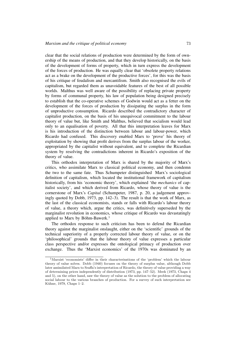clear that the social relations of production were determined by the form of ownership of the means of production, and that they develop historically, on the basis of the development of forms of property, which in turn express the development of the forces of production. He was equally clear that 'obsolete property relations act as a brake on the development of the productive forces', for this was the basis of his critique of feudalism and mercantilism. Smith also recognised the evils of capitalism, but regarded them as unavoidable features of the best of all possible worlds. Malthus was well aware of the possibility of replacing private property by forms of communal property, his law of population being designed precisely to establish that the co-operative schemes of Godwin would act as a fetter on the development of the forces of production by dissipating the surplus in the form of unproductive consumption. Ricardo described the contradictory character of capitalist production, on the basis of his unequivocal commitment to the labour theory of value but, like Smith and Malthus, believed that socialism would lead only to an equalisation of poverty. All that this interpretation leaves for Marx is his introduction of the distinction between labour and labour-power, which Ricardo had confused. This discovery enabled Marx to 'prove' his theory of exploitation by showing that profit derives from the surplus labour of the worker, appropriated by the capitalist without equivalent, and to complete the Ricardian system by resolving the contradictions inherent in Ricardo's exposition of the theory of value.

This orthodox interpretation of Marx is shared by the majority of Marx's critics, who assimilate Marx to classical political economy, and then condemn the two to the same fate. Thus Schumpeter distinguished Marx's sociological definition of capitalism, which located the institutional framework of capitalism historically, from his 'economic theory', which explained 'the *mechanics* of capitalist society', and which derived from Ricardo, whose theory of value is the cornerstone of Marx's *Capital* (Schumpeter, 1987, p. 20, a judgement approvingly quoted by Dobb, 1973, pp. 142–3). The result is that the work of Marx, as the last of the classical economists, stands or falls with Ricardo's labour theory of value, a theory which, argue the critics, was definitively superseded by the marginalist revolution in economics, whose critique of Ricardo was devastatingly applied to Marx by Böhm-Bawerk.<sup>1</sup>

The orthodox response to such criticism has been to defend the Ricardian theory against the marginalist onslaught, either on the 'scientific' grounds of the technical superiority of a properly corrected labour theory of value, or on the 'philosophical' grounds that the labour theory of value expresses a particular class perspective and/or expresses the ontological primacy of production over exchange. Thus the 'Marxist economics' of the 1970s was dominated by an

<sup>1</sup>Marxist 'economists' differ in their characterisations of the 'problem' which the labour theory of value solves. Dobb (1940) focuses on the theory of surplus value, although Dobb later assimilated Marx to Sraffa's interpretation of Ricardo, the theory of value providing a way of determining prices independently of distribution (1973, pp. 147–52). Meek (1973, Chaps 4 and 5), on the other hand, saw the theory of value as the solution to the problem of allocating social labour to the various branches of production. For a survey of such interpretation see Kühne, 1979, Chaps 1-2.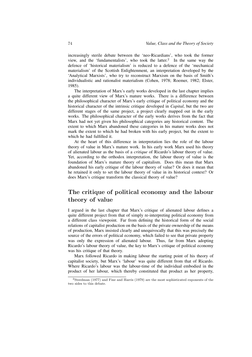increasingly sterile debate between the 'neo-Ricardians', who took the former view, and the 'fundamentalists', who took the latter.<sup>2</sup> In the same way the defence of 'historical materialism' is reduced to a defence of the 'mechanical materialism' of the Scottish Enlightenment, an interpretation developed by the 'Analytical Marxists', who try to reconstruct Marxism on the basis of Smith's individualistic and rationalist materialism (Cohen, 1978; Roemer, 1982; Elster, 1985).

The interpretation of Marx's early works developed in the last chapter implies a quite different view of Marx's mature works. There is a difference between the philosophical character of Marx's early critique of political economy and the historical character of the intrinsic critique developed in *Capital*, but the two are different stages of the same project, a project clearly mapped out in the early works. The philosophical character of the early works derives from the fact that Marx had not yet given his philosophical categories any historical content. The extent to which Marx abandoned these categories in his mature works does not mark the extent to which he had broken with his early project, but the extent to which he had fulfilled it.

At the heart of this difference in interpretation lies the role of the labour theory of value in Marx's mature work. In his early work Marx used his theory of alienated labour as the basis of a *critique* of Ricardo's labour theory of value. Yet, according to the orthodox interpretation, the labour theory of value is the foundation of Marx's mature theory of capitalism. Does this mean that Marx abandoned his early critique of the labour theory of value? Or does it mean that he retained it only to set the labour theory of value in its historical context? Or does Marx's critique transform the classical theory of value?

## The critique of political economy and the labour theory of value

I argued in the last chapter that Marx's critique of alienated labour defines a quite different project from that of simply re-interpreting political economy from a different class viewpoint. Far from defining the historical form of the social relations of capitalist production on the basis of the private ownership of the means of production, Marx insisted clearly and unequivocally that this was precisely the source of the errors of political economy, which failed to see that private property was only the expression of alienated labour. Thus, far from Marx adopting Ricardo's labour theory of value, the key to Marx's critique of political economy was his critique of that theory.

Marx followed Ricardo in making labour the starting point of his theory of capitalist society, but Marx's 'labour' was quite different from that of Ricardo. Where Ricardo's labour was the labour-time of the individual embodied in the product of her labour, which thereby constituted that product as her property,

<sup>2</sup>Steedman (1977) and Fine and Harris (1979) are the most sophisticated exponents of the two sides to this debate.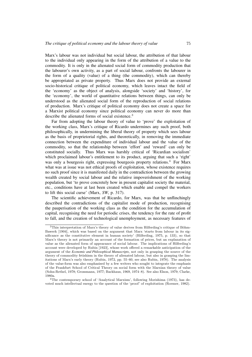Marx's labour was not individual but social labour, the attribution of that labour to the individual only appearing in the form of the attribution of a value to the commodity. It is only in the alienated social form of commodity production that the labourer's own activity, as a part of social labour, confronts the labourer in the form of a quality (value) of a thing (the commodity), which can thereby be appropriated as private property. Thus Marx does not provide an external socio-historical critique of political economy, which leaves intact the field of the 'economy' as the object of analysis, alongside 'society' and 'history', for the 'economy', the world of quantitative relations between things, can only be understood as the alienated social form of the reproduction of social relations of production. Marx's critique of political economy does not create a space for a Marxist political economy since political economy can never do more than describe the alienated forms of social existence.<sup>3</sup>

Far from adopting the labour theory of value to 'prove' the exploitation of the working class, Marx's critique of Ricardo undermines any such proof, both philosophically, in undermining the liberal theory of property which sees labour as the basis of proprietorial rights, and theoretically, in removing the immediate connection between the expenditure of individual labour and the value of the commodity, so that the relationship between 'effort' and 'reward' can only be constituted socially. Thus Marx was harshly critical of 'Ricardian socialism' which proclaimed labour's entitlement to its product, arguing that such a 'right' was only a bourgeois right, expressing bourgeois property relations.<sup>4</sup> For Marx what was at issue was not ethical proofs of exploitation, whose existence requires no such proof since it is manifested daily in the contradiction between the growing wealth created by social labour and the relative impoverishment of the working population, but 'to prove concretely how in present capitalist society the material, etc., conditions have at last been created which enable and compel the workers to lift this social curse' (Marx, *SW*, p. 317).

The scientific achievement of Ricardo, for Marx, was that he unflinchingly described the contradictions of the capitalist mode of production, recognising the pauperisation of the working class as the condition for the accumulation of capital, recognising the need for periodic crises, the tendency for the rate of profit to fall, and the creation of technological unemployment, as necessary features of

 $3$ This interpretation of Marx's theory of value derives from Hilferding's critique of Böhm-Bawerk [1904], which was based on the argument that Marx 'starts from labour in its significance as the constitutive element in human society' (Hilferding, 1975, p. 133), so that Marx's theory is not primarily an account of the formation of prices, but an explanation of value as the alienated form of appearance of social labour. The implications of Hilferding's account were developed by Rubin [1923], whose work offered a remarkable anticipation of the argument of the *Economic and Philosophical Manuscripts*, not only in grasping the source of the theory of commodity fetishism in the theory of alienated labour, but also in grasping the limitations of Marx's early theory (Rubin, 1972, pp. 55–60, see also Rubin, 1978). The analysis of the value-form was also emphasised by a few writers who sought to integrate the emphasis of the Frankfurt School of Critical Theory on social form with the Marxian theory of value (Sohn-Rethel, 1978; Grossmann, 1977; Backhaus, 1969, 1974–8). See also Elson, 1979; Clarke, 1980a.

<sup>4</sup>The contemporary school of 'Analytical Marxism', following Morishima (1973), has devoted much intellectual energy to the question of the 'proof' of exploitation (Roemer, 1982).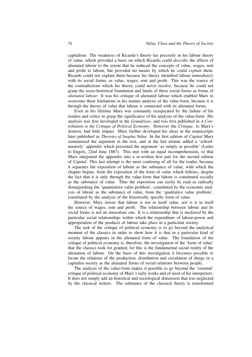capitalism. The weakness of Ricardo's theory lay precisely in his labour theory of value, which provided a basis on which Ricardo could *describe* the effects of alienated labour to the extent that he reduced the concepts of value, wages, rent and profit to labour, but provided no means by which he could *explain* them. Ricardo could not explain them because his theory identified labour *immediately* with its social forms, as value, wages, rent and profit. This was the source of the contradictions which his theory could never resolve, because he could not grasp the socio-historical foundation and limits of these social forms as forms of *alienated labour*. It was his critique of alienated labour which enabled Marx to overcome these limitations in his mature analysis of the value-form, because it is through the theory of value that labour is connected with its alienated forms.

Even in his lifetime Marx was constantly exasperated by the failure of his readers and critics to grasp the significance of his analysis of the value-form. His analysis was first developed in the *Grundrisse*, and was first published in *A Contribution to the Critique of Political Economy*. However the *Critique*, to Marx's distress, had little impact. Marx further developed his ideas in the manuscripts later published as *Theories of Surplus Value*. In the first edition of *Capital* Marx summarised the argument in the text, and at the last minute added a 'schoolmasterly' appendix which presented the argument 'as simply as possible' (Letter to Engels, 22nd June 1867). This met with an equal incomprehension, so that Marx integrated the appendix into a re-written first part for the second edition of *Capital*. This last attempt is the most confusing of all for the reader, because it separates the exposition of labour as the substance of value, with which the chapter begins, from the exposition of the form of value which follows, despite the fact that it is only through the value-form that labour is constituted socially as the substance of value. Thus the exposition can easily be read as radically distinguishing the 'quantitative value problem', constituted by the economic analysis of labour as the substance of value, from the 'qualitative value problem', constituted by the analysis of the historically specific form of value.

However, Marx insists that labour is not in itself value, nor is it in itself the source of wages, rent and profit. The relationship between labour and its social forms is not an *immediate* one. It is a relationship that is *mediated* by the particular social relationships within which the expenditure of labour-power and appropriation of the products of labour take place in a particular society.

The task of the critique of political economy is to go beyond the analytical moment of the classics in order to show how it is that in a particular kind of society labour appears in the alienated form of value. The foundation of the critique of political economy is, therefore, the investigation of the 'form of value' that the classics took for granted, for this is the fundamental social reality of the alienation of labour. On the basis of this investigation it becomes possible to locate the relations of the production, distribution and circulation of things in a capitalist society as the alienated forms of social relations between people.

The analysis of the value-form makes it possible to go beyond the 'external' critique of political economy of Marx's early works and of most of his interpreters. It does not simply add an historical and sociological dimension that was neglected by the classical writers. The substance of the classical theory is transformed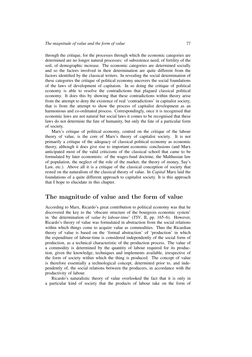through the critique, for the processes through which the economic categories are determined are no longer natural processes: of subsistence need, of fertility of the soil, of demographic increase. The economic categories are determined socially and so the factors involved in their determination are quite different from the factors identified by the classical writers. In revealing the social determination of these categories the critique of political economy uncovers the social foundations of the laws of development of capitaism. In so doing the critique of political economy is able to resolve the contradictions that plagued classical political economy. It does this by showing that these contradictions within theory arise from the attempt to deny the existence of real 'contradictions' in capitalist society, that is from the attempt to show the process of capitalist development as an harmonious and co-ordinated process. Correspondingly, once it is recognised that economic laws are not natural but social laws it comes to be recognised that these laws do not determine the fate of humanity, but only the fate of a particular form of society.

Marx's critique of political economy, centred on the critique of the labour theory of value, is the core of Marx's theory of capitalist society. It is not primarily a critique of the adequacy of classical political economy as economic theory, although it does give rise to important economic conclusions (and Marx anticipated most of the valid criticisms of the classical school that came to be formulated by later economists: of the wages-fund doctrine, the Malthusian law of population, the neglect of the role of the market, the theory of money, Say's Law, etc.). Above all it is a critique of the classical conception of society that rested on the naturalism of the classical theory of value. In *Capital* Marx laid the foundations of a quite different approach to capitalist society. It is this approach that I hope to elucidate in this chapter.

#### The magnitude of value and the form of value

According to Marx, Ricardo's great contribution to political economy was that he discovered the key to the 'obscure structure of the bourgeois economic system' in 'the determination of *value by labour-time*' (*TSV*, II, pp. 165–6). However, Ricardo's theory of value was formulated in abstraction from the social relations within which things come to acquire value as commodities. Thus the Ricardian theory of value is based on the 'formal abstraction' of 'production' in which the expenditure of labour-time is considered independently of the social form of production, as a technical characteristic of the production process. The value of a commodity is determined by the quantity of labour required for its production, given the knowledge, techniques and implements available, irrespective of the form of society within which the thing is produced. The concept of value is therefore essentially a technological concept, determined prior to, and independently of, the social relations between the producers, in accordance with the productivity of labour.

Ricardo's naturalistic theory of value overlooked the fact that it is only in a particular kind of society that the products of labour take on the form of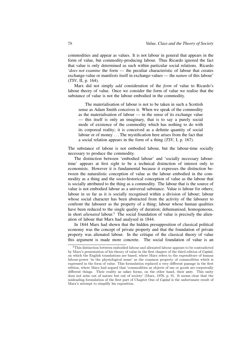commodities and appear as values. It is not labour in general that appears in the form of value, but commodity-producing labour. Thus Ricardo ignored the fact that value is only determined as such within particular social relations. Ricardo '*does not examine* the form — the peculiar characteristic of labour that creates exchange-value or manifests itself in exchange-values — the *nature* of this labour' (*TSV*, II, p. 164).

Marx did not simply *add* consideration of the *form* of value to Ricardo's labour theory of value. Once we consider the form of value we realise that the substance of value is not the labour embodied in the commodity.

The materialisation of labour is not to be taken in such a Scottish sense as Adam Smith conceives it. When we speak of the commodity as the materialisation of labour — in the sense of its exchange value — this itself is only an imaginary, that is to say a purely social mode of existence of the commodity which has nothing to do with its corporeal reality; it is conceived as a definite quantity of social labour or of money . . . The mystification here arises from the fact that a social relation appears in the form of a thing (*TSV*, I, p. 167).

The substance of labour is not embodied labour, but the labour-time socially necessary to produce the commodity.

The distinction between 'embodied labour' and 'socially necessary labourtime' appears at first sight to be a technical distinction of interest only to economists. However it is fundamental because it expresses the distinction between the naturalistic conception of value as the labour embodied in the commodity as a thing and the socio-historical conception of value as the labour that is socially attributed to the thing as a commodity. The labour that is the source of value is not embodied labour as a universal substance. Value is labour for others; labour in so far as it is socially recognised within a division of labour; labour whose social character has been abstracted from the activity of the labourer to confront the labourer as the property of a thing; labour whose human qualities have been reduced to the single quality of duration; dehumanised, homogeneous, in short *alienated* labour.<sup>5</sup> The social foundation of value is precisely the alienation of labour that Marx had analysed in 1844.

In 1844 Marx had shown that the hidden presupposition of classical political economy was the concept of private property and that the foundation of private property was alienated labour. In the critique of the classical theory of value this argument is made more concrete. The social foundation of value is an

<sup>5</sup>This distinction between embodied labour and alienated labour appears to be contradicted by Marx's presentation of his theory of value in the first chapter of the third edition of *Capital*, on which the English translations are based, where Marx refers to the expenditure of human labour-power 'in the physiological sense' as the common property of commodities which is expressed in the form of value. This formulation replaced a very different passage in the first edition, where Marx had argued that 'commodities as objects of use or goods are corporeally different things. Their reality as *values* forms, on the other hand, their *unity*. This unity does not arise out of nature but out of society' (Marx, 1976, p. 9). It seems clear that the misleading formulation of the first part of Chapter One of *Capital* is the unfortunate result of Marx's attempt to simplify his exposition.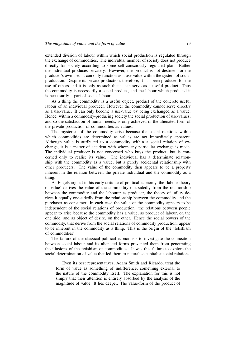extended division of labour within which social production is regulated through the exchange of commodities. The individual member of society does not produce directly for society according to some self-consciously regulated plan. Rather the individual produces privately. However, the product is not destined for the producer's own use. It can only function as a use-value within the system of social production. Despite its private production, therefore, it has been produced for the use of others and it is only as such that it can serve as a useful product. Thus the commodity is necessarily a social product, and the labour which produced it is necessarily a part of social labour.

As a thing the commodity is a useful object, product of the concrete useful labour of an individual producer. However the commodity cannot serve directly as a use-value. It can only become a use-value by being exchanged as a value. Hence, within a commodity-producing society the social production of use-values, and so the satisfaction of human needs, is only achieved in the alienated form of the private production of commodities as values.

The mysteries of the commodity arise because the social relations within which commodities are determined as values are not immediately apparent. Although value is attributed to a commodity within a social relation of exchange, it is a matter of accident with whom any particular exchange is made. The individual producer is not concerned who buys the product, but is concerned only to realise its value. The individual has a determinate relationship with the commodity as a value, but a purely accidental relationship with other producers. The value of the commodity then appears to be a property inherent in the relation between the private individual and the commodity as a thing.

As Engels argued in his early critique of political economy, the 'labour theory of value' derives the value of the commodity one-sidedly from the relationship between the commodity and the labourer as producer, the theory of utility derives it equally one-sidedly from the relationship between the commodity and the purchaser as consumer. In each case the value of the commodity appears to be independent of the social relations of production: the relations between people appear to arise because the commodity has a value, as product of labour, on the one side, and as object of desire, on the other. Hence the social powers of the commodity, that derive from the social relations of commodity production, appear to be inherent in the commodity as a thing. This is the origin of the 'fetishism of commodities'.

The failure of the classical political economists to investigate the connection between social labour and its alienated forms prevented them from penetrating the illusions of the fetishism of commodities. It was this failure to explore the social determination of value that led them to naturalise capitalist social relations:

Even its best representatives, Adam Smith and Ricardo, treat the form of value as something of indifference, something external to the nature of the commodity itself. The explanation for this is not simply that their attention is entirely absorbed by the analysis of the magnitude of value. It lies deeper. The value-form of the product of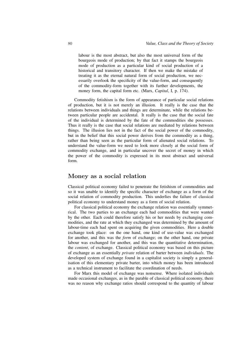labour is the most abstract, but also the most universal form of the bourgeois mode of production; by that fact it stamps the bourgeois mode of production as a particular kind of social production of a historical and transitory character. If then we make the mistake of treating it as the eternal natural form of social production, we necessarily overlook the specificity of the value-form, and consequently of the commodity-form together with its further developments, the money form, the capital form etc. (Marx, *Capital*, I, p. 174).

Commodity fetishism is the form of appearance of particular social relations of production, but it is not merely an illusion. It really is the case that the relations between individuals and things are determinate, while the relations between particular people are accidental. It really is the case that the social fate of the individual is determined by the fate of the commodities she possesses. Thus it really is the case that social relations are mediated by relations between things. The illusion lies not in the fact of the social power of the commodity, but in the belief that this social power derives from the commodity as a thing, rather than being seen as the particular form of alienated social relations. To understand the value-form we need to look more closely at the social form of commodity exchange, and in particular uncover the secret of money in which the power of the commodity is expressed in its most abstract and universal form.

#### Money as a social relation

Classical political economy failed to penetrate the fetishism of commodities and so it was unable to identify the specific character of exchange as a form of the social relation of commodity production. This underlies the failure of classical political economy to understand money as a form of social relation.

For classical political economy the exchange relation was essentially symmetrical. The two parties to an exchange each had commodities that were wanted by the other. Each could therefore satisfy his or her needs by exchanging commodities, and the rate at which they exchanged was determined by the amount of labour-time each had spent on acquiring the given commodities. Here a double exchange took place: on the one hand, one kind of use-value was exchanged for another, and this was the *form* of exchange; on the other hand, one private labour was exchanged for another, and this was the quantitative determination, the *content*, of exchange. Classical political economy was based on this picture of exchange as an essentially *private* relation of barter between *individuals*. The developed system of exchange found in a capitalist society is simply a generalisation of this elementary private barter, into which money has been introduced as a technical instrument to facilitate the coordination of needs.

For Marx this model of exchange was nonsense. Where isolated individuals made occasional exchanges, as in the parable of classical political economy, there was no reason why exchange ratios should correspond to the quantity of labour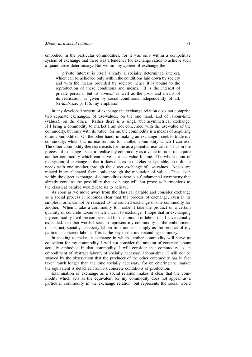embodied in the particular commodities, for it was only within a competitive system of exchange that there was a tendency for exchange ratios to achieve such a quantitative determinacy. But within any *system* of exchange the

private interest is itself already a socially determined interest, which can be achieved only within the conditions laid down by society and with the means provided by society; hence it is bound to the reproduction of these conditions and means. It is the interest of private persons; but its *content* as well as the *form* and means of its realisation, is given by social conditions independently of all. (*Grundrisse*, p. 156, my emphasis)

In any developed system of exchange the exchange relation does not comprise two separate exchanges, of use-values, on the one hand, and of labour-time (values), on the other. Rather there is a single but asymmetrical exchange. If I bring a commodity to market I am not concerned with the use-value of the commodity, but only with its value: for me the commodity is a means of acquiring other commodities. On the other hand, in making an exchange I seek to trade my commodity, which has no use for me, for another commodity which I can use. The other commodity therefore exists for me as a potential use-value. Thus in the process of exchange I seek to realise my commodity as a value in order to acquire another commodity which can serve as a use-value for me. The whole point of the system of exchange is that it does not, as in the classical parable, co-ordinate needs with one another through the direct exchange of use-values. Needs are related in an alienated form, only through the mediation of value. Thus, even within the direct exchange of commodities there is a fundamental asymmetry that already contains the possibility that exchange will not prove as harmonious as the classical parable would lead us to believe.

As soon as we move away from the classical parable and consider exchange as a social process it becomes clear that the process of exchange, even in its simplest form, cannot be reduced to the isolated exchange of one commodity for another. When I take a commodity to market I take the product of a certain quantity of concrete labour which I want to exchange. I hope that in exchanging my commodity I will be compensated for the amount of labour that I have actually expended. In other words I seek to represent my commodity as the embodiment of abstract, socially necessary labour-time and not simply as the product of my particular concrete labour. This is the key to the understanding of money.

In seeking to make an exchange in which another commodity will serve as equivalent for my commodity, I will not consider the amount of concrete labour actually embodied in that commodity, I will consider that commodity as an embodiment of abstract labour, of socially necessary labour-time. I will not be swayed by the observation that the producer of the other commodity has in fact taken much longer than the time socially necessary, for on entering the market the equivalent is detached from its concrete conditions of production.

Examination of exchange as a social relation makes it clear that the commodity which acts as the equivalent for my commodity does not appear as a particular commodity in the exchange relation, but represents the social world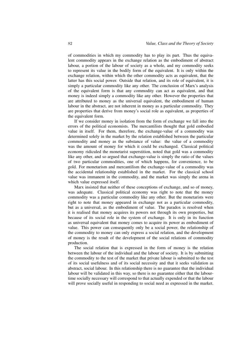of commodities in which my commodity has to play its part. Thus the equivalent commodity appears in the exchange relation as the embodiment of abstract labour, a portion of the labour of society as a whole, and my commodity seeks to represent its value in the bodily form of the equivalent. It is only within the exchange relation, within which the other commodity acts as equivalent, that the latter has this social power. Outside that relation, and its role of equivalent, it is simply a particular commodity like any other. The conclusion of Marx's analysis of the equivalent form is that any commodity can act as equivalent, and that money is indeed simply a commodity like any other. However the properties that are attributed to money as the universal equivalent, the embodiment of human labour in the abstract, are not inherent in money as a particular commodity. They are properties that derive from money's social role as equivalent, as properties of the equivalent form.

If we consider money in isolation from the form of exchange we fall into the errors of the political economists. The mercantilists thought that gold embodied value in itself. For them, therefore, the exchange-value of a commodity was determined solely in the market by the relation established between the particular commodity and money as the substance of value: the value of a commodity was the amount of money for which it could be exchanged. Classical political economy ridiculed the monetarist superstition, noted that gold was a commodity like any other, and so argued that exchange-value is simply the ratio of the values of two particular commodities, one of which happens, for convenience, to be gold. For monetarism and mercantilism the exchange-value of a commodity was the accidental relationship established in the market. For the classical school value was immanent in the commodity, and the market was simply the arena in which value expressed itself.

Marx insisted that neither of these conceptions of exchange, and so of money, was adequate. Classical political economy was right to note that the money commodity was a particular commodity like any other. But the monetarists were right to note that money appeared in exchange not as a particular commodity, but as a universal, as the embodiment of value. The paradox is resolved when it is realised that money acquires its powers not through its own properties, but because of its social role in the system of exchange. It is only in its function as universal equivalent that money comes to acquire its power as embodiment of value. This power can consequently only be a social power, the relationship of the commodity to money can only express a social relation, and the development of money is the result of the development of the social relations of commodity production.

The social relation that is expressed in the form of money is the relation between the labour of the individual and the labour of society. It is by submitting the commodity to the test of the market that private labour is submitted to the test of its social usefulness and of its social necessity and that it seeks validation as abstract, social labour. In this relationship there is no guarantee that the individual labour will be validated in this way, so there is no guarantee either that the labourtime socially necessary will correspond to that actually expended or that the labour will prove socially useful in responding to social need as expressed in the market.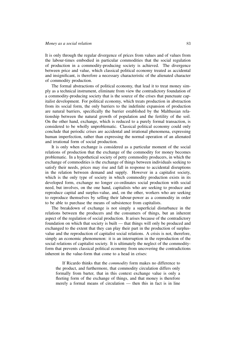#### *Money as a social relation* 83

It is only through the regular divergence of prices from values and of values from the labour-times embodied in particular commodities that the social regulation of production in a commodity-producing society is achieved. The divergence between price and value, which classical political economy treated as accidental and insignificant, is therefore a necessary characteristic of the alienated character of commodity production.

The formal abstractions of political economy, that lead it to treat money simply as a technical instrument, eliminate from view the contradictory foundation of a commodity-producing society that is the source of the crises that punctuate capitalist development. For political economy, which treats production in abstraction from its social form, the only barriers to the indefinite expansion of production are natural barriers, specifically the barrier established by the Malthusian relationship between the natural growth of population and the fertility of the soil. On the other hand, exchange, which is reduced to a purely formal transaction, is considered to be wholly unproblematic. Classical political economy could only conclude that periodic crises are accidental and irrational phenomena, expressing human imperfection, rather than expressing the normal operation of an alienated and irrational form of social production.

It is only when exchange is considered as a particular moment of the social relations of production that the exchange of the commodity for money becomes problematic. In a hypothetical society of petty commodity producers, in which the exchange of commodities is the exchange of things between individuals seeking to satisfy their needs, prices may rise and fall in response to accidental disruptions in the relation between demand and supply. However in a capitalist society, which is the only type of society in which commodity production exists in its developed form, exchange no longer co-ordinates social production with social need, but involves, on the one hand, capitalists who are seeking to produce and reproduce capital and surplus-value, and, on the other, workers who are seeking to reproduce themselves by selling their labour-power as a commodity in order to be able to purchase the means of subsistence from capitalists.

The breakdown of exchange is not simply a superficial disturbance in the relations between the producers and the consumers of things, but an inherent aspect of the regulation of social production. It arises because of the contradictory foundation on which that society is built — that things will only be produced and exchanged to the extent that they can play their part in the production of surplusvalue and the reproduction of capitalist social relations. A crisis is not, therefore, simply an economic phenomenon: it is an interruption in the reproduction of the social relations of capitalist society. It is ultimately the neglect of the commodityform that prevents classical political economy from uncovering the contradictions inherent in the value-form that come to a head in crises:

If Ricardo thinks that the *commodity* form makes no difference to the product, and furthermore, that commodity circulation differs only formally from barter, that in this context exchange value is only a fleeting form of the exchange of things, and that money is therefore merely a formal means of circulation — then this in fact is in line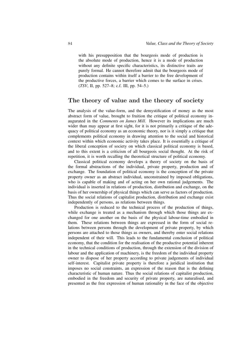with his presupposition that the bourgeois mode of production is the absolute mode of production, hence it is a mode of production without any definite specific characteristics, its distinctive traits are purely formal. He cannot therefore admit that the bourgeois mode of production contains within itself a barrier to the free development of the productive forces, a barrier which comes to the surface in crises. (*TSV*, II, pp. 527–8; c.f. III, pp. 54–5.)

#### The theory of value and the theory of society

The analysis of the value-form, and the demystification of money as the most abstract form of value, brought to fruition the critique of political economy inaugurated in the *Comments on James Mill*. However its implications are much wider than may appear at first sight, for it is not primarily a critique of the adequacy of political economy as an economic theory, nor is it simply a critique that complements political economy in drawing attention to the social and historical context within which economic activity takes place. It is essentially a critique of the liberal conception of society on which classical political economy is based, and to this extent is a criticism of all bourgeois social thought. At the risk of repetition, it is worth recalling the theoretical structure of political economy.

Classical political economy develops a theory of society on the basis of the formal abstractions of the individual, private property, production and of exchange. The foundation of political economy is the conception of the private property owner as an abstract individual, unconstrained by imposed obligations, who is capable of making and of acting on her own rational judgements. The individual is inserted in relations of production, distribution and exchange, on the basis of her ownership of physical things which can serve as factors of production. Thus the social relations of capitalist production, distribution and exchange exist independently of persons, as relations between things.

Production is reduced to the technical process of the production of things, while exchange is treated as a mechanism through which those things are exchanged for one another on the basis of the physical labour-time embodied in them. These relations between things are expressed in the form of social relations between persons through the development of private property, by which persons are attached to those things as owners, and thereby enter social relations independent of their will. This leads to the fundamental conclusion of political economy, that the condition for the realisation of the productive potential inherent in the technical conditions of production, through the extension of the division of labour and the application of machinery, is the freedom of the individual property owner to dispose of her property according to private judgements of individual self-interest. Capitalist private property is therefore a juridical institution that imposes no social constraints, an expression of the reason that is the defining characteristic of human nature. Thus the social relations of capitalist production, embodied in the freedom and security of private property, are naturalised, and presented as the free expression of human rationality in the face of the objective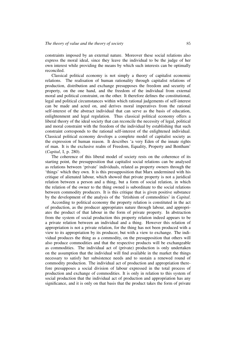constraints imposed by an external nature. Moreover these social relations also express the moral ideal, since they leave the individual to be the judge of her own interest while providing the means by which such interests can be optimally reconciled.

Classical political economy is not simply a theory of capitalist economic relations. The realisation of human rationality through capitalist relations of production, distribution and exchange presupposes the freedom and security of property, on the one hand, and the freedom of the individual from external moral and political constraint, on the other. It therefore defines the constitutional, legal and political circumstances within which rational judgements of self-interest can be made and acted on, and derives moral imperatives from the rational self-interest of the abstract individual that can serve as the basis of education, enlightenment and legal regulation. Thus classical political economy offers a liberal theory of the ideal society that can reconcile the necessity of legal, political and moral constraint with the freedom of the individual by establishing that such constraint corresponds to the rational self-interest of the enlightened individual. Classical political economy develops a complete model of capitalist society as the expression of human reason. It describes 'a very Eden of the innate rights of man. It is the exclusive realm of Freedom, Equality, Property and Bentham' (*Capital*, I, p. 280).

The coherence of this liberal model of society rests on the coherence of its starting point, the presupposition that capitalist social relations can be analysed as relations between 'private' individuals, related as property owners through the 'things' which they own. It is this presupposition that Marx undermined with his critique of alienated labour, which showed that private property is not a juridical relation between a person and a thing, but a form of social relation, in which the relation of the owner to the thing owned is subordinate to the social relations between commodity producers. It is this critique that is given positive substance by the development of the analysis of the 'fetishism of commodities' in *Capital*.

According to political economy the property relation is constituted in the act of production, as the producer appropriates nature through labour, and appropriates the product of that labour in the form of private property. In abstraction from the system of social production this property relation indeed appears to be a private relation between an individual and a thing. However this relation of appropriation is not a private relation, for the thing has not been produced with a view to its appropriation by its producer, but with a view to exchange. The individual produces the thing as a commodity, on the presupposition that others will also produce commodities and that the respective products will be exchangeable as commodities. The individual act of (private) production is only undertaken on the assumption that the individual will find available in the market the things necessary to satisfy her subsistence needs and to sustain a renewed round of commodity production. The individual act of production and appropriation therefore presupposes a social division of labour expressed in the total process of production and exchange of commodities. It is only in relation to this system of social production that the individual act of production and appropriation has any significance, and it is only on that basis that the product takes the form of private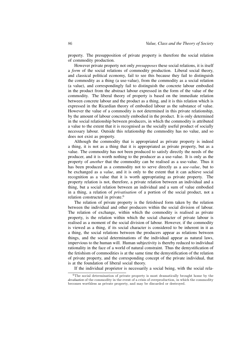property. The presupposition of private property is therefore the social relation of commodity production.

However private property not only *presupposes* these social relations, it is itself a *form* of the social relations of commodity production. Liberal social theory, and classical political economy, fail to see this because they fail to distinguish the commodity as a thing (a use-value), from the commodity as a social relation (a value), and correspondingly fail to distinguish the concrete labour embodied in the product from the abstract labour expressed in the form of the value of the commodity. The liberal theory of property is based on the immediate relation between concrete labour and the product as a thing, and it is this relation which is expressed in the Ricardian theory of embodied labour as the substance of value. However the value of a commodity is not determined in this private relationship, by the amount of labour concretely embodied in the product. It is only determined in the social relationship between producers, in which the commodity is attributed a value to the extent that it is recognised as the socially useful product of socially necessary labour. Outside this relationship the commodity has no value, and so does not exist as property.

Although the commodity that is appropriated as private property is indeed a thing, it is not as a thing that it is appropriated as private property, but as a value. The commodity has not been produced to satisfy directly the needs of the producer, and it is worth nothing to the producer as a use-value. It is only as the property of *another* that the commodity can be realised as a use-value. Thus it has been produced as a commodity not to serve directly as a *use-value*, but to be exchanged as a *value*, and it is only to the extent that it can achieve social recognition as a value that it is worth appropriating as private property. The property relation is not, therefore, a private relation between an individual and a thing, but a social relation between an individual and a sum of value embodied in a thing, a relation of *privatisation* of a portion of the social product, not a relation constructed in private.<sup>6</sup>

The relation of private property is the fetishised form taken by the relation between the individual and other producers within the social division of labour. The relation of exchange, within which the commodity is realised as private property, is the relation within which the social character of private labour is realised as a moment of the social division of labour. However, if the commodity is viewed as a thing, if its social character is considered to be inherent in it as a thing, the social relations between the producers appear as relations between things, and the social determinations of the individual appear as natural laws, impervious to the human will. Human subjectivity is thereby reduced to individual rationality in the face of a world of natural constraint. Thus the demystification of the fetishism of commodities is at the same time the demystification of the relation of private property, and the corresponding concept of the private individual, that is at the foundation of liberal social theory.

If the individual proprietor is necessarily a social being, with the social rela-

<sup>6</sup>The social determination of private property is most dramatically brought home by the *devaluation* of the commodity in the event of a crisis of overproduction, in which the commodity becomes worthless as private property, and may be discarded or destroyed.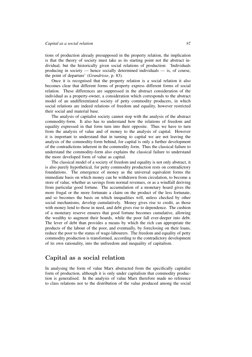tions of production already presupposed in the property relation, the implication is that the theory of society must take as its starting point not the abstract individual, but the historically given social relations of production: 'Individuals producing in society — hence socially determined individuals — is, of course, the point of departure' (*Grundrisse*, p. 83).

Once it is recognised that the property relation is a social relation it also becomes clear that different forms of property express different forms of social relation. These differences are suppressed in the abstract consideration of the individual as a property-owner, a consideration which corresponds to the abstract model of an undifferentiated society of petty commodity producers, in which social relations are indeed relations of freedom and equality, however restricted their social and material base.

The analysis of capitalist society cannot stop with the analysis of the abstract commodity-form. It also has to understand how the relations of freedom and equality expressed in that form turn into their opposite. Thus we have to turn from the analysis of value and of money to the analysis of capital. However it is important to understand that in turning to capital we are not leaving the analysis of the commodity-form behind, for capital is only a further development of the contradictions inherent in the commodity form. Thus the classical failure to understand the commodity-form also explains the classical failure to understand the more developed form of value as capital.

The classical model of a society of freedom and equality is not only abstract, it is also purely hypothetical, for petty commodity production rests on contradictory foundations. The emergence of money as the universal equivalent forms the immediate basis on which money can be withdrawn from circulation, to become a store of value, whether as savings from normal revenues, or as a windfall deriving from particular good fortune. The accumulation of a monetary hoard gives the more frugal or the more fortunate a claim on the product of the less fortunate, and so becomes the basis on which inequalities will, unless checked by other social mechanisms, develop cumulatively. Money gives rise to credit, as those with money lend to those in need, and debt gives rise to dependence. The cushion of a monetary reserve ensures that good fortune becomes cumulative, allowing the wealthy to augment their hoards, while the poor fall ever-deeper into debt. The lever of debt than provides a means by which the rich can appropriate the products of the labour of the poor, and eventually, by foreclosing on their loans, reduce the poor to the status of wage-labourers. The freedom and equality of petty commodity production is transformed, according to the contradictory development of its own rationality, into the unfreedom and inequality of capitalism.

#### Capital as a social relation

In analysing the form of value Marx abstracted from the specifically capitalist form of production, although it is only under capitalism that commodity production is generalised. In the analysis of value Marx therefore made no reference to class relations nor to the distribution of the value produced among the social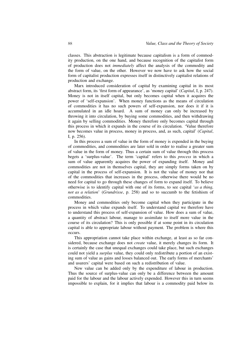classes. This abstraction is legitimate because capitalism is a form of commodity production, on the one hand, and because recognition of the capitalist form of production does not *immediately* affect the analysis of the commodity and the form of value, on the other. However we now have to ask how the social form of capitalist production expresses itself in distinctively capitalist relations of production and exchange.

Marx introduced consideration of capital by examining capital in its most abstract form, its 'first form of appearance', as 'money capital' (*Capital*, I, p. 247). Money is not in itself capital, but only becomes capital when it acquires the power of 'self-expansion'. When money functions as the means of circulation of commodities it has no such powers of self-expansion, nor does it if it is accumulated in an idle hoard. A sum of money can only be increased by throwing it into circulation, by buying some commodities, and then withdrawing it again by selling commodities. Money therefore only becomes capital through this process in which it expands in the course of its circulation. 'Value therefore now becomes value in process, money in process, and, as such, capital' (*Capital*, I, p. 256).

In this process a sum of value in the form of money is expended in the buying of commodities, and commodities are later sold in order to realise a greater sum of value in the form of money. Thus a certain sum of value through this process begets a 'surplus-value'. The term 'capital' refers to this *process* in which a sum of value apparently acquires the power of expanding itself. Money and commodities are not in themselves capital, they are simply forms taken on by capital in the process of self-expansion. It is not the value of money nor that of the commodities that increases in the process, otherwise there would be no need for capital to go through these changes of form to expand itself. To believe otherwise is to identify capital with one of its forms, to see capital '*as a thing, not as a relation*' (*Grundrisse*, p. 258) and so to succumb to the fetishism of commodities.

Money and commodities only become capital when they participate in the process in which value expands itself. To understand capital we therefore have to understand this process of self-expansion of value. How does a sum of value, a quantity of abstract labour, manage to assimilate to itself more value in the course of its circulation? This is only possible if at some point in its circulation capital is able to appropriate labour without payment. The problem is where this occurs.

This appropriation cannot take place within exchange, at least as so far considered, because exchange does not *create* value, it merely changes its form. It is certainly the case that unequal exchanges could take place, but such exchanges could not yield a *surplus* value, they could only redistribute a portion of an existing sum of value as gains and losses balanced out. The early forms of merchants' and usurers' capital were based on such a redistribution of value.

New value can be added only by the expenditure of labour in production. Thus the source of surplus-value can only be a difference between the amount paid for the labour and the labour actively expended. However this in turn seems impossible to explain, for it implies that labour is a commodity paid below its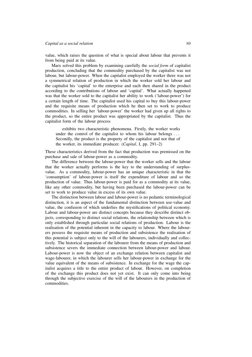#### *Capital as a social relation* 89

value, which raises the question of what is special about labour that prevents it from being paid at its value.

Marx solved this problem by examining carefully the *social form* of capitalist production, concluding that the commodity purchased by the capitalist was not labour, but labour-power. When the capitalist employed the worker there was not a symmetrical relation of production in which the worker sold her labour and the capitalist his 'capital' to the enterprise and each then shared in the product according to the contributions of labour and 'capital'. What actually happened was that the worker sold to the capitalist her ability to work ('labour-power') for a certain length of time. The capitalist used his capital to buy this labour-power and the requisite means of production which he then set to work to produce commodities. In selling her 'labour-power' the worker had given up all rights to the product, so the entire product was appropriated by the capitalist. Thus the capitalist form of the labour process

exhibits two characteristic phenomena. Firstly, the worker works under the control of the capitalist to whom his labour belongs ... Secondly, the product is the property of the capitalist and not that of the worker, its immediate producer. (*Capital*, I, pp. 291–2)

These characteristics derived from the fact that production was premissed on the purchase and sale of labour-power as a commodity.

The difference between the labour-power that the worker sells and the labour that the worker actually performs is the key to the understanding of surplusvalue. As a commodity, labour-power has an unique characteristic in that the 'consumption' of labour-power is itself the expenditure of labour and so the production of value. Thus labour-power is paid for as a commodity at its value, like any other commodity, but having been purchased the labour-power can be set to work to produce value in excess of its own value.

The distinction between labour and labour-power is no pedantic terminological distinction, it is an aspect of the fundamental distinction between use-value and value, the confusion of which underlies the mystifications of political economy. Labour and labour-power are distinct concepts because they describe distinct objects, corresponding to distinct social relations, the relationship between which is only established through particular social relations of production. Labour is the realisation of the potential inherent in the capacity to labour. Where the labourers possess the requisite means of production and subsistence the realisation of this potential is subject only to the will of the labourers, individually and collectively. The historical separation of the labourer from the means of production and subsistence severs the immediate connection between labour-power and labour. Labour-power is now the object of an exchange relation between capitalist and wage-labourer, in which the labourer sells her labour-power in exchange for the value equivalent of the means of subsistence. In exchange for the wage the capitalist acquires a title to the entire product of labour. However, on completion of the exchange this product does not yet exist. It can only come into being through the subjective exercise of the will of the labourers in the production of commodities.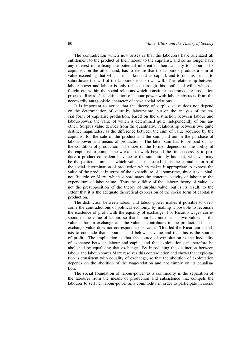The contradiction which now arises is that the labourers have alienated all entitlement to the product of their labour to the capitalist, and so no longer have any interest in realising the potential inherent in their capacity to labour. The capitalist, on the other hand, has to ensure that the labourers produce a sum of value exceeding that which he has laid out as capital, and to do this he has to subordinate the will of the labourers to his own will. The relationship between labour-power and labour is only realised through this conflict of wills, which is fought out within the social relations which constitute the immediate production process. Ricardo's identification of labour-power with labour abstracts from the necessarily antagonistic character of these social relations.

It is important to notice that the theory of surplus value does not depend on the determination of value by labour-time, but on the analysis of the social form of capitalist production, based on the distinction between labour and labour-power, the value of which is determined quite independently of one another. Surplus value derives from the quantitative relationship between two quite distinct magnitudes, as the difference between the sum of value acquired by the capitalist for the sale of the product and the sum paid out in the purchase of labour-power and means of production. The latter sum has to be paid out as the condition of production. The size of the former depends on the ability of the capitalist to compel the workers to work beyond the time necessary to produce a product equivalent in value to the sum initially laid out, whatever may be the particular units in which value is measured. It is the capitalist form of the social determination of production which makes it appropriate to express the value of the product in terms of the expenditure of labour-time, since it is capital, not Ricardo or Marx, which subordinates the concrete activity of labour to the expenditure of labour-time. Thus the validity of the 'labour theory of value' is not the presupposition of the theory of surplus value, but is its result, to the extent that it is the adequate theoretical expression of the social form of capitalist production.

The distinction between labour and labour-power makes it possible to overcome the contradictions of political economy, by making it possible to reconcile the existence of profit with the equality of exchange. For Ricardo wages correspond to the value of labour, so that labour has not one but two values — the value it has in exchange and the value it contributes to the product. Thus its exchange-value does not correspond to its value. This led the Ricardian socialists to conclude that labour is paid below its value and that this is the source of profit. The implication is that the source of exploitation is the inequality of exchange between labour and capital and that exploitation can therefore be abolished by equalising that exchange. By introducing the distinction between labour and labour-power Marx resolves this contradiction and shows that exploitation is consistent with equality of exchange, so that the abolition of exploitation depends on the abolition of the wage-relation and not simply on its equalisation.

The social foundation of labour-power as a commodity is the separation of the labourer from the means of production and subsistence that compels the labourer to sell her labour-power as a commodity in order to participate in social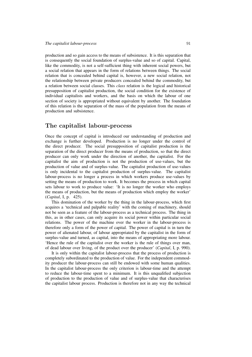production and so gain access to the means of subsistence. It is this separation that is consequently the social foundation of surplus-value and so of capital. Capital, like the commodity, is not a self-sufficient thing with inherent social powers, but a social relation that appears in the form of relations between things. The social relation that is concealed behind capital is, however, a new social relation, not the relationship between private producers concealed behind the commodity, but a relation between social classes. This *class* relation is the logical and historical presupposition of capitalist production, the social condition for the existence of individual capitalists and workers, and the basis on which the labour of one section of society is appropriated without equivalent by another. The foundation of this relation is the separation of the mass of the population from the means of production and subsistence.

#### The capitalist labour-process

Once the concept of capital is introduced our understanding of production and exchange is further developed. Production is no longer under the control of the direct producer. The social presupposition of capitalist production is the separation of the direct producer from the means of production, so that the direct producer can only work under the direction of another, the capitalist. For the capitalist the aim of production is not the production of use-values, but the production of value and of surplus-value. The capitalist production of use-values is only incidental to the capitalist production of surplus-value. The capitalist labour-process is no longer a process in which workers produce use-values by setting the means of production to work. It becomes the process in which capital sets labour to work to produce value: 'It is no longer the worker who employs the means of production, but the means of production which employ the worker' (*Capital*, I, p. 425).

This domination of the worker by the thing in the labour-process, which first acquires a 'technical and palpable reality' with the coming of machinery, should not be seen as a feature of the labour-process as a technical process. The thing in this, as in other cases, can only acquire its social power within particular social relations. The power of the machine over the worker in the labour-process is therefore only a form of the power of capital. The power of capital is in turn the power of alienated labour, of labour appropriated by the capitalist in the form of surplus-value and turned, as capital, into the means of appropriating more labour. 'Hence the rule of the capitalist over the worker is the rule of things over man, of dead labour over living, of the product over the producer' (*Capital*, I, p. 990).

It is only within the capitalist labour-process that the process of production is completely subordinated to the production of value. For the independent commodity producer the labour-process can still be endowed with some human qualities. In the capitalist labour-process the only criterion is labour-time and the attempt to reduce the labour-time spent to a minimum. It is this unqualified subjection of production to the production of value and of surplus-value that characterises the capitalist labour process. Production is therefore not in any way the technical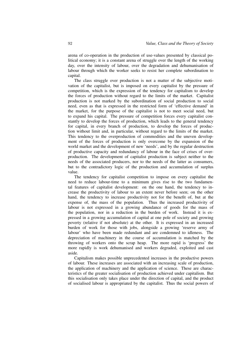arena of co-operation in the production of use-values presented by classical political economy; it is a constant arena of struggle over the length of the working day, over the intensity of labour, over the degradation and dehumanisation of labour through which the worker seeks to resist her complete subordination to capital.

The class struggle over production is not a matter of the subjective motivation of the capitalist, but is imposed on every capitalist by the pressure of competition, which is the expression of the tendency for capitalism to develop the forces of production without regard to the limits of the market. Capitalist production is not marked by the subordination of social production to social need, even as that is expressed in the restricted form of 'effective demand' in the market, for the purpose of the capitalist is not to meet social need, but to expand his capital. The pressure of competition forces every capitalist constantly to develop the forces of production, which leads to the general tendency for capital, in every branch of production, to develop the forces of production without limit and, in particular, without regard to the limits of the market. This tendency to the overproduction of commodities and the uneven development of the forces of production is only overcome by the expansion of the world market and the development of new 'needs', and by the regular destruction of productive capacity and redundancy of labour in the face of crises of overproduction. The development of capitalist production is subject neither to the needs of the associated producers, nor to the needs of the latter as consumers, but to the contradictory logic of the production and accumulation of surplus value.

The tendency for capitalist competition to impose on every capitalist the need to reduce labour-time to a minimum gives rise to the two fundamental features of capitalist development: on the one hand, the tendency to increase the productivity of labour to an extent never before seen; on the other hand, the tendency to increase productivity not for the benefit of, but at the expense of, the mass of the population. Thus the increased productivity of labour is not expressed in a growing abundance of goods for the mass of the population, nor in a reduction in the burden of work. Instead it is expressed in a growing accumulation of capital at one pole of society and growing poverty (relative if not absolute) at the other. It is expressed in an increased burden of work for those with jobs, alongside a growing 'reserve army of labour' who have been made redundant and are condemned to idleness. The depreciation of machinery in the course of accumulation is matched by the throwing of workers onto the scrap heap. The more rapid is 'progress' the more rapidly is work dehumanised and workers degraded, exploited and cast aside.

Capitalism makes possible unprecedented increases in the productive powers of labour. These increases are associated with an increasing scale of production, the application of machinery and the application of science. These are characteristics of the greater socialisation of production achieved under capitalism. But this socialisation only takes place under the direction of capital, and the product of socialised labour is appropriated by the capitalist. Thus the social powers of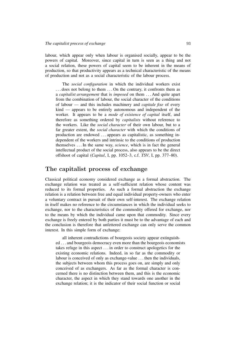labour, which appear only when labour is organised socially, appear to be the powers of capital. Moreover, since capital in turn is seen as a thing and not a social relation, these powers of capital seem to be inherent in the means of production, so that productivity appears as a technical characteristic of the means of production and not as a social characteristic of the labour process.

The *social configuration* in which the individual workers exist ... does not belong to them ... On the contrary, it confronts them as a *capitalist arrangement* that is *imposed* on them . . . And quite apart from the combination of labour, the social character of the conditions of labour — and this includes machinery and *capitale fixe* of every kind — appears to be entirely autonomous and independent of the worker. It appears to be a *mode of existence of capital* itself, and therefore as something ordered by *capitalists* without reference to the workers. Like the *social character* of their own labour, but to a far greater extent, the *social character* with which the conditions of production are endowed . . . appears as capitalistic, as something independent of the workers and intrinsic to the conditions of production themselves . . . In the same way, *science*, which is in fact the general intellectual product of the social process, also appears to be the direct offshoot of capital (*Capital*, I, pp. 1052–3, c.f. *TSV*, I, pp. 377–80).

#### The capitalist process of exchange

Classical political economy considered exchange as a formal abstraction. The exchange relation was treated as a self-sufficient relation whose content was reduced to its formal properties. As such a formal abstraction the exchange relation is a relation between free and equal individual property-owners who enter a voluntary contract in pursuit of their own self-interest. The exchange relation in itself makes no reference to the circumstances in which the individual seeks to exchange, nor to the characteristics of the commodity offered for exchange, nor to the means by which the individual came upon that commodity. Since every exchange is freely entered by both parties it must be to the advantage of each and the conclusion is therefore that unfettered exchange can only serve the common interest. In this simple form of exchange:

all inherent contradictions of bourgeois society appear extinguished . . . and bourgeois democracy even more than the bourgeois economists takes refuge in this aspect . . . in order to construct apologetics for the existing economic relations. Indeed, in so far as the commodity or labour is conceived of only as exchange-value ... then the individuals, the subjects between whom this process goes on, are simply and only conceived of as exchangers. As far as the formal character is concerned there is no distinction between them, and this is the economic character, the aspect in which they stand towards one another in the exchange relation; it is the indicator of their social function or social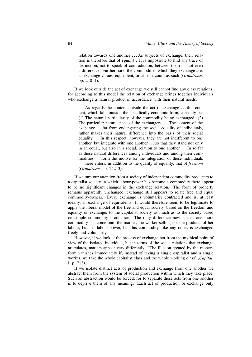relation towards one another . . . As subjects of exchange, their relation is therefore that of *equality*. It is impossible to find any trace of distinction, not to speak of contradiction, between them — not even a difference. Furthermore, the commodities which they exchange are, as exchange values, equivalent, or at least count as such (*Grundrisse*, pp. 240–1).

If we look outside the act of exchange we still cannot find any class relations, for according to this model the relation of exchange brings together individuals who exchange a natural product in accordance with their natural needs:

As regards the content outside the act of exchange . . . this content, which falls outside the specifically economic form, can only be: (1) The natural particularity of the commodity being exchanged. (2) The particular natural need of the exchangers . . . The content of the exchange . . . far from endangering the social equality of individuals, rather makes their natural difference into the basis of their social equality . . . In this respect, however, they are not indifferent to one another, but integrate with one another . . . so that they stand not only in an equal, but also in a social, relation to one another . . . In so far as these natural differences among individuals and among their commodities . . . form the motive for the integration of these individuals . . . there enters, in addition to the quality of equality, that of *freedom* (*Grundrisse*, pp. 242–3).

If we turn our attention from a society of independent commodity producers to a capitalist society in which labour-power has become a commodity there appear to be no significant changes in the exchange relation. The form of property remains apparently unchanged, exchange still appears to relate free and equal commodity-owners. Every exchange is voluntarily contracted and is, at least ideally, an exchange of equivalents. It would therefore seem to be legitimate to apply the liberal model of the free and equal society, based on the freedom and equality of exchange, to the capitalist society as much as to the society based on simple commodity production. The only difference now is that one more commodity has come onto the market, the worker selling not the products of her labour, but her labour-power, but this commodity, like any other, is exchanged freely and voluntarily.

However, if we look at the process of exchange not from the mythical point of view of the isolated individual, but in terms of the social relations that exchange articulates, matters appear very differently: 'The illusion created by the moneyform vanishes immediately if, instead of taking a single capitalist and a single worker, we take the whole capitalist class and the whole working class' (*Capital*, I, p. 713).

If we isolate distinct acts of production and exchange from one another we abstract them from the system of social production within which they take place. Such an abstraction would be forced, for to separate these acts from one another is to deprive them of any meaning. Each act of production or exchange only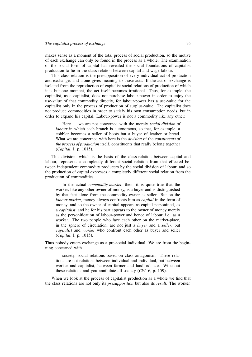makes sense as a moment of the total process of social production, so the motive of each exchange can only be found in the process as a whole. The examination of the social form of capital has revealed the social foundations of capitalist production to lie in the class-relation between capital and wage-labour.

This class-relation is the presupposition of every individual act of production and exchange, and alone gives meaning to those acts. If the act of exchange is isolated from the reproduction of capitalist social relations of production of which it is but one moment, the act itself becomes irrational. Thus, for example, the capitalist, as a capitalist, does not purchase labour-power in order to enjoy the use-value of that commodity directly, for labour-power has a use-value for the capitalist only in the process of production of surplus-value. The capitalist does not produce commodities in order to satisfy his own consumption needs, but in order to expand his capital. Labour-power is not a commodity like any other:

Here . . . we are not concerned with the merely *social division of labour* in which each branch is autonomous, so that, for example, a cobbler becomes a seller of boots but a buyer of leather or bread. What we are concerned with here is the *division* of the *constituents of the process of production* itself, constituents that really belong together (*Capital*, I, p. 1015).

This division, which is the basis of the class-relation between capital and labour, represents a completely different social relation from that effected between independent commodity producers by the social division of labour, and so the production of capital expresses a completely different social relation from the production of commodities.

In the actual *commodity-market*, then, it is quite true that the worker, like any other owner of money, is a buyer and is distinguished by that fact alone from the commodity-owner as seller. But on the *labour-market*, money always confronts him as *capital* in the form of money, and so the owner of capital appears as capital personified, as a *capitalist*, and he for his part appears to the owner of money merely as the personification of labour-power and hence of labour, i.e. as a *worker*. The two people who face each other on the market-place, in the sphere of circulation, are not just a *buyer* and a *seller*, but *capitalist* and *worker* who confront each other as buyer and seller (*Capital*, I, p. 1015).

Thus nobody enters exchange as a pre-social individual. We are from the beginning concerned with

society, social relations based on class antagonism. These relations are not relations between individual and individual, but between worker and capitalist, between farmer and landlord, etc. Wipe out these relations and you annihilate all society (*CW*, 6, p. 159).

When we look at the process of capitalist production as a whole we find that the class relations are not only its *presupposition* but also its *result*. The worker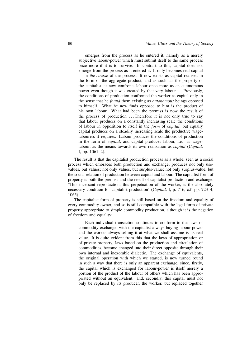emerges from the process as he entered it, namely as a merely subjective labour-power which must submit itself to the same process once more if it is to survive. In contrast to this, capital does not emerge from the process as it entered it. It only becomes real capital . . . in *the course* of the process. It now exists as capital realised in the form of the aggregate product, and as such, as the property of the capitalist, it now confronts labour once more as an autonomous power even though it was created by that very labour . . . Previously, the conditions of production confronted the worker as capital only in the sense that he *found* them existing as *autonomous* beings opposed to himself. What he now finds opposed to him is the product of his own labour. What had been the premiss is now the result of the process of production ... Therefore it is not only true to say that labour produces on a constantly increasing scale the conditions of labour in opposition to itself in the *form* of *capital*, but equally capital produces on a steadily increasing scale the productive wagelabourers it requires. Labour produces the conditions of production in the form of *capital*, and capital produces labour, i.e. as wagelabour, as the means towards its own realisation as *capital* (*Capital*, I, pp. 1061–2).

The result is that the capitalist production process as a whole, seen as a social process which embraces both production and exchange, produces not only usevalues, but values; not only values, but surplus-value; not only surplus-value, but the social relation of production between capital and labour. The capitalist form of property is both the premiss and the result of capitalist production and exchange. 'This incessant reproduction, this perpetuation of the worker, is the absolutely necessary condition for capitalist production' (*Capital*, I, p. 716, c.f. pp. 723–4, 1065).

The capitalist form of property is still based on the freedom and equality of every commodity owner, and so is still compatible with the legal form of private property appropriate to simple commodity production, although it is the negation of freedom and equality:

Each individual transaction continues to conform to the laws of commodity exchange, with the capitalist always buying labour-power and the worker always selling it at what we shall assume is its real value. It is quite evident from this that the laws of appropriation or of private property, laws based on the production and circulation of commodities, become changed into their direct opposite through their own internal and inexorable dialectic. The exchange of equivalents, the original operation with which we started, is now turned round in such a way that there is only an apparent exchange, since, firstly, the capital which is exchanged for labour-power is itself merely a portion of the product of the labour of others which has been appropriated without an equivalent: and, secondly, this capital must not only be replaced by its producer, the worker, but replaced together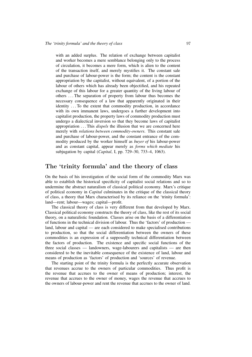with an added surplus. The relation of exchange between capitalist and worker becomes a mere semblance belonging only to the process of circulation, it becomes a mere form, which is alien to the content of the transaction itself, and merely mystifies it. The constant sale and purchase of labour-power is the form; the content is the constant appropriation by the capitalist, without equivalent, of a portion of the labour of others which has already been objectified, and his repeated exchange of this labour for a greater quantity of the living labour of others . . . The separation of property from labour thus becomes the necessary consequence of a law that apparently originated in their identity . . . To the extent that commodity production, in accordance with its own immanent laws, undergoes a further development into capitalist production, the property laws of commodity production must undergo a dialectical inversion so that they become laws of capitalist appropriation . . . This *dispels* the illusion that we are concerned here merely with *relations between commodity-owners*. This constant sale and purchase of labour-power, and the constant entrance of the commodity produced by the worker himself as *buyer of* his labour-power and as constant capital, appear merely as *forms which mediate* his subjugation by capital (*Capital*, I, pp. 729–30, 733–4, 1063).

### The 'trinity formula' and the theory of class

On the basis of his investigation of the social form of the commodity Marx was able to establish the historical specificity of capitalist social relations and so to undermine the abstract naturalism of classical political economy. Marx's critique of political economy in *Capital* culminates in the critique of the classical theory of class, a theory that Marx characterised by its reliance on the 'trinity formula': land—rent; labour—wages; capital—profit.

The classical theory of class is very different from that developed by Marx. Classical political economy constructs the theory of class, like the rest of its social theory, on a naturalistic foundation. Classes arise on the basis of a differentiation of functions in the technical division of labour. Thus the 'factors' of production land, labour and capital — are each considered to make specialised contributions to production, so that the social differentiation between the owners of these commodities is an expression of a supposedly technical differentiation between the factors of production. The existence and specific social functions of the three social classes — landowners, wage-labourers and capitalists — are then considered to be the inevitable consequence of the existence of land, labour and means of production as 'factors' of production and 'sources' of revenue.

The starting point of the trinity formula is the perfectly accurate observation that revenues accrue to the owners of particular commodities. Thus profit is the revenue that accrues to the owner of means of production; interest, the revenue that accrues to the owner of money, wages the revenue that accrues to the owners of labour-power and rent the revenue that accrues to the owner of land.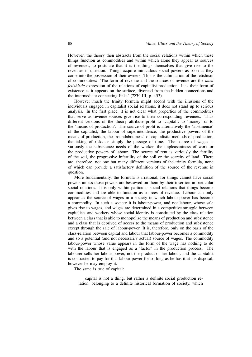However, the theory then abstracts from the social relations within which these things function as commodities and within which alone they appear as sources of revenues, to postulate that it is the things themselves that give rise to the revenues in question. Things acquire miraculous social powers as soon as they come into the possession of their owners. This is the culmination of the fetishism of commodities: 'The form of revenue and the sources of revenue are the *most fetishistic* expression of the relations of capitalist production. It is their form of existence as it appears on the surface, divorced from the hidden connections and the intermediate connecting links' (*TSV*, III, p. 453).

However much the trinity formula might accord with the illusions of the individuals engaged in capitalist social relations, it does not stand up to serious analysis. In the first place, it is not clear what properties of the commodities that serve as revenue-sources give rise to their corresponding revenues. Thus different versions of the theory attribute profit to 'capital', to 'money' or to the 'means of production'. The source of profit is alternatively the 'abstinence' of the capitalist; the labour of superintendence; the productive powers of the means of production, the 'roundaboutness' of capitalistic methods of production, the taking of risks or simply the passage of time. The source of wages is variously the subsistence needs of the worker, the unpleasantness of work or the productive powers of labour. The source of rent is variously the fertility of the soil, the progressive infertility of the soil or the scarcity of land. There are, therefore, not one but many different versions of the trinity formula, none of which can provide a satisfactory definition of the source of the revenue in question.

More fundamentally, the formula is irrational, for things cannot have social powers unless those powers are bestowed on them by their insertion in particular social relations. It is only within particular social relations that things become commodities and are able to function as sources of revenue. Labour can only appear as the source of wages in a society in which labour-power has become a commodity. In such a society it is labour-power, and not labour, whose sale gives rise to wages, and wages are determined in a competitive struggle between capitalists and workers whose social identity is constituted by the class relation between a class that is able to monopolise the means of production and subsistence and a class that is deprived of access to the means of production and subsistence except through the sale of labour-power. It is, therefore, only on the basis of the class-relation between capital and labour that labour-power becomes a commodity and so a potential (and not necessarily actual) source of wages. The commodity labour-power whose value appears in the form of the wage has nothing to do with the labour that is engaged as a 'factor' in the production process. The labourer sells her labour-power, not the product of her labour, and the capitalist is contracted to pay for that labour-power for so long as he has it at his disposal, however he may employ it.

The same is true of capital:

capital is not a thing, but rather a definite social production relation, belonging to a definite historical formation of society, which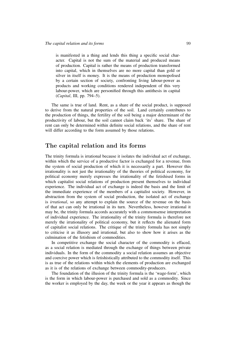is manifested in a thing and lends this thing a specific social character. Capital is not the sum of the material and produced means of production. Capital is rather the means of production transformed into capital, which in themselves are no more capital than gold or silver in itself is money. It is the means of production monopolised by a certain section of society, confronting living labour-power as products and working conditions rendered independent of this very labour-power, which are personified through this antithesis in capital (*Capital*, III, pp. 794–5).

The same is true of land. Rent, as a share of the social product, is supposed to derive from the natural properties of the soil. Land certainly contributes to the production of things, the fertility of the soil being a major determinant of the productivity of labour, but the soil cannot claim back 'its' share. The share of rent can only be determined within definite social relations, and the share of rent will differ according to the form assumed by those relations.

#### The capital relation and its forms

The trinity formula is irrational because it isolates the individual act of exchange, within which the service of a productive factor is exchanged for a revenue, from the system of social production of which it is necessarily a part. However this irrationality is not just the irrationality of the theories of political economy, for political economy merely expresses the irrationality of the fetishised forms in which capitalist social relations of production present themselves to individual experience. The individual act of exchange is indeed the basis and the limit of the immediate experience of the members of a capitalist society. However, in abstraction from the system of social production, the isolated act of exchange is *irrational*, so any attempt to explain the source of the revenue on the basis of that act can only be irrational in its turn. Nevertheless, however irrational it may be, the trinity formula accords accurately with a commonsense interpretation of individual experience. The irrationality of the trinity formula is therefore not merely the irrationality of political economy, but it reflects the alienated form of capitalist social relations. The critique of the trinity formula has not simply to criticise it as illusory and irrational, but also to show how it arises as the culmination of the fetishism of commodities.

In competitive exchange the social character of the commodity is effaced, as a social relation is mediated through the exchange of things between private individuals. In the form of the commodity a social relation assumes an objective and coercive power which is fetishistically attributed to the commodity itself. This is as true of the relations within which the elements of production are exchanged as it is of the relations of exchange between commodity-producers.

The foundation of the illusion of the trinity formula is the 'wage-form', which is the form in which labour-power is purchased and sold as a commodity. Since the worker is employed by the day, the week or the year it appears as though the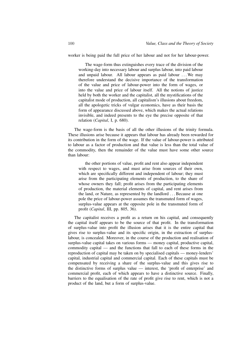worker is being paid the full price of her labour and not for her labour-power.

The wage-form thus extinguishes every trace of the division of the working-day into necessary labour and surplus labour, into paid labour and unpaid labour. All labour appears as paid labour . . . We may therefore understand the decisive importance of the transformation of the value and price of labour-power into the form of wages, or into the value and price of labour itself. All the notions of justice held by both the worker and the capitalist, all the mystifications of the capitalist mode of production, all capitalism's illusions about freedom, all the apologetic tricks of vulgar economics, have as their basis the form of appearance discussed above, which makes the actual relations invisible, and indeed presents to the eye the precise opposite of that relation (*Capital*, I, p. 680).

The wage-form is the basis of all the other illusions of the trinity formula. These illusions arise because it appears that labour has already been rewarded for its contribution in the form of the wage. If the value of labour-power is attributed to labour as a factor of production and that value is less than the total value of the commodity, then the remainder of the value must have some other source than labour:

the other portions of value, profit and rent also appear independent with respect to wages, and must arise from sources of their own, which are specifically different and independent of labour; they must arise from the participating elements of production, to the share of whose owners they fall; profit arises from the participating elements of production, the material elements of capital, and rent arises from the land, or Nature, as represented by the landlord . . . Because at one pole the price of labour-power assumes the transmuted form of wages, surplus-value appears at the opposite pole in the transmuted form of profit (*Capital*, III, pp. 805, 36).

The capitalist receives a profit as a return on his capital, and consequently the capital itself appears to be the source of that profit. In the transformation of surplus-value into profit the illusion arises that it is the entire capital that gives rise to surplus-value and its specific origin, in the extraction of surpluslabour, is concealed. Moreover, in the course of the production and realisation of surplus-value capital takes on various forms — money capital, productive capital, commodity capital — and the functions that fall to each of these forms in the reproduction of capital may be taken on by specialised capitals — money-lenders' capital, industrial capital and commercial capital. Each of these capitals must be compensated by receiving a share of the surplus-value and this gives rise to the distinctive forms of surplus value — interest, the 'profit of enterprise' and commercial profit, each of which appears to have a distinctive source. Finally, barriers to the equalisation of the rate of profit give rise to rent, which is not a product of the land, but a form of surplus-value.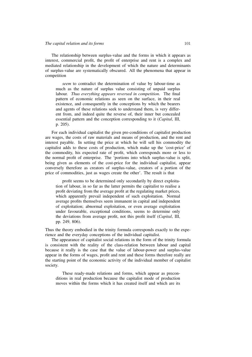The relationship between surplus-value and the forms in which it appears as interest, commercial profit, the profit of enterprise and rent is a complex and mediated relationship in the development of which the nature and determinants of surplus-value are systematically obscured. All the phenomena that appear in competition

*seem* to contradict the determination of value by labour-time as much as the nature of surplus value consisting of unpaid surplus labour. *Thus everything appears reversed in competition*. The final pattern of economic relations as seen on the surface, in their real existence, and consequently in the conceptions by which the bearers and agents of these relations seek to understand them, is very different from, and indeed quite the reverse of, their inner but concealed essential pattern and the conception corresponding to it (*Capital*, III, p. 205).

For each individual capitalist the given pre-conditions of capitalist production are wages, the costs of raw materials and means of production, and the rent and interest payable. In setting the price at which he will sell his commodity the capitalist adds to these costs of production, which make up the 'cost-price' of the commodity, his expected rate of profit, which corresponds more or less to the normal profit of enterprise. The 'portions into which surplus-value is split, being given as elements of the cost-price for the individual capitalist, appear conversely therefore as creators of surplus-value, creators of a portion of the price of commodities, just as wages create the other'. The result is that

profit seems to be determined only secondarily by direct exploitation of labour, in so far as the latter permits the capitalist to realise a profit deviating from the average profit at the regulating market prices, which apparently prevail independent of such exploitation. Normal average profits themselves seem immanent in capital and independent of exploitation; abnormal exploitation, or even average exploitation under favourable, exceptional conditions, seems to determine only the deviations from average profit, not this profit itself (*Capital*, III, pp. 249, 806).

Thus the theory embodied in the trinity formula corresponds exactly to the experience and the everyday conceptions of the individual capitalist.

The appearance of capitalist social relations in the form of the trinity formula is consistent with the reality of the class-relation between labour and capital because it really is the case that the value of labour-power and surplus-value appear in the forms of wages, profit and rent and these forms therefore really are the starting point of the economic activity of the individual member of capitalist society.

These ready-made relations and forms, which appear as preconditions in real production because the capitalist mode of production moves within the forms which it has created itself and which are its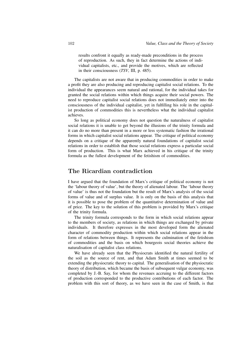results confront it equally as ready-made preconditions in the process of reproduction. As such, they in fact determine the actions of individual capitalists, etc., and provide the motives, which are reflected in their consciousness (*TSV*, III, p. 485).

The capitalists are not aware that in producing commodities in order to make a profit they are also producing and reproducing capitalist social relations. To the individual the appearances seem natural and rational, for the individual takes for granted the social relations within which things acquire their social powers. The need to reproduce capitalist social relations does not immediately enter into the consciousness of the individual capitalist, yet in fulfilling his role in the capitalist production of commodities this is nevertheless what the individual capitalist achieves.

So long as political economy does not question the naturalness of capitalist social relations it is unable to get beyond the illusions of the trinity formula and it can do no more than present in a more or less systematic fashion the irrational forms in which capitalist social relations appear. The critique of political economy depends on a critique of the apparently natural foundations of capitalist social relations in order to establish that those social relations express a particular social form of production. This is what Marx achieved in his critique of the trinity formula as the fullest development of the fetishism of commodities.

#### The Ricardian contradiction

I have argued that the foundation of Marx's critique of political economy is not the 'labour theory of value', but the theory of alienated labour. The 'labour theory of value' is thus not the foundation but the result of Marx's analysis of the social forms of value and of surplus value. It is only on the basis of this analysis that it is possible to pose the problem of the quantitative determination of value and of price. The key to the solution of this problem is provided by Marx's critique of the trinity formula.

The trinity formula corresponds to the form in which social relations appear to the members of society, as relations in which things are exchanged by private individuals. It therefore expresses in the most developed form the alienated character of commodity production within which social relations appear in the form of relations between things. It represents the culmination of the fetishism of commodities and the basis on which bourgeois social theories achieve the naturalisation of capitalist class relations.

We have already seen that the Physiocrats identified the natural fertility of the soil as the source of rent, and that Adam Smith at times seemed to be extending the physiocratic theory to capital. The generalisation of the physiocratic theory of distribution, which became the basis of subsequent vulgar economy, was completed by J.-B. Say, for whom the revenues accruing to the different factors of production corresponded to the productive contributions of each factor. The problem with this sort of theory, as we have seen in the case of Smith, is that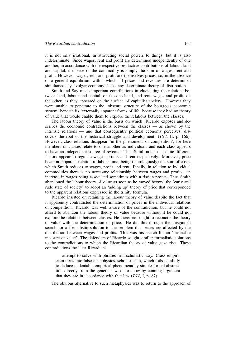it is not only irrational, in attributing social powers to things, but it is also indeterminate. Since wages, rent and profit are determined independently of one another, in accordance with the respective productive contributions of labour, land and capital, the price of the commodity is simply the sum of wages, rent and profit. However, wages, rent and profit are themselves prices, so, in the absence of a general equilibrium within which all prices and revenues are determined simultaneously, 'vulgar economy' lacks any determinate theory of distribution.

Smith and Say made important contributions in elucidating the relations between land, labour and capital, on the one hand, and rent, wages and profit, on the other, as they appeared on the surface of capitalist society. However they were unable to penetrate to the 'obscure structure of the bourgeois economic system' beneath its 'externally apparent forms of life' because they had no theory of value that would enable them to explore the relations between the classes.

The labour theory of value is the basis on which 'Ricardo exposes and describes the economic contradictions between the classes — as shown by the intrinsic relations — and that consequently political economy perceives, discovers the root of the historical struggle and development' (*TSV*, II, p. 166). However, class-relations disappear 'in the phenomena of competition', for here members of classes relate to one another as individuals and each class appears to have an independent source of revenue. Thus Smith noted that quite different factors appear to regulate wages, profits and rent respectively. Moreover, price bears no apparent relation to labour-time, being (tautologously) the sum of costs, which Smith reduces to wages, profit and rent. Finally, in relation to individual commodities there is no necessary relationship between wages and profits: an increase in wages being associated sometimes with a rise in profits. Thus Smith abandoned the labour theory of value as soon as he moved beyond the 'early and rude state of society' to adopt an 'adding up' theory of price that corresponded to the apparent relations expressed in the trinity formula.

Ricardo insisted on retaining the labour theory of value despite the fact that it apparently contradicted the determination of prices in the individual relations of competition. Ricardo was well aware of the contradiction, but he could not afford to abandon the labour theory of value because without it he could not explore the relations between classes. He therefore sought to reconcile the theory of value with the determination of price. He did this through the misguided search for a formalistic solution to the problem that prices are affected by the distribution between wages and profits. This was his search for an 'invariable measure of value'. The defenders of Ricardo sought similar formalistic solutions to the contradictions to which the Ricardian theory of value gave rise. These contradictions the later Ricardians

attempt to solve with phrases in a scholastic way. Crass empiricism turns into false metaphysics, scholasticism, which toils painfully to deduce undeniable empirical phenomena by simple formal abstraction directly from the general law, or to show by cunning argument that they are in accordance with that law (*TSV*, I, p. 87).

The obvious alternative to such metaphysics was to return to the approach of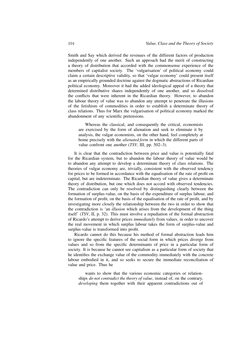Smith and Say which derived the revenues of the different factors of production independently of one another. Such an approach had the merit of constructing a theory of distribution that accorded with the commonsense experience of the members of capitalist society. The 'vulgarisation' of political economy could claim a certain descriptive validity, so that 'vulgar economy' could present itself as an empirically grounded doctrine against the dogmatic abstractions of Ricardian political economy. Moreover it had the added ideological appeal of a theory that determined distributive shares independently of one another, and so dissolved the conflicts that were inherent in the Ricardian theory. However, to abandon the labour theory of value was to abandon any attempt to penetrate the illusions of the fetishism of commodities in order to establish a determinate theory of class relations. Thus for Marx the vulgarisation of political economy marked the abandonment of any scientific pretensions.

Whereas the classical, and consequently the critical, economists are exercised by the form of alienation and seek to eliminate it by analysis, the vulgar economists, on the other hand, feel completely at home precisely with the *alienated form* in which the different parts of value confront one another (*TSV*, III, pp. 502–3).

It is clear that the contradiction between price and value is potentially fatal for the Ricardian system, but to abandon the labour theory of value would be to abandon any attempt to develop a determinate theory of class relations. The theories of vulgar economy are, trivially, consistent with the observed tendency for prices to be formed in accordance with the equalisation of the rate of profit on capital, but are indeterminate. The Ricardian theory of value gives a determinate theory of distribution, but one which does not accord with observed tendencies. The contradiction can only be resolved by distinguishing clearly between the formation of surplus-value, on the basis of the expenditure of surplus labour, and the formation of profit, on the basis of the equalisation of the rate of profit, and by investigating more closely the relationship between the two in order to show that the contradiction is 'an *illusion* which arises from the development of the thing itself' (*TSV*, II, p. 32). This must involve a repudiation of the formal abstraction of Ricardo's attempt to derive prices *immediately* from values, in order to uncover the real movement in which surplus labour takes the form of surplus-value and surplus-value is transformed into profit.

Ricardo cannot do this because his method of formal abstraction leads him to ignore the specific features of the social form in which prices diverge from values and so from the specific determinants of price in a particular form of society. It is because he cannot see capitalism as a particular form of society that he identifies the exchange value of the commodity immediately with the concrete labour embodied in it, and so seeks to secure the immediate reconciliation of value and price. Thus he

wants to show that the various economic categories or relationships *do not contradict the theory of value*, instead of, on the contrary, *developing* them together with their apparent contradictions out of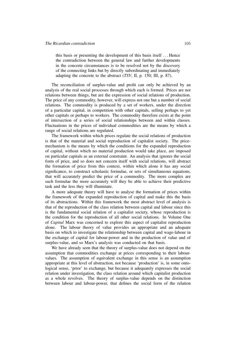this basis or presenting the development of this basis itself . . . Hence the contradiction between the general law and further developments in the concrete circumstances is to be resolved not by the discovery of the connecting links but by directly subordinating and immediately adapting the concrete to the abstract (*TSV*, II, p. 150; III, p. 87).

The reconciliation of surplus-value and profit can only be achieved by an analysis of the real social processes through which each is formed. Prices are not relations between things, but are the expression of social relations of production. The price of any commodity, however, will express not one but a number of social relations. The commodity is produced by a set of workers, under the direction of a particular capital, in competition with other capitals, selling perhaps to yet other capitals or perhaps to workers. The commodity therefore exists at the point of intersection of a series of social relationships between and within classes. Fluctuations in the prices of individual commodities are the means by which a range of social relations are regulated.

The framework within which prices regulate the social relations of production is that of the material and social reproduction of capitalist society. The pricemechanism is the means by which the conditions for the expanded reproduction of capital, without which no material production would take place, are imposed on particular capitals as an external constraint. An analysis that ignores the social form of price, and so does not concern itself with social relations, will abstract the formation of price from this context, within which alone it has any social significance, to construct scholastic formulae, or sets of simultaneous equations, that will accurately predict the price of a commodity. The more complex are such formulae the more accurately will they be able to achieve their predictive task and the less they will illuminate.

A more adequate theory will have to analyse the formation of prices within the framework of the expanded reproduction of capital and make this the basis of its abstractions. Within this framework the most abstract level of analysis is that of the reproduction of the class relation between capital and labour since this is the fundamental social relation of a capitalist society, whose reproduction is the condition for the reproduction of all other social relations. In Volume One of *Capital* Marx was concerned to explore this aspect of capitalist reproduction alone. The labour theory of value provides an appropriate and an adequate basis on which to investigate the relationship between capital and wage-labour in the exchange of capital for labour-power and in the production of value and of surplus-value, and so Marx's analysis was conducted on that basis.

We have already seen that the theory of surplus-value does not depend on the assumption that commodities exchange at prices corresponding to their labourvalues. The assumption of equivalent exchange in this sense is an assumption appropriate at this level of abstraction, not because 'production' is, in some ontological sense, 'prior' to exchange, but because it adequately expresses the social relation under investigation, the class relation around which capitalist production as a whole revolves. The theory of surplus-value depends on the distinction between labour and labour-power, that defines the social form of the relation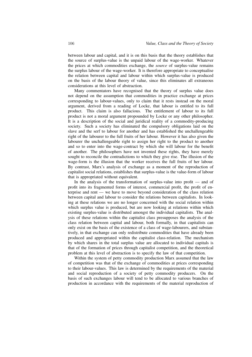between labour and capital, and it is on this basis that the theory establishes that the source of surplus-value is the unpaid labour of the wage-worker. Whatever the prices at which commodities exchange, the *source* of surplus-value remains the surplus labour of the wage-worker. It is therefore appropriate to conceptualise the relation between capital and labour within which surplus-value is produced on the basis of the labour theory of value, since this eliminates all extraneous considerations at this level of abstraction.

Many commentators have recognised that the theory of surplus value does not depend on the assumption that commodities in practice exchange at prices corresponding to labour-values, only to claim that it rests instead on the moral argument, derived from a reading of Locke, that labour is entitled to its full product. This claim is also fallacious. The entitlement of labour to its full product is not a moral argument propounded by Locke or any other philosopher. It is a description of the social and juridical reality of a commodity-producing society. Such a society has eliminated the compulsory obligations laid on the slave and the serf to labour for another and has established the unchallengeable right of the labourer to the full fruits of her labour. However it has also given the labourer the unchallengeable right to assign her right to the product to another and so to enter into the wage-contract by which she will labour for the benefit of another. The philosophers have not invented these rights, they have merely sought to reconcile the contradictions to which they give rise. The illusion of the wage-form is the illusion that the worker receives the full fruits of her labour. By contrast, Marx's analysis of exchange as a moment of the reproduction of capitalist social relations, establishes that surplus-value is the value-form of labour that is appropriated without equivalent.

In the analysis of the transformation of surplus-value into profit — and of profit into its fragmented forms of interest, commercial profit, the profit of enterprise and rent — we have to move beyond consideration of the class relation between capital and labour to consider the relations between capitalists. In looking at these relations we are no longer concerned with the social relation within which surplus value is produced, but are now looking at relations within which existing surplus-value is distributed amongst the individual capitalists. The analysis of these relations within the capitalist class presupposes the analysis of the class relation between capital and labour, both formally, in that capitalists can only exist on the basis of the existence of a class of wage-labourers, and substantively, in that exchange can only redistribute commodities that have already been produced and appropriated within the capitalist class-relation. The mechanism by which shares in the total surplus value are allocated to individual capitals is that of the formation of prices through capitalist competition, and the theoretical problem at this level of abstraction is to specify the law of that competition.

Within the system of petty commodity production Marx assumed that the law of competition was that of the exchange of commodities at prices corresponding to their labour-values. This law is determined by the requirements of the material and social reproduction of a society of petty commodity producers. On the basis of such exchanges labour will tend to be allocated to various branches of production in accordance with the requirements of the material reproduction of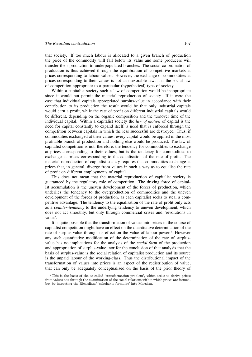that society. If too much labour is allocated to a given branch of production the price of the commodity will fall below its value and some producers will transfer their production to underpopulated branches. The social co-ordination of production is thus achieved through the equilibration of competitive markets at prices corresponding to labour-values. However, the exchange of commodities at prices corresponding to their values is not an inexorable law; it is the social law of competition appropriate to a particular (hypothetical) type of society.

Within a capitalist society such a law of competition would be inappropriate since it would not permit the material reproduction of society. If it were the case that individual capitals appropriated surplus-value in accordance with their contribution to its production the result would be that only industrial capitals would earn a profit, while the rate of profit on different industrial capitals would be different, depending on the organic composition and the turnover time of the individual capital. Within a capitalist society the *law of motion* of capital is the need for capital constantly to expand itself, a need that is enforced through the competition between capitals in which the less successful are destroyed. Thus, if commodities exchanged at their values, every capital would be applied in the most profitable branch of production and nothing else would be produced. The law of capitalist competition is not, therefore, the tendency for commodities to exchange at prices corresponding to their values, but is the tendency for commodities to exchange at prices corresponding to the equalisation of the rate of profit. The material reproduction of capitalist society requires that commodities exchange at prices that, in general, diverge from values in such a way as to equalise the rate of profit on different employments of capital.

This does not mean that the material reproduction of capitalist society is guaranteed by the regulatory role of competition. The driving force of capitalist accumulation is the uneven development of the forces of production, which underlies the tendency to the overproduction of commodities and the uneven development of the forces of production, as each capitalist seeks to steal a competitive advantage. The tendency to the equalisation of the rate of profit only acts as a *counter-tendency* to the underlying tendency to uneven development, which does not act smoothly, but only through commercial crises and 'revolutions in value'.

It is quite possible that the transformation of values into prices in the course of capitalist competition might have an effect on the quantitative determination of the rate of surplus-value through its effect on the value of labour-power.<sup>7</sup> However any such quantitative modification of the determination of the rate of surplusvalue has no implications for the analysis of the *social form* of the production and appropriation of surplus-value, nor for the conclusion of that analysis that the basis of surplus-value is the social relation of capitalist production and its source is the unpaid labour of the working-class. Thus the distributional impact of the transformation of values into prices is an aspect of the redistribution of value, that can only be adequately conceptualised on the basis of the prior theory of

<sup>7</sup>This is the basis of the so-called 'transformation problem', which seeks to derive prices from values not through the examination of the social relations within which prices are formed, but by importing the Ricardians' 'scholastic formulae' into Marxism.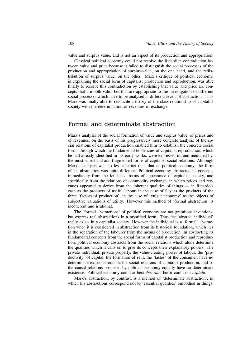value and surplus value, and is not an aspect of its production and appropriation.

Classical political economy could not resolve the Ricardian contradiction between value and price because it failed to distinguish the social processes of the production and appropriation of surplus-value, on the one hand, and the redistribution of surplus value, on the other. Marx's critique of political economy, in explaining the social form of capitalist production and reproduction, was able finally to resolve this contradiction by establishing that value and price are concepts that are both valid, but that are appropriate to the investigation of different social processes which have to be analysed at different levels of abstraction. Thus Marx was finally able to reconcile a theory of the class-relationship of capitalist society with the determination of revenues in exchange.

#### Formal and determinate abstraction

Marx's analysis of the social formation of value and surplus value, of prices and of revenues, on the basis of his progressively more concrete analysis of the social relations of capitalist production enabled him to establish the concrete social forms through which the fundamental tendencies of capitalist reproduction, which he had already identified in his early works, were expressed in, and mediated by, the most superficial and fragmented forms of capitalist social relations. Although Marx's analysis was no less abstract than that of political economy, the form of his abstraction was quite different. Political economy abstracted its concepts immediately from the fetishised forms of appearance of capitalist society, and specifically from the relations of commodity exchange, in which prices and revenues appeared to derive from the inherent qualities of things — in Ricardo's case as the products of useful labour, in the case of Say as the products of the three 'factors of production', in the case of 'vulgar economy' as the objects of subjective valuations of utility. However this method of 'formal abstraction' is incoherent and irrational.

The 'formal abstractions' of political economy are not gratuitous inventions, but express real abstractions in a mystified form. Thus the 'abstract individual' really exists in a capitalist society. However the individual is a 'formal' abstraction when it is considered in abstraction from its historical foundation, which lies in the separation of the labourer from the means of production. In abstracting its fundamental concepts from the social forms of capitalist production and reproduction, political economy abstracts from the social relations which alone determine the qualities which it calls on to give its concepts their explanatory powers. The private individual, private property, the value-creating power of labour, the 'productivity' of capital, the formation of rent, the 'tastes' of the consumer, have no determinate existence outside the social relations of capitalist production, and so the causal relations proposed by political economy equally have no determinate existence. Political economy could at best *describe*, but it could not *explain*.

Marx's abstraction, by contrast, is a method of 'determinate abstraction', in which his abstractions correspond not to 'essential qualities' embodied in things,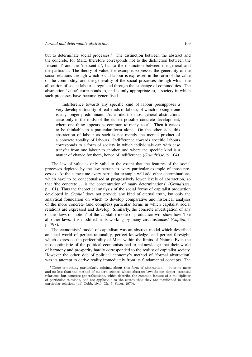but to determinate social processes.<sup>8</sup> The distinction between the abstract and the concrete, for Marx, therefore corresponds not to the distinction between the 'essential' and the 'inessential', but to the distinction between the general and the particular. The theory of value, for example, expresses the generality of the social relations through which social labour is expressed in the form of the value of the commodity, and the generality of the social processes through which the allocation of social labour is regulated through the exchange of commodities. The abstraction 'value' corresponds to, and is only appropriate to, a society in which such processes have become generalised.

Indifference towards any specific kind of labour presupposes a very developed totality of real kinds of labour, of which no single one is any longer predominant. As a rule, the most general abstractions arise only in the midst of the richest possible concrete development, where one thing appears as common to many, to all. Then it ceases to be thinkable in a particular form alone. On the other side, this abstraction of labour as such is not merely the mental product of a concrete totality of labours. Indifference towards specific labours corresponds to a form of society in which individuals can with ease transfer from one labour to another, and where the specific kind is a matter of chance for them, hence of indifference (*Grundrisse*, p. 104).

The law of value is only valid to the extent that the features of the social processes depicted by the law pertain to every particular example of those processes. At the same time every particular example will add other determinations, which have to be conceptualised at progressively lower levels of abstraction, so that 'the concrete . . . is the concentration of many determinations' (*Grundrisse*, p. 101). Thus the theoretical analysis of the social forms of capitalist production developed in *Capital* does not provide any kind of eternal truth, but only the analytical foundation on which to develop comparative and historical analyses of the more concrete (and complex) particular forms in which capitalist social relations are expressed and develop. Similarly, the concrete investigation of any of the 'laws of motion' of the capitalist mode of production will show how 'like all other laws, it is modified in its working by many circumstances' (*Capital*, I, p. 798).

The economists' model of capitalism was an abstract model which described an ideal world of perfect rationality, perfect knowledge, and perfect foresight, which expressed the perfectibility of Man, within the limits of Nature. Even the most optimistic of the political economists had to acknowledge that their world of harmony and prosperity hardly corresponded to the reality of capitalist society. However the other side of political economy's method of 'formal abstraction' was its attempt to derive reality immediately from its fundamental concepts. The

<sup>&</sup>lt;sup>8</sup>There is nothing particularly original about this form of abstraction  $-$  it is no more and no less than the method of modern science, whose abstract laws do not depict 'essential relations' but concrete generalisations, which describe the common feature of a multiplicity of particular relations, and are applicable to the extent that they are manifested in those particular relations (c.f. Dobb, 1940, Ch. 5; Sayer, 1979).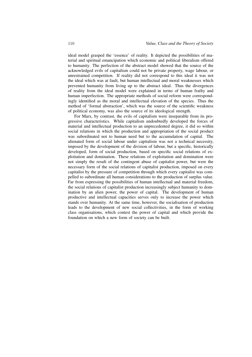ideal model grasped the 'essence' of reality. It depicted the possibilities of material and spiritual emancipation which economic and political liberalism offered to humanity. The perfection of the abstract model showed that the source of the acknowledged evils of capitalism could not be private property, wage labour, or unrestrained competition. If reality did not correspond to this ideal it was not the ideal which was at fault, but human intellectual and moral weaknesses which prevented humanity from living up to the abstract ideal. Thus the divergences of reality from the ideal model were explained in terms of human frailty and human imperfection. The appropriate methods of social reform were correspondingly identified as the moral and intellectual elevation of the species. Thus the method of 'formal abstraction', which was the source of the scientific weakness of political economy, was also the source of its ideological strength.

For Marx, by contrast, the evils of capitalism were inseparable from its progressive characteristics. While capitalism undoubtedly developed the forces of material and intellectual production to an unprecedented degree, it did so within social relations in which the production and appropriation of the social product was subordinated not to human need but to the accumulation of capital. The alienated form of social labour under capitalism was not a technical necessity, imposed by the development of the division of labour, but a specific, historically developed, form of social production, based on specific social relations of exploitation and domination. These relations of exploitation and domination were not simply the result of the contingent abuse of capitalist power, but were the necessary form of the social relations of capitalist production, imposed on every capitalist by the pressure of competition through which every capitalist was compelled to subordinate all human considerations to the production of surplus value. Far from expressing the possibilities of human intellectual and material freedom, the social relations of capitalist production increasingly subject humanity to domination by an alien power, the power of capital. The development of human productive and intellectual capacities serves only to increase the power which stands over humanity. At the same time, however, the socialisation of production leads to the development of new social collectivities, in the form of working class organisations, which contest the power of capital and which provide the foundation on which a new form of society can be built.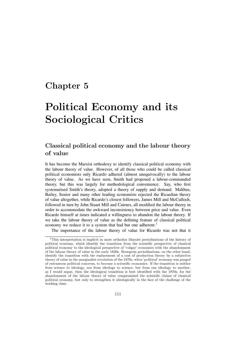# Chapter 5

# Political Economy and its Sociological Critics

# Classical political economy and the labour theory of value

It has become the Marxist orthodoxy to identify classical political economy with the labour theory of value. However, of all those who could be called classical political economists only Ricardo adhered (almost unequivocally) to the labour theory of value. As we have seen, Smith had proposed a labour-commanded theory, but this was largely for methodological convenience. Say, who first systematised Smith's theory, adopted a theory of supply and demand. Malthus, Bailey, Senior and many other leading economists rejected the Ricardian theory of value altogether, while Ricardo's closest followers, James Mill and McCulloch, followed in turn by John Stuart Mill and Cairnes, all modified the labour theory in order to accommodate the awkward inconsistency between price and value. Even Ricardo himself at times indicated a willingness to abandon the labour theory. If we take the labour theory of value as the defining feature of classical political economy we reduce it to a system that had but one adherent.<sup>1</sup>

The importance of the labour theory of value for Ricardo was not that it

<sup>1</sup>This interpretation is implicit in most orthodox Marxist periodisations of the history of political economy, which identify the transition from the scientific perspective of classical political economy to the ideological perspective of 'vulgar' economics with the abandonment of the labour theory of value in the early 1830s. Bourgeois periodisations, on the other hand, identify the transition with the replacement of a cost of production theory by a subjective theory of value in the marginalist revolution of the 1870s, when 'political' economy was purged of extraneous political concerns, to become a scientific economics. If the transition is neither from science to ideology, nor from ideology to science, but from one ideology to another, as I would argue, then the ideological transition is best identified with the 1870s, for the abandonment of the labour theory of value compromised the scientific claims of classical political economy, but only to strengthen it ideologically in the face of the challenge of the working class.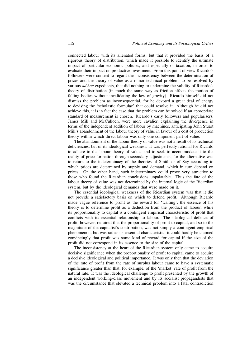connected labour with its alienated forms, but that it provided the basis of a rigorous theory of distribution, which made it possible to identify the ultimate impact of particular economic policies, and especially of taxation, in order to evaluate their impact on productive investment. From this point of view Ricardo's followers were content to regard the inconsistency between the determination of prices and the theory of value as a minor technical problem, to be resolved by various *ad hoc* expedients, that did nothing to undermine the validity of Ricardo's theory of distribution (in much the same way as friction affects the motion of falling bodies without invalidating the law of gravity). Ricardo himself did not dismiss the problem as inconsequential, for he devoted a great deal of energy to devising the 'scholastic formulae' that could resolve it. Although he did not achieve this, it is in fact the case that the problem can be solved if an appropriate standard of measurement is chosen. Ricardo's early followers and popularisers, James Mill and McCulloch, were more cavalier, explaining the divergence in terms of the independent addition of labour by machines, anticipating John Stuart Mill's abandonment of the labour theory of value in favour of a cost of production theory within which direct labour was only one component part of value.

The abandonment of the labour theory of value was not a result of its technical deficiencies, but of its ideological weakness. It was perfectly rational for Ricardo to adhere to the labour theory of value, and to seek to accommodate it to the reality of price formation through secondary adjustments, for the alternative was to return to the indeterminacy of the theories of Smith or of Say according to which prices are determined by supply and demand, which in turn depend on prices. On the other hand, such indeterminacy could prove very attractive to those who found the Ricardian conclusions unpalatable. Thus the fate of the labour theory of value was not determined by the internal logic of the Ricardian system, but by the ideological demands that were made on it.

The essential ideological weakness of the Ricardian system was that it did not provide a satisfactory basis on which to defend profit. Although Ricardo made vague reference to profit as the reward for 'waiting', the essence of his theory is to determine profit as a deduction from the product of labour, while its proportionality to capital is a contingent empirical characteristic of profit that conflicts with its essential relationship to labour. The ideological defence of profit, however, required that the proportionality of profit to capital, and so to the magnitude of the capitalist's contribution, was not simply a contingent empirical phenomenon, but was rather its essential characteristic; it could hardly be claimed convincingly that profit was some kind of reward for capital if the size of the profit did not correspond in its essence to the size of the capital.

The inconsistency at the heart of the Ricardian system only came to acquire decisive significance when the proportionality of profit to capital came to acquire a decisive ideological and political importance. It was only then that the deviation of the rate of profit from the rate of surplus labour came to have a systematic significance greater than that, for example, of the 'market' rate of profit from the natural rate. It was the ideological challenge to profit presented by the growth of an independent working-class movement and by its socialist propagandists that was the circumstance that elevated a technical problem into a fatal contradiction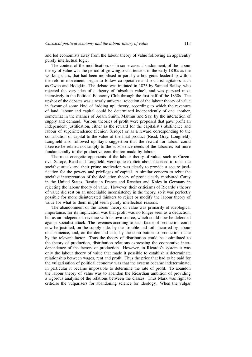and led economists away from the labour theory of value following an apparently purely intellectual logic.

The context of the modification, or in some cases abandonment, of the labour theory of value was the period of growing social tension in the early 1830s as the working class, that had been mobilised in part by a bourgeois leadership within the reform movement, began to follow co-operative and socialist agitators such as Owen and Hodgkin. The debate was initiated in 1825 by Samuel Bailey, who rejected the very idea of a theory of 'absolute value', and was pursued most intensively in the Political Economy Club through the first half of the 1830s. The upshot of the debates was a nearly universal rejection of the labour theory of value in favour of some kind of 'adding up' theory, according to which the revenues of land, labour and capital could be determined independently of one another, somewhat in the manner of Adam Smith, Malthus and Say, by the interaction of supply and demand. Various theories of profit were proposed that gave profit an independent justification, either as the reward for the capitalist's abstinence and labour of superintendence (Senior, Scrope) or as a reward corresponding to the contribution of capital to the value of the final product (Read, Gray, Longfield). Longfield also followed up Say's suggestion that the reward for labour could likewise be related not simply to the subsistence needs of the labourer, but more fundamentally to the productive contribution made by labour.

The most energetic opponents of the labour theory of value, such as Cazenove, Scrope, Read and Longfield, were quite explicit about the need to repel the socialist attack and their prime motivation was clearly to provide a secure justification for the powers and privileges of capital. A similar concern to rebut the socialist interpretation of the deduction theory of profit clearly motivated Carey in the United States, Bastiat in France and Roscher and Knies in Germany in rejecting the labour theory of value. However, their criticisms of Ricardo's theory of value did rest on an undeniable inconsistency in the theory, so it was perfectly possible for more disinterested thinkers to reject or modify the labour theory of value for what to them might seem purely intellectual reasons.

The abandonment of the labour theory of value was primarily of ideological importance, for its implication was that profit was no longer seen as a deduction, but as an independent revenue with its own source, which could now be defended against socialist attack. The revenues accruing to each factor of production could now be justified, on the supply side, by the 'trouble and toil' incurred by labour or abstinence, and, on the demand side, by the contribution to production made by the relevant factor. Thus the theory of distribution could be assimilated to the theory of production, distribution relations expressing the cooperative interdependence of the factors of production. However, in Ricardo's system it was only the labour theory of value that made it possible to establish a determinate relationship between wages, rent and profit. Thus the price that had to be paid for the vulgarisation of political economy was that the system became indeterminate; in particular it became impossible to determine the rate of profit. To abandon the labour theory of value was to abandon the Ricardian ambition of providing a rigorous analysis of the relations between the classes. Thus Marx was right to criticise the vulgarisers for abandoning science for ideology. When the vulgar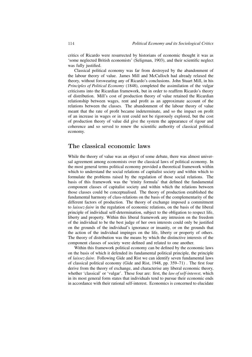critics of Ricardo were resurrected by historians of economic thought it was as 'some neglected British economists' (Seligman, 1903), and their scientific neglect was fully justified.

Classical political economy was far from destroyed by the abandonment of the labour theory of value. James Mill and McCulloch had already relaxed the theory, without forswearing any of Ricardo's conclusions. John Stuart Mill, in his *Principles of Political Economy* (1848), completed the assimilation of the vulgar criticisms into the Ricardian framework, but in order to reaffirm Ricardo's theory of distribution. Mill's cost of production theory of value retained the Ricardian relationship between wages, rent and profit as an approximate account of the relations between the classes. The abandonment of the labour theory of value meant that the rate of profit became indeterminate, and so the impact on profit of an increase in wages or in rent could not be rigorously explored, but the cost of production theory of value did give the system the appearance of rigour and coherence and so served to renew the scientific authority of classical political economy.

#### The classical economic laws

While the theory of value was an object of some debate, there was almost universal agreement among economists over the classical laws of political economy. In the most general terms political economy provided a theoretical framework within which to understand the social relations of capitalist society and within which to formulate the problems raised by the regulation of those social relations. The basis of this framework was the 'trinity formula' that defined the fundamental component classes of capitalist society and within which the relations between those classes could be conceptualised. The theory of production established the fundamental harmony of class-relations on the basis of the complementarity of the different factors of production. The theory of exchange imposed a commitment to *laissez-faire* in the regulation of economic relations, on the basis of the liberal principle of individual self-determination, subject to the obligation to respect life, liberty and property. Within this liberal framework any intrusion on the freedom of the individual to be the best judge of her own interests could only be justified on the grounds of the individual's ignorance or insanity, or on the grounds that the action of the individual impinges on the life, liberty or property of others. The theory of distribution was the means by which the distinctive interests of the component classes of society were defined and related to one another.

Within this framework political economy can be defined by the economic laws on the basis of which it defended its fundamental political principle, the principle of *laissez-faire*. Following Gide and Rist we can identify seven fundamental laws of classical political economy (Gide and Rist, 1948, pp. 359–71) . The first four derive from the theory of exchange, and characterise any liberal economic theory, whether 'classical' or 'vulgar'. These four are: first, the *law of self-interest*, which in its most general form states that individuals tend to pursue their economic ends in accordance with their rational self-interest. Economics is concerned to elucidate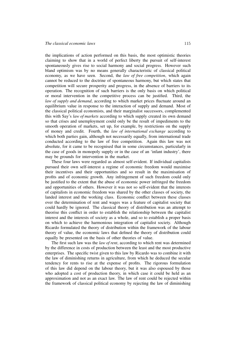the implications of action performed on this basis, the most optimistic theories claiming to show that in a world of perfect liberty the pursuit of self-interest spontaneously gives rise to social harmony and social progress. However such bland optimism was by no means generally characteristic of classical political economy, as we have seen. Second, the *law of free competition*, which again cannot be reduced to the doctrine of spontaneous harmony, but which states that competition will secure prosperity and progress, in the absence of barriers to its operation. The recognition of such barriers is the only basis on which political or moral intervention in the competitive process can be justified. Third, the *law of supply and demand*, according to which market prices fluctuate around an equilibrium value in response to the interaction of supply and demand. Most of the classical political economists, and their marginalist successors, complemented this with Say's *law of markets* according to which supply created its own demand so that crises and unemployment could only be the result of impediments to the smooth operation of markets, set up, for example, by restrictions on the supply of money and credit. Fourth, the *law of international exchange* according to which both parties gain, although not necessarily equally, from international trade conducted according to the law of free competition. Again this law was not absolute, for it came to be recognised that in some circumstances, particularly in the case of goods in monopoly supply or in the case of an 'infant industry', there may be grounds for intervention in the market.

These four laws were regarded as almost self-evident. If individual capitalists pursued their own self-interest a regime of economic freedom would maximise their incentives and their opportunities and so result in the maximisation of profits and of economic growth. Any infringement of such freedom could only be justified to the extent that the abuse of economic power infringed the freedom and opportunities of others. However it was not so self-evident that the interests of capitalists in economic freedom was shared by the other classes of society, the landed interest and the working class. Economic conflict between these classes over the determination of rent and wages was a feature of capitalist society that could hardly be ignored. The classical theory of distribution was an attempt to theorise this conflict in order to establish the relationship between the capitalist interest and the interests of society as a whole, and so to establish a proper basis on which to achieve the harmonious integration of capitalist society. Although Ricardo formulated the theory of distribution within the framework of the labour theory of value, the economic laws that defined the theory of distribution could equally be presented on the basis of other theories of value.

The first such law was the *law of rent*, according to which rent was determined by the difference in costs of production between the least and the most productive enterprises. The specific twist given to this law by Ricardo was to combine it with the law of diminishing returns in agriculture, from which he deduced the secular tendency for rents to rise at the expense of profits. The rigorous formulation of this law did depend on the labour theory, but it was also espoused by those who adopted a cost of production theory, in which case it could be held as an approximation and not as an exact law. The law of rent could be rejected within the framework of classical political economy by rejecting the law of diminishing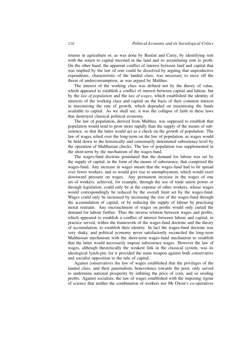returns in agriculture or, as was done by Bastiat and Carey, by identifying rent with the return to capital invested in the land and so assimilating rent to profit. On the other hand, the apparent conflict of interest between land and capital that was implied by the law of rent could be dissolved by arguing that unproductive expenditure, characteristic of the landed class, was necessary to stave off the threat of underconsumption, as was argued by Malthus.

The interest of the working class was defined not by the theory of value, which appeared to establish a conflict of interest between capital and labour, but by the *law of population* and the *law of wages*, which established the identity of interests of the working class and capital on the basis of their common interest in maximising the rate of growth, which depended on maximising the funds available to capital. As we shall see, it was the collapse of faith in these laws that destroyed classical political economy.

The law of population, derived from Malthus, was supposed to establish that population would tend to grow more rapidly than the supply of the means of subsistence, so that the latter would act as a check on the growth of population. The law of wages relied over the long-term on the law of population, as wages would be held down to the historically and customarily determined subsistence level by the operation of Malthusian checks. The law of population was supplemented in the short-term by the mechanism of the wages-fund.

The wages-fund doctrine postulated that the demand for labour was set by the supply of capital, in the form of the means of subsistence, that comprised the wages-fund. Any increase in wages meant that the wages-fund had to be spread over fewer workers, and so would give rise to unemployment, which would exert downward pressure on wages. Any permanent increase in the wages of one set of workers, achieved, for example, through the use of trade union power or through legislation, could only be at the expense of other workers, whose wages would correspondingly be reduced by the overall limit set by the wages-fund. Wages could only be increased by increasing the size of the wages-fund through the accumulation of capital, or by reducing the supply of labour by practising moral restraint. Any encroachment of wages on profits would only curtail the demand for labour further. Thus the inverse relation between wages and profits, which appeared to establish a conflict of interest between labour and capital, in practice served, within the framework of the wages-fund doctrine and the theory of accumulation, to establish their identity. In fact the wages-fund doctrine was very shaky, and political economy never satisfactorily reconciled the long-term Malthusian mechanism with the short-term wages-fund mechanism to establish that the latter would necessarily impose subsistence wages. However the law of wages, although theoretically the weakest link in the classical system, was its ideological lynch-pin, for it provided the main weapon against both conservative and socialist opposition to the rule of capital.

Against conservatives the law of wages established that the privileges of the landed class, and their paternalistic benevolence towards the poor, only served to undermine national prosperity by inflating the price of corn, and so eroding profits. Against socialists, the law of wages established with the imposing rigour of science that neither the combination of workers nor Mr Owen's co-operatives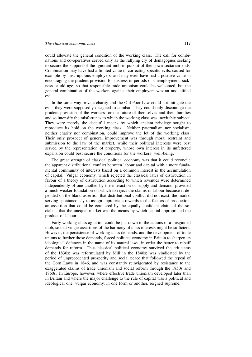could alleviate the general condition of the working class. The call for combinations and co-operatives served only as the rallying cry of demagogues seeking to secure the support of the ignorant mob in pursuit of their own sectarian ends. Combination may have had a limited value in correcting specific evils, caused for example by unscrupulous employers, and may even have had a positive value in encouraging the prudent provision for distress in periods of unemployment, sickness or old age, so that responsible trade unionism could be welcomed, but the general combination of the workers against their employers was an unqualified evil.

In the same way private charity and the Old Poor Law could not mitigate the evils they were supposedly designed to combat. They could only discourage the prudent provision of the workers for the future of themselves and their families and so intensify the misfortunes to which the working class was inevitably subject. They were merely the deceitful means by which ancient privilege sought to reproduce its hold on the working class. Neither paternalism nor socialism, neither charity nor combination, could improve the lot of the working class. Their only prospect of general improvement was through moral restraint and submission to the law of the market, while their political interests were best served by the representation of property, whose own interest in its unfettered expansion could best secure the conditions for the workers' well-being.

The great strength of classical political economy was that it could reconcile the apparent distributional conflict between labour and capital with a more fundamental community of interests based on a common interest in the accumulation of capital. Vulgar economy, which rejected the classical laws of distribution in favour of a theory of distribution according to which revenues were determined independently of one another by the interaction of supply and demand, provided a much weaker foundation on which to reject the claims of labour because it depended on the bland assertion that distributional conflict did not exist, the market serving spontaneously to assign appropriate rewards to the factors of production, an assertion that could be countered by the equally confident claim of the socialists that the unequal market was the means by which capital appropriated the product of labour.

Early working-class agitation could be put down to the actions of a misguided mob, so that vulgar assertions of the harmony of class interests might be sufficient. However, the persistence of working-class demands, and the development of trade unions to further those demands, forced political economy in Britain to sharpen its ideological defences in the name of its natural laws, in order the better to rebuff demands for reform. Thus classical political economy survived the criticisms of the 1830s; was reformulated by Mill in the 1840s; was vindicated by the period of unprecedented prosperity and social peace that followed the repeal of the Corn Laws in 1846, and was constantly reinvigorated by resistance to the exaggerated claims of trade unionism and social reform through the 1850s and 1860s. In Europe, however, where effective trade unionism developed later than in Britain and where the major challenge to the rule of capital was a political and ideological one, vulgar economy, in one form or another, reigned supreme.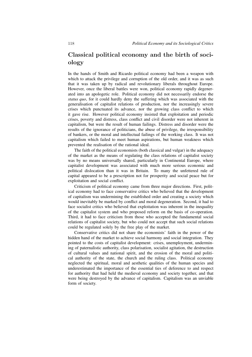# Classical political economy and the birth of sociology

In the hands of Smith and Ricardo political economy had been a weapon with which to attack the privilege and corruption of the old order, and it was as such that it was taken up by radical and revolutionary liberals throughout Europe. However, once the liberal battles were won, political economy rapidly degenerated into an apologetic role. Political economy did not necessarily endorse the *status quo*, for it could hardly deny the suffering which was associated with the generalisation of capitalist relations of production, nor the increasingly severe crises which punctuated its advance, nor the growing class conflict to which it gave rise. However political economy insisted that exploitation and periodic crises, poverty and distress, class conflict and civil disorder were not inherent in capitalism, but were the result of human failings. Distress and disorder were the results of the ignorance of politicians, the abuse of privilege, the irresponsibility of bankers, or the moral and intellectual failings of the working class. It was not capitalism which failed to meet human aspirations, but human weakness which prevented the realisation of the rational ideal.

The faith of the political economists (both classical and vulgar) in the adequacy of the market as the means of regulating the class relations of capitalist society was by no means universally shared, particularly in Continental Europe, where capitalist development was associated with much more serious economic and political dislocation than it was in Britain. To many the unfettered rule of capital appeared to be a prescription not for prosperity and social peace but for exploitation and social conflict.

Criticism of political economy came from three major directions. First, political economy had to face conservative critics who believed that the development of capitalism was undermining the established order and creating a society which would inevitably be marked by conflict and moral degeneration. Second, it had to face socialist critics who believed that exploitation was inherent in the inequality of the capitalist system and who proposed reform on the basis of co-operation. Third, it had to face criticism from those who accepted the fundamental social relations of capitalist society, but who could not accept that such social relations could be regulated solely by the free play of the market.

Conservative critics did not share the economists' faith in the power of the hidden hand of the market to achieve social harmony and social integration. They pointed to the costs of capitalist development: crises, unemployment, undermining of paternalistic authority, class polarisation, socialist agitation, the destruction of cultural values and national spirit, and the erosion of the moral and political authority of the state, the church and the ruling class. Political economy neglected the spiritual, moral and aesthetic qualities of the human species and underestimated the importance of the essential ties of deference to and respect for authority that had held the medieval economy and society together, and that were being destroyed by the advance of capitalism. Capitalism was an unviable form of society.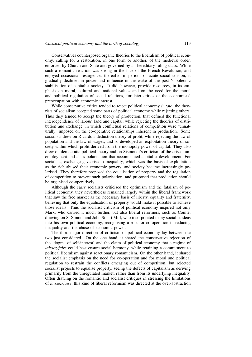Conservatives counterposed organic theories to the liberalism of political economy, calling for a restoration, in one form or another, of the medieval order, enforced by Church and State and governed by an hereditary ruling class. While such a romantic reaction was strong in the face of the French Revolution, and enjoyed occasional resurgences thereafter in periods of acute social tension, it gradually declined in power and influence in the wake of the post-Napoleonic stabilisation of capitalist society. It did, however, provide resources, in its emphasis on moral, cultural and national values and on the need for the moral and political regulation of social relations, for later critics of the economists' preoccupation with economic interest.

While conservative critics tended to reject political economy *in toto*, the theorists of socialism accepted some parts of political economy while rejecting others. Thus they tended to accept the theory of production, that defined the functional interdependence of labour, land and capital, while rejecting the theories of distribution and exchange, in which conflictual relations of competition were 'unnaturally' imposed on the co-operative relationships inherent in production. Some socialists drew on Ricardo's deduction theory of profit, while rejecting the law of population and the law of wages, and so developed an exploitation theory of society within which profit derived from the monopoly power of capital. They also drew on democratic political theory and on Sismondi's criticism of the crises, unemployment and class polarisation that accompanied capitalist development. For socialists, exchange gave rise to inequality, which was the basis of exploitation as the rich abused their economic powers, and society became increasingly polarised. They therefore proposed the equalisation of property and the regulation of competition to prevent such polarisation, and proposed that production should be organised co-operatively.

Although the early socialists criticised the optimism and the fatalism of political economy, they nevertheless remained largely within the liberal framework that saw the free market as the necessary basis of liberty, equality and fraternity, believing that only the equalisation of property would make it possible to achieve those ideals. Thus the socialist criticism of political economy inspired not only Marx, who carried it much further, but also liberal reformers, such as Comte, drawing on St Simon, and John Stuart Mill, who incorporated many socialist ideas into his own political economy, recognising a role for co-operation in reducing inequality and the abuse of economic power.

The third major direction of criticism of political economy lay between the two just considered. On the one hand, it shared the conservative rejection of the 'dogma of self-interest' and the claim of political economy that a regime of *laissez-faire* could best ensure social harmony, while retaining a commitment to political liberalism against reactionary romanticism. On the other hand, it shared the socialist emphasis on the need for co-operation and for moral and political regulation to restrain the conflicts emerging out of competition, but rejected socialist projects to equalise property, seeing the defects of capitalism as deriving primarily from the unregulated market, rather than from its underlying inequality. Often drawing on the romantic and socialist critiques in stressing the limitations of *laissez-faire*, this kind of liberal reformism was directed at the over-abstraction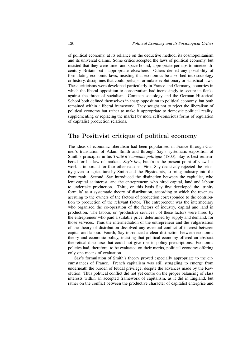of political economy, at its reliance on the deductive method, its cosmopolitanism and its universal claims. Some critics accepted the laws of political economy, but insisted that they were time- and space-bound, appropriate perhaps to nineteenthcentury Britain but inappropriate elsewhere. Others denied any possibility of formulating economic laws, insisting that economics be absorbed into sociology or history, disciplines that could perhaps formulate evolutionary or statistical laws. These criticisms were developed particularly in France and Germany, countries in which the liberal opposition to conservatism had increasingly to secure its flanks against the threat of socialism. Comtean sociology and the German Historical School both defined themselves in sharp opposition to political economy, but both remained within a liberal framework. They sought not to reject the liberalism of political economy but rather to make it appropriate to domestic political reality, supplementing or replacing the market by more self-conscious forms of regulation of capitalist production relations.

#### The Positivist critique of political economy

The ideas of economic liberalism had been popularised in France through Garnier's translation of Adam Smith and through Say's systematic exposition of Smith's principles in his *Traité d'économie politique* (1803). Say is best remembered for his law of markets, *Say's law*, but from the present point of view his work is important for four other reasons. First, Say decisively rejected the priority given to agriculture by Smith and the Physiocrats, to bring industry into the front rank. Second, Say introduced the distinction between the capitalist, who lent capital at interest, and the entrepreneur, who hired capital, land and labour to undertake production. Third, on this basis Say first developed the 'trinity formula' as a systematic theory of distribution, according to which the revenues accruing to the owners of the factors of production corresponded to the contribution to production of the relevant factor. The entrepreneur was the intermediary who organised the co-operation of the factors of industry, capital and land in production. The labour, or 'productive services', of these factors were hired by the entrepreneur who paid a suitable price, determined by supply and demand, for those services. Thus the intermediation of the entrepreneur and the vulgarisation of the theory of distribution dissolved any essential conflict of interest between capital and labour. Fourth, Say introduced a clear distinction between economic theory and economic policy, insisting that political economy offered an abstract theoretical discourse that could not give rise to policy prescriptions. Economic policies had, therefore, to be evaluated on their merits, political economy offering only one means of evaluation.

Say's formulation of Smith's theory proved especially appropriate to the circumstances of France. French capitalism was still struggling to emerge from underneath the burden of feudal privilege, despite the advances made by the Revolution. Thus political conflict did not yet centre on the proper balancing of class interests within an accepted framework of capitalism, as it did in England, but rather on the conflict between the productive character of capitalist enterprise and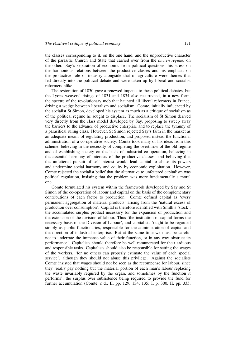the classes corresponding to it, on the one hand, and the unproductive character of the parasitic Church and State that carried over from the *ancien regime*, on the other. Say's separation of economic from political questions, his stress on the harmonious relations between the productive classes and his emphasis on the productive role of industry alongside that of agriculture were themes that fed directly into the political debate and were taken up by liberal and socialist reformers alike.

The restoration of 1830 gave a renewed impetus to these political debates, but the Lyons weavers' risings of 1831 and 1834 also resurrected, in a new form, the spectre of the revolutionary mob that haunted all liberal reformers in France, driving a wedge between liberalism and socialism. Comte, initially influenced by the socialist St Simon, developed his system as much as a critique of socialism as of the political regime he sought to displace. The socialism of St Simon derived very directly from the class model developed by Say, proposing to sweep away the barriers to the advance of productive enterprise and to replace the tyranny of a parasitical ruling class. However, St Simon rejected Say's faith in the market as an adequate means of regulating production, and proposed instead the functional administration of a co-operative society. Comte took many of his ideas from this scheme, believing in the necessity of completing the overthrow of the old regime and of establishing society on the basis of industrial co-operation, believing in the essential harmony of interests of the productive classes, and believing that the unfettered pursuit of self-interest would lead capital to abuse its powers and undermine social harmony and equity by economic exploitation. However, Comte rejected the socialist belief that the alternative to unfettered capitalism was political regulation, insisting that the problem was more fundamentally a moral one.

Comte formulated his system within the framework developed by Say and St Simon of the co-operation of labour and capital on the basis of the complementary contributions of each factor to production. Comte defined capital as 'every permanent aggregation of material products' arising from the 'natural excess of production over consumption'. Capital is therefore identified with Smith's 'stock', the accumulated surplus product necessary for the expansion of production and the extension of the division of labour. Thus 'the institution of capital forms the necessary basis of the Division of Labour', and capitalists 'ought to be regarded simply as public functionaries, responsible for the administration of capital and the direction of industrial enterprise. But at the same time we must be careful not to underrate the immense value of their function, or in any way obstruct its performance'. Capitalists should therefore be well remunerated for their arduous and responsible tasks. Capitalists should also be responsible for setting the wages of the workers, 'for no others can properly estimate the value of each special service', although they should not abuse this privilege. Against the socialists Comte insisted that wages should not be seen as the recompense for labour, since they 'really pay nothing but the material portion of each man's labour replacing the waste invariably required by the organ, and sometimes by the function it performs', the surplus over subsistence being required to provide the fund for further accumulation (Comte, n.d., II, pp. 129, 134, 135; I, p. 300, II, pp. 335,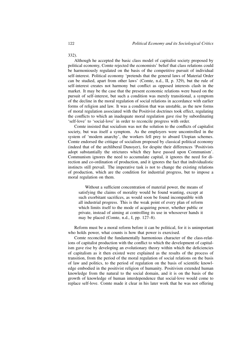332).

Although he accepted the basic class model of capitalist society proposed by political economy, Comte rejected the economists' belief that class relations could be harmoniously regulated on the basis of the competitive pursuit of individual self-interest. Political economy 'pretends that the general laws of Material Order can be studied, apart from other laws' (Comte, n.d., II, p. 329), but the rule of self-interest creates not harmony but conflict as opposed interests clash in the market. It may be the case that the present economic relations were based on the pursuit of self-interest, but such a condition was merely transitional, a symptom of the decline in the moral regulation of social relations in accordance with earlier forms of religion and law. It was a condition that was unstable, as the new forms of moral regulation associated with the Positivist doctrines took effect, regulating the conflicts to which an inadequate moral regulation gave rise by subordinating 'self-love' to 'social-love' in order to reconcile progress with order.

Comte insisted that socialism was not the solution to the conflicts of capitalist society, but was itself a symptom. As the employers were uncontrolled in the system of 'modern anarchy', the workers fell prey to absurd Utopian schemes. Comte endorsed the critique of socialism proposed by classical political economy (indeed that of the archliberal Dunoyer), for despite their differences 'Positivists adopt substantially the strictures which they have passed upon Communism'. Communism ignores the need to accumulate capital, it ignores the need for direction and co-ordination of production, and it ignores the fact that individualistic instincts still prevail. The imperative task is not to change the existing relations of production, which are the condition for industrial progress, but to impose a moral regulation on them.

Without a sufficient concentration of material power, the means of satisfying the claims of morality would be found wanting, except at such exorbitant sacrifices, as would soon be found incompatible with all industrial progress. This is the weak point of every plan of reform which limits itself to the mode of acquiring power, whether public or private, instead of aiming at controlling its use in whosoever hands it may be placed (Comte, n.d., I, pp. 127–8).

Reform must be a moral reform before it can be political, for it is unimportant who holds power, what counts is how that power is exercised.

Comte reconciled the fundamentally harmonious character of the class-relations of capitalist production with the conflict to which the development of capitalism gave rise by developing an evolutionary theory within which the deficiencies of capitalism as it then existed were explained as the results of the process of transition, from the period of the moral regulation of social relations on the basis of law and politics, to the period of regulation on the basis of scientific knowledge embodied in the positivist religion of humanity. Positivism extended human knowledge from the natural to the social domain, and it is on the basis of the growth of knowledge of human interdependence that social-love would come to replace self-love. Comte made it clear in his later work that he was not offering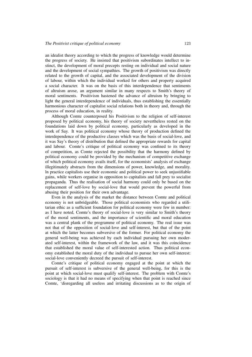an idealist theory according to which the progress of knowledge would determine the progress of society. He insisted that positivism subordinates intellect to instinct, the development of moral precepts resting on individual and social nature and the development of social sympathies. The growth of positivism was directly related to the growth of capital, and the associated development of the division of labour, within which the individual worked for others and property acquired a social character. It was on the basis of this interdependence that sentiments of altruism arose, an argument similar in many respects to Smith's theory of moral sentiments. Positivism hastened the advance of altruism by bringing to light the general interdependence of individuals, thus establishing the essentially harmonious character of capitalist social relations both in theory and, through the process of moral education, in reality.

Although Comte counterposed his Positivism to the religion of self-interest proposed by political economy, his theory of society nevertheless rested on the foundations laid down by political economy, particularly as developed in the work of Say. It was political economy whose theory of production defined the interdependence of the productive classes which was the basis of social-love, and it was Say's theory of distribution that defined the appropriate rewards for capital and labour. Comte's critique of political economy was confined to its theory of competition, as Comte rejected the possibility that the harmony defined by political economy could be provided by the mechanism of competitive exchange of which political economy avails itself, for the economists' analysis of exchange illegitimately abstracts from the dimensions of power, knowledge, and morality. ln practice capitalists use their economic and political power to seek unjustifiable gains, while workers organise in opposition to capitalists and fall prey to socialist propaganda. Thus the realisation of social harmony could only be based on the replacement of self-love by social-love that would prevent the powerful from abusing their position for their own advantage.

Even in the analysis of the market the distance between Comte and political economy is not unbridgeable. Those political economists who regarded a utilitarian ethic as a sufficient foundation for political economy were few in number: as I have noted, Comte's theory of social-love is very similar to Smith's theory of the moral sentiments, and the importance of scientific and moral education was a central plank of the programme of political economy. The real issue was not that of the opposition of social-love and self-interest, but that of the point at which the latter becomes subversive of the former. For political economy the general well-being was achieved by each individual pursuing her own moderated self-interest, within the framework of the law, and it was this coincidence that established the moral value of self-interested action. Thus political economy established the moral duty of the individual to pursue her own self-interest: social-love conveniently decreed the pursuit of self-interest.

Comte's critique of political economy engaged at the point at which the pursuit of self-interest is subversive of the general well-being, for this is the point at which social-love must qualify self-interest. The problem with Comte's sociology is that it had no means of specifying when that point is reached since Comte, 'disregarding all useless and irritating discussions as to the origin of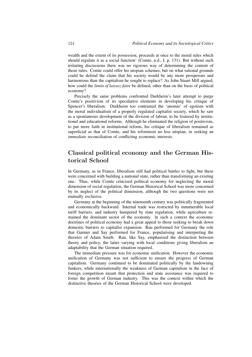wealth and the extent of its possession, proceeds at once to the moral rules which should regulate it as a social function' (Comte, n.d., I, p. 131). But without such irritating discussions there was no rigorous way of determining the content of those rules. Comte could offer his utopian schemes, but on what rational grounds could he defend the claim that his society would be any more prosperous and harmonious than the capitalism he sought to replace? As John Stuart Mill argued, how could the *limits of laissez-faire* be defined, other than on the basis of political economy?

Precisely the same problems confronted Durkheim's later attempt to purge Comte's positivism of its speculative elements in developing his critique of Spencer's liberalism. Durkheim too contrasted the 'anomie' of egotism with the moral individualism of a properly regulated capitalist society, which he saw as a spontaneous development of the division of labour, to be fostered by institutional and educational reforms. Although he eliminated the religion of positivism, to put more faith in institutional reform, his critique of liberalism remained as superficial as that of Comte, and his reformism no less utopian, in seeking an *immediate* reconciliation of conflicting economic interests.

### Classical political economy and the German Historical School

In Germany, as in France, liberalism still had political battles to fight, but these were concerned with building a national state, rather than transforming an existing one. Thus, while Comte criticised political economy for neglecting the moral dimension of social regulation, the German Historical School was more concerned by its neglect of the political dimension, although the two questions were not mutually exclusive.

Germany at the beginning of the nineteenth century was politically fragmented and economically backward. Internal trade was restricted by innumerable local tariff barriers, and industry hampered by state regulation, while agriculture remained the dominant sector of the economy. ln such a context the economic doctrines of political economy had a great appeal to those seeking to break down domestic barriers to capitalist expansion. Rau performed for Germany the role that Garnier and Say performed for France, popularising and interpreting the theories of Adam Smith. Rau, like Say, emphasised the distinction between theory and policy, the latter varying with local conditions giving liberalism an adaptability that the German situation required.

The immediate pressure was for economic unification. However the economic unification of Germany was not sufficient to ensure the progress of German capitalism. Germany continued to be dominated politically by the landowning Junkers, while internationally the weakness of German capitalism in the face of foreign competition meant that protection and state assistance was required to foster the growth of German industry. This was the context within which the distinctive theories of the German Historical School were developed.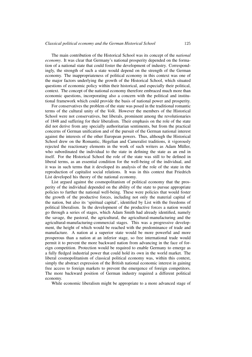The main contribution of the Historical School was its concept of the *national economy*. It was clear that Germany's national prosperity depended on the formation of a national state that could foster the development of industry. Correspondingly, the strength of such a state would depend on the strength of the German economy. The inappropriateness of political economy in this context was one of the major factors underlying the growth of the Historical School, which situated questions of economic policy within their historical, and especially their political, context. The concept of the national economy therefore embraced much more than economic questions, incorporating also a concern with the political and institutional framework which could provide the basis of national power and prosperity.

For conservatives the problem of the state was posed in the traditional romantic terms of the cultural unity of the *Volk*. However the members of the Historical School were not conservatives, but liberals, prominent among the revolutionaries of 1848 and suffering for their liberalism. Their emphasis on the role of the state did not derive from any specially authoritarian sentiments, but from the practical concerns of German unification and of the pursuit of the German national interest against the interests of the other European powers. Thus, although the Historical School drew on the Romantic, Hegelian and Cameralist traditions, it vigorously rejected the reactionary elements in the work of such writers as Adam Müller, who subordinated the individual to the state in defining the state as an end in itself. For the Historical School the role of the state was still to be defined in liberal terms, as an essential condition for the well-being of the individual, and it was in such terms that it developed its analysis of the role of the state in the reproduction of capitalist social relations. It was in this context that Friedrich List developed his theory of the national economy.

List argued against the cosmopolitanism of political economy that the prosperity of the individual depended on the ability of the state to pursue appropriate policies to further the national well-being. These were policies that would foster the growth of the productive forces, including not only the material capital of the nation, but also its 'spiritual capital', identified by List with the freedoms of political liberalism. In the development of the productive forces a nation would go through a series of stages, which Adam Smith had already identified, namely the savage, the pastoral, the agricultural, the agricultural-manufacturing and the agricultural-manufacturing-commercial stages. This was a progressive development, the height of which would be reached with the predominance of trade and manufacture. A nation at a superior state would be more powerful and more prosperous than a nation at an inferior stage, so free international trade would permit it to prevent the more backward nation from advancing in the face of foreign competition. Protection would be required to enable Germany to emerge as a fully fledged industrial power that could hold its own in the world market. The liberal cosmopolitanism of classical political economy was, within this context, simply the abstract expression of the British national economic interest in gaining free access to foreign markets to prevent the emergence of foreign competitors. The more backward position of German industry required a different political economy.

While economic liberalism might be appropriate to a more advanced stage of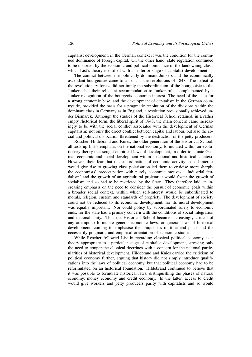capitalist development, in the German context it was the condition for the continued dominance of foreign capital. On the other hand, state regulation continued to be distorted by the economic and political dominance of the landowning class, which List's theory identified with an inferior stage of capitalist development.

The conflict between the politically dominant Junkers and the economically ascendant bourgeoisie came to a head in the revolutions of 1848. The defeat of the revolutionary forces did not imply the subordination of the bourgeoisie to the Junkers, but their reluctant accommodation to Junker rule, complemented by a Junker recognition of the bourgeois economic interest. The need of the state for a strong economic base, and the development of capitalism in the German countryside, provided the basis for a pragmatic resolution of the divisions within the dominant class in Germany as in England, a resolution provisionally achieved under Bismarck. Although the studies of the Historical School retained, in a rather empty rhetorical form, the liberal spirit of 1848, the main concern came increasingly to be with the social conflict associated with the development of German capitalism: not only the direct conflict between capital and labour, but also the social and political dislocation threatened by the destruction of the petty producers.

Roscher, Hildebrand and Knies, the older generation of the Historical School, all took up List's emphasis on the national economy, formulated within an evolutionary theory that sought empirical laws of development, in order to situate German economic and social development within a national and historical context. However, their fear that the subordination of economic activity to self-interest would give rise to growing class polarisation led them to criticise more sharply the economists' preoccupation with purely economic motives. 'Industrial feudalism' and the growth of an agricultural proletariat would foster the growth of socialism and so had to be restricted by the State. They therefore laid an increasing emphasis on the need to consider the pursuit of economic goals within a broader social context, within which self-interest would be subordinated to morals, religion, custom and standards of propriety. The development of society could not be reduced to its economic development, for its moral development was equally important. Nor could policy by subordinated solely to economic ends, for the state had a primary concern with the conditions of social integration and national unity. Thus the Historical School became increasingly critical of any attempt to formulate general economic laws, or general laws of historical development, coming to emphasise the uniqueness of time and place and the necessarily pragmatic and empirical orientation of economic studies.

While Roscher followed List in regarding classical political economy as a theory appropriate to a particular stage of capitalist development, stressing only the need to temper the classical doctrines with a concern for the national particularities of historical development, Hildebrand and Knies carried the criticism of political economy further, arguing that history did not simply introduce qualifications into the laws of political economy, but that political economy had to be reformulated on an historical foundation. Hildebrand continued to believe that it was possible to formulate historical laws, distinguishing the phases of natural economy, money economy and credit economy. In the latter, access to credit would give workers and petty producers parity with capitalists and so would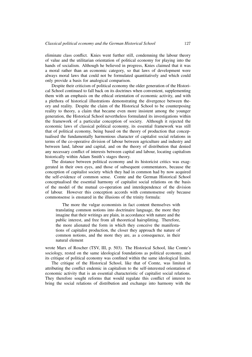eliminate class conflict. Knies went further still, condemning the labour theory of value and the utilitarian orientation of political economy for playing into the hands of socialism. Although he believed in progress, Knies claimed that it was a moral rather than an economic category, so that laws of development were always moral laws that could not be formulated quantitatively and which could only provide a basis for analogical comparison.

Despite their criticism of political economy the older generation of the Historical School continued to fall back on its doctrines when convenient, supplementing them with an emphasis on the ethical orientation of economic activity, and with a plethora of historical illustrations demonstrating the divergence between theory and reality. Despite the claim of the Historical School to be counterposing reality to theory, a claim that became even more insistent among the younger generation, the Historical School nevertheless formulated its investigations within the framework of a particular conception of society. Although it rejected the economic laws of classical political economy, its essential framework was still that of political economy, being based on the theory of production that conceptualised the fundamentally harmonious character of capitalist social relations in terms of the co-operative division of labour between agriculture and industry and between land, labour and capital, and on the theory of distribution that denied any necessary conflict of interests between capital and labour, locating capitalism historically within Adam Smith's stages theory.

The distance between political economy and its historicist critics was exaggerated in their own eyes, and those of subsequent commentators, because the conception of capitalist society which they had in common had by now acquired the self-evidence of common sense. Comte and the German Historical School conceptualised the essential harmony of capitalist social relations on the basis of the model of the mutual co-operation and interdependence of the division of labour. However this conception accords with commonsense only because commonsense is ensnared in the illusions of the trinity formula:

The more the vulgar economists in fact content themselves with translating common notions into doctrinaire language, the more they imagine that their writings are plain, in accordance with nature and the public interest, and free from all theoretical hairsplitting. Therefore, the more alienated the form in which they conceive the manifestations of capitalist production, the closer they approach the nature of common notions, and the more they are, as a consequence, in their natural element

wrote Marx of Roscher (TSV, III, p. 503). The Historical School, like Comte's sociology, rested on the same ideological foundations as political economy, and its critique of political economy was confined within the same ideological limits.

The critique of the Historical School, like that of Comte, was limited in attributing the conflict endemic in capitalism to the self-interested orientation of economic activity that is an essential characteristic of capitalist social relations. They therefore sought reforms that would regulate this conflict of interest to bring the social relations of distribution and exchange into harmony with the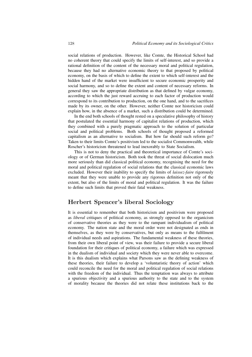social relations of production. However, like Comte, the Historical School had no coherent theory that could specify the limits of self-interest, and so provide a rational definition of the content of the necessary moral and political regulation, because they had no alternative economic theory to that proposed by political economy, on the basis of which to define the extent to which self-interest and the hidden hand of the market were insufficient to secure economic prosperity and social harmony, and so to define the extent and content of necessary reforms. In general they saw the appropriate distribution as that defined by vulgar economy, according to which the just reward accruing to each factor of production would correspond to its contribution to production, on the one hand, and to the sacrifices made by its owner, on the other. However, neither Comte nor historicism could explain how, in the absence of a market, such a distribution could be determined.

In the end both schools of thought rested on a speculative philosophy of history that postulated the essential harmony of capitalist relations of production, which they combined with a purely pragmatic approach to the solution of particular social and political problems. Both schools of thought proposed a reformed capitalism as an alternative to socialism. But how far should such reform go? Taken to their limits Comte's positivism led to the socialist Commonwealth, while Roscher's historicism threatened to lead inexorably to State Socialism.

This is not to deny the practical and theoretical importance of Comte's sociology or of German historicism. Both took the threat of social dislocation much more seriously than did classical political economy, recognising the need for the moral and political regulation of social relations that the classical economic laws excluded. However their inability to specify the limits of *laissez-faire* rigorously meant that they were unable to provide any rigorous definition not only of the extent, but also of the limits of moral and political regulation. It was the failure to define such limits that proved their fatal weakness.

#### Herbert Spencer's liberal Sociology

It is essential to remember that both historicism and positivism were proposed as *liberal* critiques of political economy, as strongly opposed to the organicism of conservative theories as they were to the rampant individualism of political economy. The nation state and the moral order were not designated as ends in themselves, as they were by conservatives, but only as means to the fulfilment of individual needs and aspirations. The fundamental weakness of these theories, from their own liberal point of view, was their failure to provide a secure liberal foundation for their critiques of political economy, a failure which was expressed in the dualism of individual and society which they were never able to overcome. It is this dualism which explains what Parsons saw as the defining weakness of these theories, their failure to develop a 'voluntaristic theory of action' which could reconcile the need for the moral and political regulation of social relations with the freedom of the individual. Thus the temptation was always to attribute a spurious objectivity and a spurious authority to the state and to the system of morality because the theories did not relate these institutions back to the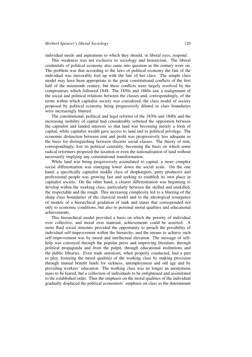individual needs and aspirations to which they should, in liberal eyes, respond.

This weakness was not exclusive to sociology and historicism. The liberal credentials of political economy also came into question as the century wore on. The problem was that according to the laws of political economy the fate of the individual was inexorably tied up with the fate of her class. The simple class model may have been appropriate to the great constitutional conflicts of the first half of the nineteenth century, but these conflicts were largely resolved by the compromises which followed 1848. The 1850s and 1860s saw a realignment of the social and political relations between the classes and, correspondingly, of the terms within which capitalist society was considered, the class model of society proposed by political economy being progressively diluted as class boundaries were increasingly blurred.

The constitutional, political and legal reforms of the 1830s and 1840s and the increasing mobility of capital had considerably softened the opposition between the capitalist and landed interests so that land was becoming merely a form of capital, while capitalist wealth gave access to land and to political privilege. The economic distinction between rent and profit was progressively less adequate as the basis for distinguishing between discrete social classes. The theory of rent, correspondingly, lost its political centrality, becoming the basis on which some radical reformers proposed the taxation or even the nationalisation of land without necessarily implying any constitutional transformation.

While land was being progressively assimilated to capital, a more complex social differentiation was emerging lower down the social scale. On the one hand, a specifically capitalist middle class of shopkeepers, petty producers and professional people was growing fast and seeking to establish its own place in capitalist society. On the other hand, a clearer differentiation was beginning to develop within the working class, particularly between the skilled and unskilled, the respectable and the rough. This increasing complexity led to a blurring of the sharp class boundaries of the classical model and to the ideological resurgence of models of a hierarchical gradation of rank and status that corresponded not only to economic conditions, but also to personal moral qualities and educational achievements.

This hierarchical model provided a basis on which the priority of individual over collective, and moral over material, achievements could be asserted. A more fluid social structure provided the opportunity to preach the possibility of individual self-improvement within the hierarchy, and the means to achieve such self-improvement was by moral and intellectual elevation. The message of selfhelp was conveyed through the popular press and improving literature, through political propaganda and from the pulpit, through educational institutions and the public libraries. Even trade unionism, when properly conducted, had a part to play, fostering the moral qualities of the working class by making provision through mutual benefit funds for sickness, unemployment and old age and by providing workers' education. The working class was no longer an anonymous mass to be feared, but a collection of individuals to be enlightened and assimilated to the established order. Thus the emphasis on the moral qualities of the individual gradually displaced the political economists' emphasis on class as the determinant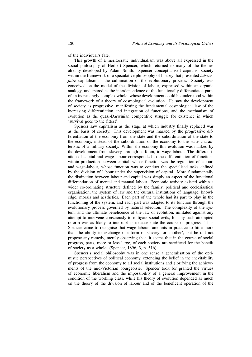of the individual's fate.

This growth of a meritocratic individualism was above all expressed in the social philosophy of Herbert Spencer, which returned to many of the themes already developed by Adam Smith. Spencer conceptualised capitalist society within the framework of a speculative philosophy of history that presented *laissezfaire* capitalism as the culmination of the evolutionary process. Society was conceived on the model of the division of labour, expressed within an organic analogy, understood as the interdependence of the functionally differentiated parts of an increasingly complex whole, whose development could be understood within the framework of a theory of cosmological evolution. He saw the development of society as progressive, manifesting the fundamental cosmological law of the increasing differentiation and integration of functions, and the mechanism of evolution as the quasi-Darwinian competitive struggle for existence in which 'survival goes to the fittest'.

Spencer saw capitalism as the stage at which industry finally replaced war as the basis of society. This development was marked by the progressive differentiation of the economy from the state and the subordination of the state to the economy, instead of the subordination of the economy to the state characteristic of a military society. Within the economy this evolution was marked by the development from slavery, through serfdom, to wage-labour. The differentiation of capital and wage-labour corresponded to the differentiation of functions within production between capital, whose function was the regulation of labour, and wage-labour, whose function was to conduct the specialised tasks defined by the division of labour under the supervision of capital. More fundamentally the distinction between labour and capital was simply an aspect of the functional differentiation of mental and manual labour. Economic activity existed within a wider co-ordinating structure defined by the family, political and ecclesiastical organisation, the system of law and the cultural institutions of language, knowledge, morals and aesthetics. Each part of the whole had its part to play in the functioning of the system, and each part was adapted to its function through the evolutionary process governed by natural selection. The complexity of the system, and the ultimate beneficence of the law of evolution, militated against any attempt to intervene consciously to mitigate social evils, for any such attempted reform was as likely to interrupt as to accelerate the course of progress. Thus Spencer came to recognise that wage-labour 'amounts in practice to little more than the ability to exchange one form of slavery for another', but he did not propose any remedy, merely observing that 'it seems that in the course of social progress, parts, more or less large, of each society are sacrificed for the benefit of society as a whole' (Spencer, 1896, 3, p. 516).

Spencer's social philosophy was in one sense a generalisation of the optimistic perspectives of political economy, extending the belief in the inevitability of progress from the economy to all social institutions and glorifying the achievements of the mid-Victorian bourgeoisie. Spencer took for granted the virtues of economic liberalism and the impossibility of a general improvement in the condition of the working class, while his theory of evolution depended as much on the theory of the division of labour and of the beneficent operation of the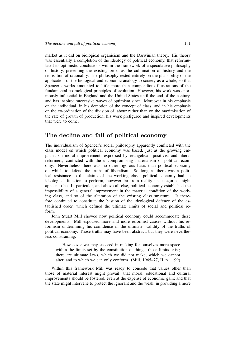market as it did on biological organicism and the Darwinian theory. His theory was essentially a completion of the ideology of political economy, that reformulated its optimistic conclusions within the framework of a speculative philosophy of history, presenting the existing order as the culmination of history and the realisation of rationality. The philosophy rested entirely on the plausibility of the application of the biological and economic analogy to society as a whole, so that Spencer's works amounted to little more than compendious illustrations of the fundamental cosmological principles of evolution. However, his work was enormously influential in England and the United States until the end of the century, and has inspired successive waves of optimism since. Moreover in his emphasis on the individual, in his demotion of the concept of class, and in his emphasis on the co-ordination of the division of labour rather than on the maximisation of the rate of growth of production, his work prefigured and inspired developments that were to come.

#### The decline and fall of political economy

The individualism of Spencer's social philosophy apparently conflicted with the class model on which political economy was based, just as the growing emphasis on moral improvement, expressed by evangelical, positivist and liberal reformers, conflicted with the uncompromising materialism of political economy. Nevertheless there was no other rigorous basis than political economy on which to defend the truths of liberalism. So long as there was a political resistance to the claims of the working class, political economy had an ideological function to perform, however far from reality its categories might appear to be. In particular, and above all else, political economy established the impossibility of a general improvement in the material condition of the working class, and so of the alteration of the existing class structure. It therefore continued to constitute the bastion of the ideological defence of the established order, which defined the ultimate limits of social and political reform.

John Stuart Mill showed how political economy could accommodate these developments. Mill espoused more and more reformist causes without his reformism undermining his confidence in the ultimate validity of the truths of political economy. Those truths may have been abstract, but they were nevertheless constraining:

Howsoever we may succeed in making for ourselves more space within the limits set by the constitution of things, those limits exist; there are ultimate laws, which we did not make, which we cannot alter, and to which we can only conform. (Mill, 1965–77, II, p. 199)

Within this framework Mill was ready to concede that values other than those of material interest might prevail; that moral, educational and cultural improvements should be fostered, even at the expense of economic gain; and that the state might intervene to protect the ignorant and the weak, in providing a more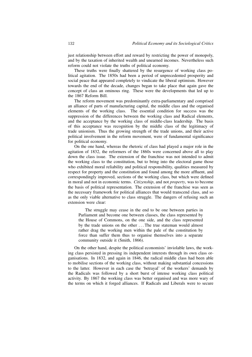just relationship between effort and reward by restricting the power of monopoly, and by the taxation of inherited wealth and unearned incomes. Nevertheless such reform could not violate the truths of political economy.

These truths were finally shattered by the resurgence of working class political agitation. The 1850s had been a period of unprecedented prosperity and social peace that appeared completely to vindicate the liberal optimism. However towards the end of the decade, changes began to take place that again gave the concept of class an ominous ring. These were the developments that led up to the 1867 Reform Bill.

The reform movement was predominantly extra-parliamentary and comprised an alliance of parts of manufacturing capital, the middle class and the organised elements of the working class. The essential condition for success was the suppression of the differences between the working class and Radical elements, and the acceptance by the working class of middle-class leadership. The basis of this acceptance was recognition by the middle class of the legitimacy of trade unionism. Thus the growing strength of the trade unions, and their active political involvement in the reform movement, were of fundamental significance for political economy.

On the one hand, whereas the rhetoric of class had played a major role in the agitation of 1832, the reformers of the 1860s were concerned above all to play down the class issue. The extension of the franchise was not intended to admit the working class to the constitution, but to bring into the electoral game those who exhibited moral reliability and political responsibility, qualities measured by respect for property and the constitution and found among the more affluent, and correspondingly improved, sections of the working class, but which were defined in moral and not in economic terms. *Citizenship*, and not *property*, was to become the basis of political representation. The extension of the franchise was seen as the necessary framework for political alliances that would transcend class, and so as the only viable alternative to class struggle. The dangers of refusing such an extension were clear:

The struggle may cease in the end to be one between parties in Parliament and become one between classes, the class represented by the House of Commons, on the one side, and the class represented by the trade unions on the other . . . The true stateman would almost rather drag the working men within the pale of the constitution by force than suffer them thus to organise themselves into a separate community outside it (Smith, 1866).

On the other hand, despite the political economists' inviolable laws, the working class persisted in pressing its independent interests through its own class organisations. In 1832, and again in 1846, the radical middle class had been able to mobilise sections of the working class, without making substantial concessions to the latter. However in each case the 'betrayal' of the workers' demands by the Radicals was followed by a short burst of intense working class political activity. By 1867 the working class was better organised and was more wary of the terms on which it forged alliances. If Radicals and Liberals were to secure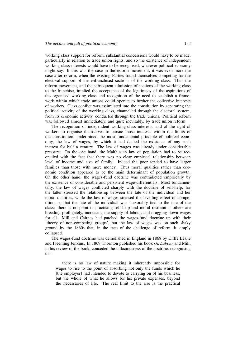working class support for reform, substantial concessions would have to be made, particularly in relation to trade union rights, and so the existence of independent working-class interests would have to be recognised, whatever political economy might say. If this was the case in the reform movement, it was even more the case after reform, when the existing Parties found themselves competing for the electoral support of the enfranchised sections of the working class. Thus the reform movement, and the subsequent admission of sections of the working class to the franchise, implied the acceptance of the legitimacy of the aspirations of the organised working class and recognition of the need to establish a framework within which trade unions could operate to further the collective interests of workers. Class conflict was assimilated into the constitution by separating the political activity of the working class, channelled through the electoral system, from its economic activity, conducted through the trade unions. Political reform was followed almost immediately, and quite inevitably, by trade union reform.

The recognition of independent working-class interests, and of the right of workers to organise themselves to pursue those interests within the limits of the constitution, undermined the most fundamental principle of political economy, the law of wages, by which it had denied the existence of any such interest for half a century. The law of wages was already under considerable pressure. On the one hand, the Malthusian law of population had to be reconciled with the fact that there was no clear empirical relationship between level of income and size of family. Indeed the poor tended to have larger families than those with more money. Thus moral qualities rather than economic condition appeared to be the main determinant of population growth. On the other hand, the wages-fund doctrine was contradicted empirically by the existence of considerable and persistent wage-differentials. Most fundamentally, the law of wages conflicted sharply with the doctrine of self-help, for the latter stressed the relationship between the fate of the individual and her moral qualities, while the law of wages stressed the levelling effect of competition, so that the fate of the individual was inexorably tied to the fate of the class: there is no point in practising self-help and moral restraint if others are breeding profligately, increasing the supply of labour, and dragging down wages for all. Mill and Cairnes had patched the wages-fund doctrine up with their 'theory of non-competing groups', but the law of wages was on such shaky ground by the 1860s that, in the face of the challenge of reform, it simply collapsed.

The wages-fund doctrine was demolished in England in 1868 by Cliffe Leslie and Fleeming Jenkins. In 1869 Thornton published his book *On Labour* and Mill, in his review of the book, conceded the fallaciousness of the doctrine, recognising that

there is no law of nature making it inherently impossible for wages to rise to the point of absorbing not only the funds which he [the employer] had intended to devote to carrying on of his business, but the whole of what he allows for his private expenses, beyond the necessaries of life. The real limit to the rise is the practical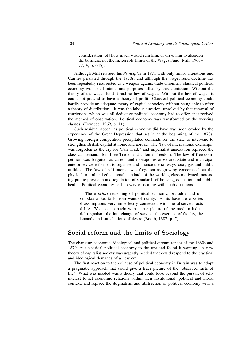consideration [of] how much would ruin him, or drive him to abandon the business, not the inexorable limits of the Wages Fund (Mill, 1965– 77, V, p. 645).

Although Mill reissued his *Principles* in 1871 with only minor alterations and Cairnes persisted through the 1870s, and although the wages-fund doctrine has been repeatedly resurrected as a weapon against trade unionism, classical political economy was to all intents and purposes killed by this admission. Without the theory of the wages-fund it had no law of wages. Without the law of wages it could not pretend to have a theory of profit. Classical political economy could hardly provide an adequate theory of capitalist society without being able to offer a theory of distribution. 'It was the labour question, unsolved by that removal of restrictions which was all deductive political economy had to offer, that revived the method of observation. Political economy was transformed by the working classes' (Toynbee, 1969, p. 11).

Such residual appeal as political economy did have was soon eroded by the experience of the Great Depression that set in at the beginning of the 1870s. Growing foreign competition precipitated demands for the state to intervene to strengthen British capital at home and abroad. The 'law of international exchange' was forgotten as the cry for 'Fair Trade' and imperialist annexation replaced the classical demands for 'Free Trade' and colonial freedom. The law of free competition was forgotten as cartels and monopolies arose and State and municipal enterprises were formed to organise and finance the railways, coal, gas and public utilities. The law of self-interest was forgotten as growing concerns about the physical, moral and educational standards of the working class motivated increasing public provision and regulation of standards of housing, education and public health. Political economy had no way of dealing with such questions.

The *a priori* reasoning of political economy, orthodox and unorthodox alike, fails from want of reality. At its base are a series of assumptions very imperfectly connected with the observed facts of life. We need to begin with a true picture of the modern industrial organism, the interchange of service, the exercise of faculty, the demands and satisfactions of desire (Booth, 1887, p. 7).

#### Social reform and the limits of Sociology

The changing economic, ideological and political circumstances of the 1860s and 1870s put classical political economy to the test and found it wanting. A new theory of capitalist society was urgently needed that could respond to the practical and ideological demands of a new era.

The first reaction to the collapse of political economy in Britain was to adopt a pragmatic approach that could give a truer picture of the 'observed facts of life'. What was needed was a theory that could look beyond the pursuit of selfinterest to set economic relations within their institutional, political and moral context, and replace the dogmatism and abstraction of political economy with a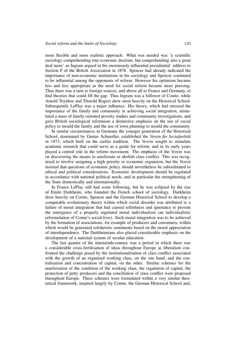more flexible and more realistic approach. What was needed was 'a scientific sociology comprehending true economic doctrine, but comprehending also a great deal more' as Ingram argued in his enormously influential presidential address to Section F of the British Association in 1878. Spencer had already indicated the importance of non-economic institutions in his sociology and Spencer continued to be influential among the opponents of reform. However his optimism became less and less appropriate as the need for social reform became more pressing. Thus there was a turn to foreign sources, and above all to France and Germany, to find theories that could fill the gap. Thus Ingram was a follower of Comte, while Arnold Toynbee and Thorold Rogers drew most heavily on the Historical School. Subsequently LePlay was a major influence. His theory, which had stressed the importance of the family and community in achieving social integration, stimulated a mass of family-oriented poverty studies and community investigations, and gave British sociological reformism a distinctive emphasis on the use of social policy to mould the family and the use of town planning to mould the community.

In similar circumstances in Germany the younger generation of the Historical School, dominated by Gustav Schmoller, established the *Verein für Sozialpolitik* in 1873, which built on the earlier tradition. The *Verein* sought to stimulate academic research that could serve as a guide for reform, and in its early years played a central role in the reform movement. The emphasis of the *Verein* was on discovering the means to ameliorate or abolish class conflict. This was recognised to involve assigning a high priority to economic expansion, but the *Verein* insisted that questions of economic policy should nevertheless be subordinated to ethical and political considerations. Economic development should be regulated in accordance with national political needs, and in particular the strengthening of the State domestically and internationally.

In France LePlay still had some following, but he was eclipsed by the rise of Emile Durkheim, who founded the French school of sociology. Durkheim drew heavily on Comte, Spencer and the German Historical School to develop a comparable evolutionary theory within which social disorder was attributed to a failure of moral integration that had caused selfishness and ignorance to prevent the emergence of a properly regulated moral individualism (an individualistic reformulation of Comte's social-love). Such moral integration was to be achieved by the formation of associations, for example of producers and consumers, within which would be generated solidaristic sentiments based on the moral appreciation of interdependence. The Durkheimians also placed considerable emphasis on the development of a national system of secular education.

The last quarter of the nineteenth-century was a period in which there was a considerable cross-fertilisation of ideas throughout Europe as liberalism confronted the challenge posed by the institutionalisation of class conflict associated with the growth of an organised working class, on the one hand, and the centralisation and concentration of capital, on the other. Similar schemes for the amelioration of the condition of the working class, the regulation of capital, the protection of petty producers and the conciliation of class conflict were proposed throughout Europe. These schemes were formulated within a very similar theoretical framework, inspired largely by Comte, the German Historical School and,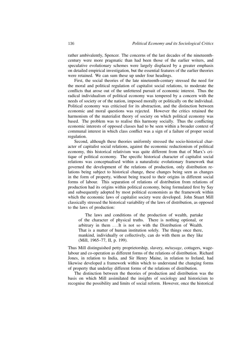rather ambivalently, Spencer. The concerns of the last decades of the nineteenthcentury were more pragmatic than had been those of the earlier writers, and speculative evolutionary schemes were largely displaced by a greater emphasis on detailed empirical investigation, but the essential features of the earlier theories were retained. We can sum these up under four headings.

First, the social theories of the late nineteenth-century stressed the need for the moral and political regulation of capitalist social relations, to moderate the conflicts that arose out of the unfettered pursuit of economic interest. Thus the radical individualism of political economy was tempered by a concern with the needs of society or of the nation, imposed morally or politically on the individual. Political economy was criticised for its abstraction, and the distinction between economic and moral questions was rejected. However the critics retained the harmonism of the materialist theory of society on which political economy was based. The problem was to realise this harmony socially. Thus the conflicting economic interests of opposed classes had to be seen within a broader context of communal interest in which class conflict was a sign of a failure of proper social regulation.

Second, although these theories uniformly stressed the socio-historical character of capitalist social relations, against the economic reductionism of political economy, this historical relativism was quite different from that of Marx's critique of political economy. The specific historical character of capitalist social relations was conceptualised within a naturalistic evolutionary framework that governed the development of the relations of production, only distribution relations being subject to historical change, these changes being seen as changes in the form of property, without being traced to their origins in different social forms of labour. This separation of relations of distribution from relations of production had its origins within political economy, being formulated first by Say and subsequently adopted by most political economists as the framework within which the economic laws of capitalist society were developed. John Stuart Mill classically stressed the historical variability of the laws of distribution, as opposed to the laws of production:

The laws and conditions of the production of wealth, partake of the character of physical truths. There is nothing optional, or arbitrary in them . . . It is not so with the Distribution of Wealth. That is a matter of human institution solely. The things once there, mankind, individually or collectively, can do with them as they like (Mill, 1965–77, II, p. 199).

Thus Mill distinguished petty proprietorship, slavery, *métayage*, cottagers, wagelabour and co-operation as different forms of the relations of distribution. Richard Jones, in relation to India, and Sir Henry Maine, in relation to Ireland, had likewise developed a framework within which to understand the changing forms of property that underlay different forms of the relations of distribution.

The distinction between the theories of production and distribution was the basis on which Mill assimilated the insights of sociology and historicism to recognise the possibility and limits of social reform. However, once the historical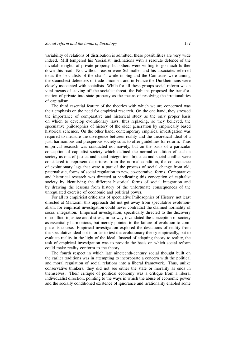variability of relations of distribution is admitted, these possibilities are very wide indeed. Mill tempered his 'socialist' inclinations with a resolute defence of the inviolable rights of private property, but others were willing to go much further down this road. Not without reason were Schmoller and his associates referred to as the 'socialists of the chair', while in England the Comteans were among the staunchest defenders of trade unionism and in France the Durkheimians were closely associated with socialists. While for all these groups social reform was a vital means of staving off the socialist threat, the Fabians proposed the transformation of private into state property as the means of resolving the irrationalities of capitalism.

The third essential feature of the theories with which we are concerned was their emphasis on the need for empirical research. On the one hand, they stressed the importance of comparative and historical study as the only proper basis on which to develop evolutionary laws, thus replacing, so they believed, the speculative philosophies of history of the older generation by empirically based historical schemes. On the other hand, contemporary empirical investigation was required to measure the divergence between reality and the theoretical ideal of a just, harmonious and prosperous society so as to offer guidelines for reform. Thus empirical research was conducted not naively, but on the basis of a particular conception of capitalist society which defined the normal condition of such a society as one of justice and social integration. Injustice and social conflict were considered to represent departures from the normal condition, the consequence of evolutionary lags that were a part of the process of social change from old, paternalistic, forms of social regulation to new, co-operative, forms. Comparative and historical research was directed at vindicating this conception of capitalist society by identifying the different historical forms of social integration and by drawing the lessons from history of the unfortunate consequences of the unregulated exercise of economic and political power.

For all its empiricist criticisms of speculative Philosophies of History, not least directed at Marxism, this approach did not get away from speculative evolutionalism, for empirical investigation could never contradict the claimed normality of social integration. Empirical investigation, specifically directed to the discovery of conflict, injustice and distress, in no way invalidated the conception of society as essentially harmonious, but merely pointed to the failure of evolution to complete its course. Empirical investigation explored the deviations of reality from the speculative ideal not in order to test the evolutionary theory empirically, but to evaluate reality in the light of the ideal. Instead of adapting theory to reality, the task of empirical investigation was to provide the basis on which social reform could make reality conform to the theory.

The fourth respect in which late nineteenth-century social thought built on the earlier traditions was in attempting to incorporate a concern with the political and moral regulation of social relations into a liberal framework. Thus, unlike conservative thinkers, they did not see either the state or morality as ends in themselves. Their critique of political economy was a critique from a liberal individualist direction, pointing to the ways in which the abuse of economic power and the socially conditioned existence of ignorance and irrationality enabled some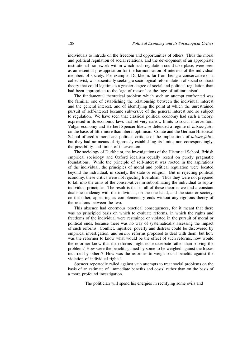individuals to intrude on the freedom and opportunities of others. Thus the moral and political regulation of social relations, and the development of an appropriate institutional framework within which such regulation could take place, were seen as an essential presupposition for the harmonisation of interests of the individual members of society. For example, Durkheim, far from being a conservative or a collectivist, was essentially seeking a sociological reformulation of social contract theory that could legitimate a greater degree of social and political regulation than had been appropriate to the 'age of reason' or the 'age of utilitarianism'.

The fundamental theoretical problem which such an attempt confronted was the familiar one of establishing the relationship between the individual interest and the general interest, and of identifying the point at which the unrestrained pursuit of self-interest became subversive of the general interest and so subject to regulation. We have seen that classical political economy had such a theory, expressed in its economic laws that set very narrow limits to social intervention. Vulgar economy and Herbert Spencer likewise defended a regime of *laissez-faire* on the basis of little more than liberal optimism. Comte and the German Historical School offered a moral and political critique of the implications of *laissez-faire*, but they had no means of rigorously establishing its limits, nor, correspondingly, the possibility and limits of intervention.

The sociology of Durkheim, the investigations of the Historical School, British empirical sociology and Oxford idealism equally rested on purely pragmatic foundations. While the principle of self-interest was rooted in the aspirations of the individual, the principles of moral and political regulation were located beyond the individual, in society, the state or religion. But in rejecting political economy, these critics were not rejecting liberalism. Thus they were not prepared to fall into the arms of the conservatives in subordinating the individual to supraindividual principles. The result is that in all of these theories we find a constant dualistic tendency with the individual, on the one hand, and the state or society, on the other, appearing as complementary ends without any rigorous theory of the relations between the two.

This absence had enormous practical consequences, for it meant that there was no principled basis on which to evaluate reforms, in which the rights and freedoms of the individual were restrained or violated in the pursuit of moral or political ends, because there was no way of systematically assessing the impact of such reforms. Conflict, injustice, poverty and distress could be discovered by empirical investigation, and *ad hoc* reforms proposed to deal with them, but how was the reformer to know what would be the effect of such reforms, how would the reformer know that the reforms might not exacerbate rather than solving the problem? How were the benefits gained by some to be weighed against the losses incurred by others? How was the reformer to weigh social benefits against the violation of individual rights?

Spencer repeatedly railed against vain attempts to treat social problems on the basis of an estimate of 'immediate benefits and costs' rather than on the basis of a more profound investigation.

The politician will spend his energies in rectifying some evils and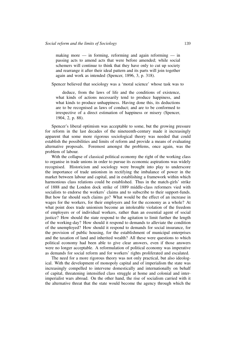making more — in forming, reforming and again reforming — in passing acts to amend acts that were before amended; while social schemers will continue to think that they have only to cut up society and rearrange it after their ideal pattern and its parts will join together again and work as intended (Spencer, 1896, 3, p. 318).

Spencer believed that sociology was a 'moral science' whose task was to

deduce, from the laws of life and the conditions of existence, what kinds of actions necessarily tend to produce happiness, and what kinds to produce unhappiness. Having done this, its deductions are to be recognised as laws of conduct; and are to be conformed to irrespective of a direct estimation of happiness or misery (Spencer, 1904, 2, p. 88).

Spencer's liberal optimism was acceptable to some, but the growing pressure for reform in the last decades of the nineteenth-century made it increasingly apparent that some more rigorous sociological theory was needed that could establish the possibilities and limits of reform and provide a means of evaluating alternative proposals. Foremost amongst the problems, once again, was the problem of labour.

With the collapse of classical political economy the right of the working class to organise in trade unions in order to pursue its economic aspirations was widely recognised. Historicism and sociology were brought into play to underscore the importance of trade unionism in rectifying the imbalance of power in the market between labour and capital, and in establishing a framework within which harmonious class relations could be established. Thus in the match-girls' strike of 1888 and the London dock strike of 1889 middle-class reformers vied with socialists to endorse the workers' claims and to subscribe to their support-funds. But how far should such claims go? What would be the effect of an increase in wages for the workers, for their employers and for the economy as a whole? At what point does trade unionism become an intolerable violation of the freedom of employers or of individual workers, rather than an essential agent of social justice? How should the state respond to the agitation to limit further the length of the working-day? How should it respond to demands to alleviate the condition of the unemployed? How should it respond to demands for social insurance, for the provision of public housing, for the establishment of municipal enterprises and the taxation of land and inherited wealth? All these were questions to which political economy had been able to give clear answers, even if those answers were no longer acceptable. A reformulation of political economy was imperative as demands for social reform and for workers' rights proliferated and escalated.

The need for a more rigorous theory was not only practical, but also ideological. With the development of monopoly capital and of imperialism the state was increasingly compelled to intervene domestically and internationally on behalf of capital, threatening intensified class struggle at home and colonial and interimperialist wars abroad. On the other hand, the rise of socialism carried with it the alternative threat that the state would become the agency through which the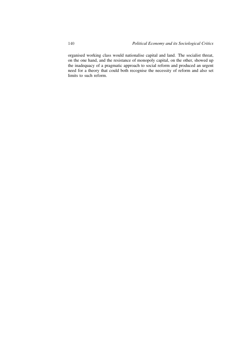organised working class would nationalise capital and land. The socialist threat, on the one hand, and the resistance of monopoly capital, on the other, showed up the inadequacy of a pragmatic approach to social reform and produced an urgent need for a theory that could both recognise the necessity of reform and also set limits to such reform.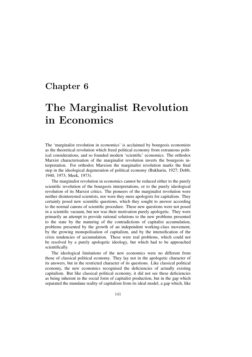# Chapter 6

# The Marginalist Revolution in Economics

The 'marginalist revolution in economics' is acclaimed by bourgeois economists as the theoretical revolution which freed political economy from extraneous political considerations, and so founded modern 'scientific' economics. The orthodox Marxist characterisation of the marginalist revolution inverts the bourgeois interpretation. For orthodox Marxism the marginalist revolution marks the final step in the ideological degeneration of political economy (Bukharin, 1927; Dobb, 1940, 1973; Meek, 1973).

The marginalist revolution in economics cannot be reduced either to the purely scientific revolution of the bourgeois interpretations, or to the purely ideological revolution of its Marxist critics. The pioneers of the marginalist revolution were neither disinterested scientists, nor were they mere apologists for capitalism. They certainly posed new scientific questions, which they sought to answer according to the normal canons of scientific procedure. These new questions were not posed in a scientific vacuum, but nor was their motivation purely apologetic. They were primarily an attempt to provide rational solutions to the new problems presented to the state by the maturing of the contradictions of capitalist accumulation, problems presented by the growth of an independent working-class movement, by the growing monopolisation of capitalism, and by the intensification of the crisis tendencies of accumulation. These were real problems, which could not be resolved by a purely apologetic ideology, but which had to be approached scientifically.

The ideological limitations of the new economics were no different from those of classical political economy. They lay not in the apologetic character of its answers, but in the restricted character of its questions. Like classical political economy, the new economics recognised the deficiencies of actually existing capitalism. But like classical political economy, it did not see these deficiencies as being inherent in the social form of capitalist production, but in the gap which separated the mundane reality of capitalism from its ideal model, a gap which, like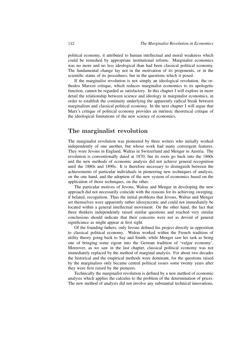political economy, it attributed to human intellectual and moral weakness which could be remedied by appropriate institutional reform. Marginalist economics was no more and no less ideological than had been classical political economy. The fundamental change lay not in the motivation of its proponents, or in the scientific status of its procedures, but in the questions which it posed.

If the marginalist revolution is not simply an ideological revolution, the orthodox Marxist critique, which reduces marginalist economics to its apologetic function, cannot be regarded as satisfactory. In this chapter I will explore in more detail the relationship between science and ideology in marginalist economics, in order to establish the continuity underlying the apparently radical break between marginalism and classical political economy. In the next chapter I will argue that Marx's critique of political economy provides an intrinsic theoretical critique of the ideological limitations of the new science of economics.

### The marginalist revolution

The marginalist revolution was pioneered by three writers who initially worked independently of one another, but whose work had many convergent features. They were Jevons in England, Walras in Switzerland and Menger in Austria. The revolution is conventionally dated at 1870, but its roots go back into the 1860s and the new methods of economic analysis did not achieve general recognition until the 1880s and 1890s. It is therefore necessary to distinguish between the achievements of particular individuals in pioneering new techniques of analysis, on the one hand, and the adoption of the new system of economics based on the application of those techniques, on the other.

The particular motives of Jevons, Walras and Menger in developing the new approach did not necessarily coincide with the reasons for its achieving sweeping, if belated, recognition. Thus the initial problems that Jevons, Walras and Menger set themselves were apparently rather idiosyncratic and could not immediately be located within a general intellectual movement. On the other hand, the fact that three thinkers independently raised similar questions and reached very similar conclusions should indicate that their concerns were not as devoid of general significance as might appear at first sight.

Of the founding fathers, only Jevons defined his project directly in opposition to classical political economy. Walras worked within the French tradition of utility theory going back to Say and Smith, while Menger saw his task as being one of bringing some rigour into the German tradition of 'vulgar economy'. Moreover, as we saw in the last chapter, classical political economy was not immediately replaced by the method of marginal analysis. For about two decades the historical and the empirical methods were dominant, for the questions raised by the marginalists only became central political issues some twenty years after they were first raised by the pioneers.

Technically the marginalist revolution is defined by a new method of economic analysis which applies the calculus to the problem of the determination of prices. The new method of analysis did not involve any substantial technical innovations,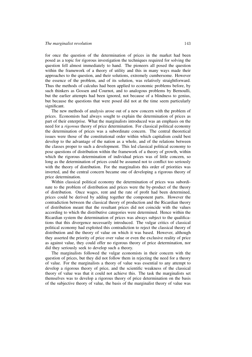#### *The marginalist revolution* 143

for once the question of the determination of prices in the market had been posed as a topic for rigorous investigation the techniques required for solving the question fell almost immediately to hand. The pioneers all posed the question within the framework of a theory of utility and this in many ways made their approaches to the question, and their solutions, extremely cumbersome. However the essence of the problem, and of its solution, was relatively straightforward. Thus the methods of calculus had been applied to economic problems before, by such thinkers as Gossen and Cournot, and to analogous problems by Bernoulli, but the earlier attempts had been ignored, not because of a blindness to genius, but because the questions that were posed did not at the time seem particularly significant.

The new methods of analysis arose out of a new concern with the problem of prices. Economists had always sought to explain the determination of prices as part of their enterprise. What the marginalists introduced was an emphasis on the need for a *rigorous* theory of price determination. For classical political economy the determination of prices was a subordinate concern. The central theoretical issues were those of the constitutional order within which capitalism could best develop to the advantage of the nation as a whole, and of the relations between the classes proper to such a development. This led classical political economy to pose questions of distribution within the framework of a theory of growth, within which the rigorous determination of individual prices was of little concern, so long as the determination of prices could be assumed not to conflict too seriously with the theory of distribution. For the marginalists this order of priorities was inverted, and the central concern became one of developing a rigorous theory of price determination.

Within classical political economy the determination of prices was subordinate to the problem of distribution and prices were the by-product of the theory of distribution. Once wages, rent and the rate of profit had been determined, prices could be derived by adding together the component parts. However the contradiction between the classical theory of production and the Ricardian theory of distribution meant that the resultant prices did not coincide with the values according to which the distributive categories were determined. Hence within the Ricardian system the determination of prices was always subject to the qualifications that this divergence necessarily introduced. The vulgar critics of classical political economy had exploited this contradiction to reject the classical theory of distribution and the theory of value on which it was based. However, although they asserted the priority of price over value or even the exclusive reality of price as against value, they could offer no rigorous theory of price determination, nor did they seriously seek to develop such a theory.

The marginalists followed the vulgar economists in their concern with the question of prices, but they did not follow them in rejecting the need for a theory of value. For the marginalists a theory of value was essential to any attempt to develop a rigorous theory of price, and the scientific weakness of the classical theory of value was that it could not achieve this. The task the marginalists set themselves was to develop a rigorous theory of price determination on the basis of the subjective theory of value, the basis of the marginalist theory of value was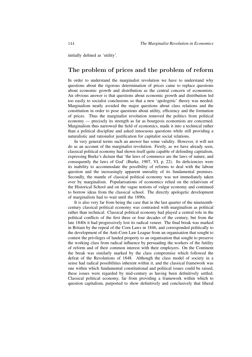initially defined as 'utility'.

### The problem of prices and the problem of reform

In order to understand the marginalist revolution we have to understand why questions about the rigorous determination of prices came to replace questions about economic growth and distribution as the central concern of economists. An obvious answer is that questions about economic growth and distribution led too easily to socialist conclusions so that a new 'apologetic' theory was needed. Marginalism neatly avoided the major questions about class relations and the constitution in order to pose questions about utility, efficiency and the formation of prices. Thus the marginalist revolution removed the politics from political economy — precisely its strength as far as bourgeois economists are concerned. Marginalism thus narrowed the field of economics, made it into a technical rather than a political discipline and asked innocuous questions while still providing a naturalistic and rationalist justification for capitalist social relations.

In very general terms such an answer has some validity. However, it will not do as an account of the marginalist revolution. Firstly, as we have already seen, classical political economy had shown itself quite capable of defending capitalism, expressing Burke's dictum that 'the laws of commerce are the laws of nature, and consequently the laws of God' (Burke, 1907, VI, p. 22). Its deficiencies were its inability to accommodate the possibility of reforms to deal with the labour question and the increasingly apparent unreality of its fundamental premises. Secondly, the mantle of classical political economy was not immediately taken over by marginalism. Popularisations of economics relied on the relativism of the Historical School and on the vague notions of vulgar economy and continued to borrow ideas from the classical school. The directly apologetic development of marginalism had to wait until the 1890s.

It is also very far from being the case that in the last quarter of the nineteenthcentury classical political economy was contrasted with marginalism as political rather than technical. Classical political economy had played a central role in the political conflicts of the first three or four decades of the century, but from the late 1840s it had progressively lost its radical veneer. The final break was marked in Britain by the repeal of the Corn Laws in 1846, and corresponded politically to the development of the Anti-Corn Law League from an organisation that sought to contest the privileges of landed property to an organisation that sought to preserve the working class from radical influence by persuading the workers of the futility of reform and of their common interest with their employers. On the Continent the break was similarly marked by the class compromise which followed the defeat of the Revolutions of 1848. Although the class model of society in a sense had radical possibilities inherent within it, and the classical framework was one within which fundamental constitutional and political issues could be raised, these issues were regarded by mid-century as having been definitively settled. Classical political economy, far from providing a framework within which to question capitalism, purported to show definitively and conclusively that liberal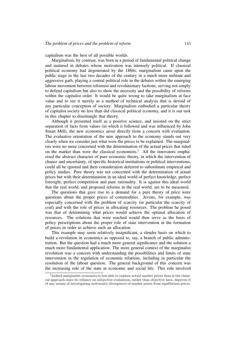capitalism was the best of all possible worlds.

Marginalism, by contrast, was born in a period of fundamental political change and matured in debates whose motivation was intensely political. If classical political economy had degenerated by the 1860s, marginalism came upon the public stage in the last two decades of the century in a much more militant and aggressive garb, playing a central political role in the debates within the emerging labour movement between reformist and revolutionary factions, serving not simply to defend capitalism but also to show the necessity and the possibility of reforms within the capitalist order. It would be quite wrong to take marginalism at face value and to see it merely as a method of technical analysis that is devoid of any particular conception of society. Marginalism embodied a particular theory of capitalist society no less than did classical political economy, and it is our task in this chapter to disentangle that theory.

Although it presented itself as a positive science, and insisted on the strict separation of facts from values (in which it followed and was influenced by John Stuart Mill), the new economics arose directly from a concern with evaluation. The evaluative orientation of the new approach to the economy stands out very clearly when we consider just what were the prices to be explained. The marginalists were no more concerned with the determination of the actual prices that ruled on the market than were the classical economists.<sup>1</sup> All the innovators emphasised the abstract character of pure economic theory, in which the intervention of chance and uncertainty, of specific historical institutions or political interventions, could all be ignored and their consideration deferred to subordinate empirical and policy studies. Pure theory was not concerned with the determination of actual prices but with their determination in an ideal world of perfect knowledge, perfect foresight, perfect competition and pure rationality. It is against this ideal world that the real world, and proposed reforms in the real world, are to be measured.

The questions that gave rise to a demand for a pure theory of price were questions about the proper prices of commodities. Jevons, for example, was especially concerned with the problem of scarcity (in particular the scarcity of coal) and with the role of prices in allocating resources. The problem he posed was that of determining what prices would achieve the optimal allocation of resources. The solutions that were reached would then serve as the basis of policy prescriptions about the proper role of state intervention in the formation of prices in order to achieve such an allocation.

This example may seem relatively insignificant, a slender basis on which to build a revolution in economics as opposed to, say, a branch of public administration. But the question had a much more general significance and the solution a much more fundamental application. The more general context of the marginalist revolution was a concern with understanding the possibilities and limits of state intervention in the regulation of economic relations, including in particular the resolution of the labour question. The general background of this concern was the increasing role of the state in economic and social life. This role involved

<sup>&</sup>lt;sup>1</sup>Indeed marginalist economics is less able to explain actual market prices than is the classical approach since its reliance on subjective evaluation, rather than objective laws, deprives it of any means of investigating systematic divergences of market prices from equilibrium prices.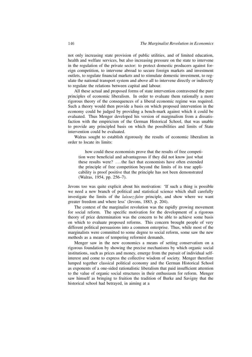not only increasing state provision of public utilities, and of limited education, health and welfare services, but also increasing pressure on the state to intervene in the regulation of the private sector: to protect domestic producers against foreign competition, to intervene abroad to secure foreign markets and investment outlets, to regulate financial markets and to stimulate domestic investment, to regulate the national transport system and above all to intervene directly or indirectly to regulate the relations between capital and labour.

All these actual and proposed forms of state intervention contravened the pure principles of economic liberalism. In order to evaluate them rationally a more rigorous theory of the consequences of a liberal economic regime was required. Such a theory would then provide a basis on which proposed intervention in the economy could be judged by providing a bench-mark against which it could be evaluated. Thus Menger developed his version of marginalism from a dissatisfaction with the empiricism of the German Historical School, that was unable to provide any principled basis on which the possibilities and limits of State intervention could be evaluated.

Walras sought to establish rigorously the results of economic liberalism in order to locate its limits:

how could these economists prove that the results of free competition were beneficial and advantageous if they did not know just what these results were? . . . the fact that economists have often extended the principle of free competition beyond the limits of its true applicability is proof positive that the principle has not been demonstrated (Walras, 1954, pp. 256–7).

Jevons too was quite explicit about his motivation: 'If such a thing is possible we need a new branch of political and statistical science which shall carefully investigate the limits of the *laissez-faire* principle, and show where we want greater freedom and where less' (Jevons, 1883, p. 204).

The context of the marginalist revolution was the rapidly growing movement for social reform. The specific motivation for the development of a rigorous theory of price determination was the concern to be able to achieve some basis on which to evaluate proposed reforms. This concern brought people of very different political persuasions into a common enterprise. Thus, while most of the marginalists were committed to some degree to social reform, some saw the new methods as a means of tempering reformist demands.

Menger saw in the new economics a means of setting conservatism on a rigorous foundation by showing the precise mechanisms by which organic social institutions, such as prices and money, emerge from the pursuit of individual selfinterest and come to express the collective wisdom of society. Menger therefore lumped together classical political economy and the German Historical School as exponents of a one-sided rationalistic liberalism that paid insufficient attention to the value of organic social structures in their enthusiasm for reform. Menger saw himself as bringing to fruition the tradition of Burke and Savigny that the historical school had betrayed, in aiming at a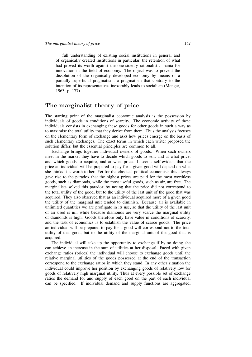full understanding of existing social institutions in general and of organically created institutions in particular, the retention of what had proved its worth against the one-sidedly rationalistic mania for innovation in the field of economy. The object was to prevent the dissolution of the organically developed economy by means of a partially superficial pragmatism, a pragmatism that contrary to the intention of its representatives inexorably leads to socialism (Menger, 1963, p. 177).

### The marginalist theory of price

The starting point of the marginalist economic analysis is the possession by individuals of goods in conditions of scarcity. The economic activity of these individuals consists in exchanging these goods for other goods in such a way as to maximise the total utility that they derive from them. Thus the analysis focuses on the elementary form of exchange and asks how prices emerge on the basis of such elementary exchanges. The exact terms in which each writer proposed the solution differ, but the essential principles are common to all.

Exchange brings together individual owners of goods. When such owners meet in the market they have to decide which goods to sell, and at what price, and which goods to acquire, and at what price. It seems self-evident that the price an individual will be prepared to pay for a given good will depend on what she thinks it is worth to her. Yet for the classical political economists this always gave rise to the paradox that the highest prices are paid for the most worthless goods, such as diamonds, while the most useful goods, such as air, are free. The marginalists solved this paradox by noting that the price did not correspond to the total utility of the good, but to the utility of the last unit of the good that was acquired. They also observed that as an individual acquired more of a given good the utility of the marginal unit tended to diminish. Because air is available in unlimited quantities we are profligate in its use, so that the utility of the last unit of air used is nil, while because diamonds are very scarce the marginal utility of diamonds is high. Goods therefore only have value in conditions of scarcity, and the task of economics is to establish the value of scarce goods. The price an individual will be prepared to pay for a good will correspond not to the total utility of that good, but to the utility of the marginal unit of the good that is acquired.

The individual will take up the opportunity to exchange if by so doing she can achieve an increase in the sum of utilities at her disposal. Faced with given exchange ratios (prices) the individual will choose to exchange goods until the relative marginal utilities of the goods possessed at the end of the transaction correspond to the exchange ratios in which they stand. In any other situation the individual could improve her position by exchanging goods of relatively low for goods of relatively high marginal utility. Thus at every possible set of exchange ratios the demand for and supply of each good on the part of each individual can be specified. If individual demand and supply functions are aggregated,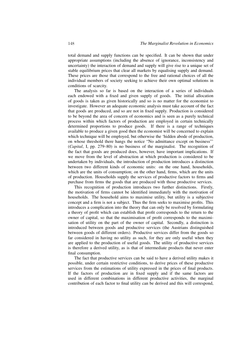total demand and supply functions can be specified. It can be shown that under appropriate assumptions (including the absence of ignorance, inconsistency and uncertainty) the interaction of demand and supply will give rise to a unique set of stable equilibrium prices that clear all markets by equalising supply and demand. These prices are those that correspond to the free and rational choices of all the individual members of society seeking to achieve their own optimal solutions in conditions of scarcity.

The analysis so far is based on the interaction of a series of individuals each endowed with a fixed and given supply of goods. The initial allocation of goods is taken as given historically and so is no matter for the economist to investigate. However an adequate economic analysis must take account of the fact that goods are produced, and so are not in fixed supply. Production is considered to be beyond the area of concern of economics and is seen as a purely technical process within which factors of production are employed in certain technically determined proportions to produce goods. If there is a range of techniques available to produce a given good then the economist will be concerned to explain which technique will be employed, but otherwise the 'hidden abode of production, on whose threshold there hangs the notice "No admittance except on business"' (*Capital*, I, pp. 279–80) is no business of the marginalist. The recognition of the fact that goods are produced does, however, have important implications. If we move from the level of abstraction at which production is considered to be undertaken by individuals, the introduction of production introduces a distinction between two different kinds of economic units: on the one hand, households, which are the units of consumption; on the other hand, firms, which are the units of production. Households supply the services of productive factors to firms and purchase from firms the goods that are produced with those productive services.

This recognition of production introduces two further distinctions. Firstly, the motivation of firms cannot be identified immediately with the motivation of households. The household aims to maximise utility, but utility is a subjective concept and a firm is not a subject. Thus the firm seeks to maximise profits. This introduces a complication into the theory that can only be resolved by formulating a theory of profit which can establish that profit corresponds to the return to the owner of capital, so that the maximisation of profit corresponds to the maximisation of utility on the part of the owner of capital. Secondly, a distinction is introduced between goods and productive services (the Austrians distinguished between goods of different orders). Productive services differ from the goods so far considered in having no utility as such, for they are only useful when they are applied to the production of useful goods. The utility of productive services is therefore a derived utility, as is that of intermediate products that never enter final consumption.

The fact that productive services can be said to have a derived utility makes it possible, under certain restrictive conditions, to derive prices of these productive services from the estimations of utility expressed in the prices of final products. If the factors of production are in fixed supply and if the same factors are used in different combinations in different productive activities, the marginal contribution of each factor to final utility can be derived and this will correspond,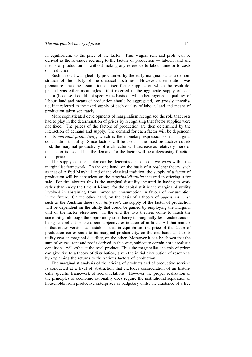in equilibrium, to the price of the factor. Thus wages, rent and profit can be derived as the revenues accruing to the factors of production — labour, land and means of production — without making any reference to labour-time or to costs of production.

Such a result was gleefully proclaimed by the early marginalists as a demonstration of the falsity of the classical doctrines. However, their elation was premature since the assumption of fixed factor supplies on which the result depended was either meaningless, if it referred to the aggregate supply of each factor (because it could not specify the basis on which heterogeneous qualities of labour, land and means of production should be aggregated), or grossly unrealistic, if it referred to the fixed supply of each quality of labour, land and means of production taken separately.

More sophisticated developments of marginalism recognised the role that costs had to play in the determination of prices by recognising that factor supplies were not fixed. The prices of the factors of production are then determined by the interaction of demand and supply. The demand for each factor will be dependent on its *marginal productivity*, which is the monetary expression of its marginal contribution to utility. Since factors will be used in the most productive outlets first, the marginal productivity of each factor will decrease as relatively more of that factor is used. Thus the demand for the factor will be a decreasing function of its price.

The supply of each factor can be determined in one of two ways within the marginalist framework. On the one hand, on the basis of a *real cost* theory, such as that of Alfred Marshall and of the classical tradition, the supply of a factor of production will be dependent on the *marginal disutility* incurred in offering it for sale. For the labourer this is the marginal disutility incurred in having to work rather than enjoy the time at leisure; for the capitalist it is the marginal disutility involved in abstaining from immediate consumption in favour of consumption in the future. On the other hand, on the basis of a theory of *opportunity cost*, such as the Austrian theory of *utility cost*, the supply of the factor of production will be dependent on the utility that could be gained by employing the marginal unit of the factor elsewhere. ln the end the two theories come to much the same thing, although the opportunity cost theory is marginally less tendentious in being less reliant on the direct subjective estimation of utilities. All that matters is that either version can establish that in equilibrium the price of the factor of production corresponds to its marginal productivity, on the one hand, and to its utility cost or marginal disutility, on the other. Moreover it can be shown that the sum of wages, rent and profit derived in this way, subject to certain not unrealistic conditions, will exhaust the total product. Thus the marginalist analysis of prices can give rise to a theory of distribution, given the initial distribution of resources, by explaining the returns to the various factors of production.

The marginalist analysis of the pricing of products and of productive services is conducted at a level of abstraction that excludes consideration of an historically specific framework of social relations. However the proper realisation of the principles of economic rationality does require the institutional separation of households from productive enterprises as budgetary units, the existence of a free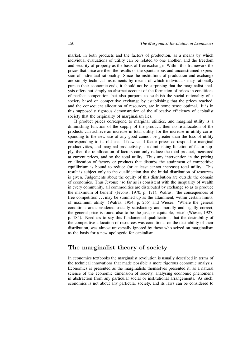market, in both products and the factors of production, as a means by which individual evaluations of utility can be related to one another, and the freedom and security of property as the basis of free exchange. Within this framework the prices that arise are then the results of the spontaneous and unconstrained expression of individual rationality. Since the institutions of production and exchange are simply technical instruments by means of which individuals may rationally pursue their economic ends, it should not be surprising that the marginalist analysis offers not simply an abstract account of the formation of prices in conditions of perfect competition, but also purports to establish the social rationality of a society based on competitive exchange by establishing that the prices reached, and the consequent allocation of resources, are in some sense optimal. It is in this supposedly rigorous demonstration of the allocative efficiency of capitalist society that the originality of marginalism lies.

If product prices correspond to marginal utilities, and marginal utility is a diminishing function of the supply of the product, then no re-allocation of the products can achieve an increase in total utility, for the increase in utility corresponding to the new use of any good cannot be greater than the loss of utility corresponding to its old use. Likewise, if factor prices correspond to marginal productivities, and marginal productivity is a diminishing function of factor supply, then the re-allocation of factors can only reduce the total product, measured at current prices, and so the total utility. Thus any intervention in the pricing or allocation of factors or products that disturbs the attainment of competitive equilibrium is bound to reduce (or at least cannot increase) total utility. This result is subject only to the qualification that the initial distribution of resources is given. Judgements about the equity of this distribution are outside the domain of economics. Thus Jevons: 'so far as is consistent with the inequality of wealth in every community, all commodities are distributed by exchange so as to produce the maximum of benefit' (Jevons, 1970, p. 171); Walras: 'the consequences of free competition . . . may be summed up as the attainment, within certain limits, of maximum utility' (Walras, 1954, p. 255) and Wieser: 'Where the general conditions are considered socially satisfactory and morally and legally correct, the general price is found also to be the just, or equitable, price' (Wieser, 1927, p. 184). Needless to say this fundamental qualification, that the desirability of the competitive allocation of resources was conditional on the desirability of their distribution, was almost universally ignored by those who seized on marginalism as the basis for a new apologetic for capitalism.

### The marginalist theory of society

In economics textbooks the marginalist revolution is usually described in terms of the technical innovations that made possible a more rigorous economic analysis. Economics is presented as the marginalists themselves presented it, as a natural science of the economic dimension of society, analysing economic phenomena in abstraction from any particular social or institutional arrangements. As such, economics is not about any particular society, and its laws can be considered to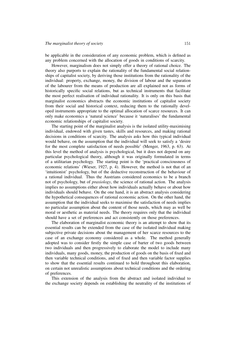be applicable in the consideration of any economic problem, which is defined as any problem concerned with the allocation of goods in conditions of scarcity.

However, marginalism does not simply offer a theory of rational choice. The theory also purports to explain the rationality of the fundamental social relationships of capitalist society, by deriving those institutions from the rationality of the individual: property, exchange, money, the division of labour and the separation of the labourer from the means of production are all explained not as forms of historically specific social relations, but as technical instruments that facilitate the most perfect realisation of individual rationality. It is only on this basis that marginalist economics abstracts the economic institutions of capitalist society from their social and historical context, reducing them to the rationally developed instruments appropriate to the optimal allocation of scarce resources. It can only make economics a 'natural science' because it 'naturalises' the fundamental economic relationships of capitalist society.

The starting point of the marginalist analysis is the isolated utility-maximising individual, endowed with given tastes, skills and resources, and making rational decisions in conditions of scarcity. The analysis asks how this typical individual would behave, on the assumption that the individual will seek to satisfy a 'desire for the most complete satisfaction of needs possible' (Menger, 1963, p. 63). At this level the method of analysis is psychological, but it does not depend on any particular psychological theory, although it was originally formulated in terms of a utilitarian psychology. The starting point is the 'practical consciousness of economic relations' (Wieser, 1927, p. 4). However, the method is not that of an 'intuitionist' psychology, but of the deductive reconstruction of the behaviour of a rational individual. Thus the Austrians considered economics to be a branch not of psychology, but of *praxiology*, the science of rational action. The analysis implies no assumptions either about how individuals actually behave or about how individuals should behave. On the one hand, it is an abstract analysis considering the hypothetical consequences of rational economic action. On the other hand, the assumption that the individual seeks to maximise the satisfaction of needs implies no particular assumption about the content of those needs, which may as well be moral or aesthetic as material needs. The theory requires only that the individual should have a set of preferences and act consistently on those preferences.

The elaboration of marginalist economic theory is an attempt to show that its essential results can be extended from the case of the isolated individual making subjective private decisions about the management of her scarce resources to the case of an exchange economy considered as a whole. The method generally adopted was to consider firstly the simple case of barter of two goods between two individuals and then progressively to elaborate the model to include many individuals, many goods, money, the production of goods on the basis of fixed and then variable technical conditions, and of fixed and then variable factor supplies to show that the essential results continued to hold throughout this elaboration, on certain not unrealistic assumptions about technical conditions and the ordering of preferences.

This extension of the analysis from the abstract and isolated individual to the exchange society depends on establishing the neutrality of the institutions of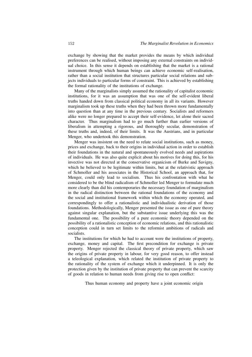exchange by showing that the market provides the means by which individual preferences can be realised, without imposing any external constraints on individual choice. In this sense it depends on establishing that the market is a rational instrument through which human beings can achieve economic self-realisation, rather than a social institution that structures particular social relations and subjects individuals to particular forms of constraint. This is achieved by establishing the formal rationality of the institutions of exchange.

Many of the marginalists simply assumed the rationality of capitalist economic institutions, for it was an assumption that was one of the self-evident liberal truths handed down from classical political economy in all its variants. However marginalism took up these truths when they had been thrown more fundamentally into question than at any time in the previous century. Socialists and reformers alike were no longer prepared to accept their self-evidence, let alone their sacred character. Thus marginalism had to go much further than earlier versions of liberalism in attempting a rigorous, and thoroughly secular, demonstration of these truths and, indeed, of their limits. It was the Austrians, and in particular Menger, who undertook this demonstration.

Menger was insistent on the need to relate social institutions, such as money, prices and exchange, back to their origins in individual action in order to establish their foundations in the natural and spontaneously evolved needs and aspirations of individuals. He was also quite explicit about his motives for doing this, for his invective was not directed at the conservative organicism of Burke and Savigny, which he believed to be legitimate within limits, but at the relativistic approach of Schmoller and his associates in the Historical School, an approach that, for Menger, could only lead to socialism. Thus his confrontation with what he considered to be the blind radicalism of Schmoller led Menger to formulate much more clearly than did his contemporaries the necessary foundation of marginalism in the radical distinction between the rational foundations of the economy and the social and institutional framework within which the economy operated, and correspondingly to offer a rationalistic and individualistic derivation of those foundations. Methodologically, Menger presented the issue as one of pure theory against singular explanation, but the substantive issue underlying this was the fundamental one. The possibility of a pure economic theory depended on the possibility of a rationalistic conception of economic relations, and this rationalistic conception could in turn set limits to the reformist ambitions of radicals and socialists.

The institutions for which he had to account were the institutions of property, exchange, money and capital. The first precondition for exchange is private property. Menger rejected the classical theory of private property, which saw the origins of private property in labour, for very good reason, to offer instead a teleological explanation, which related the institution of private property to the rationality of the system of exchange which it underpinned. It is only the protection given by the institution of private property that can prevent the scarcity of goods in relation to human needs from giving rise to open conflict:

Thus human economy and property have a joint economic origin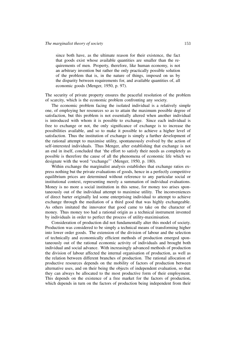since both have, as the ultimate reason for their existence, the fact that goods exist whose available quantities are smaller than the requirements of men. Property, therefore, like human economy, is not an arbitrary invention but rather the only practically possible solution of the problem that is, in the nature of things, imposed on us by the disparity between requirements for, and available quantities of, all economic goods (Menger, 1950, p. 97).

The security of private property ensures the peaceful resolution of the problem of scarcity, which is the economic problem confronting any society.

The economic problem facing the isolated individual is a relatively simple one, of employing her resources so as to attain the maximum possible degree of satisfaction, but this problem is not essentially altered when another individual is introduced with whom it is possible to exchange. Since each individual is free to exchange or not, the only significance of exchange is to increase the possibilities available, and so to make it possible to achieve a higher level of satisfaction. Thus the institution of exchange is simply a further development of the rational attempt to maximise utility, spontaneously evolved by the action of self-interested individuals. Thus Menger, after establishing that exchange is not an end in itself, concluded that 'the effort to satisfy their needs as completely as possible is therefore the cause of all the phenomena of economic life which we designate with the word "exchange"' (Menger, 1950, p. 180).

Within exchange the marginalist analysis establishes that exchange ratios express nothing but the private evaluations of goods, hence in a perfectly competitive equilibrium prices are determined without reference to any particular social or institutional context, representing merely a summation of individual evaluations. Money is no more a social institution in this sense, for money too arises spontaneously out of the individual attempt to maximise utility. The inconveniences of direct barter originally led some enterprising individual to attempt to achieve exchange through the mediation of a third good that was highly exchangeable. As others imitated the innovator that good came to take on the character of money. Thus money too had a rational origin as a technical instrument invented by individuals in order to perfect the process of utility-maximisation.

Consideration of production did not fundamentally alter this model of society. Production was considered to be simply a technical means of transforming higher into lower order goods. The extension of the division of labour and the selection of technically and economically efficient methods of production emerged spontaneously out of the rational economic activity of individuals and brought both individual and social advance. With increasingly advanced methods of production the division of labour affected the internal organisation of production, as well as the relation between different branches of production. The rational allocation of productive resources depends on the mobility of factors of production between alternative uses, and on their being the objects of independent evaluation, so that they can always be allocated to the most productive form of their employment. This depends on the existence of a free market for the factors of production, which depends in turn on the factors of production being independent from their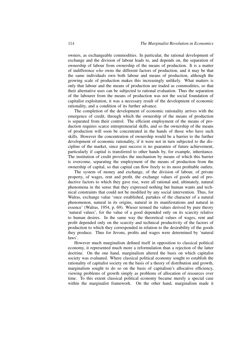owners, as exchangeable commodities. In particular, the rational development of exchange and the division of labour leads to, and depends on, the separation of ownership of labour from ownership of the means of production. It is a matter of indifference *who* owns the different factors of production, and it may be that the same individuals own both labour and means of production, although the growing scale of production makes this increasingly unlikely. What matters is only that labour and the means of production are traded as commodities, so that their alternative uses can be subjected to rational evaluation. Thus the separation of the labourer from the means of production was not the social foundation of capitalist exploitation, it was a necessary result of the development of economic rationality, and a condition of its further advance.

The completion of the development of economic rationality arrives with the emergence of credit, through which the ownership of the means of production is separated from their control. The efficient employment of the means of production requires scarce entrepreneurial skills, and so the ownership of the means of production will soon be concentrated in the hands of those who have such skills. However the concentration of ownership would be a barrier to the further development of economic rationality, if it were not in turn subjected to the discipline of the market, since past success is no guarantee of future achievement, particularly if capital is transferred to other hands by, for example, inheritance. The institution of credit provides the mechanism by means of which this barrier is overcome, separating the employment of the means of production from the ownership of capital, so that capital can flow freely to its most profitable outlets.

The system of money and exchange, of the division of labour, of private property, of wages, rent and profit, the exchange values of goods and of productive factors to which they gave rise, were all rational and, ultimately, natural phenomena in the sense that they expressed nothing but human wants and technical constraints that could not be modified by any social intervention. Thus, for Walras, exchange value 'once established, partakes of the character of a natural phenomenon, natural in its origins, natural in its manifestations and natural in essence' (Walras, 1954, p. 69). Wieser termed the values derived by pure theory 'natural values', for the value of a good depended only on its scarcity relative to human desires. In the same way the theoretical values of wages, rent and profit depended only on the scarcity and technical productivity of the factors of production to which they corresponded in relation to the desirability of the goods they produce. Thus for Jevons, profits and wages were determined by 'natural laws'.

However much marginalism defined itself in opposition to classical political economy, it represented much more a reformulation than a rejection of the latter doctrine. On the one hand, marginalism altered the basis on which capitalist society was evaluated. Where classical political economy sought to establish the rationality of capitalist society on the basis of a theory of distribution and growth, marginalism sought to do so on the basis of capitalism's allocative efficiency, viewing problems of growth simply as problems of allocation of resources over time. To this extent classical political economy became merely a special case within the marginalist framework. On the other hand, marginalism made it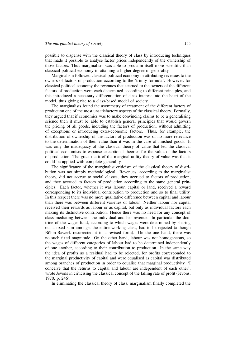possible to dispense with the classical theory of class by introducing techniques that made it possible to analyse factor prices independently of the ownership of those factors. Thus marginalism was able to proclaim itself more scientific than classical political economy in attaining a higher degree of generality.

Marginalism followed classical political economy in attributing revenues to the owners of factors of production according to the 'trinity formula'. However, for classical political economy the revenues that accrued to the owners of the different factors of production were each determined according to different principles, and this introduced a necessary differentiation of class interest into the heart of the model, thus giving rise to a class-based model of society.

The marginalists found the asymmetry of treatment of the different factors of production one of the most unsatisfactory aspects of the classical theory. Formally, they argued that if economics was to make convincing claims to be a generalising science then it must be able to establish general principles that would govern the pricing of all goods, including the factors of production, without admitting of exceptions or introducing extra-economic factors. Thus, for example, the distribution of ownership of the factors of production was of no more relevance to the determination of their value than it was in the case of finished goods. It was only the inadequacy of the classical theory of value that led the classical political economists to espouse exceptional theories for the value of the factors of production. The great merit of the marginal utility theory of value was that it could be applied with complete generality.

The significance of the marginalist criticism of the classical theory of distribution was not simply methodological. Revenues, according to the marginalist theory, did not accrue to social classes, they accrued to factors of production, and they accrued to factors of production according to the same general principles. Each factor, whether it was labour, capital or land, received a reward corresponding to its individual contribution to production and so to final utility. In this respect there was no more qualitative difference between capital and labour than there was between different varieties of labour. Neither labour nor capital received their rewards as labour or as capital, but only as individual factors each making its distinctive contribution. Hence there was no need for any concept of class mediating between the individual and her revenue. In particular the doctrine of the wages-fund, according to which wages were determined by sharing out a fixed sum amongst the entire working class, had to be rejected (although Böhm-Bawerk resurrected it in a revised form). On the one hand, there was no such fixed magnitude. On the other hand, labour was not homogeneous, so the wages of different categories of labour had to be determined independently of one another, according to their contribution to production. In the same way the idea of profits as a residual had to be rejected, for profits corresponded to the marginal productivity of capital and were equalised as capital was distributed among branches of production in order to equalise that marginal productivity. 'I conceive that the returns to capital and labour are independent of each other', wrote Jevons in criticising the classical concept of the falling rate of profit (Jevons, 1970, p. 246).

In eliminating the classical theory of class, marginalism finally completed the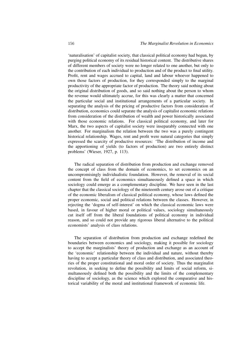'naturalisation' of capitalist society, that classical political economy had begun, by purging political economy of its residual historical content. The distributive shares of different members of society were no longer related to one another, but only to the contribution of each individual to production and of the product to final utility. Profit, rent and wages accrued to capital, land and labour whoever happened to own those factors of production, for they corresponded simply to the marginal productivity of the appropriate factor of production. The theory said nothing about the original distribution of goods, and so said nothing about the person to whom the revenue would ultimately accrue, for this was clearly a matter that concerned the particular social and institutional arrangements of a particular society. In separating the analysis of the pricing of productive factors from consideration of distribution, economics could separate the analysis of capitalist economic relations from consideration of the distribution of wealth and power historically associated with those economic relations. For classical political economy, and later for Marx, the two aspects of capitalist society were inseparably connected with one another. For marginalism the relation between the two was a purely contingent historical relationship. Wages, rent and profit were natural categories that simply expressed the scarcity of productive resources: 'The distribution of income and the apportioning of yields (to factors of production) are two entirely distinct problems' (Wieser, 1927, p. 113).

The radical separation of distribution from production and exchange removed the concept of class from the domain of economics, to set economics on an uncompromisingly individualistic foundation. However, the removal of its social content from the field of economics simultaneously defined a space in which sociology could emerge as a complementary discipline. We have seen in the last chapter that the classical sociology of the nineteenth century arose out of a critique of the economic liberalism of classical political economy, whose laws defined the proper economic, social and political relations between the classes. However, in rejecting the 'dogma of self-interest' on which the classical economic laws were based, in favour of higher moral or political values, sociology simultaneously cut itself off from the liberal foundations of political economy in individual reason, and so could not provide any rigorous liberal alternative to the political economists' analysis of class relations.

The separation of distribution from production and exchange redefined the boundaries between economics and sociology, making it possible for sociology to accept the marginalists' theory of production and exchange as an account of the 'economic' relationship between the individual and nature, without thereby having to accept a particular theory of class and distribution, and associated theories of the proper constitutional and moral order of society. Thus the marginalist revolution, in seeking to define the possibility and limits of social reform, simultaneously defined both the possibility and the limits of the complementary discipline of sociology, as the science which explored the comparative and historical variability of the moral and institutional framework of economic life.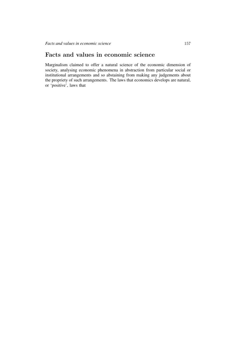# Facts and values in economic science

Marginalism claimed to offer a natural science of the economic dimension of society, analysing economic phenomena in abstraction from particular social or institutional arrangements and so abstaining from making any judgements about the propriety of such arrangements. The laws that economics develops are natural, or 'positive', laws that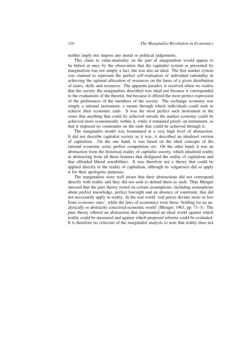neither imply nor impose any moral or political judgements.

This claim to value-neutrality on the part of marginalism would appear to be belied at once by the observation that the capitalist system as presented by marginalism was not simply a fact, but was also an ideal. The free market system was claimed to represent the perfect self-realisation of individual rationality in achieving the optimal allocation of resources on the basis of a given distribution of tastes, skills and resources. The apparent paradox is resolved when we realise that the society the marginalists described was ideal not because it corresponded to the evaluations of the theorist, but because it offered the most perfect expression of the preferences of the members of the society. The exchange economy was simply a rational instrument, a means through which individuals could seek to achieve their economic ends. It was the most perfect such instrument in the sense that anything that could be achieved outside the market economy could be achieved more economically within it, while it remained purely an instrument, so that it imposed no constraints on the ends that could be achieved through it.

The marginalist model was formulated at a very high level of abstraction. It did not describe capitalist society as it was, it described an idealised version of capitalism. On the one hand, it was based on the ideal concepts of the rational economic actor, perfect competition, etc. On the other hand, it was an abstraction from the historical reality of capitalist society, which idealised reality in abstracting from all those features that disfigured the reality of capitalism and that offended liberal sensibilities. It was therefore not a theory that could be applied directly to the reality of capitalism, although its vulgarisers did so apply it for their apologetic purposes.

The marginalists were well aware that their abstractions did not correspond directly with reality and they did not seek to defend them as such. Thus Menger stressed that the pure theory rested on certain assumptions, including assumptions about perfect knowledge, perfect foresight and an absence of constraint, that did not necessarily apply in reality. In the real world 'real prices deviate more or less from *economic* ones', while the laws of economics were those 'holding for an analytically or abstractly conceived economic world' (Menger, 1963, pp. 71–3). The pure theory offered an abstraction that represented an ideal world against which reality could be measured and against which proposed reforms could be evaluated. It is therefore no criticism of the marginalist analysis to note that reality does not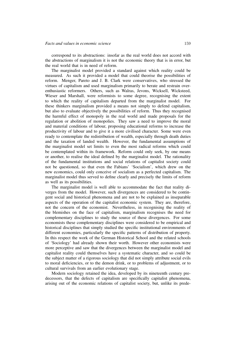correspond to its abstractions: insofar as the real world does not accord with the abstractions of marginalism it is not the economic theory that is in error, but the real world that is in need of reform.

The marginalist model provided a standard against which reality could be measured. As such it provided a model that could theorise the possibilities of reform. Menger, Pareto and J. B. Clark were conservatives, who stressed the virtues of capitalism and used marginalism primarily to berate and restrain overenthusiastic reformers. Others, such as Walras, Jevons, Wicksell, Wicksteed, Wieser and Marshall, were reformists to some degree, recognising the extent to which the reality of capitalism departed from the marginalist model. For these thinkers marginalism provided a means not simply to defend capitalism, but also to evaluate objectively the possibilities of reform. Thus they recognised the harmful effect of monopoly in the real world and made proposals for the regulation or abolition of monopolies. They saw a need to improve the moral and material conditions of labour, proposing educational reforms to increase the productivity of labour and to give it a more civilised character. Some were even ready to contemplate the redistribution of wealth, especially through death duties and the taxation of landed wealth. However, the fundamental assumptions of the marginalist model set limits to even the most radical reforms which could be contemplated within its framework. Reform could only seek, by one means or another, to realise the ideal defined by the marginalist model. The rationality of the fundamental institutions and social relations of capitalist society could not be questioned, so that even the Fabians' 'Socialism', which drew on the new economics, could only conceive of socialism as a perfected capitalism. The marginalist model thus served to define clearly and precisely the limits of reform as well as its possibilities.

The marginalist model is well able to accommodate the fact that reality diverges from the model. However, such divergences are considered to be contingent social and historical phenomena and are not to be explained as inseparable aspects of the operation of the capitalist economic system. They are, therefore, not the concern of the economist. Nevertheless, in recognising the reality of the blemishes on the face of capitalism, marginalism recognises the need for complementary disciplines to study the source of these divergences. For some economists these complementary disciplines were considered to be empirical and historical disciplines that simply studied the specific institutional environments of different economies, particularly the specific patterns of distribution of property. In this respect the work of the German Historical School and the related schools of 'Sociology' had already shown their worth. However other economists were more perceptive and saw that the divergences between the marginalist model and capitalist reality could themselves have a systematic character, and so could be the subject matter of a rigorous sociology that did not simply attribute social evils to moral deficiencies, or to the demon drink, or to problems of adjustment, or to cultural survivals from an earlier evolutionary stage.

Modern sociology retained the idea, developed by its nineteenth century predecessors, that the defects of capitalism are specifically capitalist phenomena, arising out of the economic relations of capitalist society, but, unlike its prede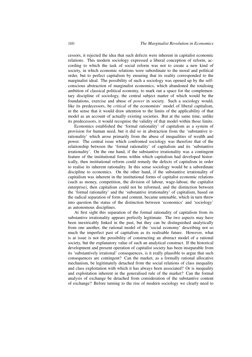cessors, it rejected the idea that such defects were inherent in capitalist economic relations. This modern sociology expressed a liberal conception of reform, according to which the task of social reform was not to create a new kind of society, in which economic relations were subordinate to the moral and political order, but to perfect capitalism by ensuring that its reality corresponded to the marginalist ideal. The possibility of such a sociology was opened up by the selfconscious abstraction of marginalist economics, which abandoned the totalising ambition of classical political economy, to mark out a space for the complementary discipline of sociology, the central subject matter of which would be the foundations, exercise and abuse of *power* in society. Such a sociology would, like its predecessors, be *critical* of the economists' model of liberal capitalism, in the sense that it would draw attention to the limits of the applicability of that model as an account of actually existing societies. But at the same time, unlike its predecessors, it would recognise the validity of that model within those limits.

Economics established the 'formal rationality' of capitalism as a system of provision for human need, but it did so in abstraction from the 'substantive irrationality' which arose primarily from the abuse of inequalities of wealth and power. The central issue which confronted sociology was therefore that of the relationship between the 'formal rationality' of capitalism and its 'substantive irrationality'. On the one hand, if the substantive irrationality was a contingent feature of the institutional forms within which capitalism had developed historically, then institutional reform could remedy the defects of capitalism in order to realise its inherent rationality. In this sense sociology would be a subordinate discipline to economics. On the other hand, if the substantive irrationality of capitalism was inherent in the institutional forms of capitalist economic relations (such as money, competition, the division of labour, wage-labour, the capitalist enterprise), then capitalism could not be reformed, and the distinction between the 'formal rationality' and the 'substantive irrationality' of capitalism, based on the radical separation of form and content, became untenable, which in turn threw into question the status of the distinction between 'economics' and 'sociology' as autonomous disciplines.

At first sight this separation of the formal rationality of capitalism from its substantive irrationality appears perfectly legitimate. The two aspects may have been inextricably linked in the past, but they can be distinguished analytically from one another, the rational model of the 'social economy' describing not so much the imperfect past of capitalism as its realisable future. However, what is at issue is not the possibility of constructing an abstract model of a rational society, but the explanatory value of such an analytical construct. If the historical development and present operation of capitalist society has been inseparable from its 'substantively irrational' consequences, is it really plausible to argue that such consequences are contingent? Can the market, as a formally rational allocative mechanism, be legitimately detached from the social relations of class inequality and class exploitation with which it has always been associated? Or is inequality and exploitation inherent in the generalised rule of the market? Can the formal analysis of exchange be detached from consideration of the substantive content of exchange? Before turning to the rise of modern sociology we clearly need to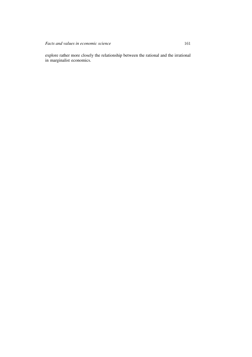explore rather more closely the relationship between the rational and the irrational in marginalist economics.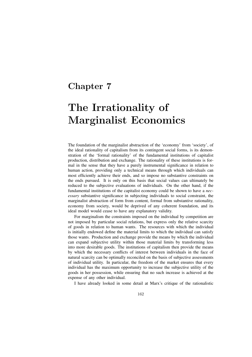# Chapter 7

# The Irrationality of Marginalist Economics

The foundation of the marginalist abstraction of the 'economy' from 'society', of the ideal rationality of capitalism from its contingent social forms, is its demonstration of the 'formal rationality' of the fundamental institutions of capitalist production, distribution and exchange. The rationality of these institutions is formal in the sense that they have a purely instrumental significance in relation to human action, providing only a technical means through which individuals can most efficiently achieve their ends, and so impose no substantive constraints on the ends pursued. It is only on this basis that social values can ultimately be reduced to the subjective evaluations of individuals. On the other hand, if the fundamental institutions of the capitalist economy could be shown to have a *necessary* substantive significance in subjecting individuals to social constraint, the marginalist abstraction of form from content, formal from substantive rationality, economy from society, would be deprived of any coherent foundation, and its ideal model would cease to have any explanatory validity.

For marginalism the constraints imposed on the individual by competition are not imposed by particular social relations, but express only the relative scarcity of goods in relation to human wants. The resources with which the individual is initially endowed define the material limits to which the individual can satisfy those wants. Production and exchange provide the means by which the individual can expand subjective utility within those material limits by transforming less into more desirable goods. The institutions of capitalism then provide the means by which the necessary conflicts of interest between individuals in the face of natural scarcity can be optimally reconciled on the basis of subjective assessments of individual utility. In particular, the freedom of the market ensures that every individual has the maximum opportunity to increase the subjective utility of the goods in her possession, while ensuring that no such increase is achieved at the expense of any other individual.

I have already looked in some detail at Marx's critique of the rationalistic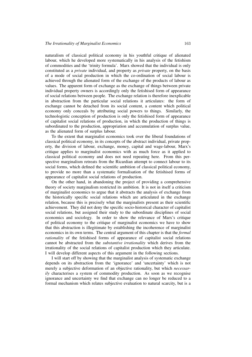naturalism of classical political economy in his youthful critique of alienated labour, which he developed more systematically in his analysis of the fetishism of commodities and the 'trinity formula'. Marx showed that the individual is only constituted as a *private* individual, and property as *private* property, on the basis of a mode of social production in which the co-ordination of social labour is achieved through the alienated form of the exchange of the products of labour as values. The apparent form of exchange as the exchange of things between private individual property owners is accordingly only the fetishised form of appearance of social relations between people. The exchange relation is therefore inexplicable in abstraction from the particular social relations it articulates: the form of exchange cannot be detached from its social content, a content which political economy only conceals by attributing social powers to things. Similarly, the technologistic conception of production is only the fetishised form of appearance of capitalist social relations of production, in which the production of things is subordinated to the production, appropriation and accumulation of surplus value, as the alienated form of surplus labour.

To the extent that marginalist economics took over the liberal foundations of classical political economy, in its concepts of the abstract individual, private property, the division of labour, exchange, money, capital and wage-labour, Marx's critique applies to marginalist economics with as much force as it applied to classical political economy and does not need repeating here. From this perspective marginalism retreats from the Ricardian attempt to connect labour to its social forms, which defined the scientific ambition of classical political economy, to provide no more than a systematic formalisation of the fetishised forms of appearance of capitalist social relations of production.

On the other hand, in abandoning the project of providing a comprehensive theory of society marginalism restricted its ambition. It is not in itself a criticism of marginalist economics to argue that it abstracts the analysis of exchange from the historically specific social relations which are articulated in the exchange relation, because this is precisely what the marginalists present as their scientific achievement. They did not deny the specific socio-historical character of capitalist social relations, but assigned their study to the subordinate disciplines of social economics and sociology. In order to show the relevance of Marx's critique of political economy to the critique of marginalist economics we have to show that this abstraction is illegitimate by establishing the incoherence of marginalist economics in its own terms. The central argument of this chapter is that the *formal rationality* of the fetishised forms of appearance of capitalist social relations cannot be abstracted from the *substantive irrationality* which derives from the irrationality of the social relations of capitalist production which they articulate. I will develop different aspects of this argument in the following sections.

I will start off by showing that the marginalist analysis of systematic exchange depends on its abstraction from the 'ignorance' and 'uncertainty' which is not merely a subjective deformation of an objective rationality, but which *necessarily* characterises a system of commodity production. As soon as we recognise ignorance and uncertainty we find that exchange can no longer be reduced to a formal mechanism which relates subjective evaluation to natural scarcity, but is a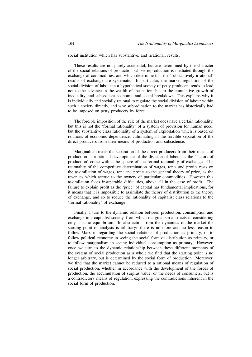social institution which has substantive, and irrational, results.

These results are not purely accidental, but are determined by the character of the social relations of production whose reproduction is mediated through the exchange of commodities, and which determine that the 'substantively irrational' results of exchange are systematic. In particular, the market regulation of the social division of labour in a hypothetical society of petty producers tends to lead not to the advance in the wealth of the nation, but to the cumulative growth of inequality, and subsequent economic and social breakdown. This explains why it is individually and socially rational to regulate the social division of labour within such a society directly, and why subordination to the market has historically had to be imposed on petty producers by force.

The forcible imposition of the rule of the market does have a certain rationality, but this is not the 'formal rationality' of a system of provision for human need, but the substantive class rationality of a system of exploitation which is based on relations of economic dependence, culminating in the forcible separation of the direct producers from their means of production and subsistence.

Marginalism treats the separation of the direct producers from their means of production as a rational development of the division of labour as the 'factors of production' come within the sphere of the formal rationality of exchange. The rationality of the competitive determination of wages, rents and profits rests on the assimilation of wages, rent and profits to the general theory of price, as the revenues which accrue to the owners of particular commodities. However this assimilation faces insuperable difficulties, above all in the case of profit. The failure to explain profit as the 'price' of capital has fundamental implications, for it means that it is impossible to assimilate the theory of distribution to the theory of exchange, and so to reduce the rationality of capitalist class relations to the 'formal rationality' of exchange.

Finally, I turn to the dynamic relation between production, consumption and exchange in a capitalist society, from which marginalism abstracts in considering only a static equilibrium. In abstraction from the dynamics of the market the starting point of analysis is arbitrary: there is no more and no less reason to follow Marx in regarding the social relations of production as primary, or to follow political economy in seeing the social form of distribution as primary, or to follow marginalism in seeing individual consumption as primary. However, once we turn to the dynamic relationship between these different moments of the system of social production as a whole we find that the starting point is no longer arbitrary, but is determined by the social form of production. Moreover, we find that the market cannot be reduced to a rational means of regulation of social production, whether in accordance with the development of the forces of production, the accumulation of surplus value, or the needs of consumers, but is a contradictory means of regulation, expressing the contradictions inherent in the social form of production.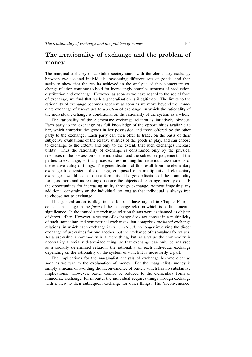## The irrationality of exchange and the problem of money

The marginalist theory of capitalist society starts with the elementary exchange between two isolated individuals, possessing different sets of goods, and then seeks to show that the results achieved in the analysis of this elementary exchange relation continue to hold for increasingly complex systems of production, distribution and exchange. However, as soon as we have regard to the social form of exchange, we find that such a generalisation is illegitimate. The limits to the rationality of exchange becomes apparent as soon as we move beyond the immediate exchange of use-values to a *system* of exchange, in which the rationality of the individual exchange is conditional on the rationality of the system as a whole.

The rationality of the elementary exchange relation is intuitively obvious. Each party to the exchange has full knowledge of the opportunities available to her, which comprise the goods in her possession and those offered by the other party to the exchange. Each party can then offer to trade, on the basis of their subjective evaluations of the relative utilities of the goods in play, and can choose to exchange to the extent, and only to the extent, that such exchanges increase utility. Thus the rationality of exchange is constrained only by the physical resources in the possession of the individual, and the subjective judgements of the parties to exchange, so that prices express nothing but individual assessments of the relative utility of things. The generalisation of this result from the elementary exchange to a system of exchange, composed of a multiplicity of elementary exchanges, would seem to be a formality. The generalisation of the commodity form, as more and more things become the objects of exchange, merely expands the opportunities for increasing utility through exchange, without imposing any additional constraints on the individual, so long as that individual is always free to choose not to exchange.

This generalisation is illegitimate, for as I have argued in Chapter Four, it conceals a change in the *form* of the exchange relation which is of fundamental significance. In the immediate exchange relation things were exchanged as objects of direct utility. However, a system of exchange does not consist in a multiplicity of such immediate and symmetrical exchanges, but comprises *mediated* exchange relations, in which each exchange is *asymmetrical*, no longer involving the direct exchange of use-values for one another, but the exchange of use-values for values. As a use-value a commodity is a mere thing, but as a value the commodity is necessarily a socially determined thing, so that exchange can only be analysed as a socially determined relation, the rationality of each individual exchange depending on the rationality of the system of which it is necessarily a part.

The implications for the marginalist analysis of exchange become clear as soon as we turn to the explanation of money. For the marginalists money is simply a means of avoiding the inconvenience of barter, which has no substantive implications. However, barter cannot be reduced to the elementary form of immediate exchange, for in barter the individual acquires things through exchange with a view to their subsequent exchange for other things. The 'inconvenience'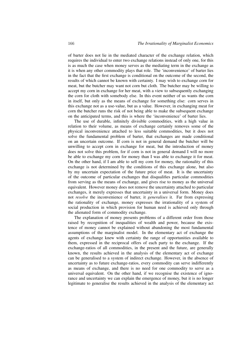of barter does not lie in the mediated character of the exchange relation, which requires the individual to enter two exchange relations instead of only one, for this is as much the case when money serves as the mediating term in the exchange as it is when any other commodity plays that role. The 'inconvenience' of barter lies in the fact that the first exchange is conditional on the outcome of the second, the results of which cannot be known with certainty. I may wish to exchange corn for meat, but the butcher may want not corn but cloth. The butcher may be willing to accept my corn in exchange for her meat, with a view to subsequently exchanging the corn for cloth with somebody else. In this event neither of us wants the corn in itself, but only as the means of exchange for something else: corn serves in this exchange not as a use-value, but as a value. However, in exchanging meat for corn the butcher runs the risk of not being able to make the subsequent exchange on the anticipated terms, and this is where the 'inconvenience' of barter lies.

The use of durable, infinitely divisible commodities, with a high value in relation to their volume, as means of exchange certainly removes some of the physical inconvenience attached to less suitable commodities, but it does not solve the fundamental problem of barter, that exchanges are made conditional on an uncertain outcome. If corn is not in general demand the butcher will be unwilling to accept corn in exchange for meat, but the introduction of money does not solve this problem, for if corn is not in general demand I will no more be able to exchange my corn for money than I was able to exchange it for meat. On the other hand, if I am able to sell my corn for money, the rationality of this exchange is not determined by the conditions of this exchange alone, but also by my uncertain expectation of the future price of meat. It is the uncertainty of the outcome of particular exchanges that disqualifies particular commodities from serving as the means of exchange, and gives rise to money as the universal equivalent. However money does not remove the uncertainty attached to particular exchanges, it merely expresses that uncertainty in a universal form. Money does not *resolve* the inconvenience of barter, it *generalises* it. Far from expressing the rationality of exchange, money expresses the irrationality of a system of social production in which provision for human need is achieved only through the alienated form of commodity exchange.

The explanation of money presents problems of a different order from those raised by recognition of inequalities of wealth and power, because the existence of money cannot be explained without abandoning the most fundamental assumptions of the marginalist model. In the elementary act of exchange the agents of exchange knew with certainty the range of opportunities available to them, expressed in the reciprocal offers of each party to the exchange. If the exchange-ratios of all commodities, in the present and the future, are generally known, the results achieved in the analysis of the elementary act of exchange can be generalised to a system of indirect exchange. However, in the absence of uncertainty as to future exchange-ratios, every commodity can serve indifferently as means of exchange, and there is no need for one commodity to serve as a universal equivalent. On the other hand, if we recognise the existence of ignorance and uncertainty we can explain the emergence of money, but it is no longer legitimate to generalise the results achieved in the analysis of the elementary act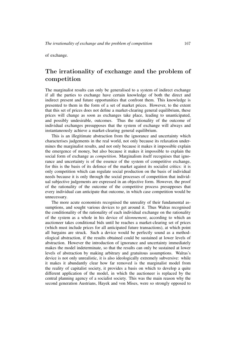of exchange.

# The irrationality of exchange and the problem of competition

The marginalist results can only be generalised to a system of indirect exchange if all the parties to exchange have certain knowledge of both the direct and indirect present and future opportunities that confront them. This knowledge is presented to them in the form of a set of market prices. However, to the extent that this set of prices does not define a market-clearing general equilibrium, these prices will change as soon as exchanges take place, leading to unanticipated, and possibly undesirable, outcomes. Thus the rationality of the outcome of individual exchanges presupposes that the system of exchange will always and instantaneously achieve a market-clearing general equilibrium.

This is an illegitimate abstraction from the ignorance and uncertainty which characterises judgements in the real world, not only because its relaxation undermines the marginalist results, and not only because it makes it impossible explain the emergence of money, but also because it makes it impossible to explain the social form of exchange as *competition*. Marginalism itself recognises that ignorance and uncertainty is of the essence of the system of competitive exchange, for this is the basis of its defence of the market against its socialist critics: it is only competition which can regulate social production on the basis of individual needs because it is only through the social processes of competition that individual subjective judgements are expressed in an objective form. However, the proof of the rationality of the outcome of the competitive process presupposes that every individual can anticipate that outcome, in which case competition would be unnecessary.

The more acute economists recognised the unreality of their fundamental assumptions, and sought various devices to get around it. Thus Walras recognised the conditionality of the rationality of each individual exchange on the rationality of the system as a whole in his device of *tâtonnement*, according to which an auctioneer takes conditional bids until he reaches a market-clearing set of prices (which must include prices for all anticipated future transactions), at which point all bargains are struck. Such a device would be perfectly sound as a methodological abstraction, if the results obtained could be sustained at lower levels of abstraction. However the introduction of ignorance and uncertainty immediately makes the model indeterminate, so that the results can only be sustained at lower levels of abstraction by making arbitrary and gratuitous assumptions. Walras's device is not only unrealistic, it is also ideologically extremely subversive: while it makes it abundantly clear how far removed is the marginalist model from the reality of capitalist society, it provides a basis on which to develop a quite different application of the model, in which the auctioneer is replaced by the central planning agency of a socialist society. This was the main reason why the second generation Austrians, Hayek and von Mises, were so strongly opposed to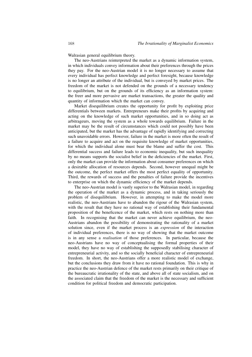Walrasian general equilibrium theory.

The neo-Austrians reinterpreted the market as a dynamic information system, in which individuals convey information about their preferences through the prices they pay. For the neo-Austrian model it is no longer necessary to assume that every individual has perfect knowledge and perfect foresight, because knowledge is no longer an attribute of the individual, but is conveyed by market prices. The freedom of the market is not defended on the grounds of a necessary tendency to equilibrium, but on the grounds of its efficiency as an information system: the freer and more pervasive are market transactions, the greater the quality and quantity of information which the market can convey.

Market disequilibrium creates the opportunity for profit by exploiting price differentials between markets. Entrepreneurs make their profits by acquiring and acting on the knowledge of such market opportunities, and in so doing act as arbitrageurs, moving the system as a whole towards equilibrium. Failure in the market may be the result of circumstances which could not possibly have been anticipated, but the market has the advantage of rapidly identifying and correcting such unavoidable errors. However, failure in the market is more often the result of a failure to acquire and act on the requisite knowledge of market opportunities, for which the individual alone must bear the blame and suffer the cost. This differential success and failure leads to economic inequality, but such inequality by no means supports the socialist belief in the deficiencies of the market. First, only the market can provide the information about consumer preferences on which a desirable allocation of resources depends. Second, however unequal might be the outcome, the perfect market offers the most perfect equality of opportunity. Third, the rewards of success and the penalties of failure provide the incentives to enterprise on which the dynamic efficiency of the market depends.

The neo-Austrian model is vastly superior to the Walrasian model, in regarding the operation of the market as a dynamic process, and in taking seriously the problem of disequilibrium. However, in attempting to make the model more realistic, the neo-Austrians have to abandon the rigour of the Walrasian system, with the result that they have no rational way of establishing their fundamental proposition of the beneficence of the market, which rests on nothing more than faith. In recognising that the market can never achieve equilibrium, the neo-Austrians abandon the possibility of demonstrating the rationality of a market solution since, even if the market process is an *expression* of the interaction of individual preferences, there is no way of showing that the market outcome is in any sense a *realisation* of those preferences. In particular, because the neo-Austrians have no way of conceptualising the formal properties of their model, they have no way of establishing the supposedly stabilising character of entrepreneurial activity, and so the socially beneficial character of entrepreneurial freedom. In short, the neo-Austrians offer a more realistic model of exchange, but the conclusions they draw from it have no rational foundation. This is why in practice the neo-Austrian defence of the market rests primarily on their critique of the bureaucratic irrationality of the state, and above all of state socialism, and on the associated claim that the freedom of the market is the necessary and sufficient condition for political freedom and democratic participation.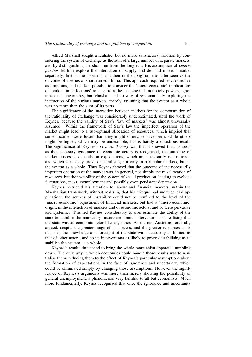Alfred Marshall sought a realistic, but no more satisfactory, solution by considering the system of exchange as the sum of a large number of separate markets, and by distinguishing the short-run from the long-run. His assumption of *ceteris paribus* let him explore the interaction of supply and demand in each market separately, first in the short-run and then in the long-run, the latter seen as the outcome of a series of short-run equilibria. This approach required less restrictive assumptions, and made it possible to consider the 'micro-economic' implications of market 'imperfections' arising from the existence of monopoly powers, ignorance and uncertainty, but Marshall had no way of systematically exploring the interaction of the various markets, merely assuming that the system as a whole was no more than the sum of its parts.

The significance of the interaction between markets for the demonstration of the rationality of exchange was considerably underestimated, until the work of Keynes, because the validity of Say's 'law of markets' was almost universally assumed. Within the framework of Say's law the imperfect operation of the market might lead to a sub-optimal allocation of resources, which implied that some incomes were lower than they might otherwise have been, while others might be higher, which may be undesirable, but is hardly a disastrous result. The significance of Keynes's *General Theory* was that it showed that, as soon as the necessary ignorance of economic actors is recognised, the outcome of market processes depends on expectations, which are necessarily non-rational, and which can easily prove de-stabilising not only in particular markets, but in the system as a whole. Thus Keynes showed that the outcome of the necessarily imperfect operation of the market was, in general, not simply the misallocation of resources, but the instability of the system of social production, leading to cyclical fluctuations, mass unemployment and possibly even persistent depression.

Keynes restricted his attention to labour and financial markets, within the Marshallian framework, without realising that his critique had more general application: the sources of instability could not be confined to the level of the 'macro-economic' adjustment of financial markets, but had a 'micro-economic' origin, in the interaction of markets and of economic actors, and so were pervasive and systemic. This led Keynes considerably to over-estimate the ability of the state to stabilise the market by 'macro-economic' intervention, not realising that the state was an economic actor like any other. As the neo-Austrians forcefully argued, despite the greater range of its powers, and the greater resources at its disposal, the knowledge and foresight of the state was necessarily as limited as that of other actors, and so its interventions as likely to prove destabilising as to stabilise the system as a whole.

Keynes's results threatened to bring the whole marginalist apparatus tumbling down. The only way in which economics could handle those results was to neutralise them, reducing them to the effect of Keynes's particular assumptions about the formation of expectations in the face of ignorance and uncertainty, which could be eliminated simply by changing those assumptions. However the significance of Keynes's arguments was more than merely showing the possibility of general unemployment, a phenomenon very familiar to all but economists. Much more fundamentally, Keynes recognised that once the ignorance and uncertainty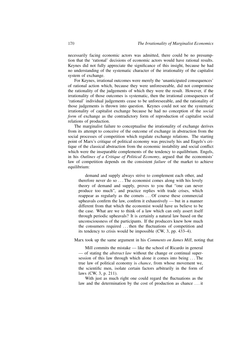necessarily facing economic actors was admitted, there could be no presumption that the 'rational' decisions of economic actors would have rational results. Keynes did not fully appreciate the significance of this insight, because he had no understanding of the systematic character of the irrationality of the capitalist system of exchange.

For Keynes, irrational outcomes were merely the 'unanticipated consequences' of rational action which, because they were unforeseeable, did not compromise the rationality of the judgements of which they were the result. However, if the irrationality of those outcomes is systematic, then the irrational consequences of 'rational' individual judgements cease to be unforeseeable, and the rationality of those judgements is thrown into question. Keynes could not see the systematic irrationality of capitalist exchange because he had no conception of the *social form* of exchange as the contradictory form of reproduction of capitalist social relations of production.

The marginalist failure to conceptualise the irrationality of exchange derives from its attempt to conceive of the outcome of exchange in abstraction from the social processes of competition which regulate exchange relations. The starting point of Marx's critique of political economy was precisely his and Engels's critique of the classical abstraction from the economic instability and social conflict which were the inseparable complements of the tendency to equilibrium. Engels, in his *Outlines of a Critique of Political Economy*, argued that the economists' law of competition depends on the consistent *failure* of the market to achieve equilibrium:

demand and supply always strive to complement each other, and therefore never do so . . . The economist comes along with his lovely theory of demand and supply, proves to you that "one can never produce too much", and practice replies with trade crises, which reappear as regularly as the comets . . . Of course these commercial upheavals confirm the law, confirm it exhaustively — but in a manner different from that which the economist would have us believe to be the case. What are we to think of a law which can only assert itself through periodic upheavals? It is certainly a natural law based on the unconsciousness of the participants. If the producers knew how much the consumers required . . . then the fluctuations of competition and its tendency to crisis would be impossible (CW, 3, pp. 433–4).

#### Marx took up the same argument in his *Comments on James Mill*, noting that

Mill commits the mistake — like the school of Ricardo in general — of stating the *abstract law* without the change or continual supersession of this law through which alone it comes into being . . . The true law of political economy is *chance*, from whose movement we, the scientific men, isolate certain factors arbitrarily in the form of laws (CW, 3, p. 211).

With just as much right one could regard the fluctuations as the law and the determination by the cost of production as chance . . . it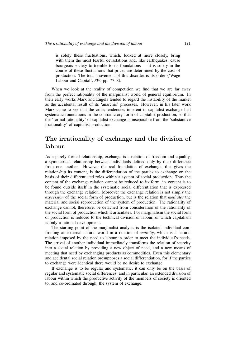is solely these fluctuations, which, looked at more closely, bring with them the most fearful devastations and, like earthquakes, cause bourgeois society to tremble to its foundations — it is solely in the course of these fluctuations that prices are determined by the cost of production. The total movement of this disorder is its order ('Wage Labour and Capital', *SW*, pp. 77–8).

When we look at the reality of competition we find that we are far away from the perfect rationality of the marginalist world of general equilibrium. In their early works Marx and Engels tended to regard the instability of the market as the accidental result of its 'anarchic' processes. However, in his later work Marx came to see that the crisis-tendencies inherent in capitalist exchange had systematic foundations in the contradictory form of capitalist production, so that the 'formal rationality' of capitalist exchange is inseparable from the 'substantive irrationality' of capitalist production.

# The irrationality of exchange and the division of labour

As a purely formal relationship, exchange is a relation of freedom and equality, a symmetrical relationship between individuals defined only by their difference from one another. However the real foundation of exchange, that gives the relationship its content, is the differentiation of the parties to exchange on the basis of their differentiated roles within a system of social production. Thus the content of the exchange relation cannot be reduced to its form, its content is to be found outside itself in the systematic social differentiation that is expressed through the exchange relation. Moreover the exchange relation is not simply the *expression* of the social form of production, but is the relation that *mediates* the material and social reproduction of the system of production. The rationality of exchange cannot, therefore, be detached from consideration of the rationality of the social form of production which it articulates. For marginalism the social form of production is reduced to the technical division of labour, of which capitalism is only a rational development.

The starting point of the marginalist analysis is the isolated individual confronting an external natural world in a relation of *scarcity*, which is a natural relation imposed by the need to labour in order to meet the individual's needs. The arrival of another individual immediately transforms the relation of scarcity into a social relation by providing a new object of need, and a new means of meeting that need by exchanging products as commodities. Even this elementary and accidental social relation presupposes a social differentiation, for if the parties to exchange were identical there would be no desire to exchange.

If exchange is to be regular and systematic, it can only be on the basis of regular and systematic social differences, and in particular, an extended division of labour within which the productive activity of the members of society is oriented to, and co-ordinated through, the system of exchange.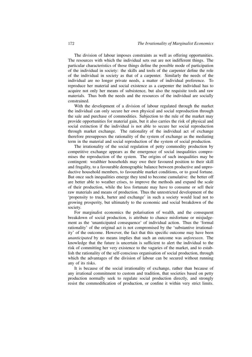The division of labour imposes constraints as well as offering opportunities. The resources with which the individual sets out are not indifferent things. The particular characteristics of those things define the possible mode of participation of the individual in society: the skills and tools of the carpenter define the role of the individual in society as that of a carpenter. Similarly the needs of the individual are no longer private needs, a matter of individual preference. To reproduce her material and social existence as a carpenter the individual has to acquire not only her means of subsistence, but also the requisite tools and raw materials. Thus both the needs and the resources of the individual are socially constrained.

With the development of a division of labour regulated through the market the individual can only secure her own physical and social reproduction through the sale and purchase of commodities. Subjection to the rule of the market may provide opportunities for material gain, but it also carries the risk of physical and social extinction if the individual is not able to secure her social reproduction through market exchange. The rationality of the individual act of exchange therefore presupposes the rationality of the system of exchange as the mediating term in the material and social reproduction of the system of social production.

The irrationality of the social regulation of petty commodity production by competitive exchange appears as the emergence of social inequalities compromises the reproduction of the system. The origins of such inequalities may be contingent: wealthier households may owe their favoured position to their skill and frugality, to a favourable demographic balance between productive and unproductive household members, to favourable market conditions, or to good fortune. But once such inequalities emerge they tend to become cumulative: the better off are better able to weather crises, to improve the methods and expand the scale of their production, while the less fortunate may have to consume or sell their raw materials and means of production. Thus the unrestricted development of the 'propensity to truck, barter and exchange' in such a society would lead not to growing prosperity, but ultimately to the economic and social breakdown of the society.

For marginalist economics the polarisation of wealth, and the consequent breakdown of social production, is attribute to chance misfortune or misjudgement as the 'unanticipated consequence' of individual action. Thus the 'formal rationality' of the original act is not compromised by the 'substantive irrationality' of the outcome. However, the fact that this specific outcome may have been *unanticipated* by no means implies that such an outcome was *unforeseen*. The knowledge that the future is uncertain is sufficient to alert the individual to the risk of committing her very existence to the vagaries of the market, and to establish the rationality of the self-conscious organisation of social production, through which the advantages of the division of labour can be secured without running any of its risks.

It is because of the social irrationality of exchange, rather than because of any irrational commitment to custom and tradition, that societies based on petty production normally seek to regulate social production directly, and strongly resist the commodification of production, or confine it within very strict limits.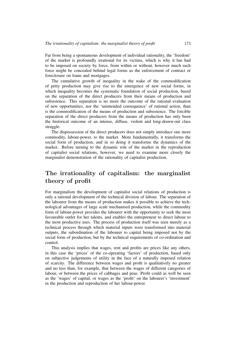Far from being a spontaneous development of individual rationality, the 'freedom' of the market is profoundly irrational for its victims, which is why it has had to be imposed on society by force, from within or without, however much such force might be concealed behind legal forms as the enforcement of contract or foreclosure on loans and mortgages.

The cumulative growth of inequality in the wake of the commodification of petty production may give rise to the emergence of new social forms, in which inequality becomes the systematic foundation of social production, based on the separation of the direct producers from their means of production and subsistence. This separation is no more the outcome of the rational evaluation of new opportunities, nor the 'unintended consequence' of rational action, than is the commodification of the means of production and subsistence. The forcible separation of the direct producers from the means of production has only been the historical outcome of an intense, diffuse, violent and long-drawn-out class struggle.

The dispossession of the direct producers does not simply introduce one more commodity, labour-power, to the market. More fundamentally, it transforms the social form of production, and in so doing it transforms the dynamics of the market. Before turning to the dynamic role of the market in the reproduction of capitalist social relations, however, we need to examine more closely the marginalist demonstration of the rationality of capitalist production.

# The irrationality of capitalism: the marginalist theory of profit

For marginalism the development of capitalist social relations of production is only a rational development of the technical division of labour. The separation of the labourer from the means of production makes it possible to achieve the technological advantages of large scale mechanised production, while the commodity form of labour-power provides the labourer with the opportunity to seek the most favourable outlet for her talents, and enables the entrepreneur to direct labour to the most productive uses. The process of production itself was seen merely as a technical process through which material inputs were transformed into material outputs, the subordination of the labourer to capital being imposed not by the social form of production, but by the technical requirements of co-ordination and control.

This analysis implies that wages, rent and profits are prices like any others, in this case the 'prices' of the co-operating 'factors' of production, based only on subjective judgements of utility in the face of a naturally imposed relation of scarcity. The difference between wages and profit is qualitatively no greater and no less than, for example, that between the wages of different categories of labour, or between the prices of cabbages and peas. Profit could as well be seen as the 'wages' of capital, or wages as the 'profit' on the labourer's 'investment' in the production and reproduction of her labour-power.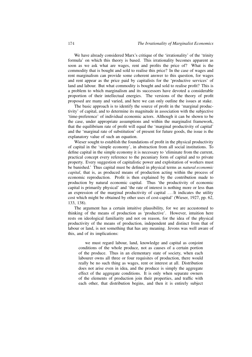We have already considered Marx's critique of the 'irrationality' of the 'trinity formula' on which this theory is based. This irrationality becomes apparent as soon as we ask what are wages, rent and profits the price of? What is the commodity that is bought and sold to realise this price? In the case of wages and rent marginalism can provide some coherent answer to this question, for wages and rent appear as the price paid by capitalists for the 'productive services' of land and labour. But what commodity is bought and sold to realise profit? This is a problem to which marginalism and its successors have devoted a considerable proportion of their intellectual energies. The versions of the theory of profit proposed are many and varied, and here we can only outline the issues at stake.

The basic approach is to identify the source of profit in the 'marginal productivity' of capital, and to determine its magnitude in association with the subjective 'time-preference' of individual economic actors. Although it can be shown to be the case, under appropriate assumptions and within the marginalist framework, that the equilibrium rate of profit will equal the 'marginal productivity of capital' and the 'marginal rate of substitution' of present for future goods, the issue is the explanatory value of such an equation.

Wieser sought to establish the foundations of profit in the physical productivity of capital in the 'simple economy', in abstraction from all social institutions. To define capital in the simple economy it is necessary to 'eliminate from the current, practical concept every reference to the pecuniary form of capital and to private property. Every suggestion of capitalistic power and exploitation of workers must be banished.' Thus capital must be defined in physical terms as *natural economic capital*, that is, as produced means of production acting within the process of economic reproduction. Profit is then explained by the contribution made to production by natural economic capital. Thus 'the productivity of economic capital is primarily physical' and 'the rate of interest is nothing more or less than an expression of the marginal productivity of capital . . . It indicates the utility cost which might be obtained by other uses of cost-capital' (Wieser, 1927, pp. 62, 133, 138).

The argument has a certain intuitive plausibility, for we are accustomed to thinking of the means of production as 'productive'. However, intuition here rests on ideological familiarity and not on reason, for the idea of the physical productivity of the means of production, independent and distinct from that of labour or land, is not something that has any meaning. Jevons was well aware of this, and of its implications:

we must regard labour, land, knowledge and capital as conjoint conditions of the whole produce, not as causes of a certain portion of the produce. Thus in an elementary state of society, when each labourer owns all three or four requisites of production, there would really be no such thing as wages, rent or interest at all. Distribution does not arise even in idea, and the produce is simply the aggregate effect of the aggregate conditions. It is only when separate owners of the elements of production join their properties, and traffic with each other, that distribution begins, and then it is entirely subject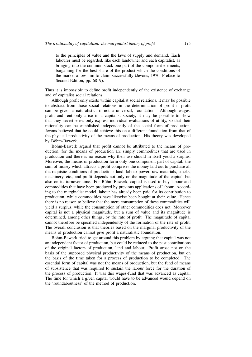to the principles of value and the laws of supply and demand. Each labourer must be regarded, like each landowner and each capitalist, as bringing into the common stock one part of the component elements, bargaining for the best share of the product which the conditions of the market allow him to claim successfully (Jevons, 1970, Preface to Second Edition, pp. 68–9).

Thus it is impossible to define profit independently of the existence of exchange and of capitalist social relations.

Although profit only exists within capitalist social relations, it may be possible to abstract from those social relations in the determination of profit if profit can be given a naturalistic, if not a universal, foundation. Although wages, profit and rent only arise in a capitalist society, it may be possible to show that they nevertheless only express individual evaluations of utility, so that their rationality can be established independently of the social form of production. Jevons believed that he could achieve this on a different foundation from that of the physical productivity of the means of production. His theory was developed by Böhm-Bawerk.

Böhm-Bawerk argued that profit cannot be attributed to the means of production, for the means of production are simply commodities that are used in production and there is no reason why their use should in itself yield a surplus. Moreover, the means of production form only one component part of capital: the sum of money which attracts a profit comprises the money laid out to purchase all the requisite conditions of production: land, labour-power, raw materials, stocks, machinery, etc., and profit depends not only on the magnitude of the capital, but also on its turnover time. For Böhm-Bawerk, capital is used to buy labour and commodities that have been produced by previous applications of labour. According to the marginalist model, labour has already been paid for its contribution to production, while commodities have likewise been bought at their value. Hence there is no reason to believe that the mere consumption of these commodities will yield a surplus, while the consumption of other commodities does not. Moreover capital is not a physical magnitude, but a sum of value and its magnitude is determined, among other things, by the rate of profit. The magnitude of capital cannot therefore be specified independently of the formation of the rate of profit. The overall conclusion is that theories based on the marginal productivity of the means of production cannot give profit a naturalistic foundation.

Böhm-Bawerk tried to get around this problem by arguing that capital was not an independent factor of production, but could be reduced to the past contributions of the original factors of production, land and labour. Profit arose not on the basis of the supposed physical productivity of the means of production, but on the basis of the time taken for a process of production to be completed. The essential form of capital was not the means of production, but the fund of means of subsistence that was required to sustain the labour force for the duration of the process of production. It was this wages-fund that was advanced as capital. The time for which a given capital would have to be advanced would depend on the 'roundaboutness' of the method of production.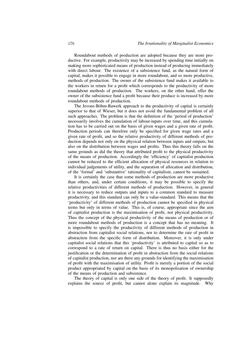Roundabout methods of production are adopted because they are more productive. For example, productivity may be increased by spending time initially on making more sophisticated means of production instead of producing immediately with direct labour. The existence of a subsistence fund, as the natural form of capital, makes it possible to engage in more roundabout, and so more productive, methods of production. The owner of the subsistence fund makes it available to the workers in return for a profit which corresponds to the productivity of more roundabout methods of production. The workers, on the other hand, offer the owner of the subsistence fund a profit because their produce is increased by more roundabout methods of production.

The Jevons-Böhm-Bawerk approach to the productivity of capital is certainly superior to that of Wieser, but it does not avoid the fundamental problem of all such approaches. The problem is that the definition of the 'period of production' necessarily involves the cumulation of labour-inputs over time, and this cumulation has to be carried out on the basis of given wages and a given rate of profit. Production periods can therefore only be specified for given wage rates and a given rate of profit, and so the relative productivity of different methods of production depends not only on the physical relation between inputs and outputs, but also on the distribution between wages and profits. Thus this theory falls on the same grounds as did the theory that attributed profit to the physical productivity of the means of production. Accordingly the 'efficiency' of capitalist production cannot be reduced to the efficient allocation of physical resources in relation to individual judgements of utility, and the separation of allocation and distribution, of the 'formal' and 'substantive' rationality of capitalism, cannot be sustained.

It is certainly the case that some methods of production are more productive than others, and, under certain conditions, it may be possible to specify the relative productivities of different methods of production. However, in general it is necessary to reduce outputs and inputs to a common standard to measure productivity, and this standard can only be a value-standard. This means that the 'productivity' of different methods of production cannot be specified in physical terms but only in terms of value. This is, of course, appropriate since the aim of capitalist production is the maximisation of profit, not physical productivity. Thus the concept of the physical productivity of the means of production or of more roundabout methods of production is a concept that has no meaning. It is impossible to specify the productivity of different methods of production in abstraction from capitalist social relations, nor to determine the rate of profit in abstraction from the specific form of distribution. Moreover, it is only under capitalist social relations that this 'productivity' is attributed to capital so as to correspond to a rate of return on capital. There is thus no basis either for the justification or the determination of profit in abstraction from the social relations of capitalist production, nor are there any grounds for identifying the maximisation of profit with the maximisation of utility. Profit is merely a portion of the social product appropriated by capital on the basis of its monopolisation of ownership of the means of production and subsistence.

The theory of capital is only one side of the theory of profit. It supposedly explains the source of profit, but cannot alone explain its magnitude. Why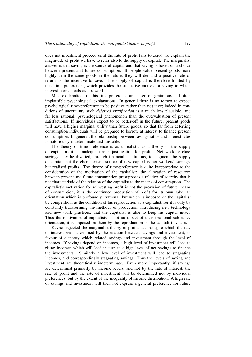does not investment proceed until the rate of profit falls to zero? To explain the magnitude of profit we have to refer also to the supply of capital. The marginalist answer is that saving is the source of capital and that saving is based on a choice between present and future consumption. If people value present goods more highly than the same goods in the future, they will demand a positive rate of return as the incentive to save. The supply of capital is therefore limited by this 'time-preference', which provides the subjective motive for saving to which interest corresponds as a reward.

Most explanations of this time-preference are based on gratuitous and often implausible psychological explanations. In general there is no reason to expect psychological time-preference to be positive rather than negative; indeed in conditions of uncertainty such *deferred gratification* is a much less plausible, and far less rational, psychological phenomenon than the overvaluation of present satisfactions. If individuals expect to be better-off in the future, present goods will have a higher marginal utility than future goods, so that far from deferring consumption individuals will be prepared to borrow at interest to finance present consumption. In general, the relationship between savings ratios and interest rates is notoriously indeterminate and unstable.

The theory of time-preference is as unrealistic as a theory of the supply of capital as it is inadequate as a justification for profit. Net working class savings may be diverted, through financial institutions, to augment the supply of capital, but the characteristic source of new capital is not workers' savings, but realised profits. The theory of time-preference is quite inappropriate to the consideration of the motivation of the capitalist: the allocation of resources between present and future consumption presupposes a relation of scarcity that is not characteristic of the relation of the capitalist to the means of consumption. The capitalist's motivation for reinvesting profit is not the provision of future means of consumption, it is the continued production of profit for its own sake, an orientation which is profoundly irrational, but which is imposed on the capitalist by competition, as the condition of his reproduction as a capitalist, for it is only by constantly transforming the methods of production, introducing new technology and new work practices, that the capitalist is able to keep his capital intact. Thus the motivation of capitalists is not an aspect of their irrational subjective orientation, it is imposed on them by the reproduction of the capitalist system.

Keynes rejected the marginalist theory of profit, according to which the rate of interest was determined by the relation between savings and investment, in favour of a theory which related savings and investment through the level of incomes. If savings depend on incomes, a high level of investment will lead to rising incomes which will lead in turn to a high level of net savings to finance the investments. Similarly a low level of investment will lead to stagnating incomes, and correspondingly stagnating savings. Thus the levels of saving and investment are theoretically indeterminate. Even more importantly, if savings are determined primarily by income levels, and not by the rate of interest, the rate of profit and the rate of investment will be determined not by individual preferences, but by the extent of the inequality of income distribution. A high rate of savings and investment will then not express a general preference for future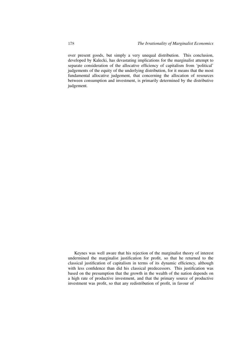over present goods, but simply a very unequal distribution. This conclusion, developed by Kalecki, has devastating implications for the marginalist attempt to separate consideration of the allocative efficiency of capitalism from 'political' judgements of the equity of the underlying distribution, for it means that the most fundamental allocative judgement, that concerning the allocation of resources between consumption and investment, is primarily determined by the distributive judgement.

Keynes was well aware that his rejection of the marginalist theory of interest undermined the marginalist justification for profit, so that he returned to the classical justification of capitalism in terms of its dynamic efficiency, although with less confidence than did his classical predecessors. This justification was based on the presumption that the growth in the wealth of the nation depends on a high rate of productive investment, and that the primary source of productive investment was profit, so that any redistribution of profit, in favour of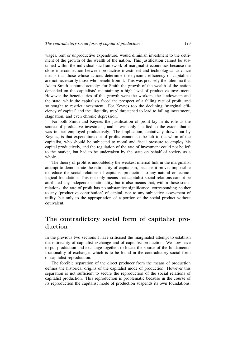wages, rent or unproductive expenditure, would diminish investment to the detriment of the growth of the wealth of the nation. This justification cannot be sustained within the individualistic framework of marginalist economics because the close interconnection between productive investment and technological advance means that those whose actions determine the dynamic efficiency of capitalism are not necessarily those who benefit from it. This was precisely the dilemma that Adam Smith captured acutely: for Smith the growth of the wealth of the nation depended on the capitalists' maintaining a high level of productive investment. However the beneficiaries of this growth were the workers, the landowners and the state, while the capitalists faced the prospect of a falling rate of profit, and so sought to restrict investment. For Keynes too the declining 'marginal efficiency of capital' and the 'liquidity trap' threatened to lead to falling investment, stagnation, and even chronic depression.

For both Smith and Keynes the justification of profit lay in its role as the source of productive investment, and it was only justified to the extent that it was in fact employed productively. The implication, tentatively drawn out by Keynes, is that expenditure out of profits cannot not be left to the whim of the capitalist, who should be subjected to moral and fiscal pressure to employ his capital productively, and the regulation of the rate of investment could not be left to the market, but had to be undertaken by the state on behalf of society as a whole.

The theory of profit is undoubtedly the weakest internal link in the marginalist attempt to demonstrate the rationality of capitalism, because it proves impossible to reduce the social relations of capitalist production to any natural or technological foundation. This not only means that capitalist social relations cannot be attributed any independent rationality, but it also means that, within those social relations, the rate of profit has no substantive significance, corresponding neither to any 'productive contribution' of capital, nor to any subjective assessment of utility, but only to the appropriation of a portion of the social product without equivalent.

## The contradictory social form of capitalist production

In the previous two sections I have criticised the marginalist attempt to establish the rationality of capitalist exchange and of capitalist production. We now have to put production and exchange together, to locate the source of the fundamental irrationality of exchange, which is to be found in the contradictory social form of capitalist reproduction.

The forcible separation of the direct producer from the means of production defines the historical origins of the capitalist mode of production. However this separation is not sufficient to secure the reproduction of the social relations of capitalist production. This reproduction is problematic because in the course of its reproduction the capitalist mode of production suspends its own foundations.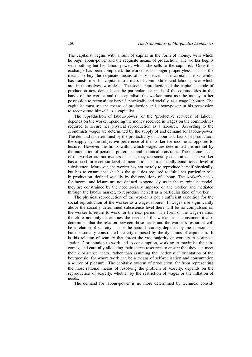The capitalist begins with a sum of capital in the form of money, with which he buys labour-power and the requisite means of production. The worker begins with nothing but her labour-power, which she sells to the capitalist. Once this exchange has been completed, the worker is no longer propertyless, but has the means to buy the requisite means of subsistence. The capitalist, meanwhile, has transformed his capital into a mass of commodities and labour-power which are, in themselves, worthless. The social reproduction of the capitalist mode of production now depends on the particular use made of the commodities in the hands of the worker and the capitalist: the worker must use the money in her possession to reconstitute herself, physically and socially, as a wage labourer. The capitalist must use the means of production and labour-power in his possession to reconstitute himself as a capitalist.

The reproduction of labour-power (or the 'productive services' of labour) depends on the worker spending the money received in wages on the commodities required to secure her physical reproduction as a labourer. According to the economists wages are determined by the supply of and demand for labour-power. The demand is determined by the productivity of labour as a factor of production, the supply by the subjective preference of the worker for income as opposed to leisure. However the limits within which wages are determined are not set by the interaction of personal preference and technical constraint. The income needs of the worker are not matters of taste; they are socially constrained. The worker has a need for a certain level of income to sustain a socially conditioned level of subsistence. Moreover, the worker has not merely to reproduce herself physically, but has to ensure that she has the qualities required to fulfil her particular role in production, defined socially by the conditions of labour. The worker's needs for income and leisure are not defined exogenously, as in the marginalist model, they are constrained by the need socially imposed on the worker, and mediated through the labour market, to reproduce herself as a particular kind of worker.

The physical reproduction of the worker is not a sufficient condition for the social reproduction of the worker as a wage-labourer. If wages rise significantly above the socially determined subsistence level there will be no compulsion on the worker to return to work for the next period. The form of the wage-relation therefore not only determines the needs of the worker as a consumer, it also determines that the relation between those needs and the worker's resources will be a relation of scarcity — not the natural scarcity depicted by the economists, but the socially constructed scarcity imposed by the dynamics of capitalism. It is this relation of scarcity that forces the vast majority of workers to assume a 'rational' orientation to work and to consumption, working to maximise their incomes, and carefully allocating their scarce resources to ensure that they can meet their subsistence needs, rather than assuming the 'hedonistic' orientation of the bourgeoisie, for whom work can be a means of self-realisation and consumption a source of pleasure. The capitalist system of production, far from representing the most rational means of resolving the problem of scarcity, depends on the reproduction of scarcity, whether by the restriction of wages or the inflation of needs.

The demand for labour-power is no more determined by technical consid-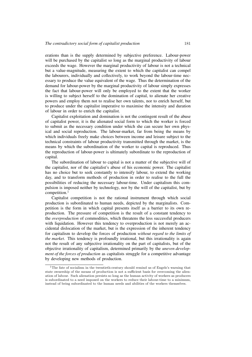erations than is the supply determined by subjective preference. Labour-power will be purchased by the capitalist so long as the marginal productivity of labour exceeds the wage. However the marginal productivity of labour is not a technical but a value-magnitude, measuring the extent to which the capitalist can compel the labourers, individually and collectively, to work beyond the labour-time necessary to produce the value equivalent of the wage. Thus the determination of the demand for labour-power by the marginal productivity of labour simply expresses the fact that labour-power will only be employed to the extent that the worker is willing to subject herself to the domination of capital, to alienate her creative powers and employ them not to realise her own talents, nor to enrich herself, but to produce under the capitalist imperative to maximise the intensity and duration of labour in order to enrich the capitalist.

Capitalist exploitation and domination is not the contingent result of the abuse of capitalist power, it is the alienated social form to which the worker is forced to submit as the necessary condition under which she can secure her own physical and social reproduction. The labour-market, far from being the means by which individuals freely make choices between income and leisure subject to the technical constraints of labour productivity transmitted through the market, is the means by which the subordination of the worker to capital is reproduced. Thus the reproduction of labour-power is ultimately subordinate to the reproduction of capital.

The subordination of labour to capital is not a matter of the subjective will of the capitalist, nor of the capitalist's abuse of his economic power. The capitalist has no choice but to seek constantly to intensify labour, to extend the working day, and to transform methods of production in order to realise to the full the possibilities of reducing the necessary labour-time. Under capitalism this compulsion is imposed neither by technology, nor by the will of the capitalist, but by competition.<sup>1</sup>

Capitalist competition is not the rational instrument through which social production is subordinated to human needs, depicted by the marginalists. Competition is the form in which capital presents itself as a barrier to its own reproduction. The pressure of competition is the result of a constant tendency to the *overproduction* of commodities, which threatens the less successful producers with liquidation. However this tendency to overproduction is not merely an accidental dislocation of the market, but is the expression of the inherent tendency for capitalism to develop the forces of production *without regard to the limits of the market*. This tendency is profoundly irrational, but this irrationality is again not the result of any subjective irrationality on the part of capitalists, but of the objective irrationality of capitalism, determined primarily by the *uneven development of the forces of production* as capitalists struggle for a competitive advantage by developing new methods of production.

<sup>&</sup>lt;sup>1</sup>The fate of socialism in the twentieth-century should remind us of Engels's warning that state ownership of the means of production is not a sufficient basis for overcoming the alienation of labour. Such alienation persists so long as the human activity of workers as producers is subordinated to a need imposed on the workers to reduce their labour-time to a minimum, instead of being subordinated to the human needs and abilities of the workers themselves.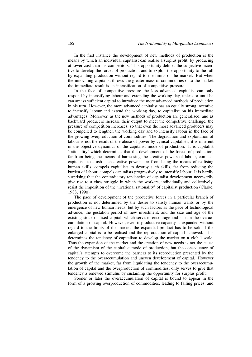In the first instance the development of new methods of production is the means by which an individual capitalist can realise a surplus profit, by producing at lower cost than his competitors. This opportunity defines the subjective incentive to develop the forces of production, and to exploit the opportunity to the full by expanding production without regard to the limits of the market. But when the innovating capitalist throws the greater mass of commodities onto the market the immediate result is an intensification of competitive pressure.

In the face of competitive pressure the less advanced capitalist can only respond by intensifying labour and extending the working day, unless or until he can amass sufficient capital to introduce the more advanced methods of production in his turn. However, the more advanced capitalist has an equally strong incentive to intensify labour and extend the working day, to capitalise on his immediate advantages. Moreover, as the new methods of production are generalised, and as backward producers increase their output to meet the competitive challenge, the pressure of competition increases, so that even the most advanced producers may be compelled to lengthen the working day and to intensify labour in the face of the growing overproduction of commodities. The degradation and exploitation of labour is not the result of the abuse of power by cynical capitalists, it is inherent in the objective dynamics of the capitalist mode of production. It is capitalist 'rationality' which determines that the development of the forces of production, far from being the means of harnessing the creative powers of labour, compels capitalists to crush such creative powers, far from being the means of realising human skills, compels capitalists to destroy such skills, far from reducing the burden of labour, compels capitalists progressively to intensify labour. It is hardly surprising that the contradictory tendencies of capitalist development necessarily give rise to a class struggle in which the workers, individually and collectively, resist the imposition of the 'irrational rationality' of capitalist production (Clarke, 1988, 1990).

The pace of development of the productive forces in a particular branch of production is not determined by the desire to satisfy human wants or by the emergence of new human needs, but by such factors as the pace of technological advance, the gestation period of new investment, and the size and age of the existing stock of fixed capital, which serve to encourage and sustain the overaccumulation of capital. However, even if productive capacity is expanded without regard to the limits of the market, the expanded product has to be sold if the enlarged capital is to be realised and the reproduction of capital achieved. This determines the tendency of capitalism to develop the market on a global scale. Thus the expansion of the market and the creation of new needs is not the cause of the dynamism of the capitalist mode of production, but the consequence of capital's attempts to overcome the barriers to its reproduction presented by the tendency to the overaccumulation and uneven development of capital. However the growth of the market, far from liquidating the tendency to the overaccumulation of capital and the overproduction of commodities, only serves to give that tendency a renewed stimulus by sustaining the opportunity for surplus profit.

Sooner or later the overaccumulation of capital is bound to appear in the form of a growing overproduction of commodities, leading to falling prices, and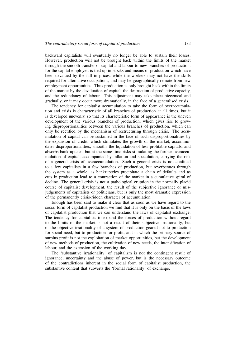backward capitalists will eventually no longer be able to sustain their losses. However, production will not be brought back within the limits of the market through the smooth transfer of capital and labour to new branches of production, for the capital employed is tied up in stocks and means of production which have been devalued by the fall in prices, while the workers may not have the skills required for alternative occupations, and may be geographically remote from new employment opportunities. Thus production is only brought back within the limits of the market by the devaluation of capital, the destruction of productive capacity, and the redundancy of labour. This adjustment may take place piecemeal and gradually, or it may occur more dramatically, in the face of a generalised crisis.

The tendency for capitalist accumulation to take the form of overaccumulation and crisis is characteristic of all branches of production at all times, but it is developed unevenly, so that its characteristic form of appearance is the uneven development of the various branches of production, which gives rise to growing disproportionalities between the various branches of production, which can only be rectified by the mechanism of restructuring through crisis. The accumulation of capital can be sustained in the face of such disproportionalities by the expansion of credit, which stimulates the growth of the market, accommodates disproportionalities, smooths the liquidation of less profitable capitals, and absorbs bankruptcies, but at the same time risks stimulating the further overaccumulation of capital, accompanied by inflation and speculation, carrying the risk of a general crisis of overaccumulation. Such a general crisis is not confined to a few capitalists in a few branches of production, but reverberates through the system as a whole, as bankruptcies precipitate a chain of defaults and as cuts in production lead to a contraction of the market in a cumulative spiral of decline. The general crisis is not a pathological eruption in the normally placid course of capitalist development, the result of the subjective ignorance or misjudgements of capitalists or politicians, but is only the most dramatic expression of the permanently crisis-ridden character of accumulation.

Enough has been said to make it clear that as soon as we have regard to the social form of capitalist production we find that it is only on the basis of the laws of capitalist production that we can understand the laws of capitalist exchange. The tendency for capitalists to expand the forces of production without regard to the limits of the market is not a result of their subjective irrationality, but of the objective irrationality of a system of production geared not to production for social need, but to production for profit, and in which the primary source of surplus profit is not the exploitation of market opportunities, but the development of new methods of production, the cultivation of new needs, the intensification of labour, and the extension of the working day.

The 'substantive irrationality' of capitalism is not the contingent result of ignorance, uncertainty and the abuse of power, but is the necessary outcome of the contradictions inherent in the social form of capitalist production, the substantive content that subverts the 'formal rationality' of exchange.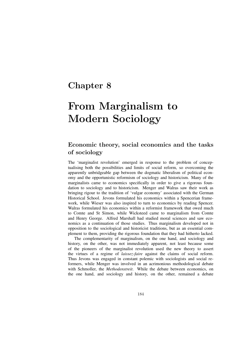## Chapter 8

# From Marginalism to Modern Sociology

## Economic theory, social economics and the tasks of sociology

The 'marginalist revolution' emerged in response to the problem of conceptualising both the possibilities and limits of social reform, so overcoming the apparently unbridgeable gap between the dogmatic liberalism of political economy and the opportunistic reformism of sociology and historicism. Many of the marginalists came to economics specifically in order to give a rigorous foundation to sociology and to historicism. Menger and Walras saw their work as bringing rigour to the tradition of 'vulgar economy' associated with the German Historical School. Jevons formulated his economics within a Spencerian framework, while Wieser was also inspired to turn to economics by reading Spencer. Walras formulated his economics within a reformist framework that owed much to Comte and St Simon, while Wicksteed came to marginalism from Comte and Henry George. Alfred Marshall had studied moral sciences and saw economics as a continuation of those studies. Thus marginalism developed not in opposition to the sociological and historicist traditions, but as an essential complement to them, providing the rigorous foundation that they had hitherto lacked.

The complementarity of marginalism, on the one hand, and sociology and history, on the other, was not immediately apparent, not least because some of the pioneers of the marginalist revolution used the new theory to assert the virtues of a regime of *laissez-faire* against the claims of social reform. Thus Jevons was engaged in constant polemic with sociologists and social reformers, while Menger was involved in an acrimonious methodological debate with Schmoller, the *Methodenstreit*. While the debate between economics, on the one hand, and sociology and history, on the other, remained a debate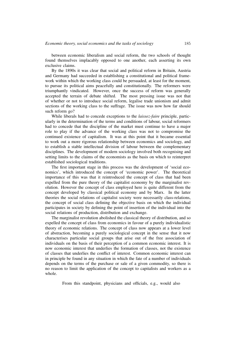between economic liberalism and social reform, the two schools of thought found themselves implacably opposed to one another, each asserting its own exclusive claims.

By the 1890s it was clear that social and political reform in Britain, Austria and Germany had succeeded in establishing a constitutional and political framework within which the working class could be persuaded, at least for the moment, to pursue its political aims peacefully and constitutionally. The reformers were triumphantly vindicated. However, once the success of reform was generally accepted the terrain of debate shifted. The most pressing issue was not that of whether or not to introduce social reform, legalise trade unionism and admit sections of the working class to the suffrage. The issue was now how far should such reform go?

While liberals had to concede exceptions to the *laissez-faire* principle, particularly in the determination of the terms and conditions of labour, social reformers had to concede that the discipline of the market must continue to have a major role to play if the advance of the working class was not to compromise the continued existence of capitalism. It was at this point that it became essential to work out a more rigorous relationship between economics and sociology, and to establish a stable intellectual division of labour between the complementary disciplines. The development of modern sociology involved both recognising and setting limits to the claims of the economists as the basis on which to reinterpret established sociological traditions.

The first important stage in this process was the development of 'social economics', which introduced the concept of 'economic power'. The theoretical importance of this was that it reintroduced the concept of class that had been expelled from the pure theory of the capitalist economy by the marginalist revolution. However the concept of class employed here is quite different from the concept developed by classical political economy and by Marx. In the latter theories the social relations of capitalist society were necessarily class-relations, the concept of social class defining the objective basis on which the individual participates in society by defining the point of insertion of the individual into the social relations of production, distribution and exchange.

The marginalist revolution abolished the classical theory of distribution, and so expelled the concept of class from economics in favour of a purely individualistic theory of economic relations. The concept of class now appears at a lower level of abstraction, becoming a purely sociological concept in the sense that it now characterises particular social groups that arise out of the free association of individuals on the basis of their perception of a common economic interest. It is now economic interest that underlies the formation of classes, not the existence of classes that underlies the conflict of interest. Common economic interest can in principle be found in any situation in which the fate of a number of individuals depends on the terms of the purchase or sale of a given commodity, so there is no reason to limit the application of the concept to capitalists and workers as a whole.

From this standpoint, physicians and officials, e.g., would also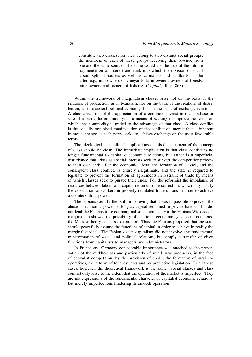constitute two classes, for they belong to two distinct social groups, the members of each of these groups receiving their revenue from one and the same source. The same would also be true of the infinite fragmentation of interest and rank into which the division of social labour splits labourers as well as capitalists and landlords — the latter, e.g., into owners of vineyards, farm-owners, owners of forests, mine-owners and owners of fisheries (*Capital*, III, p. 863).

Within the framework of marginalism classes arise not on the basis of the relations of production, as in Marxism, nor on the basis of the relations of distribution, as in classical political economy, but on the basis of exchange relations. A class arises out of the appreciation of a common interest in the purchase or sale of a particular commodity, as a means of seeking to improve the terms on which that commodity is traded to the advantage of that class. A class conflict is the socially organised manifestation of the conflict of interest that is inherent in any exchange as each party seeks to achieve exchange on the most favourable terms.

The ideological and political implications of this displacement of the concept of class should be clear. The immediate implication is that class conflict is no longer fundamental to capitalist economic relations, but rather is a superficial disturbance that arises as special interests seek to subvert the competitive process to their own ends. For the economic liberal the formation of classes, and the consequent class conflict, is entirely illegitimate, and the state is required to legislate to prevent the formation of agreements in restraint of trade by means of which classes seek to pursue their ends. For the reformist the imbalance of resources between labour and capital requires some correction, which may justify the association of workers in properly regulated trade unions in order to achieve a countervailing power.

The Fabians went further still in believing that it was impossible to prevent the abuse of economic power so long as capital remained in private hands. This did not lead the Fabians to reject marginalist economics. For the Fabians Wicksteed's marginalism showed the possibility of a rational economic system and countered the Marxist theory of class exploitation. Thus the Fabians proposed that the state should peacefully assume the functions of capital in order to achieve in reality the marginalist ideal. The Fabian's state capitalism did not involve any fundamental transformation of social and political relations, but simply a transfer of given functions from capitalists to managers and administrators.

In France and Germany considerable importance was attached to the preservation of the middle-class and particularly of small rural producers, in the face of capitalist competition, by the provision of credit, the formation of rural cooperatives, the reform of tenancy laws and by protective legislation. In all these cases, however, the theoretical framework is the same. Social classes and class conflict only arise to the extent that the operation of the market is imperfect. They are not expressions of the fundamental character of capitalist economic relations, but merely imperfections hindering its smooth operation.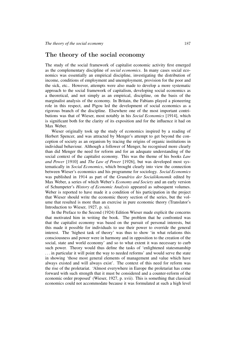## The theory of the social economy

The study of the social framework of capitalist economic activity first emerged as the complementary discipline of *social economics*. In many cases social economics was essentially an empirical discipline, investigating the distribution of income, conditions of employment and unemployment, provision for the poor and the sick, etc.. However, attempts were also made to develop a more systematic approach to the social framework of capitalism, developing social economics as a theoretical, and not simply as an empirical, discipline, on the basis of the marginalist analysis of the economy. In Britain, the Fabians played a pioneering role in this respect, and Pigou led the development of social economics as a rigorous branch of the discipline. Elsewhere one of the most important contributions was that of Wieser, most notably in his *Social Economics* [1914], which is significant both for the clarity of its exposition and for the influence it had on Max Weber.

Wieser originally took up the study of economics inspired by a reading of Herbert Spencer, and was attracted by Menger's attempt to get beyond the conception of society as an organism by tracing the origins of organic institutions in individual behaviour. Although a follower of Menger, he recognised more clearly than did Menger the need for reform and for an adequate understanding of the social context of the capitalist economy. This was the theme of his books *Law and Power* [1910] and *The Law of Power* [1926], but was developed most systematically in *Social Economics*, which brought clearly into view the connection between Wieser's economics and his programme for sociology. *Social Economics* was published in 1914 as part of the *Grundriss der Socialökonomik* edited by Max Weber, a series of which Weber's *Economy and Society* and an early version of Schumpeter's *History of Economic Analysis* appeared as subsequent volumes. Weber is reported to have made it a condition of his participation in the project that Wieser should write the economic theory section of the series, but the volume that resulted is more than an exercise in pure economic theory (Translator's Introduction to Wieser, 1927, p. xi).

In the Preface to the Second (1924) Edition Wieser made explicit the concerns that motivated him in writing the book. The problem that he confronted was that the capitalist economy was based on the pursuit of personal interests, but this made it possible for individuals to use their power to override the general interest. The 'highest task of theory' was thus to show 'in what relations this consciousness and power were in harmony and in opposition to the creation of the social, state and world economy' and so to what extent it was necessary to curb such power. Theory would thus define the tasks of 'enlightened statesmanship . . . in particular it will point the way to needed reforms' and would serve the state in showing 'those most general elements of management and value which have always existed and will always exist'. The context of this need for reform was the rise of the proletariat. 'Almost everywhere in Europe the proletariat has come forward with such strength that it must be considered and a counter-reform of the economic order proposed' (Wieser, 1927, p. xvii). This is something that classical economics could not accommodate because it was formulated at such a high level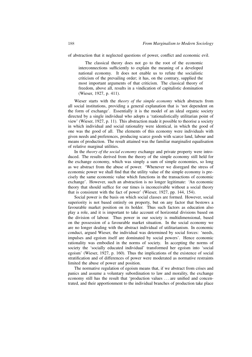of abstraction that it neglected questions of power, conflict and economic evil.

The classical theory does not go to the root of the economic interconnections sufficiently to explain the meaning of a developed national economy. It does not enable us to refute the socialistic criticism of the prevailing order; it has, on the contrary, supplied the most important arguments of that criticism. The classical theory of freedom, above all, results in a vindication of capitalistic domination (Wieser, 1927, p. 411).

Wieser starts with the *theory of the simple economy* which abstracts from all social institutions, providing a general explanation that is 'not dependent on the form of exchange'. Essentially it is the model of an ideal organic society directed by a single individual who adopts a 'rationalistically utilitarian point of view' (Wieser, 1927, p. 11). This abstraction made it possible to theorise a society in which individual and social rationality were identical, in which the good of one was the good of all. The elements of this economy were individuals with given needs and preferences, producing scarce goods with scarce land, labour and means of production. The result attained was the familiar marginalist equalisation of relative marginal utilities.

In the *theory of the social economy* exchange and private property were introduced. The results derived from the theory of the simple economy still held for the exchange economy, which was simply a sum of simple economies, so long as we abstract from the abuse of power. 'Whenever we disregard the stress of economic power we shall find that the utility value of the simple economy is precisely the same economic value which functions in the transactions of economic exchange'. However, such an abstraction is no longer legitimate: 'An economic theory that should suffice for our times is inconceivable without a social theory that is consistent with the fact of power' (Wieser, 1927, pp. 144, 154).

Social power is the basis on which social classes are formed. However, social superiority is not based entirely on property, but on any factor that bestows a favourable market position on its holder. Thus such factors as education also play a role, and it is important to take account of horizontal divisions based on the division of labour. Thus power in our society is multidimensional, based on the possession of a favourable market situation. In the social economy we are no longer dealing with the abstract individual of utilitarianism. In economic conduct, argued Wieser, the individual was determined by social forces: 'needs, impulses and egoism itself are dominated by social powers'. Hence economic rationality was embodied in the norms of society. In accepting the norms of society the 'socially educated individual' transformed her egoism into 'social egoism' (Wieser, 1927, p. 160). Thus the implications of the existence of social stratification and of differences of power were moderated as normative restraints limited the abuse of power and position.

The normative regulation of egoism means that, if we abstract from crises and panics and assume a voluntary subordination to law and morality, the exchange economy still has the result that 'production values . . . are unified and concentrated, and their apportionment to the individual branches of production take place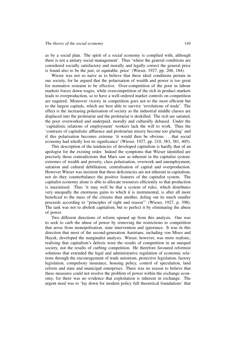as by a social plan. The spirit of a social economy is complied with, although there is not a unitary social management'. Thus 'where the general conditions are considered socially satisfactory and morally and legally correct the general price is found also to be the just, or equitable, price' (Wieser, 1927, pp. 206, 184).

Wieser was not so naive as to believe that these ideal conditions pertain in our society, for he argued that the polarisation of wealth and power is too great for normative restraint to be effective. Over-competition of the poor in labour markets forces down wages, while overcompetition of the rich in product markets leads to overproduction, so to have a well-ordered market controls on competition are required. Moreover victory in competition goes not to the most efficient but to the largest capitals, which are best able to survive 'revolutions of trade'. The effect is the increasing polarisation of society as the industrial middle classes are displaced into the proletariat and the proletariat is deskilled. The rich are satiated, the poor overworked and underpaid, morally and culturally debased. Under the 'capitalistic relations of employment' workers lack the will to work. Thus the 'contrasts of capitalistic affluence and proletarian misery become too glaring' and if this polarisation becomes extreme 'it would then be obvious . . . that social economy had wholly lost its significance' (Wieser, 1927, pp. 210, 383, 381, 405).

This description of the tendencies of developed capitalism is hardly that of an apologist for the existing order. Indeed the symptoms that Wieser identified are precisely those contradictions that Marx saw as inherent in the capitalist system: extremes of wealth and poverty, class polarisation, overwork and unemployment, satiation and cultural debilitation, centralisation of capital and overproduction. However Wieser was insistent that these deficiencies are not inherent in capitalism, nor do they counterbalance the positive features of the capitalist system. The capitalist economy alone is able to allocate resources efficiently so that production is maximised. Thus 'it may well be that a system of rules, which distributes very unequally the enormous gains to which it is instrumental, is after all more beneficial to the mass of the citizens than another, doling out its much smaller proceeds according to "principles of right and reason"' (Wieser, 1927, p. 398). The task was not to abolish capitalism, but to perfect it by eliminating the abuse of power.

Two different directions of reform opened up from this analysis. One was to seek to curb the abuse of power by removing the restrictions to competition that arose from monopolisation, state intervention and ignorance. It was in this direction that most of the second-generation Austrians, including von Mises and Hayek, developed the marginalist analysis. Wieser, however, was more realistic, realising that capitalism's defects were the results of competition in an unequal society, not the results of curbing competition. He therefore favoured reformist solutions that extended the legal and administrative regulation of economic relations through the encouragement of trade unionism, protective legislation, factory legislation, compulsory insurance, housing policy, control of speculation, land reform and state and municipal enterprises. There was no reason to believe that these measures could not resolve the problem of power within the exchange economy, for there was no evidence that exploitation is inherent in exchange. The urgent need was to 'lay down for modern policy full theoretical foundations' that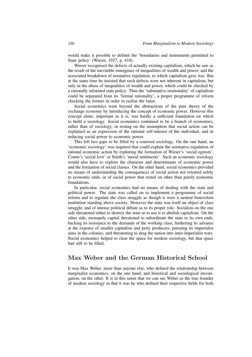would make it possible to delimit the 'boundaries and instruments permitted to State policy' (Wieser, 1927, p. 410).

Wieser recognised the defects of actually existing capitalism, which he saw as the result of the inevitable emergence of inequalities of wealth and power, and the associated breakdown of normative regulation, to which capitalism gave rise. But at the same time he insisted that such defects were not inherent in capitalism, but only in the abuse of inequalities of wealth and power, which could be checked by a rationally informed state policy. Thus the 'substantive irrationality' of capitalism could be separated from its 'formal rationality', a proper programme of reform checking the former in order to realise the latter.

Social economics went beyond the abstractions of the pure theory of the exchange economy by introducing the concept of economic power. However this concept alone, important as it is, was hardly a sufficient foundation on which to build a sociology. Social economics continued to be a branch of economics, rather than of sociology, in resting on the assumption that social action can be explained as an expression of the rational self-interest of the individual, and in reducing social power to economic power.

This left two gaps to be filled by a renewed sociology. On the one hand, an 'economic sociology' was required that could explain the normative regulation of rational economic action by exploring the formation of Wieser's 'social egoism', Comte's 'social love' or Smith's 'moral sentiments'. Such an economic sociology would also have to explore the character and determinants of economic power and the formation of social classes. On the other hand, social economics provided no means of understanding the consequences of social action not oriented solely to economic ends, or of social power that rested on other than purely economic foundations.

In particular, social economics had no means of dealing with the state and political power. The state was called on to implement a programme of social reform and to regulate the class struggle as though it were a neutral benevolent institution standing above society. However the state was itself an object of class struggle, and of intense political debate as to its proper role. Socialists on the one side threatened either to destroy the state or to use it to abolish capitalism. On the other side, monopoly capital threatened to subordinate the state to its own ends, backing its resistance to the demands of the working class, furthering its advance at the expense of smaller capitalists and petty producers, pursuing its imperialist aims in the colonies, and threatening to drag the nation into inter-imperialist wars. Social economics helped to clear the space for modern sociology, but that space had still to be filled.

## Max Weber and the German Historical School

It was Max Weber, more than anyone else, who defined the relationship between marginalist economics, on the one hand, and historical and sociological investigation, on the other. It is in this sense that we can see Weber as the true founder of modern sociology in that it was he who defined their respective fields for both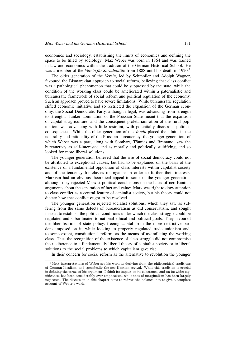economics and sociology, establishing the limits of economics and defining the space to be filled by sociology. Max Weber was born in 1864 and was trained in law and economics within the tradition of the German Historical School. He was a member of the *Verein für Sozialpolitik* from 1888 until his death in 1920.<sup>1</sup>

The older generation of the *Verein*, led by Schmoller and Adolph Wagner, favoured the Bismarckian approach to social reform, believing that class conflict was a pathological phenomenon that could be suppressed by the state, while the condition of the working class could be ameliorated within a paternalistic and bureaucratic framework of social reform and political regulation of the economy. Such an approach proved to have severe limitations. While bureaucratic regulation stifled economic initiative and so restricted the expansion of the German economy, the Social Democratic Party, although illegal, was advancing from strength to strength. Junker domination of the Prussian State meant that the expansion of capitalist agriculture, and the consequent proletarianisation of the rural population, was advancing with little restraint, with potentially disastrous political consequences. While the older generation of the *Verein* placed their faith in the neutrality and rationality of the Prussian bureaucracy, the younger generation, of which Weber was a part, along with Sombart, Tönnies and Brentano, saw the bureaucracy as self-interested and as morally and politically stultifying, and so looked for more liberal solutions.

The younger generation believed that the rise of social democracy could not be attributed to exceptional causes, but had to be explained on the basis of the existence of a fundamental opposition of class interests within capitalist society and of the tendency for classes to organise in order to further their interests. Marxism had an obvious theoretical appeal to some of the younger generation, although they rejected Marxist political conclusions on the basis of neo-Kantian arguments about the separation of fact and value: Marx was right to draw attention to class conflict as a central feature of capitalist society, but his theory could not dictate how that conflict ought to be resolved.

The younger generation rejected socialist solutions, which they saw as suffering from the same defects of bureaucratism as did conservatism, and sought instead to establish the political conditions under which the class struggle could be regulated and subordinated to national ethical and political goals. They favoured the liberalisation of state policy, freeing capital from the more restrictive burdens imposed on it, while looking to properly regulated trade unionism and, to some extent, constitutional reform, as the means of assimilating the working class. Thus the recognition of the existence of class struggle did not compromise their adherence to a fundamentally liberal theory of capitalist society or to liberal solutions to the social problems to which capitalism gave rise.

In their concern for social reform as the alternative to revolution the younger

<sup>1</sup>Most interpretations of Weber see his work as deriving from the philosophical traditions of German Idealism, and specifically the neo-Kantian revival. While this tradition is crucial in defining the terms of his argument, I think its impact on its substance, and on its wider significance, has been considerably over-emphasised, while that of marginalism has been largely neglected. The discussion in this chapter aims to redress the balance, not to give a complete account of Weber's work.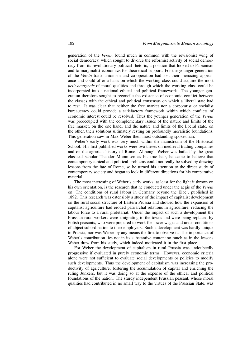generation of the *Verein* found much in common with the revisionist wing of social democracy, which sought to divorce the reformist activity of social democracy from its revolutionary political rhetoric, a position that looked to Fabianism and to marginalist economics for theoretical support. For the younger generation of the *Verein* trade unionism and co-operation had lost their menacing appearance and could offer a basis on which the working class could acquire the most *petit-bourgeois* of moral qualities and through which the working class could be incorporated into a national ethical and political framework. The younger generation therefore sought to reconcile the existence of economic conflict between the classes with the ethical and political consensus on which a liberal state had to rest. It was clear that neither the free market nor a corporatist or socialist bureaucracy could provide a satisfactory framework within which conflicts of economic interest could be resolved. Thus the younger generation of the *Verein* was preoccupied with the complementary issues of the nature and limits of the free market, on the one hand, and the nature and limits of the liberal state, on the other, their solutions ultimately resting on profoundly moralistic foundations. This generation saw in Max Weber their most outstanding spokesman.

Weber's early work was very much within the mainstream of the Historical School. His first published works were two theses on medieval trading companies and on the agrarian history of Rome. Although Weber was hailed by the great classical scholar Theodor Mommsen as his true heir, he came to believe that contemporary ethical and political problems could not really be solved by drawing lessons from the fate of Rome, so he turned his attention to the direct study of contemporary society and began to look in different directions for his comparative material.

The most interesting of Weber's early works, at least for the light it throws on his own orientation, is the research that he conducted under the aegis of the *Verein* on 'The conditions of rural labour in Germany beyond the Elbe', published in 1892. This research was ostensibly a study of the impact of capitalist development on the rural social structure of Eastern Prussia and showed how the expansion of capitalist agriculture had eroded patriarchal relations in agriculture, reducing the labour force to a rural proletariat. Under the impact of such a development the Prussian rural workers were emigrating to the towns and were being replaced by Polish peasants, who were prepared to work for lower wages and under conditions of abject subordination to their employers. Such a development was hardly unique to Prussia, nor was Weber by any means the first to observe it. The importance of Weber's contribution lies not in its substantive content so much as in the lessons Weber drew from his study, which indeed motivated it in the first place.

For Weber the development of capitalism in rural Prussia was undoubtedly progressive if evaluated in purely economic terms. However, economic criteria alone were not sufficient to evaluate social developments or policies to modify such developments. Thus the development of capitalism was increasing the productivity of agriculture, fostering the accumulation of capital and enriching the ruling Junkers, but it was doing so at the expense of the ethical and political foundations of the nation. The sturdy independent Prussian peasant, whose moral qualities had contributed in no small way to the virtues of the Prussian State, was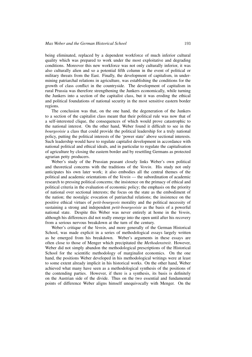being eliminated, replaced by a dependent workforce of much inferior cultural quality which was prepared to work under the most exploitative and degrading conditions. Moreover this new workforce was not only culturally inferior, it was also culturally alien and so a potential fifth column in the event of political or military threats from the East. Finally, the development of capitalism, in undermining patriarchal relations in agriculture, was establishing the conditions for the growth of class conflict in the countryside. The development of capitalism in rural Prussia was therefore strengthening the Junkers economically, while turning the Junkers into a section of the capitalist class, but it was eroding the ethical and political foundations of national security in the most sensitive eastern border regions.

The conclusion was that, on the one hand, the degeneration of the Junkers to a section of the capitalist class meant that their political rule was now that of a self-interested clique, the consequences of which would prove catastrophic to the national interest. On the other hand, Weber found it difficult to see in the *bourgeoisie* a class that could provide the political leadership for a truly national policy, putting the political interests of the 'power state' above sectional interests. Such leadership would have to regulate capitalist development in accordance with national political and ethical ideals, and in particular to regulate the capitalisation of agriculture by closing the eastern border and by resettling Germans as protected agrarian petty producers.

Weber's study of the Prussian peasant closely links Weber's own political and theoretical concerns with the traditions of the *Verein*. His study not only anticipates his own later work; it also embodies all the central themes of the political and academic orientations of the *Verein* — the subordination of academic research to pressing political concerns; the insistence on the primacy of ethical and political criteria in the evaluation of economic policy; the emphasis on the priority of national over sectional interests; the focus on the state as the embodiment of the nation; the nostalgic evocation of patriarchal relations; the insistence on the positive ethical virtues of *petit-bourgeois* morality and the political necessity of sustaining a strong and independent *petit-bourgeoisie* as the basis of a powerful national state. Despite this Weber was never entirely at home in the *Verein*, although his differences did not really emerge into the open until after his recovery from a serious nervous breakdown at the turn of the century.

Weber's critique of the *Verein*, and more generally of the German Historical School, was made explicit in a series of methodological essays largely written as he emerged from his breakdown. Weber's arguments in these essays are often close to those of Menger which precipitated the *Methodenstreit*. However, Weber did not simply abandon the methodological prescriptions of the Historical School for the scientific methodology of marginalist economics. On the one hand, the positions Weber developed in his methodological writings were at least to some extent already implicit in his historical works. On the other hand, Weber achieved what many have seen as a methodological synthesis of the positions of the contending parties. However, if there is a synthesis, its basis is definitely on the Austrian side of the divide. Thus on the two essential and fundamental points of difference Weber aligns himself unequivocally with Menger. On the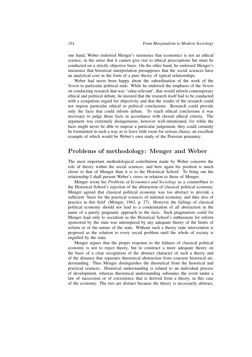one hand, Weber endorsed Menger's insistence that economics is not an ethical science, in the sense that it cannot give rise to ethical prescriptions but must be conducted on a strictly objective basis. On the other hand, he endorsed Menger's insistence that historical interpretation presupposes that the social sciences have an analytical core in the form of a pure theory of typical relationships.

Weber had never been happy about the subordination of the work of the *Verein* to particular political ends. While he endorsed the emphasis of the *Verein* on conducting research that was 'value-relevant', that would inform contemporary ethical and political debate, he insisted that the research itself had to be conducted with a scrupulous regard for objectivity and that the results of the research could not impose particular ethical or political conclusions. Research could provide only the facts that could inform debate. To reach ethical conclusions it was necessary to judge those facts in accordance with chosen ethical criteria. The argument was extremely disingenuous, however well-intentioned, for while the facts might never be able to impose a particular judgement, they could certainly be formulated in such a way as to leave little room for serious choice, an excellent example of which would be Weber's own study of the Prussian peasantry.

## Problems of methodology: Menger and Weber

The most important methodological contribution made by Weber concerns the role of theory within the social sciences, and here again his position is much closer to that of Menger than it is to the Historical School. To bring out the relationship I shall present Weber's views in relation to those of Menger.

Menger wrote his *Problems of Economics and Sociology* as a counterblast to the Historical School's rejection of the abstraction of classical political economy. Menger agreed that classical political economy was too abstract to provide a sufficient 'basis for the practical sciences of national economy, and thus also of practice in this field' (Menger, 1963, p. 27). However the failings of classical political economy should not lead to a condemnation of all abstraction in the name of a purely pragmatic approach to the facts. Such pragmatism could for Menger lead only to socialism as the Historical School's enthusiasm for reform sponsored by the state was untempered by any adequate theory of the limits of reform or of the nature of the state. Without such a theory state intervention is proposed as the solution to every social problem until the whole of society is engulfed by the state.

Menger argues that the proper response to the failures of classical political economy is not to reject theory, but to construct a more adequate theory on the basis of a clear recognition of the abstract character of such a theory and of the distance that separates theoretical abstraction from concrete historical understanding. Thus Menger distinguishes the theoretical from the historical and practical sciences. Historical understanding is related to an individual process of development, whereas theoretical understanding subsumes the event under a law of succession or of coexistence that is derived from a theory, in this case of the economy. The two are distinct because the theory is necessarily abstract,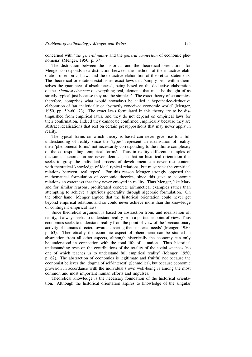concerned with 'the *general nature* and the *general connection* of economic phenomena' (Menger, 1950, p. 37).

The distinction between the historical and the theoretical orientations for Menger corresponds to a distinction between the methods of the inductive elaboration of empirical laws and the deductive elaboration of theoretical statements. The theoretical orientation establishes exact laws that 'simply bear within themselves the guarantee of absoluteness', being based on the deductive elaboration of the '*simplest elements* of everything real, elements that must be thought of as strictly typical just because they are the simplest'. The exact theory of economics, therefore, comprises what would nowadays be called a hypothetico-deductive elaboration of 'an analytically or abstractly conceived economic world' (Menger, 1950, pp. 59–60, 73). The exact laws formulated in this theory are to be distinguished from empirical laws, and they do not depend on empirical laws for their confirmation. Indeed they cannot be confirmed empirically because they are abstract idealisations that rest on certain presuppositions that may never apply in reality.

The typical forms on which theory is based can never give rise to a full understanding of reality since the 'types' represent an idealisation of reality, their 'phenomenal forms' not necessarily corresponding to the infinite complexity of the corresponding 'empirical forms'. Thus in reality different examples of the same phenomenon are never identical, so that an historical orientation that seeks to grasp the individual process of development can never rest content with theoretical knowledge of ideal typical relations, but must seek the empirical relations between 'real types'. For this reason Menger strongly opposed the mathematical formulation of economic theories, since this gave to economic relations an exactness that they never enjoyed in reality. Thus Menger, like Marx and for similar reasons, proliferated concrete arithmetical examples rather than attempting to achieve a spurious generality through algebraic formulation. On the other hand, Menger argued that the historical orientation could never get beyond empirical relations and so could never achieve more than the knowledge of contingent empirical laws.

Since theoretical argument is based on abstraction from, and idealisation of, reality, it always seeks to understand reality from a particular point of view. Thus economics seeks to understand reality from the point of view of the 'precautionary activity of humans directed towards covering their material needs' (Menger, 1950, p. 63). Theoretically the economic aspect of phenomena can be studied in abstraction from all other aspects, although historically the economy can only be understood in connection with the total life of a nation. Thus historical understanding rests on the contributions of the totality of the social sciences 'no one of which teaches us to understand full empirical reality' (Menger, 1950, p. 62). The abstraction of economics is legitimate and fruitful not because the economist believes the 'dogma of self-interest' (Schmoller), but because economic provision in accordance with the individual's own well-being is among the most common and most important human efforts and impulses.

Theoretical knowledge is the necessary foundation of the historical orientation. Although the historical orientation aspires to knowledge of the singular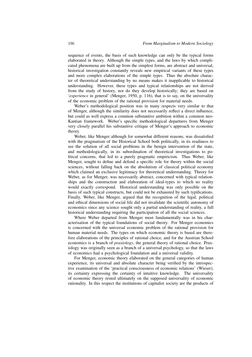sequence of events, the basis of such knowledge can only be the typical forms elaborated in theory. Although the simple types, and the laws by which complicated phenomena are built up from the simplest forms, are abstract and universal, historical investigation constantly reveals new empirical variants of these types and more complex elaborations of the simple types. Thus the absolute character of theoretical understanding by no means makes it inapplicable to historical understanding. However, these types and typical relationships are not derived from the study of history, nor do they develop historically; they are based on '*experience* in general' (Menger, 1950, p. 116), that is to say, on the universality of the economic problem of the rational provision for material needs.

Weber's methodological position was in many respects very similar to that of Menger, although the similarity does not necessarily reflect a direct influence, but could as well express a common substantive ambition within a common neo-Kantian framework. Weber's specific methodological departures from Menger very closely parallel his substantive critique of Menger's approach to economic theory.

Weber, like Menger although for somewhat different reasons, was dissatisfied with the pragmatism of the Historical School both politically, in its readiness to see the solution of all social problems in the benign intervention of the state, and methodologically, in its subordination of theoretical investigations to political concerns, that led to a purely pragmatic empiricism. Thus Weber, like Menger, sought to define and defend a specific role for theory within the social sciences, without falling back on the absolutism of classical political economy which claimed an exclusive legitimacy for theoretical understanding. Theory for Weber, as for Menger, was necessarily abstract, concerned with typical relationships and the construction and elaboration of ideal-types to which no reality would exactly correspond. Historical understanding was only possible on the basis of such typical constructs, but could not be exhausted by such typifications. Finally, Weber, like Menger, argued that the recognition of the legal, political and ethical dimensions of social life did not invalidate the scientific autonomy of economics since any science sought only a partial understanding of reality, a full historical understanding requiring the participation of all the social sciences.

Where Weber departed from Menger most fundamentally was in his characterisation of the typical foundations of social theory. For Menger economics is concerned with the universal economic problem of the rational provision for human material needs. The types on which economic theory is based are therefore elaborations of the principles of rational choice, and for the Austrian School economics is a branch of *praxiology*, the general theory of rational choice. Praxiology was originally seen as a branch of a universal psychology, so that the laws of economics had a psychological foundation and a universal validity.

For Menger, economic theory elaborated on the general categories of human experience, its universal and absolute character being verified by the introspective examination of the 'practical consciousness of economic relations' (Wieser), its certainty expressing the certainty of intuitive knowledge. The universality of economic theory rested ultimately on the supposed universality of economic rationality. In this respect the institutions of capitalist society are the products of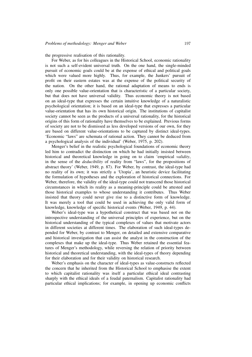the progressive realisation of this rationality.

For Weber, as for his colleagues in the Historical School, economic rationality is not such a self-evident universal truth. On the one hand, the single-minded pursuit of economic goals could be at the expense of ethical and political goals which were valued more highly. Thus, for example, the Junkers' pursuit of profit on their eastern estates was at the expense of the political security of the nation. On the other hand, the rational adaptation of means to ends is only one possible value-orientation that is characteristic of a particular society, but that does not have universal validity. Thus economic theory is not based on an ideal-type that expresses the certain intuitive knowledge of a naturalistic psychological orientation; it is based on an ideal-type that expresses a particular value-orientation that has its own historical origin. The institutions of capitalist society cannot be seen as the products of a universal rationality, for the historical origins of this form of rationality have themselves to be explained. Previous forms of society are not to be dismissed as less developed versions of our own, for they are based on different value-orientations to be captured by distinct ideal-types. 'Economic "laws" are schemata of rational action. They cannot be deduced from a psychological analysis of the individual' (Weber, 1975, p. 202).

Menger's belief in the realistic psychological foundations of economic theory led him to contradict the distinction on which he had initially insisted between historical and theoretical knowledge in going on to claim 'empirical *validity*, in the sense of the *deducibility* of reality from "laws", for the propositions of abstract theory' (Weber, 1949, p. 87). For Weber, by contrast, the ideal-type had no reality of its own; it was strictly a 'Utopia', an heuristic device facilitating the formulation of hypotheses and the exploration of historical connections. For Weber, therefore, the validity of the ideal-type could not transcend those historical circumstances in which its reality as a meaning-principle could be attested and those historical examples to whose understanding it contributes. Thus Weber insisted that theory could never give rise to a distinctive form of knowledge. It was merely a tool that could be used in achieving the only valid form of knowledge, knowledge of specific historical events (Weber, 1949, p. 44).

Weber's ideal-type was a hypothetical construct that was based not on the introspective understanding of the universal principles of experience, but on the historical understanding of the typical complexes of values that motivate actors in different societies at different times. The elaboration of such ideal-types depended for Weber, by contrast to Menger, on detailed and extensive comparative and historical investigation that can assist the analyst in the construction of the complexes that make up the ideal-type. Thus Weber retained the essential features of Menger's methodology, while reversing the relation of priority between historical and theoretical understanding, with the ideal-types of theory depending for their elaboration and for their validity on historical research.

Weber's emphasis on the character of ideal-types as value-constructs reflected the concern that he inherited from the Historical School to emphasise the extent to which capitalist rationality was itself a particular ethical ideal contrasting sharply with the ethical ideals of a feudal paternalism. Capitalist rationality had particular ethical implications; for example, in opening up economic conflicts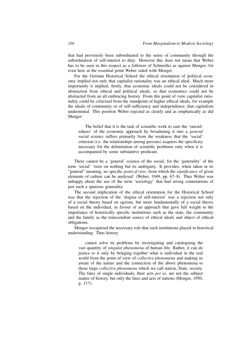that had previously been subordinated to the sense of community through the subordination of self-interest to duty. However this does not mean that Weber has to be seen in this respect as a follower of Schmoller as against Menger, for even here at the essential point Weber sided with Menger.

For the German Historical School the ethical orientation of political economy implied not only that capitalist rationality was an ethical ideal. Much more importantly it implied, firstly, that economic ideals could not be considered in abstraction from ethical and political ideals, so that economics could not be abstracted from an all embracing history. From this point of view capitalist rationality could be criticised from the standpoint of higher ethical ideals, for example the ideals of community or of self-sufficiency and independence, that capitalism undermined. This position Weber rejected as clearly and as emphatically as did Menger:

The belief that it is the task of scientific work to cure the 'onesidedness' of the economic approach by broadening it into a *general* social science suffers primarily from the weakness that the 'social' criterion (i.e. the relationships among persons) acquires the specificity necessary for the delimitation of scientific problems only when it is accompanied by some substantive predicate.

There cannot be a 'general' science of the social, for the 'generality' of the term 'social' 'rests on nothing but its ambiguity. It provides, when taken in its "general" meaning, no specific *point of view*, from which the *significance* of given elements of culture can be analysed' (Weber, 1949, pp. 67–8). Thus Weber was unhappy about the use of the term 'sociology' that had strong connotations of just such a spurious generality.

The second implication of the ethical orientation for the Historical School was that the rejection of the 'dogma of self-interest' was a rejection not only of a social theory based on egoism, but more fundamentally of a social theory based on the individual, in favour of an approach that gave full weight to the importance of historically specific institutions such as the state, the community and the family as the transcendent source of ethical ideals and object of ethical obligations.

Menger recognised the necessary role that such institutions played in historical understanding. Thus history

cannot solve its problems by investigating and cataloguing the vast quantity of *singular phenomena* of human life. Rather, it can do justice to it only by bringing together what is individual in the real world from the point of view of *collective phenomena* and making us aware of the nature and the connection of the above phenomena to those large *collective phenomena* which we call nation, State, society. The fates of single individuals, their acts *per se*, are not the subject matter of history, but only the fates and acts of nations (Menger, 1950, p. 117).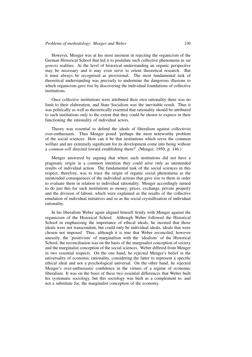#### *Problems of methodology: Menger and Weber* 199

However, Menger was at his most insistent in rejecting the organicism of the German Historical School that led it to postulate such collective phenomena as *sui generis* realities. At the level of historical understanding an organic perspective may be necessary and it may even serve to orient theoretical research. But it must always be recognised as provisional. The most fundamental task of theoretical understanding was precisely to undermine the dangerous illusions to which organicism gave rise by discovering the individual foundations of collective institutions.

Once collective institutions were attributed their own rationality there was no limit to their elaboration, and State Socialism was the inevitable result. Thus it was politically as well as theoretically essential that rationality should be attributed to such institutions only to the extent that they could be shown to express in their functioning the rationality of individual actors.

Theory was essential to defend the ideals of liberalism against collectivist over-enthusiasm. Thus Menger posed 'perhaps the most noteworthy problem of the social sciences: How can it be that institutions which serve the common welfare and are extremely significant for its development come into being without a *common will* directed toward establishing them?' (Menger, 1950, p. 146.)

Menger answered by arguing that where such institutions did not have a pragmatic origin in a common intention they could arise only as unintended results of individual action. The fundamental task of the social sciences in this respect, therefore, was to trace the origin of organic social phenomena as the unintended consequences of the individual actions that gave rise to them in order to evaluate them in relation to individual rationality. Menger accordingly turned to do just this for such institutions as money, prices, exchange, private property and the division of labour, which were explained as the results of the collective emulation of individual initiatives and so as the social crystallisation of individual rationality.

In his liberalism Weber again aligned himself firmly with Menger against the organicism of the Historical School. Although Weber followed the Historical School in emphasising the importance of ethical ideals, he insisted that those ideals were not transcendent, but could only be individual ideals, ideals that were chosen not imposed. Thus, although it is true that Weber reconciled, however uneasily, the 'positivism' of marginalism with the 'idealism' of the Historical School, the reconciliation was on the basis of the marginalist conception of society and the marginalist conception of the social sciences. Weber differed from Menger in two essential respects. On the one hand, he rejected Menger's belief in the universality of economic rationality, considering the latter to represent a specific ethical ideal and not a psychological universal. On the other hand, he rejected Menger's over-enthusiastic confidence in the virtues of a regime of economic liberalism. It was on the basis of these two essential differences that Weber built his systematic sociology, but this sociology was built as a complement to, and not a substitute for, the marginalist conception of the economy.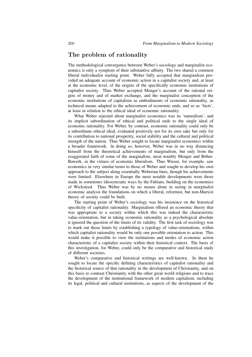## The problem of rationality

The methodological convergence between Weber's sociology and marginalist economics is only a symptom of their substantive affinity. The two shared a common liberal individualist starting point. Weber fully accepted that marginalism provided an adequate account of economic action in a capitalist society and, at least at the economic level, of the origins of the specifically economic institutions of capitalist society. Thus Weber accepted Menger's account of the rational origins of money and of market exchange, and the marginalist conception of the economic institutions of capitalism as embodiments of economic rationality, as technical means adapted to the achievement of economic ends, and so as 'facts', at least in relation to the ethical ideal of economic rationality.

What Weber rejected about marginalist economics was its 'naturalism', and its implicit subordination of ethical and political ends to the single ideal of economic rationality. For Weber, by contrast, economic rationality could only be a subordinate ethical ideal, evaluated positively not for its own sake but only for its contribution to national prosperity, social stability and the cultural and political strength of the nation. Thus Weber sought to locate marginalist economics within a broader framework. ln doing so, however, Weber was in no way distancing himself from the theoretical achievements of marginalism, but only from the exaggerated faith of some of the marginalists, most notably Menger and Böhm-Bawerk, in the virtues of economic liberalism. Thus Wieser, for example, saw economics in very similar terms to those of Weber and sought to develop his own approach to the subject along essentially Weberian lines, though his achievements were limited. Elsewhere in Europe the most notable developments were those made in sometimes idiosyncratic ways by the Fabians, building on the economics of Wicksteed. Thus Weber was by no means alone in seeing in marginalist economic analysis the foundations on which a liberal, reformist, but non-Marxist theory of society could be built.

The starting point of Weber's sociology was his insistence on the historical specificity of capitalist rationality. Marginalism offered an economic theory that was appropriate to a society within which this was indeed the characteristic value-orientation, but in taking economic rationality as a psychological absolute it ignored the question of the limits of its validity. The first task of sociology was to mark out those limits by establishing a typology of value-orientations, within which capitalist rationality would be only one possible orientation to action. This would make it possible to view the institutions and modes of economic action characteristic of a capitalist society within their historical context. The basis of this investigation, for Weber, could only be the comparative and historical study of different societies.

Weber's comparative and historical writings are well-known. In them he sought to locate the specific defining characteristics of capitalist rationality and the historical source of that rationality in the development of Christianity, and on this basis to contrast Christianity with the other great world religions and to trace the development of the institutional framework of modern capitalism, including its legal, political and cultural institutions, as aspects of the development of the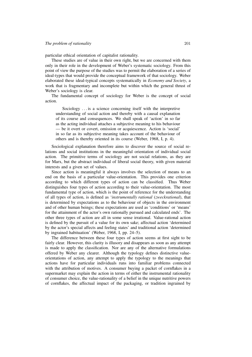particular ethical orientation of capitalist rationality.

These studies are of value in their own right, but we are concerned with them only in their role in the development of Weber's systematic sociology. From this point of view the purpose of the studies was to permit the elaboration of a series of ideal-types that would provide the conceptual framework of that sociology. Weber elaborated these ideal-typical concepts systematically in *Economy and Society*, a work that is fragmentary and incomplete but within which the general thrust of Weber's sociology is clear.

The fundamental concept of sociology for Weber is the concept of social action.

Sociology . . . is a science concerning itself with the interpretive understanding of social action and thereby with a causal explanation of its course and consequences. We shall speak of 'action' in so far as the acting individual attaches a subjective meaning to his behaviour — be it overt or covert, omission or acquiescence. Action is 'social' in so far as its subjective meaning takes account of the behaviour of others and is thereby oriented in its course (Weber, 1968, I, p. 4).

Sociological explanation therefore aims to discover the source of social relations and social institutions in the meaningful orientation of individual social action. The primitive terms of sociology are not social relations, as they are for Marx, but the abstract individual of liberal social theory, with given material interests and a given set of values.

Since action is meaningful it always involves the selection of means to an end on the basis of a particular value-orientation. This provides one criterion according to which different types of action can be classified. Thus Weber distinguishes four types of action according to their value-orientation. The most fundamental type of action, which is the point of reference for the understanding of all types of action, is defined as '*instrumentally rational* (*zweckrational*), that is determined by expectations as to the behaviour of objects in the environment and of other human beings; these expectations are used as 'conditions' or 'means' for the attainment of the actor's own rationally pursued and calculated ends'. The other three types of action are all in some sense irrational. Value-rational action is defined by the pursuit of a value for its own sake; affectual action 'determined by the actor's special affects and feeling states' and traditional action 'determined by ingrained habituation' (Weber, 1968, I, pp. 24–5).

The difference between these four types of action seems at first sight to be fairly clear. However, this clarity is illusory and disappears as soon as any attempt is made to apply the classification. Nor are any of the alternative formulations offered by Weber any clearer. Although the typology defines distinctive valueorientations of action, any attempt to apply the typology to the meanings that actions have for particular individuals runs into familiar problems connected with the attribution of motives. A consumer buying a packet of cornflakes in a supermarket may explain the action in terms of either the instrumental rationality of consumer choice, the value-rationality of a belief in the unique nutritive powers of cornflakes, the affectual impact of the packaging, or tradition ingrained by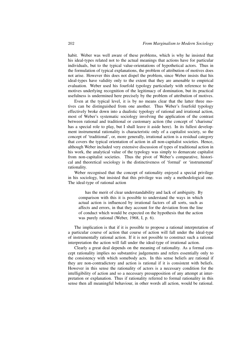habit. Weber was well aware of these problems, which is why he insisted that his ideal-types related not to the actual meanings that actions have for particular individuals, but to the typical value-orientations of hypothetical actors. Thus in the formulation of typical explanations, the problem of attribution of motives does not arise. However this does not dispel the problem, since Weber insists that his ideal-types have validity only to the extent that they are amenable to empirical evaluation. Weber used his fourfold typology particularly with reference to the motives underlying recognition of the legitimacy of domination, but its practical usefulness is undermined here precisely by the problem of attribution of motives.

Even at the typical level, it is by no means clear that the latter three motives can be distinguished from one another. Thus Weber's fourfold typology effectively broke down into a dualistic typology of rational and irrational action, most of Weber's systematic sociology involving the application of the contrast between rational and traditional or customary action (the concept of 'charisma' has a special role to play, but I shall leave it aside here). In its fullest development instrumental rationality is characteristic only of a capitalist society, so the concept of 'traditional', or, more generally, irrational action is a residual category that covers the typical orientation of action in all non-capitalist societies. Hence, although Weber included very extensive discussion of types of traditional action in his work, the analytical value of the typology was simply to demarcate capitalist from non-capitalist societies. Thus the pivot of Weber's comparative, historical and theoretical sociology is the distinctiveness of 'formal' or 'instrumental' rationality.

Weber recognised that the concept of rationality enjoyed a special privilege in his sociology, but insisted that this privilege was only a methodological one. The ideal-type of rational action

has the merit of clear understandability and lack of ambiguity. By comparison with this it is possible to understand the ways in which actual action is influenced by irrational factors of all sorts, such as affects and errors, in that they account for the deviation from the line of conduct which would be expected on the hypothesis that the action was purely rational (Weber, 1968, I, p. 6).

The implication is that if it is possible to propose a rational interpretation of a particular course of action that course of action will fall under the ideal-type of instrumentally rational action. If it is not possible to construct such a rational interpretation the action will fall under the ideal-type of irrational action.

Clearly a great deal depends on the meaning of rationality. As a formal concept rationality implies no substantive judgements and refers essentially only to the consistency with which somebody acts. In this sense beliefs are rational if they are non-contradictory and action is rational if it is consistent with beliefs. However in this sense the rationality of actors is a necessary condition for the intelligibility of action and so a necessary presupposition of any attempt at interpretation or explanation. Thus if rationality referred to formal rationality in this sense then all meaningful behaviour, in other words all action, would be rational.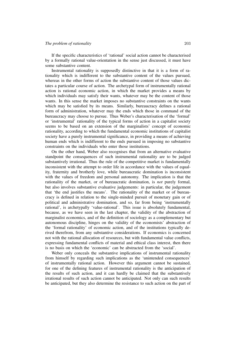#### *The problem of rationality* 203

If the specific characteristics of 'rational' social action cannot be characterised by a formally rational value-orientation in the sense just discussed, it must have some substantive content.

Instrumental rationality is supposedly distinctive in that it is a form of rationality which is indifferent to the substantive content of the values pursued, whereas in the other forms of action the substantive content of those values dictates a particular course of action. The archetypal form of instrumentally rational action is rational economic action, in which the market provides a means by which individuals may satisfy their wants, whatever may be the content of those wants. In this sense the market imposes no substantive constraints on the wants which may be satisfied by its means. Similarly, bureaucracy defines a rational form of administration, whatever may the ends which those in command of the bureaucracy may choose to pursue. Thus Weber's characterisation of the 'formal' or 'instrumental' rationality of the typical forms of action in a capitalist society seems to be based on an extension of the marginalists' concept of economic rationality, according to which the fundamental economic institutions of capitalist society have a purely instrumental significance, in providing a means of achieving human ends which is indifferent to the ends pursued in imposing no substantive constraints on the individuals who enter those institutions.

On the other hand, Weber also recognises that from an alternative evaluative standpoint the consequences of such instrumental rationality are to be judged substantively irrational. Thus the rule of the competitive market is fundamentally inconsistent with the attempt to order life in accordance with the values of equality, fraternity and brotherly love, while bureaucratic domination is inconsistent with the values of freedom and personal autonomy. The implication is that the rationality of the market, or of bureaucratic domination, is *not* purely formal, but also involves substantive evaluative judgements: in particular, the judgement that 'the end justifies the means'. The rationality of the market or of bureaucracy is defined in relation to the single-minded pursuit of monetary gain or of political and administrative domination, and so, far from being 'instrumentally rational', is archetypally 'value-rational'. This issue is absolutely fundamental, because, as we have seen in the last chapter, the validity of the abstraction of marginalist economics, and of the definition of sociology as a complementary but autonomous discipline, hinges on the validity of the economists' abstraction of the 'formal rationality' of economic action, and of the institutions typically derived therefrom, from any substantive considerations. If economics is concerned not with the rational allocation of resources, but with fundamental value conflicts, expressing fundamental conflicts of material and ethical class interest, then there is no basis on which the 'economic' can be abstracted from the 'social'.

Weber only conceals the substantive implications of instrumental rationality from himself by regarding such implications as the 'unintended consequences' of instrumentally rational action. However this argument cannot be sustained, for one of the defining features of instrumental rationality is the anticipation of the results of such action, and it can hardly be claimed that the substantively irrational results of such action cannot be anticipated. Not only can such results be anticipated, but they also determine the resistance to such action on the part of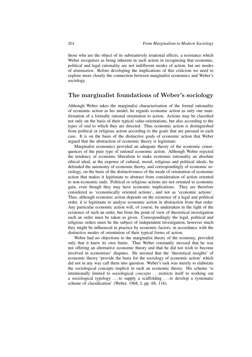those who are the object of its substantively irrational effects, a resistance which Weber recognises as being inherent in such action in recognising that economic, political and legal rationality are not indifferent modes of action, but are modes of *domination*. Before developing the implications of this criticism we need to explore more closely the connection between marginalist economics and Weber's sociology.

## The marginalist foundations of Weber's sociology

Although Weber takes the marginalist characterisation of the formal rationality of economic action as his model, he regards economic action as only one manifestation of a formally rational orientation to action. Actions may be classified not only on the basis of their typical value-orientations, but also according to the types of end to which they are directed. Thus economic action is distinguished from political or religious action according to the goals that are pursued in each case. It is on the basis of the distinctive goals of economic action that Weber argued that the abstraction of economic theory is legitimate.

Marginalist economics provided an adequate theory of the economic consequences of the pure type of rational economic action. Although Weber rejected the tendency of economic liberalism to make economic rationality an absolute ethical ideal, at the expense of cultural, moral, religious and political ideals, he defended the autonomy of economic theory, and correspondingly of economic sociology, on the basis of the distinctiveness of the mode of orientation of economic action that makes it legitimate to abstract from consideration of action oriented to non-economic ends. Political or religious actions are not oriented to economic gain, even though they may have economic implications. They are therefore considered as 'economically oriented actions', and not as 'economic actions'. Thus, although economic action depends on the existence of a legal and political order, it is legitimate to analyse economic action in abstraction from that order. Any particular economic action will, of course, be undertaken in the light of the existence of such an order, but from the point of view of theoretical investigation such an order must be taken as given. Correspondingly the legal, political and religious orders must be the subject of independent investigation, however much they might be influenced in practice by economic factors, in accordance with the distinctive modes of orientation of their typical forms of action.

Weber had no objections to the marginalist theory of the economy, provided only that it knew its own limits. Thus Weber constantly stressed that he was not offering an alternative economic theory and that he did not wish to become involved in economists' disputes. He insisted that the 'theoretical insights' of economic theory 'provide the basis for the sociology of economic action' which did not in any way call them into question. Weber's task was merely to elaborate the sociological concepts implicit in such an economic theory. His scheme 'is intentionally limited to sociological *concepts* . . . restricts itself to working out a sociological typology . . . to supply a scaffolding . . . to develop a systematic scheme of classification' (Weber, 1968, I, pp. 68, 116).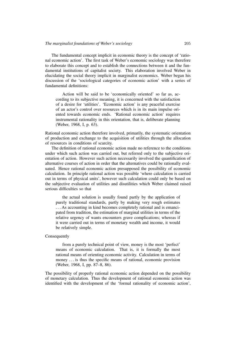The fundamental concept implicit in economic theory is the concept of 'rational economic action'. The first task of Weber's economic sociology was therefore to elaborate this concept and to establish the connections between it and the fundamental institutions of capitalist society. This elaboration involved Weber in elucidating the social theory implicit in marginalist economics. Weber began his discussion of the 'sociological categories of economic action' with a series of fundamental definitions:

Action will be said to be 'economically oriented' so far as, according to its subjective meaning, it is concerned with the satisfaction of a desire for 'utilities'. 'Economic action' is any peaceful exercise of an actor's control over resources which is in its main impulse oriented towards economic ends. 'Rational economic action' requires instrumental rationality in this orientation, that is, deliberate planning (Weber, 1968, I, p. 63).

Rational economic action therefore involved, primarily, the systematic orientation of production and exchange to the acquisition of utilities through the allocation of resources in conditions of scarcity.

The definition of rational economic action made no reference to the conditions under which such action was carried out, but referred only to the subjective orientation of action. However such action necessarily involved the quantification of alternative courses of action in order that the alternatives could be rationally evaluated. Hence rational economic action presupposed the possibility of economic calculation. In principle rational action was possible 'where calculation is carried out in terms of physical units', however such calculation could only be based on the subjective evaluation of utilities and disutilities which Weber claimed raised serious difficulties so that

the actual solution is usually found partly by the application of purely traditional standards, partly by making very rough estimates . . . As accounting in kind becomes completely rational and is emancipated from tradition, the estimation of marginal utilities in terms of the relative urgency of wants encounters grave complications; whereas if it were carried out in terms of monetary wealth and income, it would be relatively simple.

#### Consequently

from a purely technical point of view, money is the most 'perfect' means of economic calculation. That is, it is formally the most rational means of orienting economic activity. Calculation in terms of money . . . is thus the specific means of rational, economic provision (Weber, 1968, I, pp. 87–8, 86).

The possibility of properly rational economic action depended on the possibility of monetary calculation. Thus the development of rational economic action was identified with the development of the 'formal rationality of economic action',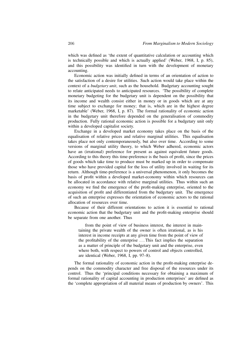which was defined as 'the extent of quantitative calculation or accounting which is technically possible and which is actually applied' (Weber, 1968, I, p. 85), and this possibility was identified in turn with the development of monetary accounting.

Economic action was initially defined in terms of an orientation of action to the satisfaction of a desire for utilities. Such action would take place within the context of a *budgetary unit*, such as the household. Budgetary accounting sought to relate anticipated needs to anticipated resources. 'The possibility of complete monetary budgeting for the budgetary unit is dependent on the possibility that its income and wealth consist either in money or in goods which are at any time subject to exchange for money; that is, which are in the highest degree marketable' (Weber, 1968, I, p. 87). The formal rationality of economic action in the budgetary unit therefore depended on the generalisation of commodity production. Fully rational economic action is possible for a budgetary unit only within a developed capitalist society.

Exchange in a developed market economy takes place on the basis of the equalisation of relative prices and relative marginal utilities. This equalisation takes place not only contemporaneously, but also over time. According to some versions of marginal utility theory, to which Weber adhered, economic actors have an (irrational) preference for present as against equivalent future goods. According to this theory this time-preference is the basis of profit, since the prices of goods which take time to produce must be marked up in order to compensate those who have provided capital for the loss of utility involved in waiting for its return. Although time-preference is a universal phenomenon, it only becomes the basis of profit within a developed market-economy within which resources can be allocated in accordance with relative marginal utilities. Thus within such an economy we find the emergence of the profit-making enterprise, oriented to the acquisition of profit and differentiated from the budgetary unit. The emergence of such an enterprise expresses the orientation of economic actors to the rational allocation of resources over time.

Because of their different orientations to action it is essential to rational economic action that the budgetary unit and the profit-making enterprise should be separate from one another. Thus

from the point of view of business interest, the interest in maintaining the private wealth of the owner is often irrational, as is his interest in income receipts at any given time from the point of view of the profitability of the enterprise . . . This fact implies the separation as a matter of principle of the budgetary unit and the enterprise, even where both, with respect to powers of control and objects controlled, are identical (Weber, 1968, I, pp. 97–8).

The formal rationality of economic action in the profit-making enterprise depends on the commodity character and free disposal of the resources under its control. Thus the 'principal conditions necessary for obtaining a maximum of formal rationality of capital accounting in production enterprises' are defined as the 'complete appropriation of all material means of production by owners'. This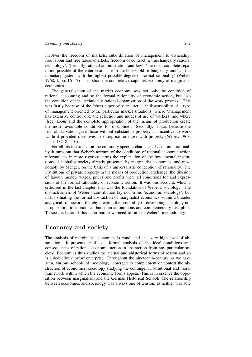involves the freedom of markets, subordination of management to ownership, free labour and free labour-markets, freedom of contract, a 'mechanically rational technology', 'formally rational administration and law', 'the most complete separation possible of the enterprise . . . from the household or budgetary unit' and 'a monetary system with the highest possible degree of formal rationality' (Weber, 1968, I, pp.  $161-2$ ) — in short the competitive capitalist economy of marginalist economics.

The generalisation of the market economy was not only the condition of rational accounting and so the formal rationality of economic action, but also the condition of the 'technically rational organisation of the work process'. This was firstly because of the 'sheer superiority and actual indispensability of a type of management oriented to the particular market situations' where 'management has extensive control over the selection and modes of use of workers' and where 'free labour and the complete appropriation of the means of production create the most favourable conditions for discipline'. Secondly, it was because the fear of starvation gave those without substantial property an incentive to work while it provided incentives to enterprise for those with property (Weber, 1968, I, pp. 137–8, 110).

For all his insistence on the culturally specific character of economic rationality, it turns out that Weber's account of the conditions of rational economic action reformulates in more rigorous terms the explanation of the fundamental institutions of capitalist society already presented by marginalist economics, and most notably by Menger, on the basis of a universalistic conception of rationality. The institutions of private property in the means of production, exchange, the division of labour, money, wages, prices and profits were all conditions for and expressions of the formal rationality of economic action. It was this account, which I criticised in the last chapter, that was the foundation of Weber's sociology. The distinctiveness of Weber's contribution lay not in his 'economic sociology', but in his situating the formal abstraction of marginalist economics within a broader analytical framework, thereby creating the possibility of developing sociology not in opposition to economics, but as an autonomous and complementary discipline. To see the basis of this contribution we need to turn to Weber's methodology.

## Economy and society

The analysis of marginalist economics is conducted at a very high level of abstraction. It presents itself as a formal analysis of the ideal conditions and consequences of rational economic action in abstraction from any particular society. Economics thus studies the eternal and ahistorical forms of reason and so is a deductive *a priori* enterprise. Throughout the nineteenth-century, as we have seen, various schools of 'sociology' emerged to complement or contest the abstraction of economics, sociology studying the contingent institutional and moral framework within which the economic forms appear. This is in essence the opposition between marginalism and the German Historical School. The relationship between economics and sociology was always one of tension, as neither was able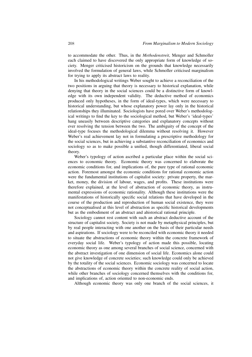to accommodate the other. Thus, in the *Methodenstreit*, Menger and Schmoller each claimed to have discovered the only appropriate form of knowledge of society. Menger criticised historicism on the grounds that knowledge necessarily involved the formulation of general laws, while Schmoller criticised marginalism for trying to apply its abstract laws to reality.

In his methodological writings Weber sought to achieve a reconciliation of the two positions in arguing that theory is necessary to historical explanation, while denying that theory in the social sciences could be a distinctive form of knowledge with its own independent validity. The deductive method of economics produced only hypotheses, in the form of ideal-types, which were necessary to historical understanding, but whose explanatory power lay only in the historical relationships they illuminated. Sociologists have pored over Weber's methodological writings to find the key to the sociological method, but Weber's 'ideal-types' hang uneasily between descriptive categories and explanatory concepts without ever resolving the tension between the two. The ambiguity of the concept of the ideal-type focuses the methodological dilemma without resolving it. However Weber's real achievement lay not in formulating a prescriptive methodology for the social sciences, but in achieving a substantive reconciliation of economics and sociology so as to make possible a unified, though differentiated, liberal social theory.

Weber's typology of action ascribed a particular place within the social sciences to economic theory. Economic theory was concerned to elaborate the economic conditions for, and implications of, the pure type of rational economic action. Foremost amongst the economic conditions for rational economic action were the fundamental institutions of capitalist society: private property, the market, money, the division of labour, wages, and profits. These institutions were therefore explained, at the level of abstraction of economic theory, as instrumental expressions of economic rationality. Although these institutions were the manifestations of historically specific social relations that have developed in the course of the production and reproduction of human social existence, they were not conceptualised at this level of abstraction as specific historical developments but as the embodiment of an abstract and ahistorical rational principle.

Sociology cannot rest content with such an abstract deductive account of the structure of capitalist society. Society is not made by metaphysical principles, but by real people interacting with one another on the basis of their particular needs and aspirations. If sociology were to be reconciled with economic theory it needed to situate the abstractions of economic theory within the concrete framework of everyday social life. Weber's typology of action made this possible, locating economic theory as one among several branches of social science, concerned with the abstract investigation of one dimension of social life. Economics alone could not give knowledge of concrete societies; such knowledge could only be achieved by the totality of the social sciences. Economic sociology was concerned to locate the abstractions of economic theory within the concrete reality of social action, while other branches of sociology concerned themselves with the conditions for, and implications of, action oriented to non-economic ends.

Although economic theory was only one branch of the social sciences, it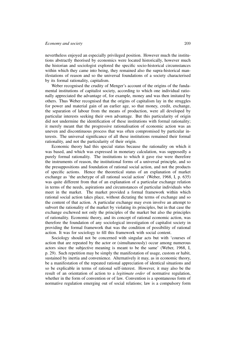#### *Economy and society* 209

nevertheless enjoyed an especially privileged position. However much the institutions abstractly theorised by economics were located historically, however much the historian and sociologist explored the specific socio-historical circumstances within which they came into being, they remained also the supra-historical manifestations of reason and so the universal foundations of a society characterised by its formal rationality, capitalism.

Weber recognised the crudity of Menger's account of the origins of the fundamental institutions of capitalist society, according to which one individual rationally appreciated the advantage of, for example, money and was then imitated by others. Thus Weber recognised that the origins of capitalism lay in the struggles for power and material gain of an earlier age, so that money, credit, exchange, the separation of labour from the means of production, were all developed by particular interests seeking their own advantage. But this particularity of origin did not undermine the identification of these institutions with formal rationality; it merely meant that the progressive rationalisation of economic action was an uneven and discontinuous process that was often compromised by particular interests. The universal significance of all these institutions remained their formal rationality, and not the particularity of their origin.

Economic theory had this special status because the rationality on which it was based, and which was expressed in monetary calculation, was supposedly a purely formal rationality. The institutions to which it gave rise were therefore the instruments of reason, the institutional forms of a universal principle, and so the presuppositions and foundation of rational social action, and not the products of specific actions. Hence the theoretical status of an explanation of market exchange as 'the archetype of all rational social action' (Weber, 1968, I, p. 635) was quite different from that of an explanation of a particular exchange relation in terms of the needs, aspirations and circumstances of particular individuals who meet in the market. The market provided a formal framework within which rational social action takes place, without dictating the terms of exchange and so the content of that action. A particular exchange may even involve an attempt to subvert the rationality of the market by violating its principles, but in that case the exchange eschewed not only the principles of the market but also the principles of rationality. Economic theory, and its concept of rational economic action, was therefore the foundation of any sociological investigation of capitalist society in providing the formal framework that was the condition of possibility of rational action. It was for sociology to fill this framework with social content.

Sociology should not be concerned with singular acts but with 'courses of action that are repeated by the actor or (simultaneously) occur among numerous actors since the subjective meaning is meant to be the same' (Weber, 1968, I, p. 29). Such repetition may be simply the manifestation of usage, custom or habit, sustained by inertia and convenience. Alternatively it may, as in economic theory, be a manifestation of the repeated rational appreciation of identical situations and so be explicable in terms of rational self-interest. However, it may also be the result of an orientation of action to a *legitimate order* of normative regulation, whether in the form of convention or of law. Convention is a spontaneous form of normative regulation emerging out of social relations; law is a compulsory form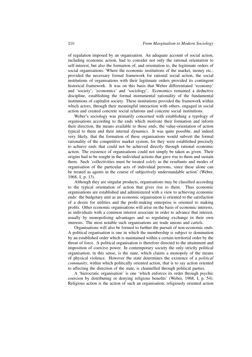of regulation imposed by an organisation. An adequate account of social action, including economic action, had to consider not only the rational orientation to self-interest, but also the formation of, and orientation to, the legitimate orders of social organisations. Where the economic institutions of the market, money etc., provided the necessary formal framework for rational social action, the social institutions of organisations with their legitimate orders provided its contingent historical framework. It was on this basis that Weber differentiated 'economy' and 'society', 'economics' and 'sociology'. Economics remained a deductive discipline, establishing the formal instrumental rationality of the fundamental institutions of capitalist society. These institutions provided the framework within which actors, through their meaningful interaction with others, engaged in social action and created concrete social relations and concrete social institutions.

Weber's sociology was primarily concerned with establishing a typology of organisations according to the ends which motivate their formation and inform their direction, the means available to those ends, the value-orientation of action typical to them and their internal dynamics. It was quite possible, and indeed very likely, that the formation of these organisations would subvert the formal rationality of the competitive market system, for they were established precisely to achieve ends that could not be achieved directly through rational economic action. The existence of organisations could not simply be taken as given. Their origins had to be sought in the individual actions that gave rise to them and sustain them. Such 'collectivities must be treated *solely* as the resultants and modes of organisation of the particular acts of individual persons, since these alone can be treated as agents in the course of subjectively understandable action' (Weber, 1968, I, p. 13).

Although they are singular products, organisations may be classified according to the typical orientation of action that gives rise to them. Thus economic organisations are established and administered with a view to achieving economic ends: the budgetary unit as an economic organisation is oriented to the satisfaction of a desire for utilities and the profit-making enterprise is oriented to making profits. Other economic organisations will arise on the basis of economic interests, as individuals with a common interest associate in order to advance that interest, usually by monopolising advantages and so regulating exchange in their own interests. The most notable such organisations are trade unions and cartels.

Organisations will also be formed to further the pursuit of non-economic ends. A political organisation is one in which the membership is subject to domination by an established order which is maintained within a certain territorial order by the threat of force. A political organisation is therefore directed to the attainment and imposition of coercive power. In contemporary society the only strictly political organisation, in this sense, is the state, which claims a monopoly of the means of physical violence. However the state determines the existence of a *political community*, within which politically oriented action, that is to say action oriented to affecting the direction of the state, is channelled through political parties.

A 'hierocratic organisation' is one 'which enforces its order through psychic coercion by distributing or denying religious benefits' (Weber, 1968, I, p. 54). Religious action is the action of such an organisation; religiously oriented action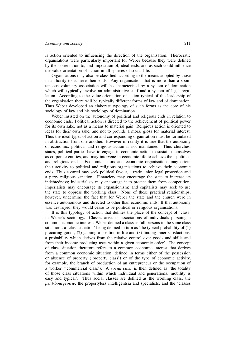#### *Economy and society* 211

is action oriented to influencing the direction of the organisation. Hierocratic organisations were particularly important for Weber because they were defined by their orientation to, and imposition of, ideal ends, and as such could influence the value-orientation of action in all spheres of social life.

Organisations may also be classified according to the means adopted by those in authority to achieve their ends. Any organisation that is more than a spontaneous voluntary association will be characterised by a system of domination which will typically involve an administrative staff and a system of legal regulation. According to the value-orientation of action typical of the leadership of the organisation there will be typically different forms of law and of domination. Thus Weber developed an elaborate typology of such forms as the core of his sociology of law and his sociology of domination.

Weber insisted on the autonomy of political and religious ends in relation to economic ends. Political action is directed to the achievement of political power for its own sake, not as a means to material gain. Religious action is oriented to ideas for their own sake, and not to provide a moral gloss for material interest. Thus the ideal-types of action and corresponding organisation must be formulated in abstraction from one another. However in reality it is true that the autonomy of economic, political and religious action is not maintained. Thus churches, states, political parties have to engage in economic action to sustain themselves as corporate entities, and may intervene in economic life to achieve their political and religious ends. Economic actors and economic organisations may orient their activity to political and religious organisations to achieve their economic ends. Thus a cartel may seek political favour, a trade union legal protection and a party religious sanction. Financiers may encourage the state to increase its indebtedness; industrialists may encourage it to protect them from competition; imperialists may encourage its expansionism; and capitalists may seek to use the state to oppress the working class. None of these practical relationships, however, undermine the fact that for Weber the state and the church were in essence autonomous and directed to other than economic ends. If that autonomy was destroyed, they would cease to be political or religious organisations.

It is this typology of action that defines the place of the concept of 'class' in Weber's sociology. Classes arise as associations of individuals pursuing a common economic interest. Weber defined a class as 'all persons in the same class situation', a 'class situation' being defined in turn as 'the typical probability of (1) procuring goods, (2) gaining a position in life and (3) finding inner satisfactions, a probability which derives from the relative control over goods and skills and from their income producing uses within a given economic order'. The concept of class situation therefore refers to a common economic interest that derives from a common economic situation, defined in terms either of the possession or absence of property ('property class') or of the type of economic activity, for example, the branch of production of an entrepreneur or the occupation of a worker ('commercial class'). A *social class* is then defined as 'the totality of those class situations within which individual and generational mobility is easy and typical'. Thus social classes are defined as the working class, the *petit-bourgeoisie*, the propertyless intelligentsia and specialists, and the 'classes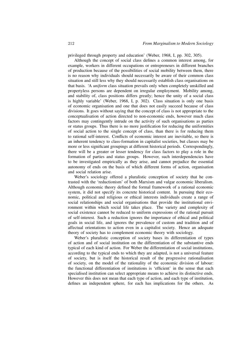privileged through property and education' (Weber, 1968, I, pp. 302, 305).

Although the concept of social class defines a common interest among, for example, workers in different occupations or entrepreneurs in different branches of production because of the possibilities of social mobility between them, there is no reason why individuals should necessarily be aware of their common class situation and still less why they should necessarily establish class organisations on that basis. 'A *uniform* class situation prevails only when completely unskilled and propertyless persons are dependent on irregular employment. Mobility among, and stability of, class positions differs greatly; hence the unity of a social class is highly variable' (Weber, 1968, I, p. 302). Class situation is only one basis of economic organisation and one that does not easily succeed because of class divisions. It goes without saying that the concept of class is not appropriate to the conceptualisation of action directed to non-economic ends, however much class factors may contingently intrude on the activity of such organisations as parties or status groups. Thus there is no more justification for reducing the uniformities of social action to the single concept of class, than there is for reducing them to rational self-interest. Conflicts of economic interest are inevitable, so there is an inherent tendency to class-formation in capitalist societies, but classes may be more or less significant groupings at different historical periods. Correspondingly, there will be a greater or lesser tendency for class factors to play a role in the formation of parties and status groups. However, such interdependencies have to be investigated empirically as they arise, and cannot prejudice the essential autonomy of ends on the basis of which different forms of action, organisation and social relation arise.

Weber's sociology offered a pluralistic conception of society that he contrasted with the 'reductionism' of both Marxism and vulgar economic liberalism. Although economic theory defined the formal framework of a rational economic system, it did not specify its concrete historical content. ln pursuing their economic, political and religious or ethical interests individuals create a range of social relationships and social organisations that provide the institutional environment within which social life takes place. The variety and complexity of social existence cannot be reduced to uniform expressions of the rational pursuit of self-interest. Such a reduction ignores the importance of ethical and political goals in social life, and ignores the prevalence of custom and tradition and of affectual orientations to action even in a capitalist society. Hence an adequate theory of society has to complement economic theory with sociology.

Weber's pluralistic conception of society bases its differentiation of types of action and of social institution on the differentiation of the substantive ends typical of each kind of action. For Weber the differentiation of social institutions, according to the typical ends to which they are adapted, is not a universal feature of society, but is itself the historical result of the progressive rationalisation of society, on the model of the rationality of the economic division of labour: the functional differentiation of institutions is 'efficient' in the sense that each specialised institution can select appropriate means to achieve its distinctive ends. However this does not mean that each type of action, and each type of institution, defines an independent sphere, for each has implications for the others. As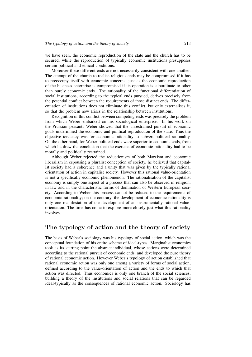we have seen, the economic reproduction of the state and the church has to be secured, while the reproduction of typically economic institutions presupposes certain political and ethical conditions.

Moreover these different ends are not necessarily consistent with one another. The attempt of the church to realise religious ends may be compromised if it has to preoccupy itself with economic concerns, just as the economic reproduction of the business enterprise is compromised if its operation is subordinate to other than purely economic ends. The rationality of the functional differentiation of social institutions, according to the typical ends pursued, derives precisely from the potential conflict between the requirements of those distinct ends. The differentiation of institutions does not eliminate this conflict, but only externalises it, so that the problem now arises in the relationship between institutions.

Recognition of this conflict between competing ends was precisely the problem from which Weber embarked on his sociological enterprise. In his work on the Prussian peasants Weber showed that the unrestrained pursuit of economic goals undermined the economic and political reproduction of the state. Thus the objective tendency was for economic rationality to subvert political rationality. On the other hand, for Weber political ends were superior to economic ends, from which he drew the conclusion that the exercise of economic rationality had to be morally and politically restrained.

Although Weber rejected the reductionism of both Marxism and economic liberalism in espousing a pluralist conception of society, he believed that capitalist society had a coherence and a unity that was given by the typically rational orientation of action in capitalist society. However this rational value-orientation is not a specifically economic phenomenon. The rationalisation of the capitalist economy is simply one aspect of a process that can also be observed in religion, in law and in the characteristic forms of domination of Western European society. According to Weber this process cannot be reduced to the requirements of economic rationality; on the contrary, the development of economic rationality is only one manifestation of the development of an instrumentally rational valueorientation. The time has come to explore more closely just what this rationality involves.

#### The typology of action and the theory of society

The basis of Weber's sociology was his typology of social action, which was the conceptual foundation of his entire scheme of ideal-types. Marginalist economics took as its starting point the abstract individual, whose actions were determined according to the rational pursuit of economic ends, and developed the pure theory of rational economic action. However Weber's typology of action established that rational economic action was only one among a variety of forms of social action, defined according to the value-orientation of action and the ends to which that action was directed. Thus economics is only one branch of the social sciences, building a theory of the institutions and social relations that can be regarded ideal-typically as the consequences of rational economic action. Sociology has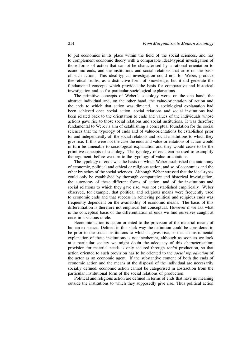to put economics in its place within the field of the social sciences, and has to complement economic theory with a comparable ideal-typical investigation of those forms of action that cannot be characterised by a rational orientation to economic ends, and the institutions and social relations that arise on the basis of such action. This ideal-typical investigation could not, for Weber, produce theoretical truths, as a distinctive form of knowledge, but it did generate the fundamental concepts which provided the basis for comparative and historical investigation and so for particular sociological explanations.

The primitive concepts of Weber's sociology were, on the one hand, the abstract individual and, on the other hand, the value-orientation of action and the ends to which that action was directed. A sociological explanation had been achieved once social action, social relations and social institutions had been related back to the orientation to ends and values of the individuals whose actions gave rise to those social relations and social institutions. It was therefore fundamental to Weber's aim of establishing a conceptual foundation for the social sciences that the typology of ends and of value-orientations be established prior to, and independently of, the social relations and social institutions to which they give rise. If this were not the case the ends and value-orientations of action would in turn be amenable to sociological explanation and they would cease to be the primitive concepts of sociology. The typology of ends can be used to exemplify the argument, before we turn to the typology of value-orientations.

The typology of ends was the basis on which Weber established the autonomy of economic, political and ethical or religious action, and so of economics and the other branches of the social sciences. Although Weber stressed that the ideal-types could only be established by thorough comparative and historical investigation, the autonomy of these different forms of action, and of the institutions and social relations to which they gave rise, was not established empirically. Weber observed, for example, that political and religious means were frequently used to economic ends and that success in achieving political and religious ends was frequently dependent on the availability of economic means. The basis of this differentiation is therefore not empirical but conceptual. However if we ask what is the conceptual basis of the differentiation of ends we find ourselves caught at once in a vicious circle.

Economic action is action oriented to the provision of the material means of human existence. Defined in this stark way the definition could be considered to be prior to the social institutions to which it gives rise, so that an instrumental explanation of these institutions is not incoherent, although as soon as we look at a particular society we might doubt the adequacy of this characterisation: provision for material needs is only secured through *social* production, so that action oriented to such provision has to be oriented to the *social reproduction* of the actor as an economic agent. If the substantive content of both the ends of economic action and the means at the disposal of the individual are necessarily socially defined, economic action cannot be categorised in abstraction from the particular institutional form of the social relations of production.

Political and religious action are defined in terms of ends that have no meaning outside the institutions to which they supposedly give rise. Thus political action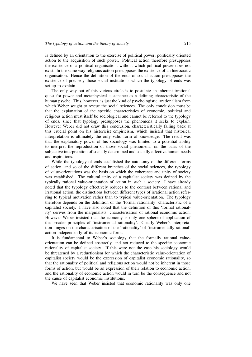is defined by an orientation to the exercise of political power; politically oriented action to the acquisition of such power. Political action therefore presupposes the existence of a political organisation, without which political power does not exist. In the same way religious action presupposes the existence of an hierocratic organisation. Hence the definition of the ends of social action presupposes the existence of precisely those social institutions which the typology of ends was set up to explain.

The only way out of this vicious circle is to postulate an inherent irrational quest for power and metaphysical sustenance as a defining characteristic of the human psyche. This, however, is just the kind of psychologistic irrationalism from which Weber sought to rescue the social sciences. The only conclusion must be that the explanation of the specific characteristics of economic, political and religious action must itself be sociological and cannot be referred to the typology of ends, since that typology presupposes the phenomena it seeks to explain. However Weber did not draw this conclusion, characteristically falling back at this crucial point on his historicist empiricism, which insisted that historical interpretation is ultimately the only valid form of knowledge. The result was that the explanatory power of his sociology was limited to a potential ability to interpret the reproduction of those social phenomena, on the basis of the subjective interpretation of socially determined and socially effective human needs and aspirations.

While the typology of ends established the autonomy of the different forms of action, and so of the different branches of the social sciences, the typology of value-orientations was the basis on which the coherence and unity of society was established. The cultural unity of a capitalist society was defined by the typically rational value-orientation of action in such a society. I have already noted that the typology effectively reduces to the contrast between rational and irrational action, the distinctions between different types of irrational action referring to typical motivation rather than to typical value-orientation. The typology therefore depends on the definition of the 'formal rationality' characteristic of a capitalist society. I have also noted that the definition of this 'formal rationality' derives from the marginalists' characterisation of rational economic action. However Weber insisted that the economy is only one sphere of application of the broader principles of 'instrumental rationality'. Clearly Weber's interpretation hinges on the characterisation of the 'rationality' of 'instrumentally rational' action independently of its economic form.

It is fundamental to Weber's sociology that the formally rational valueorientation can be defined abstractly, and not reduced to the specific economic rationality of capitalist society. If this were not the case his sociology would be threatened by a reductionism for which the characteristic value-orientation of capitalist society would be the expression of capitalist economic rationality, so that the rationality of political and religious action would not be inherent in those forms of action, but would be an expression of their relation to economic action, and the rationality of economic action would in turn be the consequence and not the cause of capitalist economic institutions.

We have seen that Weber insisted that economic rationality was only one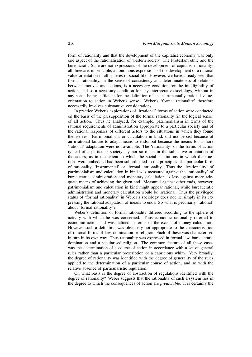form of rationality and that the development of the capitalist economy was only one aspect of the rationalisation of western society. The Protestant ethic and the bureaucratic State are not expressions of the development of capitalist rationality; all three are, in principle, autonomous expressions of the development of a rational value-orientation in all spheres of social life. However, we have already seen that formal rationality, in the sense of consistency and determinateness of relations between motives and actions, is a necessary condition for the intelligibility of action, and so a necessary condition for any interpretative sociology, without in any sense being sufficient for the definition of an instrumentally rational valueorientation to action in Weber's sense. Weber's 'formal rationality' therefore necessarily involves substantive considerations.

In practice Weber's explorations of 'irrational' forms of action were conducted on the basis of the presupposition of the formal rationality (in the logical sense) of all action. Thus he analysed, for example, patrimonialism in terms of the rational requirements of administration appropriate to a particular society and of the rational responses of different actors to the situations in which they found themselves. Patrimonialism, or calculation in kind, did not persist because of an irrational failure to adapt means to ends, but because the means for a more 'rational' adaptation were not available. The 'rationality' of the forms of action typical of a particular society lay not so much in the subjective orientation of the actors, as in the extent to which the social institutions in which their actions were embedded had been subordinated to the principles of a particular form of rationality, 'instrumental' or 'formal' rationality. Thus the 'irrationality' of patrimonialism and calculation in kind was measured against the 'rationality' of bureaucratic administration and monetary calculation as less against more adequate means of achieving the given end. Measured against other ends, however, patrimonialism and calculation in kind might appear rational, while bureaucratic administration and monetary calculation would be irrational. Thus the privileged status of 'formal rationality' in Weber's sociology does not lie simply in its expressing the rational adaptation of means to ends. So what is peculiarly 'rational' about 'formal rationality'?

Weber's definition of formal rationality differed according to the sphere of activity with which he was concerned. Thus economic rationality referred to economic action and was defined in terms of the extent of money calculation. However such a definition was obviously not appropriate to the characterisation of rational forms of law, domination or religion. Each of these was characterised in turn in its own way. Thus rationality was expressed in formal law, bureaucratic domination and a secularised religion. The common feature of all these cases was the determination of a course of action in accordance with a set of general rules rather than a particular prescription or a capricious whim. Very broadly, the degree of rationality was identified with the degree of generality of the rules applied to the determination of a particular course of action, and so with the relative absence of particularistic regulation.

On what basis is the degree of abstraction of regulations identified with the degree of rationality? Weber suggests that the rationality of such a system lies in the degree to which the consequences of action are *predictable*. It is certainly the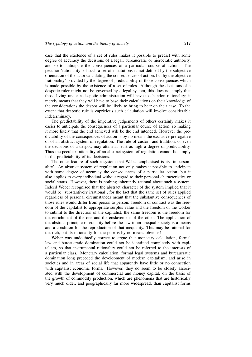case that the existence of a set of rules makes it possible to predict with some degree of accuracy the decisions of a legal, bureaucratic or hierocratic authority, and so to anticipate the consequences of a particular course of action. The peculiar 'rationality' of such a set of institutions is not defined by the subjective orientation of the actor calculating the consequences of action, but by the objective 'rationality' provided by the degree of predictability of those consequences which is made possible by the existence of a set of rules. Although the decisions of a despotic ruler might not be governed by a legal system, this does not imply that those living under a despotic administration will have to abandon rationality; it merely means that they will have to base their calculations on their knowledge of the considerations the despot will be likely to bring to bear on their case. To the extent that despotic rule is capricious such calculation will involve considerable indeterminacy.

The predictability of the imperative judgements of others certainly makes it easier to anticipate the consequences of a particular course of action, so making it more likely that the end achieved will be the end intended. However the predictability of the consequences of action is by no means the exclusive prerogative of of an abstract system of regulation. The rule of custom and tradition, or even the decisions of a despot, may attain at least as high a degree of predictability. Thus the peculiar rationality of an abstract system of regulation cannot lie simply in the predictability of its decisions.

The other feature of such a system that Weber emphasised is its 'impersonality'. An abstract system of regulation not only makes it possible to anticipate with some degree of accuracy the consequences of a particular action, but it also applies to every individual without regard to their personal characteristics or social status. However, there is nothing inherently rational about such a system. Indeed Weber recognised that the abstract character of the system implied that it would be 'substantively irrational', for the fact that the same set of rules applied regardless of personal circumstances meant that the substantive consequences of those rules would differ from person to person: freedom of contract was the freedom of the capitalist to appropriate surplus value and the freedom of the worker to submit to the direction of the capitalist; the same freedom is the freedom for the enrichment of the one and the enslavement of the other. The application of the abstract principle of equality before the law in an unequal society is a means and a condition for the reproduction of that inequality. This may be rational for the rich, but its rationality for the poor is by no means obvious!

Weber was undoubtedly correct to argue that monetary calculation, formal law and bureaucratic domination could not be identified completely with capitalism, so that instrumental rationality could not be referred to the interests of a particular class. Monetary calculation, formal legal systems and bureaucratic domination long preceded the development of modern capitalism, and arise in societies and in areas of social life that apparently have little or no connection with capitalist economic forms. However, they do seem to be closely associated with the development of commercial and money capital, on the basis of the growth of commodity production, which are phenomena that are historically very much older, and geographically far more widespread, than capitalist forms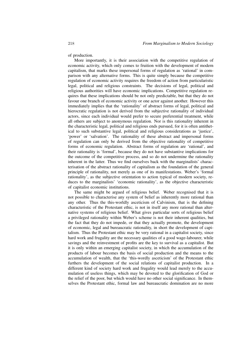of production.

More importantly, it is their association with the competitive regulation of economic activity, which only comes to fruition with the development of modern capitalism, that marks these impersonal forms of regulation as 'rational' in comparison with any alternative forms. This is quite simply because the competitive regulation of economic activity requires the freedom of action from particularistic legal, political and religious constraints. The decisions of legal, political and religious authorities will have economic implications. Competitive regulation requires that these implications should be not only predictable, but that they do not favour one branch of economic activity or one actor against another. However this immediately implies that the 'rationality' of abstract forms of legal, political and hierocratic regulation is not derived from the subjective rationality of individual actors, since each individual would prefer to secure preferential treatment, while all others are subject to anonymous regulation. Nor is this rationality inherent in the characteristic legal, political and religious ends pursued, for it is often antithetical to such substantive legal, political and religious considerations as 'justice', 'power' or 'salvation'. The rationality of these abstract and impersonal forms of regulation can only be derived from the objective rationality of competitive forms of economic regulation. Abstract forms of regulation are 'rational', and their rationality is 'formal', because they do not have substantive implications for the outcome of the competitive process, and so do not undermine the rationality inherent in the latter. Thus we find ourselves back with the marginalists' characterisation of the abstract rationality of capitalism as the foundation of the general principle of rationality, not merely as one of its manifestations. Weber's 'formal rationality', as the subjective orientation to action typical of modern society, reduces to the marginalists' 'economic rationality', as the objective characteristic of capitalist economic institutions.

The same might be argued of religious belief. Weber recognised that it is not possible to characterise any system of belief as inherently more rational than any other. Thus the this-worldly asceticism of Calvinism, that is the defining characteristic of the Protestant ethic, is not in itself any more rational than alternative systems of religious belief. What gives particular sorts of religious belief a privileged rationality within Weber's scheme is not their inherent qualities, but the fact that they do not impede, or that they actually promote, the development of economic, legal and bureaucratic rationality, in short the development of capitalism. Thus the Protestant ethic may be very rational in a capitalist society, since hard work and frugality are the necessary qualities of a good wage-labourer, while savings and the reinvestment of profits are the key to survival as a capitalist. But it is only within an emerging capitalist society, in which the accumulation of the products of labour becomes the basis of social production and the means to the accumulation of wealth, that the 'this-wordly asceticism' of the Protestant ethic furthers the development of the social relations of capitalist production. In a different kind of society hard work and frugality would lead merely to the accumulation of useless things, which may be devoted to the glorification of God or the relief of the poor, but which would have no other social significance. In themselves the Protestant ethic, formal law and bureaucratic domination are no more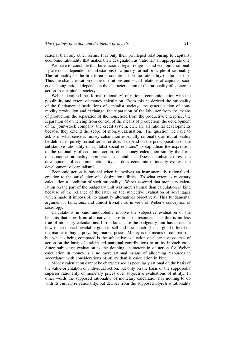rational than any other forms. It is only their privileged relationship to capitalist economic rationality that makes their designation as 'rational' an appropriate one.

We have to conclude that bureaucratic, legal, religious and economic rationality are not independent manifestations of a purely formal principle of rationality. The rationality of the first three is conditional on the rationality of the last one. Thus the characterisation of the institutions and social relations of capitalist society as being rational depends on the characterisation of the rationality of economic action in a capitalist society.

Weber identified the 'formal rationality' of rational economic action with the possibility and extent of money calculation. From this he derived the rationality of the fundamental institutions of capitalist society: the generalisation of commodity production and exchange, the separation of the labourer from the means of production, the separation of the household from the productive enterprise, the separation of ownership from control of the means of production, the development of the joint-stock company, the credit system, etc., are all rational developments because they extend the scope of money calculation. The question we have to ask is in what sense is money calculation especially rational? Can its rationality be defined in purely formal terms, or does it depend on the presupposition of the substantive rationality of capitalist social relations? Is capitalism the expression of the rationality of economic action, or is money calculation simply the form of economic rationality appropriate to capitalism? Does capitalism express the development of economic rationality, or does economic rationality express the development of capitalism?

Economic action is rational when it involves an instrumentally rational orientation to the satisfaction of a desire for utilities. To what extent is monetary calculation a condition of such rationality? Weber asserted that monetary calculation on the part of the budgetary unit was more rational than calculation in kind because of the reliance of the latter on the subjective evaluation of advantages which made it impossible to quantify alternatives objectively. This fundamental argument is fallacious, and almost trivially so in view of Weber's conception of sociology.

Calculations in kind undoubtedly involve the subjective evaluation of the benefits that flow from alternative dispositions of resources, but this is no less true of monetary calculations. In the latter case the budgetary unit has to decide how much of each available good to sell and how much of each good offered on the market to buy at prevailing market prices. Money is the means of comparison, but what is being compared is the subjective evaluation of alternative courses of action on the basis of anticipated marginal contributions to utility in each case. Since subjective evaluation is the defining characteristic of action for Weber, calculation in money is a no more rational means of allocating resources in accordance with considerations of utility than is calculation in kind.

Money calculation cannot be characterised as peculiarly rational on the basis of the value-orientation of individual action, but only on the basis of the supposedly superior rationality of monetary prices over subjective evaluations of utility. In other words the supposed rationality of monetary calculation has nothing to do with its *subjective* rationality, but derives from the supposed *objective* rationality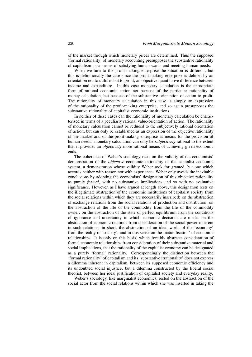of the market through which monetary prices are determined. Thus the supposed 'formal rationality' of monetary accounting presupposes the substantive rationality of capitalism as a means of satisfying human wants and meeting human needs.

When we turn to the profit-making enterprise the situation is different, but this is definitionally the case since the profit-making enterprise is defined by an orientation not to utilities but to profit, an objective quantitative difference between income and expenditure. In this case monetary calculation is the appropriate form of rational economic action not because of the particular rationality of money calculation, but because of the substantive orientation of action to profit. The rationality of monetary calculation in this case is simply an expression of the rationality of the profit-making enterprise, and so again presupposes the substantive rationality of capitalist economic institutions.

In neither of these cases can the rationality of monetary calculation be characterised in terms of a peculiarly rational value-orientation of action. The rationality of monetary calculation cannot be reduced to the subjectively rational orientation of action, but can only be established as an expression of the objective rationality of the market and of the profit-making enterprise as means for the provision of human needs: monetary calculation can only be *subjectively* rational to the extent that it provides an *objectively* more rational means of achieving given economic ends.

The coherence of Weber's sociology rests on the validity of the economists' demonstration of the *objective* economic rationality of the capitalist economic system, a demonstration whose validity Weber took for granted, but one which accords neither with reason nor with experience. Weber only avoids the inevitable conclusions by adopting the economists' designation of this objective rationality as purely *formal*, with no substantive implications and so with no evaluative significance. However, as I have argued at length above, this designation rests on the illegitimate abstraction of the economic institutions of capitalist society from the social relations within which they are necessarily inscribed: on the abstraction of exchange relations from the social relations of production and distribution; on the abstraction of the life of the commodity from the life of the commodity owner; on the abstraction of the state of perfect equilibrium from the conditions of ignorance and uncertainty in which economic decisions are made; on the abstraction of economic relations from consideration of the social power inherent in such relations; in short, the abstraction of an ideal world of the 'economy' from the reality of 'society', and in this sense on the 'naturalisation' of economic relationships. It is only on this basis, which forcibly abstracts consideration of formal economic relationships from consideration of their substantive material and social implications, that the rationality of the capitalist economy can be designated as a purely 'formal' rationality. Correspondingly the distinction between the 'formal rationality' of capitalism and its 'substantive irrationality' does not express a dilemma inherent in capitalism, between its supposed economic efficiency and its undoubted social injustice, but a dilemma constructed by the liberal social theorist, between her ideal justification of capitalist society and everyday reality.

Weber's sociology, like marginalist economics, rested on the abstraction of the social actor from the social relations within which she was inserted in taking the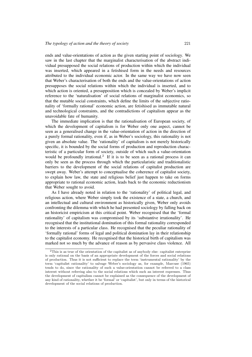ends and value-orientations of action as the given starting point of sociology. We saw in the last chapter that the marginalist characterisation of the abstract individual presupposed the social relations of production within which the individual was inserted, which appeared in a fetishised form in the needs and resources attributed to the individual economic actor. In the same way we have now seen that Weber's characterisation of both the ends and the value-orientations of action presupposes the social relations within which the individual is inserted, and to which action is oriented, a presupposition which is concealed by Weber's implicit reference to the 'naturalisation' of social relations of marginalist economics, so that the mutable social constraints, which define the limits of the subjective rationality of 'formally rational' economic action, are fetishised as immutable natural and technological constraints, and the contradictions of capitalism appear as the unavoidable fate of humanity.

The immediate implication is that the rationalisation of European society, of which the development of capitalism is for Weber only one aspect, cannot be seen as a generalised change in the value-orientation of action in the direction of a purely formal rationality, even if, as in Weber's sociology, this rationality is not given an absolute value. The 'rationality' of capitalism is not merely historically specific, it is bounded by the social forms of production and reproduction characteristic of a particular form of society, outside of which such a value-orientation would be profoundly irrational.<sup>2</sup> If it is to be seen as a rational process it can only be seen as the process through which the particularistic and traditionalistic barriers to the development of the social relations of capitalist production are swept away. Weber's attempt to conceptualise the coherence of capitalist society, to explain how law, the state and religious belief just happen to take on forms appropriate to rational economic action, leads back to the economic reductionism that Weber sought to avoid.

As I have already noted in relation to the 'rationality' of political legal, and religious action, where Weber simply took the existence of a state, a church, and an intellectual and cultural environment as historically given, Weber only avoids confronting the dilemma with which he had presented sociology by falling back on an historicist empiricism at this critical point. Weber recognised that the 'formal rationality' of capitalism was compromised by its 'substantive irrationality'. He recognised that the institutional domination of this formal rationality corresponded to the interests of a particular class. He recognised that the peculiar rationality of 'formally rational' forms of legal and political domination lay in their relationship to the capitalist economy. He recognised that the historical birth of capitalism was marked not so much by the advance of reason as by pervasive class violence. All

<sup>2</sup>This is as true of the orientation of the capitalist as of anybody else: capitalist enterprise is only rational on the basis of an appropriate development of the forces and social relations of production. Thus it is not sufficient to replace the term 'instrumental rationality' by the term 'capitalist rationality' to salvage Weber's sociology as, for example, Marcuse (1965) tends to do, since the rationality of such a value-orientation cannot be referred to a class interest without referring also to the social relations which such an interest expresses. Thus the development of capitalism cannot be explained as the consequence of the development of any kind of rationality, whether it be 'formal' or 'capitalist', but only in terms of the historical development of the social relations of production.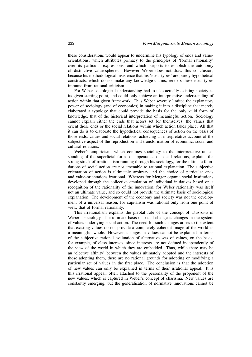these considerations would appear to undermine his typology of ends and valueorientations, which attributes primacy to the principles of 'formal rationality' over its particular expressions, and which purports to establish the autonomy of distinctive value-spheres. However Weber does not draw this conclusion, because his methodological insistence that his 'ideal-types' are purely hypothetical constructs, which do not make any knowledge-claims, renders these ideal-types immune from rational criticism.

For Weber sociological understanding had to take actually existing society as its given starting point, and could only achieve an interpretative understanding of action within that given framework. Thus Weber severely limited the explanatory power of sociology (and of economics) in making it into a discipline that merely elaborated a typology that could provide the basis for the only valid form of knowledge, that of the historical interpretation of meaningful action. Sociology cannot explain either the ends that actors set for themselves, the values that orient those ends or the social relations within which action takes place. All that it can do is to elaborate the hypothetical consequences of action on the basis of those ends, values and social relations, achieving an interpretative account of the subjective aspect of the reproduction and transformation of economic, social and cultural relations.

Weber's empiricism, which confines sociology to the interpretative understanding of the superficial forms of appearance of social relations, explains the strong streak of irrationalism running through his sociology, for the ultimate foundations of social action are not amenable to rational explanation. The subjective orientation of action is ultimately arbitrary and the choice of particular ends and value-orientations irrational. Whereas for Menger organic social institutions developed through the collective emulation of individual initiatives based on a recognition of the rationality of the innovation, for Weber rationality was itself not an ultimate value, and so could not provide the ultimate basis of sociological explanation. The development of the economy and society was not the development of a universal reason, for capitalism was rational only from one point of view, that of formal rationality.

This irrationalism explains the pivotal role of the concept of *charisma* in Weber's sociology. The ultimate basis of social change is changes in the system of values underlying social action. The need for such changes arises to the extent that existing values do not provide a completely coherent image of the world as a meaningful whole. However, changes in values cannot be explained in terms of the subjective rational evaluation of alternative sets of values, on the basis, for example, of class interests, since interests are not defined independently of the view of the world in which they are embedded. Thus, while there may be an 'elective affinity' between the values ultimately adopted and the interests of those adopting them, there are no rational grounds for adopting or modifying a particular set of values in the first place. The conclusion is that the adoption of new values can only be explained in terms of their irrational appeal. It is this irrational appeal, often attached to the personality of the proponent of the new values, which is captured in Weber's concept of charisma. New values are constantly emerging, but the generalisation of normative innovations cannot be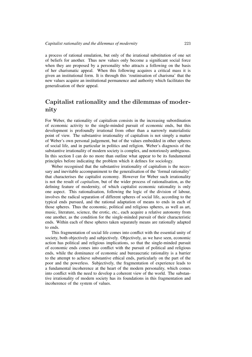a process of rational emulation, but only of the irrational substitution of one set of beliefs for another. Thus new values only become a significant social force when they are proposed by a personality who attracts a following on the basis of her charismatic appeal. When this following acquires a critical mass it is given an institutional form. It is through this 'routinisation of charisma' that the new values acquire an institutional permanence and authority which facilitates the generalisation of their appeal.

### Capitalist rationality and the dilemmas of modernity

For Weber, the rationality of capitalism consists in the increasing subordination of economic activity to the single-minded pursuit of economic ends, but this development is profoundly irrational from other than a narrowly materialistic point of view. The substantive irrationality of capitalism is not simply a matter of Weber's own personal judgement, but of the values embedded in other spheres of social life, and in particular in politics and religion. Weber's diagnosis of the substantive irrationality of modern society is complex, and notoriously ambiguous. In this section I can do no more than outline what appear to be its fundamental principles before indicating the problem which it defines for sociology.

Weber recognised that the substantive irrationality of capitalism is the necessary and inevitable accompaniment to the generalisation of the 'formal rationality' that characterises the capitalist economy. However for Weber such irrationality is not the result of *capitalism*, but of the wider process of rationalisation, as the defining feature of modernity, of which capitalist economic rationality is only one aspect. This rationalisation, following the logic of the division of labour, involves the radical separation of different spheres of social life, according to the typical ends pursued, and the rational adaptation of means to ends in each of those spheres. Thus the economic, political and religious spheres, as well as art, music, literature, science, the erotic, etc., each acquire a relative autonomy from one another, as the condition for the single-minded pursuit of their characteristic ends. Within each of these spheres taken separately means are rationally adapted to ends.

This fragmentation of social life comes into conflict with the essential unity of society, both objectively and subjectively. Objectively, as we have seen, economic action has political and religious implications, so that the single-minded pursuit of economic ends comes into conflict with the pursuit of political and religious ends, while the dominance of economic and bureaucratic rationality is a barrier to the attempt to achieve substantive ethical ends, particularly on the part of the poor and the powerless. Subjectively, the fragmentation of experience leads to a fundamental incoherence at the heart of the modern personality, which comes into conflict with the need to develop a coherent view of the world. The substantive irrationality of modern society has its foundations in this fragmentation and incoherence of the system of values.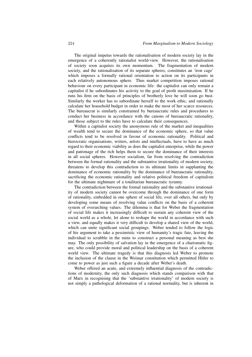The original impetus towards the rationalisation of modern society lay in the emergence of a coherently rationalist world-view. However, the rationalisation of society soon acquires its own momentum. The fragmentation of modern society, and the rationalisation of its separate spheres, constitutes an 'iron cage' which imposes a formally rational orientation to action on its participants in each relatively autonomous sphere. Thus market competition imposes rational behaviour on every participant in economic life: the capitalist can only remain a capitalist if he subordinates his activity to the goal of profit maximisation. If he runs his firm on the basis of principles of brotherly love he will soon go bust. Similarly the worker has to subordinate herself to the work ethic, and rationally calculate her household budget in order to make the most of her scarce resources. The bureaucrat is similarly constrained by bureaucratic rules and procedures to conduct her business in accordance with the canons of bureaucratic rationality, and those subject to the rules have to calculate their consequences.

Within a capitalist society the anonymous rule of the market and inequalities of wealth tend to secure the dominance of the economic sphere, so that value conflicts tend to be resolved in favour of economic rationality. Political and hierocratic organisations, writers, artists and intellectuals, have to have as much regard to their economic viability as does the capitalist enterprise, while the power and patronage of the rich helps them to secure the dominance of their interests in all social spheres. However socialism, far from resolving the contradiction between the formal rationality and the substantive irrationality of modern society, threatens to develop this contradiction to its ultimate limits in supplanting the dominance of economic rationality by the dominance of bureaucratic rationality, sacrificing the economic rationality and relative political freedom of capitalism for the ultimate nightmare of a totalitarian bureaucratic tyranny.

The contradiction between the formal rationality and the substantive irrationality of modern society cannot be overcome through the dominance of one form of rationality, embedded in one sphere of social life, over all others, but only by developing some means of resolving value conflicts on the basis of a coherent system of overarching values. The dilemma is that for Weber the fragmentation of social life makes it increasingly difficult to sustain any coherent view of the social world as a whole, let alone to reshape the world in accordance with such a view, and equally makes it very difficult to develop a shared view of the world, which can unite significant social groupings. Weber tended to follow the logic of his argument to take a pessimistic view of humanity's tragic fate, leaving the individual to scrabble in the ruins to construct a personal meaning as best she may. The only possibility of salvation lay in the emergence of a charismatic figure, who could provide moral and political leadership on the basis of a coherent world view. The ultimate tragedy is that this diagnosis led Weber to promote the inclusion of the clause in the Weimar constitution which permitted Hitler to come to power as just such a figure a decade after Weber's death.

Weber offered an acute, and extremely influential diagnosis of the contradictions of modernity, the only such diagnosis which stands comparison with that of Marx in recognising that the 'substantive irrationality' of modern society is not simply a pathological deformation of a rational normality, but is inherent in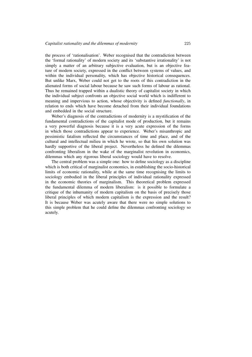the process of 'rationalisation'. Weber recognised that the contradiction between the 'formal rationality' of modern society and its 'substantive irrationality' is not simply a matter of an arbitrary subjective evaluation, but is an objective feature of modern society, expressed in the conflict between systems of values, and within the individual personality, which has objective historical consequences. But unlike Marx, Weber could not get to the roots of this contradiction in the alienated forms of social labour because he saw such forms of labour as rational. Thus he remained trapped within a dualistic theory of capitalist society in which the individual subject confronts an objective social world which is indifferent to meaning and impervious to action, whose objectivity is defined *functionally*, in relation to ends which have become detached from their individual foundations and embedded in the social structure.

Weber's diagnosis of the contradictions of modernity is a mystification of the fundamental contradictions of the capitalist mode of production, but it remains a very powerful diagnosis because it is a very acute expression of the forms in which those contradictions appear to experience. Weber's misanthropic and pessimistic fatalism reflected the circumstances of time and place, and of the cultural and intellectual milieu in which he wrote, so that his own solution was hardly supportive of the liberal project. Nevertheless he defined the dilemmas confronting liberalism in the wake of the marginalist revolution in economics, dilemmas which any rigorous liberal sociology would have to resolve.

The central problem was a simple one: how to define sociology as a discipline which is both critical of marginalist economics, in establishing the socio-historical limits of economic rationality, while at the same time recognising the limits to sociology embodied in the liberal principles of individual rationality expressed in the economic theories of marginalism. This theoretical problem expressed the fundamental dilemma of modern liberalism: is it possible to formulate a critique of the inhumanity of modern capitalism on the basis of precisely those liberal principles of which modern capitalism is the expression and the result? It is because Weber was acutely aware that there were no simple solutions to this simple problem that he could define the dilemmas confronting sociology so acutely.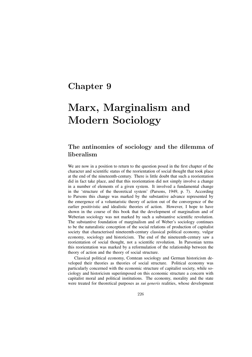## Chapter 9

# Marx, Marginalism and Modern Sociology

### The antinomies of sociology and the dilemma of liberalism

We are now in a position to return to the question posed in the first chapter of the character and scientific status of the reorientation of social thought that took place at the end of the nineteenth-century. There is little doubt that such a reorientation did in fact take place, and that this reorientation did not simply involve a change in a number of elements of a given system. It involved a fundamental change in the 'structure of the theoretical system' (Parsons, 1949, p. 7). According to Parsons this change was marked by the substantive advance represented by the emergence of a voluntaristic theory of action out of the convergence of the earlier positivistic and idealistic theories of action. However, I hope to have shown in the course of this book that the development of marginalism and of Weberian sociology was not marked by such a substantive scientific revolution. The substantive foundation of marginalism and of Weber's sociology continues to be the naturalistic conception of the social relations of production of capitalist society that characterised nineteenth-century classical political economy, vulgar economy, sociology and historicism. The end of the nineteenth-century saw a reorientation of social thought, not a scientific revolution. In Parsonian terms this reorientation was marked by a reformulation of the relationship between the theory of action and the theory of social structure.

Classical political economy, Comtean sociology and German historicism developed their theories as theories of social structure. Political economy was particularly concerned with the economic structure of capitalist society, while sociology and historicism superimposed on this economic structure a concern with capitalist moral and political institutions. The economy, morality and the state were treated for theoretical purposes as *sui generis* realities, whose development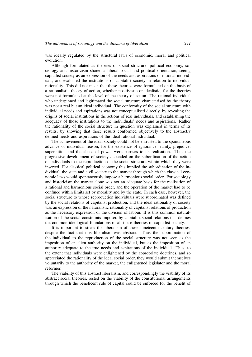was ideally regulated by the structural laws of economic, moral and political evolution.

Although formulated as theories of social structure, political economy, sociology and historicism shared a liberal social and political orientation, seeing capitalist society as an expression of the needs and aspirations of rational individuals, and evaluated the institutions of capitalist society in relation to individual rationality. This did not mean that these theories were formulated on the basis of a rationalistic theory of action, whether positivistic or idealistic, for the theories were not formulated at the level of the theory of action. The rational individual who underpinned and legitimated the social structure characterised by the theory was not a real but an ideal individual. The conformity of the social structure with individual needs and aspirations was not conceptualised directly, by revealing the origins of social institutions in the actions of real individuals, and establishing the adequacy of those institutions to the individuals' needs and aspirations. Rather the rationality of the social structure in question was explained in terms of its results, by showing that those results conformed objectively to the abstractly defined needs and aspirations of the ideal rational individual.

The achievement of the ideal society could not be entrusted to the spontaneous advance of individual reason, for the existence of ignorance, vanity, prejudice, superstition and the abuse of power were barriers to its realisation. Thus the progressive development of society depended on the subordination of the action of individuals to the reproduction of the social structure within which they were inserted. For classical political economy this implied the subordination of the individual, the state and civil society to the market through which the classical economic laws would spontaneously impose a harmonious social order. For sociology and historicism the market alone was not an adequate basis for the realisation of a rational and harmonious social order, and the operation of the market had to be confined within limits set by morality and by the state. In each case, however, the social structure to whose reproduction individuals were subordinated was defined by the social relations of capitalist production, and the ideal rationality of society was an expression of the naturalistic rationality of capitalist relations of production as the necessary expression of the division of labour. It is this common naturalisation of the social constraints imposed by capitalist social relations that defines the common ideological foundations of all these theories of capitalist society.

It is important to stress the liberalism of these nineteenth century theories, despite the fact that this liberalism was abstract. Thus the subordination of the individual to the reproduction of the social structure was not seen as the imposition of an alien authority on the individual, but as the imposition of an authority adequate to the true needs and aspirations of the individual. Thus, to the extent that individuals were enlightened by the appropriate doctrines, and so appreciated the rationality of the ideal social order, they would submit themselves voluntarily to the authority of the market, the enlightened legislator and the moral reformer.

The viability of this abstract liberalism, and correspondingly the viability of its abstract social theories, rested on the viability of the constitutional arrangements through which the beneficent rule of capital could be enforced for the benefit of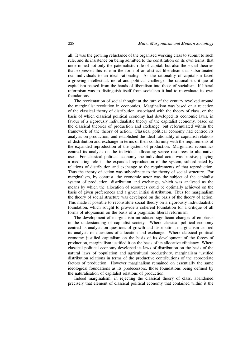all. It was the growing reluctance of the organised working class to submit to such rule, and its insistence on being admitted to the constitution on its own terms, that undermined not only the paternalistic rule of capital, but also the social theories that expressed this rule in the form of an abstract liberalism that subordinated real individuals to an ideal rationality. As the rationality of capitalism faced a growing intellectual, moral and political challenge, the rationalist critique of capitalism passed from the hands of liberalism into those of socialism. If liberal reformism was to distinguish itself from socialism it had to re-evaluate its own foundations.

The reorientation of social thought at the turn of the century revolved around the marginalist revolution in economics. Marginalism was based on a rejection of the classical theory of distribution, associated with the theory of class, on the basis of which classical political economy had developed its economic laws, in favour of a rigorously individualistic theory of the capitalist economy, based on the classical theories of production and exchange, but reformulated within the framework of the theory of action. Classical political economy had centred its analysis on production, and established the ideal rationality of capitalist relations of distribution and exchange in terms of their conformity with the requirements of the expanded reproduction of the system of production. Marginalist economics centred its analysis on the individual allocating scarce resources to alternative uses. For classical political economy the individual actor was passive, playing a mediating role in the expanded reproduction of the system, subordinated by relations of distribution and exchange to the requirements of that reproduction. Thus the theory of action was subordinate to the theory of social structure. For marginalism, by contrast, the economic actor was the subject of the capitalist system of production, distribution and exchange, which was analysed as the means by which the allocation of resources could be optimally achieved on the basis of given preferences and a given initial distribution. Thus for marginalism the theory of social structure was developed on the basis of the theory of action. This made it possible to reconstitute social theory on a rigorously individualistic foundation, which sought to provide a coherent foundation for a critique of all forms of utopianism on the basis of a pragmatic liberal reformism.

The development of marginalism introduced significant changes of emphasis in the understanding of capitalist society. Where classical political economy centred its analysis on questions of growth and distribution, marginalism centred its analysis on questions of allocation and exchange. Where classical political economy justified capitalism on the basis of its development of the forces of production, marginalism justified it on the basis of its allocative efficiency. Where classical political economy developed its laws of distribution on the basis of the natural laws of population and agricultural productivity, marginalism justified distribution relations in terms of the productive contributions of the appropriate factors of production. However marginalism remained on essentially the same ideological foundations as its predecessors, those foundations being defined by the naturalisation of capitalist relations of production.

Indeed marginalism, in rejecting the classical theory of class, abandoned precisely that element of classical political economy that contained within it the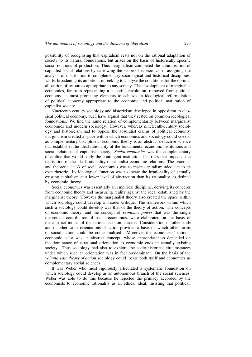possibility of recognising that capitalism rests not on the rational adaptation of society to its natural foundations, but arises on the basis of historically specific social relations of production. Thus marginalism completed the naturalisation of capitalist social relations by narrowing the scope of economics, in assigning the analysis of distribution to complementary sociological and historical disciplines, whilst broadening its ambition, in seeking to analyse the conditions for the optimal allocation of resources appropriate to any society. The development of marginalist economics, far from representing a scientific revolution, removed from political economy its most promising elements to achieve an ideological reformulation of political economy appropriate to the economic and political maturation of capitalist society.

Nineteenth century sociology and historicism developed in opposition to classical political economy, but I have argued that they rested on common ideological foundations. We find the same relation of complementarity between marginalist economics and modern sociology. However, whereas nineteenth-century sociology and historicism had to oppose the absolutist claims of political economy, marginalism created a space within which economics and sociology could coexist as complementary disciplines. Economic theory is an abstract deductive science that establishes the ideal rationality of the fundamental economic institutions and social relations of capitalist society. *Social economics* was the complementary discipline that would study the contingent institutional barriers that impeded the realisation of the ideal rationality of capitalist economic relations. The practical and theoretical task of social economics was to make capitalism adequate to its own rhetoric. Its ideological function was to locate the irrationality of actually existing capitalism at a lower level of abstraction than its rationality, as defined by economic theory.

Social economics was essentially an empirical discipline, deriving its concepts from economic theory and measuring reality against the ideal established by the marginalist theory. However the marginalist theory also created the space within which sociology could develop a broader critique. The framework within which such a sociology could develop was that of the theory of action. The concepts of economic theory, and the concept of *economic power* that was the single theoretical contribution of social economics, were elaborated on the basis of the abstract model of the rational economic actor. Consideration of other ends and of other value-orientations of action provided a basis on which other forms of social action could be conceptualised. Moreover the economists' rational economic actor was an abstract concept, whose appropriateness depended on the dominance of a rational orientation to economic ends in actually existing society. Thus sociology had also to explore the socio-historical circumstances under which such an orientation was in fact predominant. On the basis of the *voluntaristic theory of action* sociology could locate both itself and economics as complementary social sciences.

It was Weber who most rigorously articulated a systematic foundation on which sociology could develop as an autonomous branch of the social sciences. Weber was able to do this because he rejected the primacy accorded by the economists to economic rationality as an ethical ideal, insisting that political,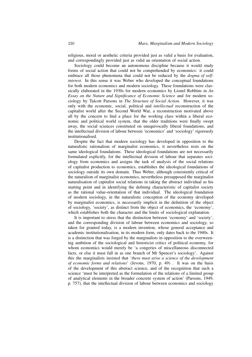religious, moral or aesthetic criteria provided just as valid a basis for evaluation, and correspondingly provided just as valid an orientation of social action.

Sociology could become an autonomous discipline because it would study forms of social action that could not be comprehended by economics: it could embrace all those phenomena that could not be reduced by the *dogma of selfinterest*. In this sense it was Weber who developed the conceptual foundations for both modern economics and modern sociology. These foundations were classically elaborated in the 1930s for modern economics by Lionel Robbins in *An Essay on the Nature and Significance of Economic Science* and for modern sociology by Talcott Parsons in *The Structure of Social Action*. However, it was only with the economic, social, political and *intellectual* reconstruction of the capitalist world after the Second World War, a reconstruction motivated above all by the concern to find a place for the working class within a liberal economic and political world system, that the older traditions were finally swept away, the social sciences constituted on unequivocally liberal foundations, and the intellectual division of labour between 'economics' and 'sociology' rigorously institutionalised.

Despite the fact that modern sociology has developed in opposition to the naturalistic rationalism of marginalist economics, it nevertheless rests on the same ideological foundations. These ideological foundations are not necessarily formulated explicitly, for the intellectual division of labour that separates sociology from economics and assigns the task of analysis of the social relations of capitalist production to economics, establishes the ideological foundations of sociology outside its own domain. Thus Weber, although consistently critical of the naturalism of marginalist economics, nevertheless presupposed the marginalist naturalisation of capitalist social relations in taking the abstract individual as his starting point and in identifying the defining characteristic of capitalist society as the rational value-orientation of that individual. The ideological foundation of modern sociology, in the naturalistic conception of the economy developed by marginalist economics, is necessarily implicit in the definition of the object of sociology, 'society', as distinct from the object of economics, the 'economy', which establishes both the character and the limits of sociological explanation.

It is important to stress that the distinction between 'economy' and 'society', and the corresponding division of labour between economics and sociology, so taken for granted today, is a modern invention, whose general acceptance and academic institutionalisation, in its modern form, only dates back to the 1940s. It is a distinction that was forged by the marginalists in opposition to the overweening ambition of the sociological and historicist critics of political economy, for whom economics would merely be 'a congeries of miscellaneous disconnected facts, or else it must fall in as one branch of Mr Spencer's sociology'. Against this the marginalists insisted that '*there must arise a science of the development of economic forms and relations*' (Jevons, 1970, p. 49) . It was on the basis of the development of this abstract science, and of the recognition that such a science 'must be interpreted as the formulation of the relations of a limited group of analytical elements in the broader concrete system of action' (Parsons, 1949, p. 757), that the intellectual division of labour between economics and sociology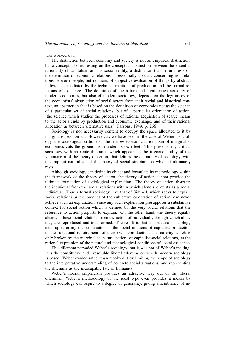was worked out.

The distinction between economy and society is not an empirical distinction, but a conceptual one, resting on the conceptual distinction between the essential rationality of capitalism and its social reality, a distinction that in turn rests on the definition of economic relations as essentially asocial, concerning not relations between people, but relations of subjective evaluation of things by abstract individuals, mediated by the technical relations of production and the formal relations of exchange. The definition of the nature and significance not only of modern economics, but also of modern sociology, depends on the legitimacy of the economists' abstraction of social actors from their social and historical context, an abstraction that is based on the definition of economics not as the science of a particular set of social relations, but of a particular orientation of action, 'the science which studies the processes of rational acquisition of scarce means to the actor's ends by production and economic exchange, and of their rational allocation as between alternative uses' (Parsons, 1949, p. 266).

Sociology is not necessarily content to occupy the space allocated to it by marginalist economics. However, as we have seen in the case of Weber's sociology, the sociological critique of the narrow economic rationalism of marginalist economics cuts the ground from under its own feet. This presents any critical sociology with an acute dilemma, which appears in the irreconcilability of the voluntarism of the theory of action, that defines the autonomy of sociology, with the implicit naturalism of the theory of social structure on which it ultimately rests.

Although sociology can define its object and formulate its methodology within the framework of the theory of action, the theory of action cannot provide the ultimate foundation of sociological explanation. The theory of action abstracts the individual from the social relations within which alone she exists as a social individual. Thus a formal sociology, like that of Simmel, which seeks to explain social relations as the product of the subjective orientation of action, can never achieve such an explanation, since any such explanation presupposes a substantive context for social action which is defined by the very social relations that the reference to action purports to explain. On the other hand, the theory equally abstracts these social relations from the action of individuals, through which alone they are reproduced and transformed. The result is that a 'structural' sociology ends up referring the explanation of the social relations of capitalist production to the functional requirements of their own reproduction, a circularity which is only broken by the marginalist 'naturalisation' of capitalist social relations, as the rational expression of the natural and technological conditions of social existence.

This dilemma pervaded Weber's sociology, but it was not of Weber's making: it is the constitutive and irresoluble liberal dilemma on which modern sociology is based. Weber evaded rather than resolved it by limiting the scope of sociology to the interpretative understanding of concrete social situations, and representing the dilemma as the inescapable fate of humanity.

Weber's liberal empiricism provides an attractive way out of the liberal dilemma. Weber's methodology of the ideal type even provides a means by which sociology can aspire to a degree of generality, giving a semblance of in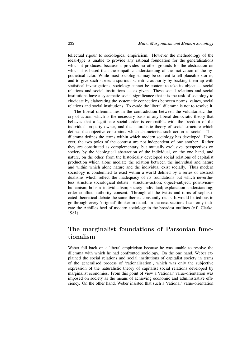tellectual rigour to sociological empiricism. However the methodology of the ideal-type is unable to provide any rational foundation for the generalisations which it produces, because it provides no other grounds for the abstraction on which it is based than the empathic understanding of the motivation of the hypothetical actor. While most sociologists may be content to tell plausible stories, and to give such stories a spurious scientific authority by backing them up with statistical investigations, sociology cannot be content to take its object — social relations and social institutions — as given. These social relations and social institutions have a systematic social significance that it is the task of sociology to elucidate by elaborating the systematic connections between norms, values, social relations and social institutions. To evade the liberal dilemma is not to resolve it.

The liberal dilemma lies in the contradiction between the voluntaristic theory of action, which is the necessary basis of any liberal democratic theory that believes that a legitimate social order is compatible with the freedom of the individual property owner, and the naturalistic theory of social structure which defines the objective constraints which characterise such action as social. This dilemma defines the terms within which modern sociology has developed. However, the two poles of the contrast are not independent of one another. Rather they are constituted as complementary, but mutually exclusive, perspectives on society by the ideological abstraction of the individual, on the one hand, and nature, on the other, from the historically developed social relations of capitalist production which alone mediate the relation between the individual and nature and within which alone nature and the individual exist socially. Thus modern sociology is condemned to exist within a world defined by a series of abstract dualisms which reflect the inadequacy of its foundations but which nevertheless structure sociological debate: structure–action; object–subject; positivism– humanism; holism–individualism; society–individual; explanation–understanding; order–conflict; authority–consent. Through all the twists and turns of sophisticated theoretical debate the same themes constantly recur. It would be tedious to go through every 'original' thinker in detail. In the next sections I can only indicate the Achilles heel of modern sociology in the broadest outlines (c.f. Clarke, 1981).

### The marginalist foundations of Parsonian functionalism

Weber fell back on a liberal empiricism because he was unable to resolve the dilemma with which he had confronted sociology. On the one hand, Weber explained the social relations and social institutions of capitalist society in terms of the generalised process of 'rationalisation', which was only the subjective expression of the naturalistic theory of capitalist social relations developed by marginalist economies. From this point of view a 'rational' value-orientation was imposed on society as the means of achieving economic and administrative efficiency. On the other hand, Weber insisted that such a 'rational' value-orientation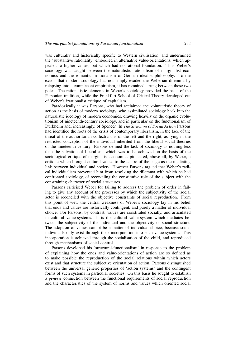was culturally and historically specific to Western civilisation, and undermined the 'substantive rationality' embodied in alternative value-orientations, which appealed to higher values, but which had no rational foundation. Thus Weber's sociology was caught between the naturalistic rationalism of marginalist economics and the romantic irrationalism of German idealist philosophy. To the extent that modern sociology has not simply evaded the Weberian dilemma by relapsing into a complacent empiricism, it has remained strung between these two poles. The rationalistic elements in Weber's sociology provided the basis of the Parsonian tradition, while the Frankfurt School of Critical Theory developed out of Weber's irrationalist critique of capitalism.

Paradoxically it was Parsons, who had acclaimed the voluntaristic theory of action as the basis of modern sociology, who assimilated sociology back into the naturalistic ideology of modern economics, drawing heavily on the organic evolutionism of nineteenth-century sociology, and in particular on the functionalism of Durkheim and, increasingly, of Spencer. In *The Structure of Social Action* Parsons had identified the roots of the crisis of contemporary liberalism, in the face of the threat of the authoritarian collectivisms of the left and the right, as lying in the restricted conception of the individual inherited from the liberal social theories of the nineteenth century. Parsons defined the task of sociology as nothing less than the salvation of liberalism, which was to be achieved on the basis of the sociological critique of marginalist economics pioneered, above all, by Weber, a critique which brought cultural values to the centre of the stage as the mediating link between individual and society. However Parsons argued that Weber's radical individualism prevented him from resolving the dilemma with which he had confronted sociology, of reconciling the constitutive role of the subject with the constraining character of social structures.

Parsons criticised Weber for failing to address the problem of order in failing to give any account of the processes by which the subjectivity of the social actor is reconciled with the objective constraints of social reproduction. From this point of view the central weakness of Weber's sociology lay in his belief that ends and values are historically contingent, and purely a matter of individual choice. For Parsons, by contrast, values are constituted socially, and articulated in cultural value-systems. It is the cultural value-system which mediates between the subjectivity of the individual and the objectivity of social structure. The adoption of values cannot be a matter of individual choice, because social individuals only exist through their incorporation into such value-systems. This incorporation is achieved through the socialisation of the child, and reproduced through mechanisms of social control.

Parsons developed his 'structural-functionalism' in response to the problem of explaining how the ends and value-orientations of action are so defined as to make possible the reproduction of the social relations within which actors exist and that structure the subjective orientation of action. Parsons distinguished between the universal generic properties of 'action systems' and the contingent forms of such systems in particular societies. On this basis he sought to establish a *generic* connection between the functional requirements of social reproduction and the characteristics of the system of norms and values which oriented social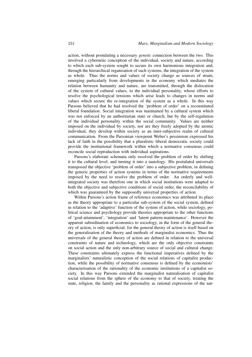action, without postulating a necessary *genetic* connection between the two. This involved a cybernetic conception of the individual, society and nature, according to which each sub-system sought to secure its own harmonious integration and, through the hierarchical organisation of such systems, the integration of the system as whole. Thus the norms and values of society change as sources of strain, emerging particularly from developments in the economy which mediates the relation between humanity and nature, are transmitted, through the dislocation of the system of cultural values, to the individual personality, whose efforts to resolve the psychological tensions which arise leads to changes in norms and values which secure the re-integration of the system as a whole. In this way Parsons believed that he had resolved the 'problem of order' on a reconstituted liberal foundation. Social integration was maintained by a cultural system which was not enforced by an authoritarian state or church, but by the self-regulation of the individual personality within the social community. Values are neither imposed on the individual by society, nor are they freely adopted by the atomic individual, they develop within society as an inter-subjective realm of cultural communication. From the Parsonian viewpoint Weber's pessimism expressed his lack of faith in the possibility that a pluralistic liberal democratic society could provide the institutional framework within which a normative consensus could reconcile social reproduction with individual aspirations.

Parsons's elaborate schemata only resolved the problem of order by shifting it to the cultural level, and turning it into a tautology. His postulated universals transposed the objective 'problem of order' into a subjective problem, in defining the generic properties of action systems in terms of the normative requirements imposed by the need to resolve the problem of order. An orderly and wellintegrated society was therefore one in which social institutions were adapted to both the objective and subjective conditions of social order, the reconcilability of which was guaranteed by the supposedly universal properties of action.

Within Parsons's action frame of reference economics was attributed its place as the theory appropriate to a particular sub-system of the social system, defined in relation to the 'adaptive' function of the system of action, while sociology, political science and psychology provide theories appropriate to the other functions of 'goal-attainment', 'integration' and 'latent pattern-maintenance'. However the apparent subordination of economics to sociology, in the form of the general theory of action, is only superficial, for the general theory of action is itself based on the generalisation of the theory and methods of marginalist economics. Thus the universals of the general theory of action are defined in relation to the universal constraints of nature and technology, which are the only objective constraints on social action and the only non-arbitrary source of social and cultural change. These constraints ultimately express the functional imperatives defined by the marginalists' naturalistic conception of the social relations of capitalist production, while the possibility of normative consensus is defined by the economists' characterisation of the rationality of the economic institutions of a capitalist society. In this way Parsons extended the marginalist naturalisation of capitalist social relations from the sphere of the economy to that of society, treating the state, religion, the family and the personality as rational expressions of the nat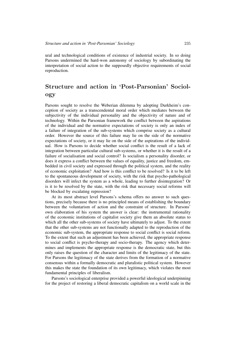ural and technological conditions of existence of industrial society. In so doing Parsons undermined the hard-won autonomy of sociology by subordinating the interpretation of social action to the supposedly objective requirements of social reproduction.

## Structure and action in 'Post-Parsonian' Sociology

Parsons sought to resolve the Weberian dilemma by adopting Durkheim's conception of society as a transcendental moral order which mediates between the subjectivity of the individual personality and the objectivity of nature and of technology. Within the Parsonian framework the conflict between the aspirations of the individual and the normative expectations of society is only an index of a failure of integration of the sub-systems which comprise society as a cultural order. However the source of this failure may lie on the side of the normative expectations of society, or it may lie on the side of the aspirations of the individual. How is Parsons to decide whether social conflict is the result of a lack of integration between particular cultural sub-systems, or whether it is the result of a failure of socialisation and social control? Is socialism a personality disorder, or does it express a conflict between the values of equality, justice and freedom, embedded in civil society and expressed through the political system, and the reality of economic exploitation? And how is this conflict to be resolved? Is it to be left to the spontaneous development of society, with the risk that psycho-pathological disorders will infect the system as a whole, leading to further disintegration? Or is it to be resolved by the state, with the risk that necessary social reforms will be blocked by escalating repression?

At its most abstract level Parsons's schema offers no answer to such questions, precisely because there is no principled means of establishing the boundary between the voluntarism of action and the constraint of structure. In Parsons' own elaboration of his system the answer is clear: the instrumental rationality of the economic institutions of capitalist society give them an absolute status to which all the other sub-systems of society have ultimately to adjust. To the extent that the other sub-systems are not functionally adapted to the reproduction of the economic sub-system, the appropriate response to social conflict is social reform. To the extent that such an adjustment has been achieved, the appropriate response to social conflict is psycho-therapy and socio-therapy. The agency which determines and implements the appropriate response is the democratic state, but this only raises the question of the character and limits of the legitimacy of the state. For Parsons the legitimacy of the state derives from the formation of a normative consensus within a formally democratic and pluralistic political system. However this makes the state the foundation of its own legitimacy, which violates the most fundamental principles of liberalism.

Parsons's sociological enterprise provided a powerful ideological underpinning for the project of restoring a liberal democratic capitalism on a world scale in the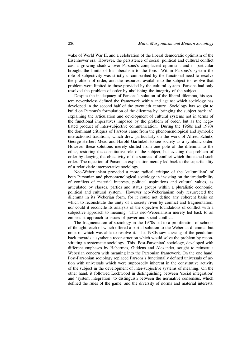wake of World War II, and a celebration of the liberal democratic optimism of the Eisenhower era. However, the persistence of social, political and cultural conflict cast a growing shadow over Parsons's complacent optimism, and in particular brought the limits of his liberalism to the fore. Within Parsons's system the role of subjectivity was strictly circumscribed by the functional need to resolve the problem of order, and the resources available to the subject to resolve that problem were limited to those provided by the cultural system. Parsons had only resolved the problem of order by abolishing the integrity of the subject.

Despite the inadequacy of Parsons's solution of the liberal dilemma, his system nevertheless defined the framework within and against which sociology has developed in the second half of the twentieth century. Sociology has sought to build on Parsons's formulation of the dilemma by 'bringing the subject back in', explaining the articulation and development of cultural systems not in terms of the functional imperatives imposed by the problem of order, but as the negotiated product of inter-subjective communication. During the 1960s and 1970s the dominant critiques of Parsons came from the phenomenological and symbolic interactionist traditions, which drew particularly on the work of Alfred Schutz, George Herbert Mead and Harold Garfinkel, to see society as a symbolic order. However these solutions merely shifted from one pole of the dilemma to the other, restoring the constitutive role of the subject, but evading the problem of order by denying the objectivity of the sources of conflict which threatened such order. The rejection of Parsonian explanation merely led back to the superficiality of a relativistic interpretative sociology.

Neo-Weberianism provided a more radical critique of the 'culturalism' of both Parsonian and phenomenological sociology in insisting on the irreducibility of conflicts of material interests, political aspirations and cultural values, as articulated by classes, parties and status groups within a pluralistic economic, political and cultural system. However neo-Weberianism only resurrected the dilemma in its Weberian form, for it could not define any coherent basis on which to reconstitute the unity of a society riven by conflict and fragmentation, nor could it reconcile its analysis of the objective foundations of conflict with a subjective approach to meaning. Thus neo-Weberianism merely led back to an empiricist approach to issues of power and social conflict.

The fragmentation of sociology in the 1970s led to a proliferation of schools of thought, each of which offered a partial solution to the Weberian dilemma, but none of which was able to resolve it. The 1980s saw a swing of the pendulum back towards a synthetic reconstruction which would solve the problem by reconstituting a systematic sociology. This 'Post-Parsonian' sociology, developed with different emphases by Habermas, Giddens and Alexander, sought to reinsert a Weberian concern with meaning into the Parsonian framework. On the one hand, Post-Parsonian sociology replaced Parsons's functionally defined universals of action with universals which were supposedly inherent in the constitutive activity of the subject in the development of inter-subjective systems of meaning. On the other hand, it followed Lockwood in distinguishing between 'social integration' and 'system integration' to distinguish between the normative consensus, which defined the rules of the game, and the diversity of norms and material interests,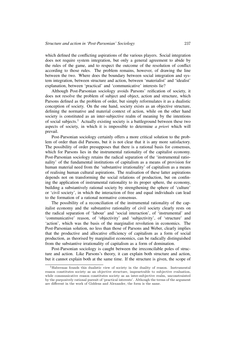which defined the conflicting aspirations of the various players. Social integration does not require system integration, but only a general agreement to abide by the rules of the game, and to respect the outcome of the resolution of conflict according to those rules. The problem remains, however, of drawing the line between the two. Where does the boundary between social integration and system integration, between structure and action, between 'materialist' and 'idealist' explanation, between 'practical' and 'communicative' interests lie?

Although Post-Parsonian sociology avoids Parsons' reification of society, it does not resolve the problem of subject and object, action and structure, which Parsons defined as the problem of order, but simply reformulates it as a dualistic conception of society. On the one hand, society exists as an objective structure, defining the normative and material context of action, while on the other hand society is constituted as an inter-subjective realm of meaning by the intentions of social subjects.<sup>1</sup> Actually existing society is a battleground between these two aspects of society, in which it is impossible to determine *a priori* which will prevail.

Post-Parsonian sociology certainly offers a more critical solution to the problem of order than did Parsons, but it is not clear that it is any more satisfactory. The possibility of order presupposes that there is a rational basis for consensus, which for Parsons lies in the instrumental rationality of the capitalist economy. Post-Parsonian sociology retains the radical separation of the 'instrumental rationality' of the fundamental institutions of capitalism as a means of provision for human material need from the 'substantive irrationality' of capitalism as a means of realising human cultural aspirations. The realisation of these latter aspirations depends not on transforming the social relations of production, but on confining the application of instrumental rationality to its proper sphere, the economy, building a substantively rational society by strengthening the sphere of 'culture' or 'civil society', in which the interaction of free and equal individuals can lead to the formation of a rational normative consensus.

The possibility of a reconciliation of the instrumental rationality of the capitalist economy and the substantive rationality of civil society clearly rests on the radical separation of 'labour' and 'social interaction', of 'instrumental' and 'communicative' reason, of 'objectivity' and 'subjectivity', of 'structure' and 'action', which was the basis of the marginalist revolution in economics. The Post-Parsonian solution, no less than those of Parsons and Weber, clearly implies that the productive and allocative efficiency of capitalism as a form of social production, as theorised by marginalist economics, can be radically distinguished from the substantive irrationality of capitalism as a form of domination.

Post-Parsonian sociology is caught between the irreconcilable poles of structure and action. Like Parsons's theory, it can explain both structure and action, but it cannot explain both at the same time. If the structure is given, the scope of

<sup>1</sup>Habermas founds this dualistic view of society in the duality of reason. Instrumental reason constitutes society as an objective structure, impenetrable to subjective evaluation, while communicative reason constitutes society as an inter-subjective realm, unconstrainted by the purposively rational pursuit of 'practical interests'. Although the terms of the argument are different in the work of Giddens and Alexander, the form is the same.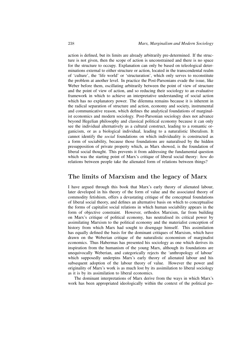action is defined, but its limits are already arbitrarily pre-determined. If the structure is not given, then the scope of action is unconstrained and there is no space for the structure to occupy. Explanation can only be based on teleological determinations external to either structure or action, located in the transcendental realm of 'culture', the 'life world' or 'structuration', which only serves to reconstitute the problem at another level. In practice the Post-Parsonians evade the issue, like Weber before them, oscillating arbitrarily between the point of view of structure and the point of view of action, and so reducing their sociology to an evaluative framework in which to achieve an interpretative understanding of social action which has no explanatory power. The dilemma remains because it is inherent in the radical separation of structure and action, economy and society, instrumental and communicative reason, which defines the analytical foundations of marginalist economics and modern sociology. Post-Parsonian sociology does not advance beyond Hegelian philosophy and classical political economy because it can only see the individual alternatively as a cultural construct, leading to a romantic organicism, or as a biological individual, leading to a naturalistic liberalism. It cannot identify the *social* foundations on which individuality is constructed as a form of sociability, because those foundations are naturalised by the hidden presupposition of private property which, as Marx showed, is the foundation of liberal social thought. This prevents it from addressing the fundamental question which was the starting point of Marx's critique of liberal social theory: *how* do relations between people take the alienated form of relations between things?

#### The limits of Marxism and the legacy of Marx

I have argued through this book that Marx's early theory of alienated labour, later developed in his theory of the form of value and the associated theory of commodity fetishism, offers a devastating critique of the conceptual foundations of liberal social theory, and defines an alternative basis on which to conceptualise the forms of capitalist social relations in which human sociability appears in the form of objective constraint. However, orthodox Marxism, far from building on Marx's critique of political economy, has neutralised its critical power by assimilating Marxism to the political economy and the materialist conception of history from which Marx had sought to disengage himself. This assimilation has equally defined the basis for the dominant critiques of Marxism, which have drawn on the Weberian critique of the naturalistic economism of marginalist economics. Thus Habermas has presented his sociology as one which derives its inspiration from the humanism of the young Marx, although its foundations are unequivocally Weberian, and categorically rejects the 'anthropology of labour' which supposedly underpins Marx's early theory of alienated labour and his subsequent adoption of the labour theory of value. However the power and originality of Marx's work is as much lost by its assimilation to liberal sociology as it is by its assimilation to liberal economics.

The dominant interpretations of Marx derive from the ways in which Marx's work has been appropriated ideologically within the context of the political po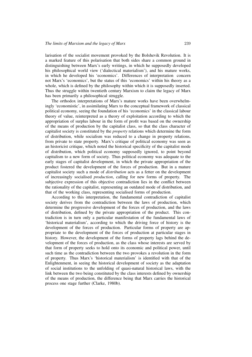larisation of the socialist movement provoked by the Bolshevik Revolution. It is a marked feature of this polarisation that both sides share a common ground in distinguishing between Marx's early writings, in which he supposedly developed his philosophical world view ('dialectical materialism'), and his mature works, in which he developed his 'economics'. Differences of interpretation concern not Marx's 'economics', but the status of this 'economics' within his theory as a whole, which is defined by the philosophy within which it is supposedly inserted. Thus the struggle within twentieth century Marxism to claim the legacy of Marx has been primarily a philosophical struggle.

The orthodox interpretations of Marx's mature works have been overwhelmingly 'economistic', in assimilating Marx to the conceptual framework of classical political economy, seeing the foundation of his 'economics' in the classical labour theory of value, reinterpreted as a theory of exploitation according to which the appropriation of surplus labour in the form of profit was based on the ownership of the means of production by the capitalist class, so that the class character of capitalist society is constituted by the *property* relations which determine the form of distribution, while socialism was reduced to a change in property relations, from private to state property. Marx's critique of political economy was seen as an historicist critique, which noted the historical specificity of the capitalist mode of distribution, which political economy supposedly ignored, to point beyond capitalism to a new form of society. Thus political economy was adequate to the early stages of capitalist development, in which the private appropriation of the product fostered the development of the forces of production. But in a mature capitalist society such a mode of *distribution* acts as a fetter on the development of increasingly socialised *production*, calling for new forms of property. The subjective expression of this objective contradiction lies in the conflict between the rationality of the capitalist, representing an outdated mode of distribution, and that of the working class, representing socialised forms of production.

According to this interpretation, the fundamental contradiction of capitalist society derives from the contradiction between the laws of production, which determine the progressive development of the forces of production, and the laws of distribution, defined by the private appropriation of the product. This contradiction is in turn only a particular manifestation of the fundamental laws of 'historical materialism', according to which the driving force of history is the development of the forces of production. Particular forms of property are appropriate to the development of the forces of production at particular stages in history. However, the development of the forms of property lags behind the development of the forces of production, as the class whose interests are served by that form of property seeks to hold onto its economic and political power, until such time as the contradiction between the two provokes a revolution in the form of property. Thus Marx's 'historical materialism' is identified with that of the Enlightenment, in seeing the historical development of society as the adaptation of social institutions to the unfolding of quasi-natural historical laws, with the link between the two being constituted by the class interests defined by ownership of the means of production, the difference being that Marx carries the historical process one stage further (Clarke, 1980b).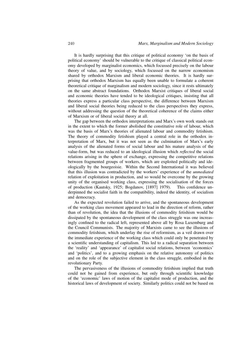It is hardly surprising that this critique of political economy 'on the basis of political economy' should be vulnerable to the critique of classical political economy developed by marginalist economics, which focussed precisely on the labour theory of value, and by sociology, which focussed on the narrow economism shared by orthodox Marxism and liberal economic theories. It is hardly surprising that orthodox Marxism has equally been unable to formulate a coherent theoretical critique of marginalism and modern sociology, since it rests ultimately on the same abstract foundations. Orthodox Marxist critiques of liberal social and economic theories have tended to be ideological critiques, insisting that all theories express a particular class perspective, the difference between Marxism and liberal social theories being reduced to the class perspectives they express, without addressing the question of the theoretical coherence of the claims either of Marxism or of liberal social theory at all.

The gap between the orthodox interpretations and Marx's own work stands out in the extent to which the former abolished the constitutive role of labour, which was the basis of Marx's theories of alienated labour and commodity fetishism. The theory of commodity fetishism played a central role in the orthodox interpretation of Marx, but it was not seen as the culmination of Marx's early analysis of the alienated forms of social labour and his mature analysis of the value-form, but was reduced to an ideological illusion which *reflected* the social relations arising in the sphere of exchange, expressing the competitive relations between fragmented groups of workers, which are exploited politically and ideologically by the bourgeoisie. Within the Second International it was believed that this illusion was contradicted by the workers' experience of the *unmediated* relation of exploitation in production, and so would be overcome by the growing unity of the organised working class, expressing the socialisation of the forces of production (Kautsky, 1925; Bogdanov, [1897] 1979). This confidence underpinned the socialist faith in the compatibility, indeed the identity, of socialism and democracy.

As the expected revolution failed to arrive, and the spontaneous development of the working class movement appeared to lead in the direction of reform, rather than of revolution, the idea that the illusions of commodity fetishism would be dissipated by the spontaneous development of the class struggle was one increasingly confined to the radical left, represented above all by Rosa Luxemburg and the Council Communists. The majority of Marxists came to see the illusions of commodity fetishism, which underlay the rise of reformism, as a veil drawn over the immediate experience of the working class which could only be penetrated by a scientific understanding of capitalism. This led to a radical separation between the 'reality' and 'appearance' of capitalist social relations, between 'economics' and 'politics', and to a growing emphasis on the relative autonomy of politics and on the role of the subjective element in the class struggle, embodied in the revolutionary Party.

The pervasiveness of the illusions of commodity fetishism implied that truth could not be gained from experience, but only through scientific knowledge of the 'economic' laws of motion of the capitalist mode of production, and the historical laws of development of society. Similarly politics could not be based on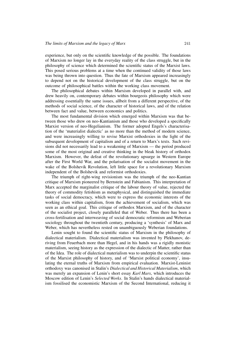experience, but only on the scientific knowledge of the possible. The foundations of Marxism no longer lay in the everyday reality of the class struggle, but in the philosophy of science which determined the scientific status of the Marxist laws. This posed serious problems at a time when the continued validity of those laws was being thrown into question. Thus the fate of Marxism appeared increasingly to depend not on the historical development of the class struggle, but on the outcome of philosophical battles within the working class movement.

The philosophical debates within Marxism developed in parallel with, and drew heavily on, contemporary debates within bourgeois philosophy which were addressing essentially the same issues, allbeit from a different perspective, of the methods of social science, of the character of historical laws, and of the relation between fact and value, between economics and politics.

The most fundamental division which emerged within Marxism was that between those who drew on neo-Kantianism and those who developed a specifically Marxist version of neo-Hegelianism. The former adopted Engels's characterisation of the 'materialist dialectic' as no more than the method of modern science, and were increasingly willing to revise Marxist orthodoxies in the light of the subsequent development of capitalism and of a return to Marx's texts. Such revisions did not necessarily lead to a weakening of Marxism — the period produced some of the most original and creative thinking in the bleak history of orthodox Marxism. However, the defeat of the revolutionary upsurge in Western Europe after the First World War, and the polarisation of the socialist movement in the wake of the Bolshevik Revolution, left little space for a revolutionary Marxism independent of the Bolshevik and reformist orthodoxies.

The triumph of right-wing revisionism was the triumph of the neo-Kantian critique of Marxism pioneered by Bernstein and Fabianism. This interpretation of Marx accepted the marginalist critique of the labour theory of value, rejected the theory of commodity fetishism as metaphysical, and distinguished the immediate tasks of social democracy, which were to express the economic interests of the working class within capitalism, from the achievement of socialism, which was seen as an ethical goal. This critique of orthodox Marxism, and of the character of the socialist project, closely paralleled that of Weber. Thus there has been a cross-fertilisation and interweaving of social democratic reformism and Weberian sociology throughout the twentieth century, producing a 'synthesis' of Marx and Weber, which has nevertheless rested on unambiguously Weberian foundations.

Lenin sought to found the scientific status of Marxism in the philosophy of dialectical materialism. Dialectical materialism was invented by Plekhanov, deriving from Feuerbach more than Hegel, and in his hands was a rigidly monistic materialism, seeing history as the expression of the dialectic of Matter, rather than of the Idea. The role of dialectical materialism was to underpin the scientific status of the Marxist philosophy of history, and of 'Marxist political economy', insulating the eternal truths of Marxism from empirical evaluation. Marxist-Leninist orthodoxy was canonised in Stalin's *Dialectical and Historical Materialism*, which was merely an expansion of Lenin's short essay *Karl Marx*, which introduces the Moscow edition of Lenin's *Selected Works*. In Stalin's hands dialectical materialism fossilised the economistic Marxism of the Second International, reducing it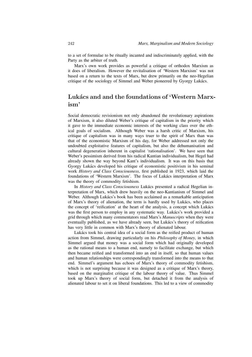to a set of formulae to be ritually incanted and indiscriminately applied, with the Party as the arbiter of truth.

Marx's own work provides as powerful a critique of orthodox Marxism as it does of liberalism. However the revitalisation of 'Western Marxism' was not based on a return to the texts of Marx, but drew primarily on the neo-Hegelian critique of the sociology of Simmel and Weber pioneered by Gyorgy Lukács.

#### Lukács and and the foundations of 'Western Marxism'

Social democratic revisionism not only abandoned the revolutionary aspirations of Marxism, it also diluted Weber's critique of capitalism in the priority which it gave to the immediate economic interests of the working class over the ethical goals of socialism. Although Weber was a harsh critic of Marxism, his critique of capitalism was in many ways truer to the spirit of Marx than was that of the economistic Marxism of his day, for Weber addressed not only the undoubted exploitative features of capitalism, but also the dehumanisation and cultural degeneration inherent in capitalist 'rationalisation'. We have seen that Weber's pessimism derived from his radical Kantian individualism, but Hegel had already shown the way beyond Kant's individualism. It was on this basis that Gyorgy Lukács developed his critique of economistic positivism in his seminal work *History and Class Consciousness*, first published in 1923, which laid the foundations of 'Western Marxism'. The focus of Lukács interpretation of Marx was the theory of commodity fetishism.

In *History and Class Consciousness* Lukács presented a radical Hegelian interpretation of Marx, which drew heavily on the neo-Kantianism of Simmel and Weber. Although Lukács's book has been acclaimed as a remarkable anticipation of Marx's theory of alienation, the term is hardly used by Lukacs, who places ´ the concept of 'reification' at the heart of the analysis, a concept which Lukács was the first person to employ in any systematic way. Lukács's work provided a grid through which many commentators read Marx's *Manuscripts* when they were eventually published, as we have already seen, but Lukacs's theory of reification ´ has very little in common with Marx's theory of alienated labour.

Lukacs took his central idea of a social form as the reified product of human ´ action from Simmel, drawing particularly on his *Philosophy of Money*, in which Simmel argued that money was a social form which had originally developed as the rational means to a human end, namely to facilitate exchange, but which then became reified and transformed into an end in itself, so that human values and human relationships were correspondingly transformed into the means to that end. Simmel's argument has echoes of Marx's theory of commodity fetishism, which is not surprising because it was designed as a critique of Marx's theory, based on the marginalist critique of the labour theory of value. Thus Simmel took up Marx's theory of social form, but detached it from the analysis of alienated labour to set it on liberal foundations. This led to a view of commodity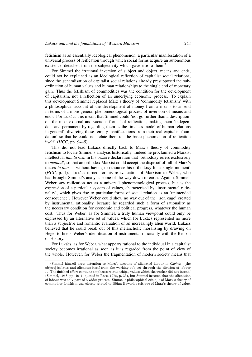fetishism as an essentially ideological phenomenon, a particular manifestation of a universal process of reification through which social forms acquire an autonomous existence, detached from the subjectivity which gave rise to them.<sup>2</sup>

For Simmel the irrational inversion of subject and object, means and ends, could not be explained as an ideological reflection of capitalist social relations, since the generalisation of capitalist social relations already presupposed the subordination of human values and human relationships to the single end of monetary gain. Thus the fetishism of commodities was the condition for the development of capitalism, not a reflection of an underlying economic process. To explain this development Simmel replaced Marx's theory of 'commodity fetishism' with a philosophical account of the development of money from a means to an end in terms of a more general phenomenological process of inversion of means and ends. For Lukács this meant that Simmel could 'not go further than a description' of 'the most external and vacuous forms' of reification, making them 'independent and permanent by regarding them as the timeless model of human relations in general', divorcing these 'empty manifestations from their real capitalist foundation' so that he could not relate them to 'the basic phenomenon of reification itself' (*HCC*, pp. 94–5).

This did not lead Lukacs directly back to Marx's theory of commodity fetishism to locate Simmel's analysis historically. Indeed he proclaimed a Marxist intellectual *tabula rasa* in his bizarre declaration that 'orthodoxy refers exclusively to *method*', so that an orthodox Marxist could accept the disproof of 'all of Marx's theses *in toto* — without having to renounce his orthodoxy for a single moment' (*HCC*, p. 1). Lukács turned for his re-evaluation of Marxism to Weber, who had brought Simmel's analysis some of the way down to earth. Against Simmel, Weber saw reification not as a universal phenomenological process, but as the expression of a particular system of values, characterised by 'instrumental rationality', which gives rise to particular forms of social relation as an 'unintended consequence'. However Weber could show no way out of the 'iron cage' created by instrumental rationality, because he regarded such a form of rationality as the necessary condition for economic and political progress, whatever the human cost. Thus for Weber, as for Simmel, a truly human viewpoint could only be expressed by an alternative set of values, which for Lukács represented no more than a subjective and romantic evaluation of an increasingly alien world. Lukacs ´ believed that he could break out of this melancholic moralising by drawing on Hegel to break Weber's identification of instrumental rationality with the Reason of History.

For Lukacs, as for Weber, what appears rational to the individual in a capitalist ´ society becomes irrational as soon as it is regarded from the point of view of the whole. However, for Weber the fragmentation of modern society means that

<sup>2</sup>Simmel himself drew attention to Marx's account of alienated labour in *Capital*: '[the object] isolates and alienates itself from the working subject through the division of labour . . . The finished effort contains emphases relationships, values which the worker did not intend' (Simmel, 1968, pp. 40–1, quoted in Rose, 1978, p. 33), but Simmel insisted that the alienation of labour was only part of a wider process. Simmel's philosophical critique of Marx's theory of commodity fetishism was closely related to Böhm-Bawerk's critique of Marx's theory of value.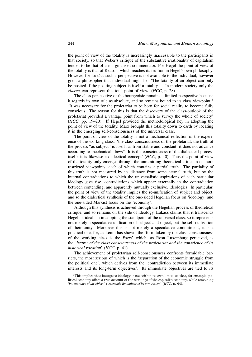the point of view of the totality is increasingly inaccessible to the participants in that society, so that Weber's critique of the substantive irrationality of capitalism tended to be that of a marginalised commentator. For Hegel the point of view of the totality is that of Reason, which reaches its fruition in Hegel's own philosophy. However for Lukács such a perspective is not available to the individual, however great a philosopher that individual might be. 'The totality of an object can only be posited if the positing subject is itself a totality . . . In modern society only the *classes* can represent this total point of view' (*HCC*, p. 28).

The class perspective of the bourgeoisie remains a limited perspective because it regards its own rule as absolute, and so remains bound to its class viewpoint.<sup>3</sup> 'It was necessary for the proletariat to be born for social reality to become fully conscious. The reason for this is that the discovery of the class-outlook of the proletariat provided a vantage point from which to survey the whole of society' (*HCC*, pp. 19–20). If Hegel provided the methodological key in adopting the point of view of the totality, Marx brought this totality down to earth by locating it in the emerging self-consciousness of the universal class.

The point of view of the totality is not a mechanical reflection of the experience of the working class: 'the class consciousness of the proletariat, the truth of the process "as subject" is itself far from stable and constant; it does not advance according to mechanical "laws". It is the consciousness of the dialectical process itself: it is likewise a dialectical concept' (*HCC*, p. 40). Thus the point of view of the totality only emerges through the unremitting theoretical criticism of more restricted viewpoints, each of which contains a partial truth. The partiality of this truth is not measured by its distance from some eternal truth, but by the internal contradictions to which the universalistic aspirations of each particular ideology give rise, contradictions which appear externally in the contradiction between contending, and apparently mutually exclusive, ideologies. In particular, the point of view of the totality implies the re-unification of subject and object, and so the dialectical synthesis of the one-sided Hegelian focus on 'ideology' and the one-sided Marxist focus on the 'economy'.

Although this synthesis is achieved through the Hegelian process of theoretical critique, and so remains on the side of ideology, Lukacs claims that it transcends ´ Hegelian idealism in adopting the standpoint of the universal class, so it represents not merely a speculative unification of subject and object, but the self-realisation of their unity. Moreover this is not merely a speculative commitment, it is a practical one, for, as Lenin has shown, the 'form taken by the class consciousness of the working class is the *Party*' which, as Rosa Luxemburg perceived, is the '*bearer of the class consciousness of the proletariat and the conscience of its historical vocation*' (*HCC*, p. 41).

The achievement of proletarian self-consciousness confronts formidable barriers, the most serious of which is the 'separation of the economic struggle from the political one', which derives from the 'contradiction between its immediate interests and its long-term objectives'. Its immediate objectives are tied to its

<sup>3</sup>This implies that bourgeois ideology is *true* within its own limits, so that, for example, political economy offers a true account of the workings of the capitalist economy, while remaining '*in ignorance of the objective economic limitations of its own system*' (*HCC*, p. 64).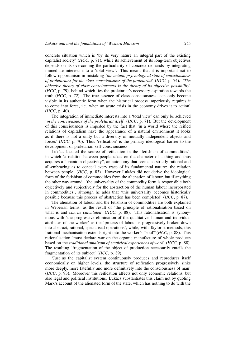concrete situation which is 'by its very nature an integral part of the existing capitalist society' (*HCC*, p. 71), while its achievement of its long-term objectives depends on its overcoming the particularity of concrete demands by integrating immediate interests into a 'total view'. This means that it is important not to follow opportunism in mistaking '*the actual, psychological state of consciousness of proletarians for the class consciousness of the proletariat*' (*HCC*, p. 74). '*The objective theory of class consciousness is the theory of its objective possibility*' (*HCC*, p. 79), behind which lies the proletariat's necessary aspiration towards the truth (*HCC*, p. 72). The true essence of class consciousness 'can only become visible in its authentic form when the historical process imperiously requires it to come into force, i.e. when an acute crisis in the economy drives it to action' (*HCC*, p. 40).

The integration of immediate interests into a 'total view' can only be achieved '*in the consciousness of the proletariat itself*' (*HCC*, p. 71). But the development of this consciousness is impeded by the fact that 'in a world where the reified relations of capitalism have the appearance of a natural environment it looks as if there is not a unity but a diversity of mutually independent objects and forces' (*HCC*, p. 70). Thus 'reification' is the primary ideological barrier to the development of proletarian self-consciousness.

Lukács located the source of reification in the 'fetishism of commodities', in which 'a relation between people takes on the character of a thing and thus acquires a "phantom objectivity", an autonomy that seems so strictly rational and all-embracing as to conceal every trace of its fundamental nature: the relation between people' (*HCC*, p. 83). However Lukács did not derive the ideological form of the fetishism of commodities from the alienation of labour, but if anything the other way around: 'the universality of the commodity form is responsible both objectively and subjectively for the abstraction of the human labour incorporated in commodities', although he adds that 'this universality becomes historically possible because this process of abstraction has been completed' (*HCC*, p. 87).

The alienation of labour and the fetishism of commodities are both explained in Weberian terms, as the result of 'the principle of rationalisation based on what is and *can be calculated*' (*HCC*, p. 88). This rationalisation is synonymous with 'the progressive elimination of the qualitative, human and individual attributes of the worker' as the 'process of labour is progressively broken down into abstract, rational, specialised operations', while, with Taylorist methods, this 'rational mechanisation extends right into the worker's "soul"'(*HCC*, p. 88). This rationalisation 'must declare war on the organic manufacture of whole products based on the *traditional amalgam of empirical experiences of work*' (*HCC*, p. 88). The resulting 'fragmentation of the object of production necessarily entails the fragmentation of its subject' (*HCC*, p. 89).

'Just as the capitalist system continuously produces and reproduces itself economically on higher levels, the structure of reification progressively sinks more deeply, more fatefully and more definitively into the consciousness of man' (*HCC*, p. 93). Moreover this reification affects not only economic relations, but also legal and political institutions. Lukacs substantiates this claim not by quoting ´ Marx's account of the alienated form of the state, which has nothing to do with the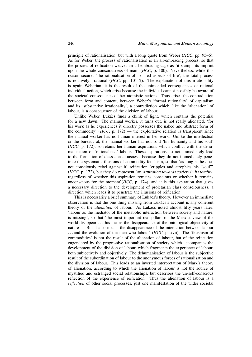principle of rationalisation, but with a long quote from Weber (*HCC*, pp. 95–6). As for Weber, the process of rationalisation is an all-embracing process, so that the process of reification weaves an all-embracing cage as 'it stamps its imprint upon the whole consciousness of man' (*HCC*, p. 100). Nevertheless, while this reason secures 'the rationalisation of isolated aspects of life', the total process is relatively irrational (*HCC*, pp. 101–2). The explanation of this irrationality is again Weberian, it is the result of the unintended consequences of rational individual action, which arise because the individual cannot possibly be aware of the societal consequence of her atomistic actions. Thus arises the contradiction between form and content, between Weber's 'formal rationality' of capitalism and its 'substantive irrationality', a contradiction which, like the 'alienation' of labour, is a consequence of the division of labour.

Unlike Weber, Lukács finds a chink of light, which contains the potential for a new dawn. The manual worker, it turns out, is not really alienated, 'for his work as he experiences it directly possesses the naked and abstract form of the commodity'  $(HCC, p. 172)$  — the exploitative relation is transparent since the manual worker has no human interest in her work. Unlike the intellectual or the bureaucrat, the manual worker has not sold 'his humanity and his soul' (*HCC*, p. 172), so retains her human aspirations which conflict with the dehumanisation of 'rationalised' labour. These aspirations do not immediately lead to the formation of class consciousness, because they do not immediately penetrate the systematic illusions of commodity fetishism, so that 'as long as he does not consciously rebel against it' reification 'cripples and atrophies his "soul"' (*HCC*, p. 172), but they do represent 'an *aspiration towards society in its totality*, regardless of whether this aspiration remains conscious or whether it remains unconscious for the moment'(*HCC*, p. 174), and it is this aspiration that gives a necessary direction to the development of proletarian class consciousness, a direction which leads it to penetrate the illusions of reification.

This is necessarily a brief summary of Lukács's theory. However an immediate observation is that the one thing missing from Lukacs's account is any coherent ´ theory of the *alienation* of labour. As Lukács noted almost fifty years later: 'labour as the mediator of the metabolic interaction between society and nature, is missing', so that 'the most important real pillars of the Marxist view of the world disappear . . . this means the disappearance of the ontological objectivity of nature . . . But it also means the disappearance of the interaction between labour . . . and the evolution of the men who labour' (*HCC*, p. xvii). The 'fetishism of commodities' is not the result of the alienation of labour, but of the reification engendered by the progressive rationalisation of society which accompanies the development of the division of labour, which fragments the experience of labour, both subjectively and objectively. The dehumanisation of labour is the subjective result of the subordination of labour to the anonymous forces of rationalisation and the division of labour. This leads to an inverted interpretation of Marx's theory of alienation, according to which the alienation of labour is not the source of mystified and estranged social relationships, but describes the un-self-conscious reflection of the experience of reification. Thus the alienation of labour is a *reflection* of other social processes, just one manifestation of the wider societal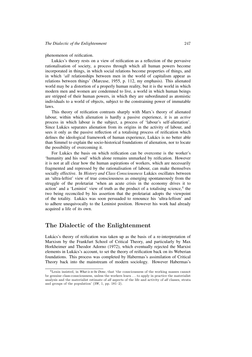phenomenon of reification.

Lukács's theory rests on a view of reification as a reflection of the pervasive rationalisation of society, a process through which all human powers become incorporated in things, in which social relations become properties of things, and in which '*all* relationships between men in the world of capitalism appear as relations between things' (Marcuse, 1955, p. 112, my emphasis). This alienated world may be a distortion of a properly human reality, but it is the world in which modern men and women are condemned to live, a world in which human beings are stripped of their human powers, in which they are subordinated as atomistic individuals to a world of objects, subject to the constraining power of immutable laws.

This theory of reification contrasts sharply with Marx's theory of alienated labour, within which alienation is hardly a passive experience, it is an *active* process in which labour is the subject, a process of 'labour's self-alienation'. Since Lukács separates alienation from its origins in the activity of labour, and sees it only as the passive reflection of a totalising process of reification which defines the ideological framework of human experience, Lukacs is no better able ´ than Simmel to explain the socio-historical foundations of alienation, nor to locate the possibility of overcoming it.

For Lukács the basis on which reification can be overcome is the worker's 'humanity and his soul' which alone remains unmarked by reification. However it is not at all clear how the human aspirations of workers, which are necessarily fragmented and repressed by the rationalisation of labour, can make themselves socially effective. In *History and Class Consciousness* Lukács oscillates between an 'ultra-leftist' view of true consciousness as emerging spontaneously from the struggle of the proletariat 'when an acute crisis in the economy drives it to action' and a 'Leninist' view of truth as the product of a totalising science,<sup>4</sup> the two being reconciled by his assertion that the proletariat adopts the viewpoint of the totality. Lukacs was soon persuaded to renounce his 'ultra-leftism' and ´ to adhere unequivocally to the Leninist position. However his work had already acquired a life of its own.

### The Dialectic of the Enlightenment

Lukács's theory of reification was taken up as the basis of a re-interpretation of Marxism by the Frankfurt School of Critical Theory, and particularly by Max Horkheimer and Theodor Adorno (1972), which eventually rejected the Marxist elements in Lukács's account, to set the theory of reification back on its Weberian foundations. This process was completed by Habermas's assimilation of Critical Theory back into the mainstream of modern sociology. However Habermas's

<sup>4</sup>Lenin insisted, in *What is to be Done*, that 'the consciousness of the working masses cannot be genuine class-consciousness, unless the workers learn . . . to apply in practice the materialist analysis and the materialist estimate of *all* aspects of the life and activity of *all* classes, strata and groups of the population' (*SW*, 1, pp. 181–2).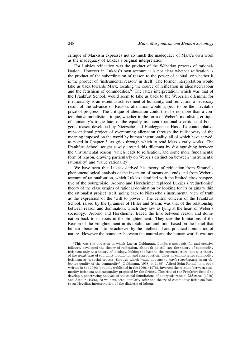critique of Marxism expresses not so much the inadequacy of Marx's own work as the inadequacy of Lukács's original interpretation.

For Lukács reification was the product of the Weberian process of rationalisation. However in Lukács's own account it is not clear whether reification is the product of the subordination of reason to the power of capital, or whether it is the product of 'instrumental reason' in itself. The former interpretation would take us back towards Marx, locating the source of reification in alienated labour and the fetishism of commodities.<sup>5</sup> The latter interpretation, which was that of the Frankfurt School, would seem to take us back to the Weberian dilemma, for if rationality is an essential achievement of humanity, and reification a necessary result of the advance of Reason, alienation would appear to be the inevitable price of progress. The critique of alienation could then be no more than a contemplative moralistic critique, whether in the form of Weber's moralising critique of humanity's tragic fate, or the equally impotent irrationalist critique of bourgeois reason developed by Nietzsche and Heidegger, or Husserl's contemplative transcendental project of overcoming alienation through the rediscovery of the meaning imposed on the world by human intentionality, all of which have served, as noted in Chapter 3, as grids through which to read Marx's early works. The Frankfurt School sought a way around this dilemma by distinguishing between the 'instrumental reason' which leads to reification, and some more fundamental form of reason, drawing particularly on Weber's distinction between 'instrumental rationality' and 'value rationality'.

We have seen that Lukacs derived his theory of reification from Simmel's phenomenological analysis of the inversion of means and ends and from Weber's account of rationalisation, which Lukacs identified with the limited class perspec- ´ tive of the bourgeoisie. Adorno and Horkheimer replaced Lukacs's 'reductionist' ´ theory of the class origins of rational domination by looking for its origins within the rationalist project itself, going back to Nietzsche's instrumental view of truth as the expression of the 'will to power'. The central concern of the Frankfurt School, raised by the tyrannies of Hitler and Stalin, was that of the relationship between reason and domination, which they saw as lying at the heart of Weber's sociology. Adorno and Horkheimer traced the link between reason and domination back to its roots in the Enlightenment. They saw the limitations of the Reason of the Enlightenment in its totalitarian ambition, based on the belief that human liberation is to be achieved by the intellectual and practical domination of nature. However the boundary between the natural and the human worlds was not

 $5$ This was the direction in which Lucien Goldmann, Lukács's most faithful and creative follower, developed the theory of reification, although he still saw the theory of commodity fetishism only as a theory of ideology, linking the base to the superstructure, not as a theory of the *social forms* of capitalist production and reproduction. Thus he characterises commodity fetishism as 'a social process' through which 'value appears to *man's consciousness* as an objective quality of the commodity' (Goldmann, 1958, p. 1439). Alfred Sohn-Rethel, in a book written in the 1930s but only published in the 1960s (1978), inverted the relation between commodity fetishism and rationality proposed by the Critical Theorists of the Frankfurt School to develop a penetrating analysis of the social foundations of bourgeois reason. Mészáros (1970) and Arthur (1986), as we have seen, similarly refer the theory of commodity fetishism back to an Hegelian interpretation of the dialectic of labour.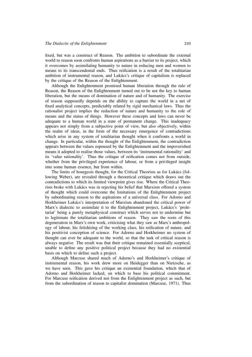fixed, but was a construct of Reason. The ambition to subordinate the external world to reason soon confronts human aspirations as a barrier to its project, which it overcomes by assimilating humanity to nature in reducing men and women to means to its transcendental ends. Thus reification is a result of the totalitarian ambition of instrumental reason, and Lukács's critique of capitalism is replaced by the critique of the Reason of the Enlightenment.

Although the Enlightenment promised human liberation through the rule of Reason, the Reason of the Enlightenment turned out to be not the key to human liberation, but the means of domination of nature and of humanity. The exercise of reason supposedly depends on the ability to capture the world in a net of fixed analytical concepts, predictably related by rigid mechanical laws. Thus the rationalist project implies the reduction of nature and humanity to the role of means and the status of things. However these concepts and laws can never be adequate to a human world in a state of permanent change. This inadequacy appears not simply from a subjective point of view, but also objectively, within the realm of ideas, in the form of the necessary emergence of contradictions which arise in any system of totalitarian thought when it confronts a world in change. In particular, within the thought of the Enlightenment, the contradiction appears between the values espoused by the Enlightenment and the impoverished means it adopted to realise those values, between its 'instrumental rationality' and its 'value rationality'. Thus the critique of reification comes not from outside, whether from the privileged experience of labour, or from a privileged insight into some human essence, but from within.

The limits of bourgeois thought, for the Critical Theorists as for Lukács (following Weber), are revealed through a theoretical critique which draws out the contradictions to which its limited viewpoint gives rise. Where the Critical Theorists broke with Lukács was in rejecting his belief that Marxism offered a system of thought which could overcome the limitations of the Enlightenment project by subordinating reason to the aspirations of a universal class. For Adorno and Horkheimer Lukács's interpretation of Marxism abandoned the critical power of Marx's dialectic to assimilate it to the Enlightenment project, Lukács's 'proletariat' being a purely metaphysical construct which serves not to undermine but to legitimate the totalitarian ambitions of reason. They saw the roots of this degeneration in Marx's own work, criticising what they saw as Marx's anthropology of labour, his fetishising of the working class, his reification of nature, and his positivist conception of science. For Adorno and Horkheimer no system of thought can ever be adequate to the world, so that the task of critical reason is always negative. The result was that their critique remained essentially sceptical, unable to define any positive political project because they had no existential basis on which to define such a project.

Although Marcuse shared much of Adorno's and Horkheimer's critique of instrumental reason, his work drew more on Heidegger than on Nietzsche, as we have seen. This gave his critique an existential foundation, which that of Adorno and Horkheimer lacked, on which to base his political commitment. For Marcuse reification derived not from the Enlightenment project as such, but from the subordination of reason to capitalist domination (Marcuse, 1971). Thus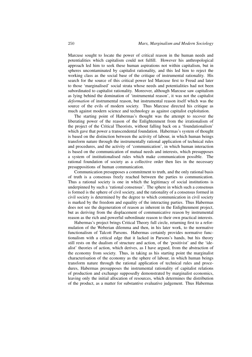Marcuse sought to locate the power of critical reason in the human needs and potentialities which capitalism could not fulfill. However his anthropological approach led him to seek these human aspirations not within capitalism, but in spheres uncontaminated by capitalist rationality, and this led him to reject the working class as the social base of the critique of instrumental rationality. His search for the source of this critical power led Marcuse first to Freud and later to those 'marginalised' social strata whose needs and potentialities had not been subordinated to capitalist rationality. Moreover, although Marcuse saw capitalism as lying behind the domination of 'instrumental reason', it was not the capitalist *deformation* of instrumental reason, but instrumental reason itself which was the source of the evils of modern society. Thus Marcuse directed his critique as much against modern science and technology as against capitalist exploitation.

The starting point of Habermas's thought was the attempt to recover the liberating power of the reason of the Enlightenment from the irrationalism of the project of the Critical Theorists, without falling back on a 'foundationalism' which gave that power a transcendental foundation. Habermas's system of thought is based on the distinction between the activity of labour, in which human beings transform nature through the instrumentally rational application of technical rules and procedures, and the activity of 'communication', in which human interaction is based on the communication of mutual needs and interests, which presupposes a system of institutionalised rules which make communication possible. The rational foundation of society as a collective order then lies in the necessary presuppositions of human communication.

Communication presupposes a commitment to truth, and the only rational basis of truth is a consensus freely reached between the parties to communication. Thus a rational society is one in which the legitimacy of social institutions is underpinned by such a 'rational consensus'. The sphere in which such a consensus is formed is the sphere of civil society, and the rationality of a consensus formed in civil society is determined by the degree to which communication in civil society is marked by the freedom and equality of the interacting parties. Thus Habermas does not see the degeneration of reason as inherent in the Enlightenment project, but as deriving from the displacement of communicative reason by instrumental reason as the rich and powerful subordinate reason to their own practical interests.

Habermas's project brings Critical Theory full circle, returning first to a reformulation of the Weberian dilemma and then, in his later work, to the normative functionalism of Talcott Parsons. Habermas certainly provides normative functionalism with a critical edge that it lacked in Parsons's hands, but his theory still rests on the dualism of structure and action, of the 'positivist' and the 'idealist' theories of action, which derives, as I have argued, from the abstraction of the economy from society. Thus, in taking as his starting point the marginalist characterisation of the economy as the sphere of labour, in which human beings transform nature through the rational application of technical rules and procedures, Habermas presupposes the instrumental rationality of capitalist relations of production and exchange supposedly demonstrated by marginalist economics, leaving only the initial allocation of resources, which determines the distribution of the product, as a matter for substantive evaluative judgement. Thus Habermas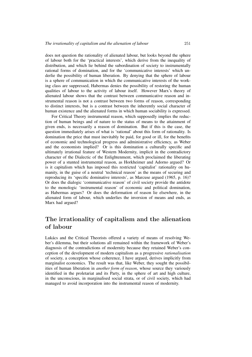does not question the rationality of alienated labour, but looks beyond the sphere of labour both for the 'practical interests', which derive from the inequality of distribution, and which lie behind the subordination of society to instrumentally rational forms of domination, and for the 'communicative interests' which underlie the possibility of human liberation. By denying that the sphere of labour is a sphere of communication in which the communicative interests of the working class are suppressed, Habermas denies the possibility of restoring the human qualities of labour to the activity of labour itself. However Marx's theory of alienated labour shows that the contrast between communicative reason and instrumental reason is not a contrast between two forms of reason, corresponding to distinct interests, but is a contrast between the inherently social character of human existence and the alienated forms in which human sociability is expressed.

For Critical Theory instrumental reason, which supposedly implies the reduction of human beings and of nature to the status of means to the attainment of given ends, is necessarily a reason of domination. But if this is the case, the question immediately arises of what is 'rational' about this form of rationality. Is domination the price that must inevitably be paid, for good or ill, for the benefits of economic and technological progress and administrative efficiency, as Weber and the economists implied? Or is this domination a culturally specific and ultimately irrational feature of Western Modernity, implicit in the contradictory character of the Dialectic of the Enlightenment, which proclaimed the liberating power of a stunted instrumental reason, as Horkheimer and Adorno argued? Or is it capitalism which has imposed this restricted 'capitalist' rationality on humanity, in the guise of a neutral 'technical reason' as the means of securing and reproducing its 'specific dominative interests', as Marcuse argued (1965, p. 16)? Or does the dialogic 'communicative reason' of civil society provide the antidote to the monologic 'instrumental reason' of economic and political domination, as Habermas argues? Or does the deformation of reason lie elsewhere, in the alienated form of labour, which underlies the inversion of means and ends, as Marx had argued?

### The irrationality of capitalism and the alienation of labour

Lukacs and the Critical Theorists offered a variety of means of resolving We- ´ ber's dilemma, but their solutions all remained within the framework of Weber's diagnosis of the contradictions of modernity because they retained Weber's conception of the development of modern capitalism as a progressive *rationalisation* of society, a conception whose coherence, I have argued, derives implicitly from marginalist economics. The result was that, like Weber, they sought the possibilities of human liberation in *another form of reason*, whose source they variously identified in the proletariat and its Party, in the sphere of art and high culture, in the unconscious, in marginalised social strata, or of civil society, which had managed to avoid incorporation into the instrumental reason of modernity.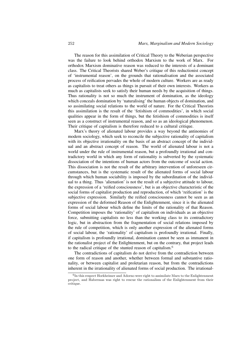The reason for this assimilation of Critical Theory to the Weberian perspective was the failure to look behind orthodox Marxism to the work of Marx. For orthodox Marxism dominative reason was reduced to the interests of a dominant class. The Critical Theorists shared Weber's critique of this reductionist concept of 'instrumental reason', on the grounds that rationalisation and the associated process of reification pervades the whole of modern culture. Workers are as ready as capitalists to treat others as things in pursuit of their own interests. Workers as much as capitalists seek to satisfy their human needs by the acquisition of things. Thus rationality is not so much the instrument of domination, as the ideology which conceals domination by 'naturalising' the human objects of domination, and so assimilating social relations to the world of nature. For the Critical Theorists this assimilation is the result of the 'fetishism of commodities', in which social qualities appear in the form of things, but the fetishism of commodities is itself seen as a construct of instrumental reason, and so as an ideological phenomenon. Their critique of capitalism is therefore reduced to a cultural critique.

Marx's theory of alienated labour provides a way beyond the antinomies of modern sociology, which seek to reconcile the subjective rationality of capitalism with its objective irrationality on the basis of an abstract concept of the individual and an abstract concept of reason. The world of alienated labour is not a world under the rule of instrumental reason, but a profoundly irrational and contradictory world in which any form of rationality is subverted by the systematic dissociation of the intentions of human actors from the outcome of social action. This dissociation is not the result of the arbitrary intervention of unforeseen circumstances, but is the systematic result of the alienated forms of social labour through which human sociability is imposed by the subordination of the individual to a thing. Thus 'alienation' is not the result of a subjective attitude to labour, the expression of a 'reified consciousness', but is an objective characteristic of the social forms of capitalist production and reproduction, of which 'reification' is the subjective expression. Similarly the reified consciousness cannot be seen as an expression of the deformed Reason of the Enlightenment, since it is the alienated forms of social labour which define the limits of the rationality of that Reason. Competition imposes the 'rationality' of capitalism on individuals as an objective force, submitting capitalists no less than the working class to its contradictory logic, but in abstraction from the fragmentation of social relations imposed by the rule of competition, which is only another expression of the alienated forms of social labour, the 'rationality' of capitalism is profoundly irrational. Finally, if capitalism is profoundly irrational, domination cannot be seen as immanent in the rationalist project of the Enlightenment, but on the contrary, that project leads to the radical critique of the stunted reason of capitalism.<sup>6</sup>

The contradictions of capitalism do not derive from the contradiction between one form of reason and another, whether between formal and substantive rationality, or between capitalist and proletarian reason, but from the contradictions inherent in the irrationality of alienated forms of social production. The irrational-

<sup>&</sup>lt;sup>6</sup>In this respect Horkheimer and Adorno were right to assimilate Marx to the Enlightenment project, and Habermas was right to rescue the rationalism of the Enlightenment from their critique.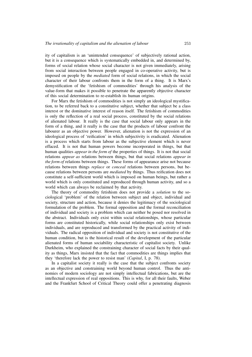ity of capitalism is an 'unintended consequence' of subjectively rational action, but it is a consequence which is systematically embedded in, and determined by, forms of social relation whose social character is not given immediately, arising from social interaction between people engaged in co-operative activity, but is imposed on people by the *mediated* form of social relations, in which the social character of their labour confronts them in the form of a thing. It is Marx's demystification of the 'fetishism of commodities' through his analysis of the value-form that makes it possible to penetrate the apparently objective character of this social determination to re-establish its human origins.

For Marx the fetishism of commodities is not simply an ideological mystification, to be referred back to a constitutive subject, whether that subject be a class interest or the dominative interest of reason itself. The fetishism of commodities is only the reflection of a real social process, constituted by the social relations of alienated labour. It really is the case that social labour only appears in the form of a thing, and it really is the case that the products of labour confront the labourer as an objective power. However, alienation is not the expression of an ideological process of 'reification' in which subjectivity is eradicated. Alienation is a process which starts from labour as the subjective element which is never effaced. It is not that human powers become incorporated in things, but that human qualities *appear in the form of* the properties of things. It is not that social relations *appear as* relations between things, but that social relations *appear in the form of* relations between things. These forms of appearance arise not because relations between things *replace* or *conceal* relations between persons, but because relations between persons are *mediated* by things. Thus reification does not constitute a self-sufficient world which is imposed on human beings, but rather a world which is only constituted and reproduced through human activity, and so a world which can always be reclaimed by that activity.

The theory of commodity fetishism does not provide a *solution* to the sociological 'problem' of the relation between subject and object, individual and society, structure and action, because it denies the legitimacy of the sociological formulation of the problem. The formal opposition and the formal reconciliation of individual and society is a problem which can neither be posed nor resolved in the abstract. Individuals only exist within social relationships, whose particular forms are constituted historically, while social relationships only exist between individuals, and are reproduced and transformed by the practical activity of individuals. The radical opposition of individual and society is not constitutive of the human condition, but is the historical result of the development of the particular alienated forms of human sociability characteristic of capitalist society. Unlike Durkheim, who explained the constraining character of social facts by their quality as things, Marx insisted that the fact that commodities are things implies that they 'therefore lack the power to resist man' (*Capital*, I, p. 78).

In a capitalist society it really is the case that the subject confronts society as an objective and constraining world beyond human control. Thus the antinomies of modern sociology are not simply intellectual fabrications, but are the intellectual expression of real oppositions. This is why, for all their faults, Weber and the Frankfurt School of Critical Theory could offer a penetrating diagnosis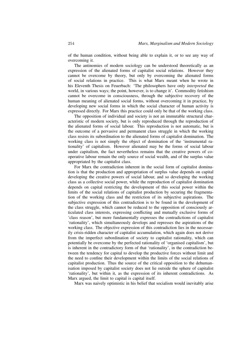of the human condition, without being able to explain it, or to see any way of overcoming it.

The antinomies of modern sociology can be understood theoretically as an expression of the alienated forms of capitalist social relations. However they cannot be overcome by theory, but only by overcoming the alienated forms of social relations in practice. This is what Marx meant when he wrote in his Eleventh Thesis on Feuerbach: 'The philosophers have only *interpreted* the world, in various ways; the point, however, is to change it'. Commodity fetishism cannot be overcome in consciousness, through the subjective recovery of the human meaning of alienated social forms, without overcoming it in practice, by developing new social forms in which the social character of human activity is expressed directly. For Marx this practice could only be that of the working class.

The opposition of individual and society is not an immutable structural characteristic of modern society, but is only reproduced through the reproduction of the alienated forms of social labour. This reproduction is not automatic, but is the outcome of a pervasive and permanent class struggle in which the working class resists its subordination to the alienated forms of capitalist domination. The working class is not simply the object of domination of the 'instrumental rationality' of capitalism. However alienated may be the forms of social labour under capitalism, the fact nevertheless remains that the creative powers of cooperative labour remain the only source of social wealth, and of the surplus value appropriated by the capitalist class.

For Marx the contradiction inherent in the social form of capitalist domination is that the production and appropriation of surplus value depends on capital developing the creative powers of social labour, and so developing the working class as a collective social power, while the reproduction of capitalist domination depends on capital restricting the development of this social power within the limits of the social relations of capitalist production by securing the fragmentation of the working class and the restriction of its subjective aspirations. The subjective expression of this contradiction is to be found in the development of the class struggle, which cannot be reduced to the opposition of consciously articulated class interests, expressing conflicting and mutually exclusive forms of 'class reason', but more fundamentally expresses the contradictions of capitalist 'rationality', which simultaneously develops and represses the aspirations of the working class. The objective expression of this contradiction lies in the necessarily crisis-ridden character of capitalist accumulation, which again does not derive from the imperfect subordination of society to capitalist rationality, which can potentially be overcome by the perfected rationality of 'organised capitalism', but is inherent in the contradictory form of that 'rationality', in the contradiction between the tendency for capital to develop the productive forces without limit and the need to confine their development within the limits of the social relations of capitalist production. Thus the source of the critical opposition to the dehumanisation imposed by capitalist society does not lie outside the sphere of capitalist 'rationality', but within it, as the expression of its inherent contradictions. As Marx argued, the limit to capital is capital itself.

Marx was naively optimistic in his belief that socialism would inevitably arise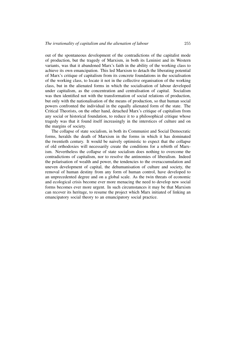out of the spontaneous development of the contradictions of the capitalist mode of production, but the tragedy of Marxism, in both its Leninist and its Western variants, was that it abandoned Marx's faith in the ability of the working class to achieve its own emancipation. This led Marxism to detach the liberating potential of Marx's critique of capitalism from its concrete foundations in the socialisation of the working class, to locate it not in the collective organisation of the working class, but in the alienated forms in which the socialisation of labour developed under capitalism, as the concentration and centralisation of capital. Socialism was then identified not with the transformation of social relations of production, but only with the nationalisation of the means of production, so that human social powers confronted the individual in the equally alienated form of the state. The Critical Theorists, on the other hand, detached Marx's critique of capitalism from any social or historical foundation, to reduce it to a philosophical critique whose tragedy was that it found itself increasingly in the interstices of culture and on the margins of society.

The collapse of state socialism, in both its Communist and Social Democratic forms, heralds the death of Marxism in the forms in which it has dominated the twentieth century. It would be naively optimistic to expect that the collapse of old orthodoxies will necessarily create the conditions for a rebirth of Marxism. Nevertheless the collapse of state socialism does nothing to overcome the contradictions of capitalism, nor to resolve the antinomies of liberalism. Indeed the polarisation of wealth and power, the tendencies to the overaccumulation and uneven development of capital, the dehumanisation of culture and society, the removal of human destiny from any form of human control, have developed to an unprecedented degree and on a global scale. As the twin threats of economic and ecological crisis become ever more menacing the need to develop new social forms becomes ever more urgent. In such circumstances it may be that Marxism can recover its heritage, to resume the project which Marx initiated of linking an emancipatory social theory to an emancipatory social practice.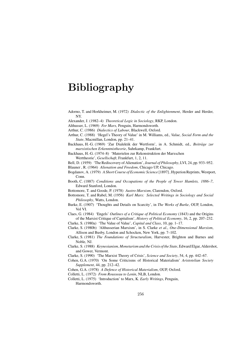# Bibliography

Alexander, J. (1982–4) *Theoretical Logic in Sociology*, RKP, London.

Althusser, L. (1969) *For Marx*, Penguin, Harmondsworth.

Arthur, C. (1986) *Dialectics of Labour*, Blackwell, Oxford.

- Arthur, C. (1988) 'Hegel's Theory of Value' in M. Williams, ed., *Value, Social Form and the State*, Macmillan, London, pp. 21–41.
- Backhaus, H.-G. (1969) 'Zur Dialektik der Wertform', in A. Schmidt, ed., *Beitrage zur ¨ marxistischen Erkenntnistheorie*, Suhrkamp, Frankfurt.

Backhaus, H.-G. (1974–8) 'Materielen zur Rekonstruktion der Marxschen

Werttheorie', *Gesellschaft*, Frankfurt, 1, 2, 11.

Bell, D. (1959) 'The Rediscovery of Alienation', *Journal of Philosophy*, LVI, 24, pp. 933–952.

Blauner , R. (1964) *Alienation and Freedom*, Chicago UP, Chicago.

- Bogdanov, A. (1979) *A Short Course of Economic Science* [1897] , Hyperion Reprints, Westport, Conn.
- Booth, C. (1887) *Conditions and Occupations of the People of Tower Hamlets, 1886–7*, Edward Stanford, London.

Bottomore, T. and Goode, P. (1978) *Austro-Marxism*, Clarendon, Oxford.

- Bottomore, T. and Rubel, M. (1956) *Karl Marx: Selected Writings in Sociology and Social Philosophy*, Watts, London.
- Burke, E. (1907) 'Thoughts and Details on Scarcity', in *The Works of Burke*, OUP, London, Vol VI.

Claes, G. (1984) 'Engels' *Outlines of a Critique of Political Economy* (1843) and the Origins of the Marxist Critique of Capitalism', *History of Political Economy*, 16, 2, pp. 207–232.

Clarke, S. (1980a) 'The Value of Value', *Capital and Class*, 10, pp. 1–17.

- Clarke, S. (1980b) 'Althusserian Marxism', in S. Clarke *et al.*, *One-Dimensional Marxism*, Allison and Busby, London and Schocken, New York, pp. 7–102.
- Clarke, S. (1981) *The Foundations of Structuralism*, Harvester, Brighton and Barnes and Noble, NJ.
- Clarke, S. (1988) *Keynesianism, Monetarism and the Crisis of the State*, Edward Elgar, Aldershot, and Gower, Vermont.
- Clarke, S. (1990) 'The Marxist Theory of Crisis', *Science and Society*, 54, 4, pp. 442–67.
- Cohen, G.A. (1970) 'On Some Criticisms of Historical Materialism' *Aristotelian Society Supplement*, 44, pp. 212–42.
- Cohen, G.A. (1978) *A Defence of Historical Materialism*, OUP, Oxford.
- Colletti, L. (1972) *From Rousseau to Lenin*, NLB, London.
- Colletti, L. (1975) 'Introduction' to Marx, K. *Early Writings*, Penguin, Harmondsworth.

Adorno, T. and Horkheimer, M. (1972) *Dialectic of the Enlightenment*, Herder and Herder, NY.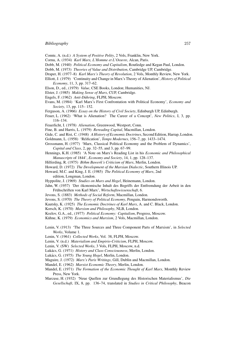#### *Bibliography* 257

- Comte, A. (n.d.) *A System of Positive Polity*, 2 Vols, Franklin, New York.
- Cornu, A. (1934) *Karl Marx, L'Homme et L'Oeuvre*, Alcan, Paris.
- Dobb, M. (1940) *Political Economy and Capitalism*, Routledge and Kegan Paul, London.
- Dobb, M. (1973) *Theories of Value and Distribution*, Cambridge UP, Cambridge.
- Draper, H. (1977–8) *Karl Marx's Theory of Revolution*, 2 Vols, Monthly Review, New York.
- Elliott, J. (1979) 'Continuity and Change in Marx's Theory of Alienation', *History of Political Economy*, 11, 3, pp. 317–62.
- Elson, D., ed., (1979) *Value*, CSE Books, London; Humanities, NJ.
- Elster, J. (1985) *Making Sense of Marx*, CUP, Cambridge.
- Engels, F. (1962) Anti-Dühring, FLPH, Moscow.
- Evans, M. (1984) 'Karl Marx's First Confrontation with Political Economy', *Economy and Society*, 13, pp. 115– 152.
- Ferguson, A. (1966) *Essay on the History of Civil Society*, Edinburgh UP, Edinburgh.
- Feuer, L. (1962) 'What is Alienation? The Career of a Concept', *New Politics*, I, 3, pp. 116–134.
- Feuerlicht, I. (1978) *Alienation*, Greenwood, Westport, Conn.
- Fine, B. and Harris, L. (1979) *Rereading Capital*, Macmillan, London.
- Gide, C. and Rist, C. (1948) *A History of Economic Doctrines*, Second Edition, Harrap, London.
- Goldmann, L. (1958) 'Reification', ´ *Temps Modernes*, 156–7, pp. 1433–1474.
- Grossmann, H. (1977) 'Marx, Classical Political Economy and the Problem of Dynamics', *Capital and Class*, 2, pp. 32–55, and 3, pp. 67–99.
- Hennings, K.H. (1985) 'A Note on Marx's Reading List in his *Economic and Philosophical Manuscripts* of 1844', *Economy and Society*, 14, 1, pp. 128–137.
- Hilferding, R. (1975) *Böhm Bawerk's Criticism of Marx*, Merlin, London.
- Howard, D. (1972) *The Development of the Marxian Dialectic*, Southern Illinois UP.
- Howard, M.C. and King, J. E. (1985) *The Political Economy of Marx*, 2nd
- edition, Longman, London.
- Hyppolite, J. (1969) *Studies on Marx and Hegel*, Heinemann, London.
- Jahn, W. (1957) 'Der ökonomische Inhalt des Begriffs der Entfremdung der Arbeit in den Frühschriften von Karl Marx', Wirtschaftswissenschaft, 6.
- Jevons, S. (1883) *Methods of Social Reform*, Macmillan, London.
- Jevons, S. (1970) *The Theory of Political Economy*, Penguin, Harmondsworth.
- Kautsky, K. (1925) *The Economic Doctrines of Karl Marx*, A. and C. Black, London.
- Korsch, K. (1970) *Marxism and Philosophy*, NLB, London.
- Kozlov, G.A., ed., (1977) *Political Economy: Capitalism*, Progress, Moscow.
- Kühne, K. (1979) Economics and Marxism, 2 Vols, Macmillan, London.
- Lenin, V. (1913) 'The Three Sources and Three Component Parts of Marxism', in *Selected Works*, Volume 1.
- Lenin, V. (1961) *Collected Works*, Vol. 38, FLPH, Moscow.
- Lenin, V. (n.d.) *Materialism and Empirio-Criticism*, FLPH, Moscow.
- Lenin, V. (SW) *Selected Works*, 3 Vols, FLPH, Moscow, n.d.
- Lukács, G. (1971) *History and Class Consciousness*, Merlin, London.
- Lukács, G. (1975) The Young Hegel, Merlin, London.
- Maguire, J. (1972) *Marx's Paris Writings*, Gill, Dublin and Macmillan, London.
- Mandel, E. (1962) *Marxist Economic Theory*, Merlin, London.
- Mandel, E. (1971) *The Formation of the Economic Thought of Karl Marx*, Monthly Review Press, New York.
- Marcuse, H. (1932) 'Neue Quellen zur Grundlegung des Historischen Materialismus', *Die Gesellschaft*, IX, 8, pp. 136–74, translated in *Studies in Critical Philosophy*, Beacon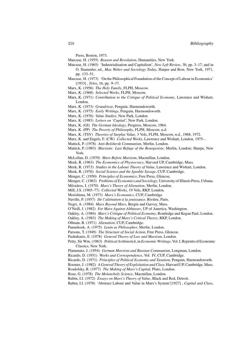Press, Boston, 1973.

- Marcuse, H. (1955) *Reason and Revolution*, Humanities, New York.
- Marcuse, H. (1965) 'Industrialisation and Capitalism', *New Left Review*, 30, pp. 3–17, and in O. Stammler, ed., *Max Weber and Sociology Today*, Harper and Row, New York, 1971, pp. 133–51.
- Marcuse, H. (1973) 'On the Philosophical Foundation of the Concept of Labour in Economics' [1933] , *Telos*, 16, pp. 9–37.
- Marx, K. (1956) *The Holy Family*, FLPH, Moscow.
- Marx, K. (1968) *Selected Works*, FLPH, Moscow.
- Marx, K. (1971) *Contribution to the Critique of Political Economy*, Lawrence and Wishart, London.
- Marx, K. (1973) *Grundrisse*, Penguin, Harmondsworth.
- Marx, K. (1975) *Early Writings*, Penguin, Harmondsworth.
- Marx, K. (1976) *Value Studies*, New Park, London.
- Marx, K. (1983) *Letters on 'Capital'*, New Park, London.
- Marx, K. (GI) *The German Ideology*, Progress, Moscow, 1964.
- Marx, K. (PP) *The Poverty of Philosophy*, FLPH, Moscow, n.d.
- Marx, K. (TSV) *Theories of Surplus Value*, 3 Vols, FLPH, Moscow, n.d., 1968, 1972.
- Marx, K. and Engels, F. (CW) *Collected Works*, Lawrence and Wishart, London, 1975–.
- Mattick, P. (1978) *Anti-Bolshevik Communism*, Merlin, London.
- Mattick, P. (1983) *Marxism: Last Refuge of the Bourgeoisie*, Merlin, London; Sharpe, New York.
- McLellan, D. (1970) *Marx Before Marxism*, Macmillan, London.
- Meek, R. (1963) *The Economics of Physiocracy*, Harvard UP, Cambridge, Mass.
- Meek, R. (1973) *Studies in the Labour Theory of Value*, Lawrence and Wishart, London.
- Meek, R. (1976) *Social Science and the Ignoble Savage*, CUP, Cambridge.
- Menger, C. (1950) *Principles of Economics*, Free Press, Glencoe.
- Menger, C. (1963) *Problems of Economics and Sociology*, University of Illinois Press, Urbana.
- Mészáros, I. (1970) Marx's Theory of Alienation, Merlin, London.
- Mill, J.S. (1965–77) *Collected Works*, 19 Vols, RKP, London.
- Morishima, M. (1973) *Marx's Economics*, CUP, Cambridge.
- Naville, P. (1957) *De l'alienation ´ a la jouissance `* , Riviere, Paris. `
- Negri, A. (1984) *Marx Beyond Marx*, Bergin and Garvey, Mass.
- O'Neill, J. (1982) *For Marx Against Althusser*, UP of America, Washington.
- Oakley, A. (1984) *Marx's Critique of Political Economy*, Routledge and Kegan Paul, London.
- Oakley, A. (1983) *The Making of Marx's Critical Theory*, RKP, London.
- Ollman, B. (1971) *Alienation*, CUP, Cambridge.
- Pannekoek, A. (1975) *Lenin as Philosopher*, Merlin, London.
- Parsons, T. (1949) *The Structure of Social Action*, Free Press, Glencoe.
- Pashukanis, E. (1978) *General Theory of Law and Marxism*, London.
- Petty, Sir Wm, (1963) *Political Arithmetick*, in*Economic Writings*, Vol. I, Reprints of Economic Classics, New York.
- Plamenatz, J. (1954) *German Marxism and Russian Communism*, Longman, London.
- Ricardo, D. (1951) *Works and Correspondence*, Vol. IV, CUP, Cambridge.
- Ricardo, D. (1971) *Principles of Political Economy and Taxation*, Penguin, Harmondsworth.
- Roemer, J. (1982) *A General Theory of Exploitation and Class*, Harvard UP, Cambridge, Mass.
- Rosdolsky, R. (1977) *The Making of Marx's Capital*, Pluto, London.
- Rose, G. (1978) *The Melancholy Science*, Macmillan, London.
- Rubin, I.I. (1972) *Essays on Marx's Theory of Value*, Black and Red, Detroit.
- Rubin, I.I. (1978) 'Abstract Labour and Value in Marx's System'[1927] , *Capital and Class*,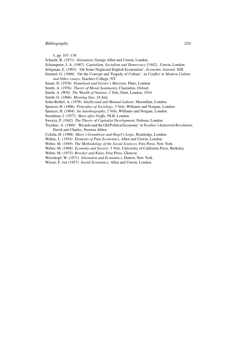#### *Bibliography* 259

5, pp. 107–139.

Schacht, R. (1971) *Alienation*, George Allen and Unwin, London.

Schumpeter, J. A. (1987) *Capitalism, Socialism and Democracy* [1942] , Unwin, London.

Seligman, E. (1903) 'On Some Neglected English Economists', *Economic Journal*, XIII.

Simmel, G. (1968) 'On the Concept and Tragedy of Culture', in *Conflict in Modern Culture and Other essays*, Teachers College, NY.

Smart, D. (1978) *Pannekoek and Gorter's Marxism*, Pluto, London.

Smith, A. (1976) *Theory of Moral Sentiments*, Clarendon, Oxford.

Smith, A. (WN) *The Wealth of Nations*, 2 Vols, Dent, London, 1910.

Smith, G. (1866) *Morning Star*, 24 July.

Sohn-Rethel, A. (1978) *Intellectual and Manual Labour*, Macmillan, London.

Spencer, H. (1896) *Principles of Sociology*, 3 Vols, Williams and Norgate, London.

Spencer, H. (1904) *An Autobiography*, 2 Vols, Williams and Norgate, London.

Steedman, I. (1977) *Marx after Sraffa*, NLB, London.

Sweezy, P. (1942) *The Theory of Capitalist Development*, Dobson, London.

Toynbee, A. (1969) 'Ricardo and the Old Political Economy' in *Toynbee's Industrial Revolution*, David and Charles, Newton Abbot.

Uchida, H. (1988) *Marx's Grundrisse and Hegel's Logic*, Routledge, London.

Walras, L. (1954) *Elements of Pure Economics*, Allen and Unwin, London.

Weber, M. (1949) *The Methodology of the Social Sciences*, Free Press, New York.

Weber, M. (1968) *Economy and Society*, 3 Vols, University of California Press, Berkeley.

Weber, M. (1975) *Roscher and Knies*, Free Press, Glencoe.

Weisskopf, W. (1971) *Alienation and Economics*, Dutton, New York.

Wieser, F. von (1927) *Social Economics*, Allen and Unwin, London.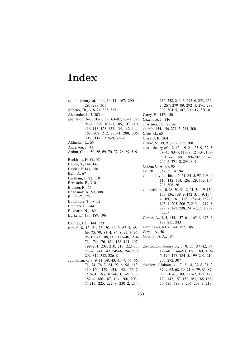## **Index**

action, theory of, 1–4, 10–11, 167, 290–4, 297, 299, 301 Adorno, Th., 318–21, 323, 325 Alexander, J., 3, 303–4 alienation, 6–7, 50–1, 59, 63–82, 85–7, 89, 91–2, 96–9, 101–3, 105, 107, 110, 116, 118, 128, 132, 134, 142, 144, 165, 208, 212, 230–1, 288, 306, 308, 311–2, 315–9, 322–8 Althusser, L., 65 Anderson, J., 41 Arthur, C., ix, 50, 56, 69–70, 72, 76, 89, 319 Backhaus, H.-G., 97 Bailey, S., 144, 146 Bastiat, F, 147, 150 Bell, D., 67 Bentham, J., 22, 110 Bernstein, E., 310 Blauner, R., 65 Bogdanov, A., 93, 308 Booth, C., 174 Bottomore, T., ix, 52 Brentano,L., 244 Bukharin, N., 182 Burke, E., 186, 189, 196 Cairnes, J. E., 144, 173 capital, 8, 12, 21, 25, 30, 41–9, 62–3, 68– 69, 75, 79, 83–4, 86–8, 92–3, 95, 98, 100–3, 108, 110, 113–46, 150– 71, 174, 176, 181, 188, 191, 197, 199–201, 208, 210, 218, 222–33, 237–8, 241, 243, 245–6, 264, 279, 292, 312, 318, 326–8 capitalism, 6, 7, 9–11, 38, 43, 45–7, 64, 66, 71, 74, 76–7, 84, 92–6, 98, 113, 119–120, 129, 135, 142, 153–7, 159–61, 163, 165–6, 168–9, 178, 182–4, 186–187, 194, 200, 203– 7, 219, 225, 227–8, 230–2, 234,

236, 238, 241–3, 245–6, 253, 256– 7, 267, 279–89, 292–4, 296, 299, 302, 304–5, 307, 309–17, 320–8 Carey, H., 147, 150 Cazenove, J., 146 charisma, 258, 285–6 church, 154, 156, 271–3, 284, 300 Claes, G., 63 Clark, J. B., 204 Clarke, S., 39, 97, 232, 298, 308 class, theory of, 12–13, 19–21, 25–9, 32–5, 39–45, 83–4, 117–8, 121–34, 157– 9, 167–8, 186, 199–202, 236–8, 244–5, 271–2, 293, 307 Cohen, G. A., 67, 95 Colletti, L., 52, 56, 76, 94 commodity fetishism, 6, 51, 84–5, 97, 103–4, 110, 112, 114, 126, 129, 132, 134, 208, 306–26 competition, 10, 28, 30, 31–2, 61–3, 119, 130, 133, 136, 138–9, 142–3, 149, 154– 4, 160, 161, 163, 173–4, 187–8, 193–4, 203, 206–7, 213–4, 217–8, 227, 231–2, 238, 241–2, 270, 287, 324–5 Comte, A., 3, 5, 155, 157–61, 165–6, 175–6, 179, 235, 243 Corn Laws, 40, 43, 44, 152, 186 Cornu, A., 50 Cournot, A. A., 184 distribution, theory of, 5, 9, 25, 37–42, 84, 126–40, 144–50, 156, 160, 165– 6, 174, 177, 184–5, 199–202, 210, 236, 292, 307 division of labour, 4, 17, 21–4, 27–8, 31–2, 37–9, 62, 68, 69, 71–6, 79, 83, 87– 90, 101–2, 109, 111–2, 123, 126,

> 129, 142, 157, 159, 161, 165, 168– 70, 195, 198–9, 206, 208–9, 219–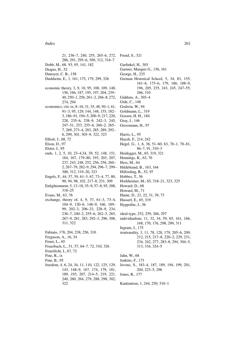21, 236–7, 240, 255, 265–6, 272, 286, 291, 295–6, 309, 312, 316–7 Dobb, M., 68. 93, 95, 141, 182 Draper, H., 52 Dunoyer, C. B., 158 Durkheim, E., 1, 161, 175, 179, 299, 326 economic theory, 3, 9, 10, 95, 100, 109, 148, 156, 166, 187, 195, 197, 204, 239– 40, 250–1, 256, 261–2, 266–8, 272, 274, 294 economics, viii–ix, 8–10, 31, 35, 48, 50–1, 61, 91–3, 95, 129, 144, 148, 155, 182– 3, 186–91, 194–5, 200–9, 217, 220, 228, 235–6, 238–9, 242–3, 245, 247–51, 253, 255–6, 260–2, 265– 7, 269, 273–4, 283, 285, 289, 292– 6, 299, 301, 305–9, 322, 323 Elliott, J., 68, 72 Elson, D., 97 Elster, J., 95 ends, 1, 2, 5, 10, 23–4,34, 39, 52, 148, 151, 164, 167, 179–80, 193, 203, 207, 237, 243, 248, 252, 256, 258, 260– 2, 267–79, 282–9, 294, 296–7, 299– 300, 312, 319–20, 323 Engels, F., 44, 57, 59, 61–3, 67, 73–4, 77, 80, 90, 94, 98, 102, 217–8, 231, 309 Enlightenment, 5, 13–18, 35–9, 57–8, 95, 308, 318–25 Evans, M., 63, 76 exchange, theory of, 4, 9, 37, 61–3, 73–4, 104–9, 120–6, 148–9, 166, 189– 99, 202–3, 206–23, 228–9, 234, 236–7, 240–2, 255–6, 262–3, 265, 267–9, 281, 283, 292–3, 296, 308, 311, 322 Fabians, 178, 204, 238, 256, 310 Ferguson, A., 16, 34 Feuer, L., 65 Feuerbach, L., 51, 57, 64–7, 72, 310, 326 Feuerlicht, I., 67, 72 Fine, R., ix Fine, B., 95 freedom, 4, 6, 24, 34, 11, 110, 122, 125, 129, 143, 148–9, 167, 174, 179, 181, 189, 193, 207, 214–5, 219, 221, 240, 260, 264, 279, 288, 298, 302, 322 Freud, S., 321 Garfinkel, H., 303 Garnier, Marquis G., 156, 161 George, H., 235 German Historical School, 5, 34, 83, 155, 161–6, 175–6, 179, 186, 188–9, 196, 205, 235, 243, 245, 247–55, 266, 310 Giddens, A., 303–4 Gide, C., 148 Godwin, W., 94 Goldmann, L., 319 Gossen, H. H., 184 Gray, J., 146 Grossmann, H., 97 Harris, L., 95 Hayek, F., 214, 242 Hegel, G., 1, 6, 36, 51–60, 63, 70–1, 78–81, 86–7, 91, 310–3 Heidegger, M., 65, 319, 321 Hennings, K., 63, 76 Hess, M., 64 Hildebrand, B., 163, 164 Hilferding, R., 52, 97 Hobbes, T., 56 Horkheimer, M., 65, 318–21, 323, 325 Howard, D., 68 Howard, M., 71 Hume, D., 21, 22, 31, 39, 73 Husserl, E., 65, 319 Hyppolite, J., 56 ideal-type, 252, 259, 266, 297 individualism, 11, 32, 34, 59, 65, 161, 166, 168, 170, 176, 298, 299, 311 Ingram, J., 175 irrationality, 3, 11, 78, 128, 179, 205–6, 209, 212, 215, 217–8, 220–2, 229, 231, 234, 242, 277, 283–8, 294, 304–5, 313, 316, 324–5 Jahn, W., 68 Jenkins, F., 173 Jevons, S., 183–4, 187, 189, 194, 199, 201, 204, 223–5, 296 Jones, R., 177

Kantianism, 1, 244, 250, 310–1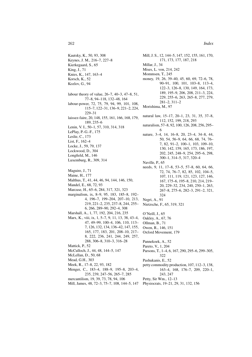Kautsky, K., 50, 93, 308 Keynes, J. M., 216–7, 227–8 Kierkegaard, S., 65 King, J., 71 Knies, K., 147, 163–4 Korsch, K., 52 Kozlov, G., 94 labour theory of value, 26–7, 40–3, 47–8, 51, 77–8, 94–118, 132–48, 164 labour-power, 72, 75, 79, 94, 99, 101, 108, 115–7, 122–31, 136–9, 221–2, 224, 229–31 laissez-faire, 20, 148, 155, 161, 166, 168, 179, 189, 235–6 Lenin, V. I., 50–1, 57, 310, 314, 318 LePlay, P.-G.-F., 175 Leslie, C., 173 List, F., 162–4 Locke, J., 59, 79, 137 Lockwood, D., 304 Longfield, M., 146 Luxemburg, R., 309, 314 Maguire, J., 71 Maine, H., 177 Malthus, T., 41, 44, 46, 94, 144, 146, 150, Mandel, E., 68, 72, 93 Marcuse, H., 65–6, 284, 317, 321, 323 marginalism, ix, 8–9, 95, 183, 185–8, 192– 4, 196–7, 199–204, 207–10, 213, 219, 221–2, 235, 237–8, 244, 255– 6, 266, 289–90, 292–4, 308 Marshall, A., 1, 77, 192, 204, 216, 235 Marx, K., viii, ix, 1, 5–7, 9, 11, 13, 38, 43–4, 47, 49–99, 100–4, 106, 110, 113– 7, 126, 132, 134, 136–42, 147, 155, 165, 177, 183, 201, 208–10, 217– 8, 222, 236, 241, 244, 249, 257, 288, 306–8, 310–3, 316–28 Mattick, P., 52 McCulloch, J., 44, 48, 144–5, 147 McLellan, D., 50, 68 Mead, G.H., 303 Meek, R., 17–8, 22, 93, 182 Menger, C., 183–4, 188–9, 195–8, 203–4, 235, 239, 247–56, 265–7, 285 mercantilism, 19, 39, 73, 78, 94, 106

Mill, James, 48, 72–3, 75–7, 108, 144–5, 147

Mill, J. S., 12, 144–5, 147, 152, 155, 161, 170, 171, 173, 177, 187, 218 Millar, J., 34 Mises, L. von, 214, 242 Mommsen, T., 245 money, 19, 26, 39–40, 45, 60, 69, 72–6, 78, 90–91, 100, 101, 103–8, 113–4, 122–3, 126–8, 130, 149, 164, 173, 189, 195–9, 206, 208, 211–3, 224, 229, 255–6, 263, 265–8, 277, 279, 281–2, 311–2 Morishima, M., 97 natural law, 15–17, 20–1, 23, 31, 35, 37–8, 112, 152, 199, 218, 293 naturalism, 57–8, 92, 100, 126, 208, 256, 295– 6 nature, 3–4, 14, 16–8, 20, 23–4, 34–8, 44, 50, 54, 56–9, 64, 66, 68, 74, 76– 7, 82, 91–2, 100–1, 103, 109–10, 130, 142, 159, 165, 173, 186, 197, 202, 245, 248–9, 254, 295–6, 298, 300–1, 314–5, 317, 320–4 Naville, P., 65 needs, 9, 11, 17–8, 53–5, 57–8, 60, 64, 66, 72, 74, 76–7, 82, 85, 102, 104–5, 107, 111, 119, 121, 123, 127, 146, 167, 175–6, 195–8, 210, 214, 219– 20, 229–32, 234, 240, 250–1, 263, 267–8, 275–6, 282–3, 291–2, 321, 324 Negri, A., 91 Nietzsche, F., 65, 319, 321 O'Neill, J., 65 Oakley, A., 67, 76 Ollman, B., 71 Owen, R., 146, 151 Oxford Movement, 179 Pannekoek, A., 52 Pareto, V., 1, 204 Parsons, T., 1–4, 6, 167, 290, 295–6, 299–305, 322 Pashukanis, E., 52 petty commodity production, 107, 112–3, 138, 163–4, 168, 176–7, 209, 220–1, 243, 247 Petty, Sir Wm., 12–13 Physiocrats, 19–21, 29, 31, 132, 156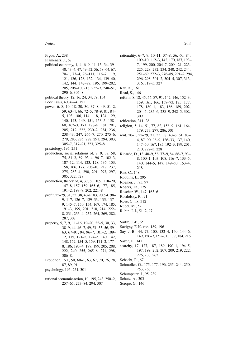- Pigou, A., 238
- Plamenatz, J., 67
- political economy, 1, 4, 6–9, 11–13, 34, 39– 40, 43–4, 47, 49–52, 56, 58–64, 67, 70–1, 73–4, 76–111, 116–7, 119, 121, 126, 128, 132, 134, 139–40, 142, 144, 147–87, 196, 199–202, 205, 208–10, 218, 235–7, 248–51, 290–6, 305–8
- political theory, 12, 16, 24, 34, 79, 154
- Poor Laws, 40, 42–4, 151
- power, 6, 8, 10, 18, 20, 30, 37–8, 49, 51–2, 59, 63–4, 66, 72–5, 78–9, 81, 84– 5, 103, 106, 114, 118, 124, 129, 140, 143, 149, 151, 153–5, 158– 60, 162–3, 171, 178–9, 181, 201, 205, 212, 222, 230–2, 234, 236, 238–43, 247, 266–7, 270, 275–6, 279, 283, 285, 288, 291, 294, 303, 305–7, 317–21, 323, 325–8
- praxiology, 195, 251
- production, social relations of, 7, 9, 38, 58, 75, 81–2, 89, 93–4, 96–7, 102–3, 107–12, 114, 123, 128, 135, 153, 158, 166, 177, 208–10, 217, 237, 275, 283–4, 290, 291, 293, 297, 305, 322, 328
- production, theory of, 4, 37, 83, 109, 118–20, 147–8, 157, 159, 165–6, 177, 185, 191–2, 198–9, 202, 221–8
- profit, 25–29, 31, 35, 38, 40–9, 83, 90, 94, 98– 9, 117, 126–7, 129–33, 135, 137– 9, 145–7, 150, 154, 167, 174, 185, 191–3, 199, 201, 210, 214, 222– 8, 231, 233–4, 252, 264, 269, 282, 287, 307
- property, 5, 7, 9, 11–16, 19–20, 22–5, 30, 33, 38–9, 44, 46–7, 49, 51, 53, 56, 59– 63, 67–91, 94, 96–7, 101–2, 109– 12, 115, 121–2, 124–5, 140, 142, 148, 152, 154–5, 159, 171–2, 177– 8, 186, 193–4, 197, 199, 205, 208, 222, 240, 255, 265–6, 271, 298, 306–8,
- Proudhon, P.-J., 50, 60–1, 63, 67, 70, 76, 78, 87, 89, 91
- psychology, 195, 251, 301
- rational economic action, 10, 195, 243, 250–2, 257–65, 273–84, 294, 307
- rationality, 6–7, 9, 10–11, 37–8, 56, 60, 84, 109–10, 112–3, 142, 170, 187, 193– 7, 199, 200, 204–7, 209– 21, 223, 225, 228, 232, 234, 240, 242, 244, 251–69, 272–3, 276–89, 291–2, 294, 296, 298, 301–2, 304–5, 307, 313, 316, 319–5, 327
- Rau, K., 161

Read, S., 146

- reform, 8, 18, 45, 56, 87, 91, 142, 146, 152–3, 159, 161, 166, 169–73, 175, 177, 178, 180–1, 183, 186, 189, 202, 204–5, 235–6, 238–9, 242–5, 302, 309
- reification, 311–28
- religion, 5, 14, 51, 77, 82, 158–9, 161, 164, 179, 273, 277, 286, 301
- rent, 20–1, 25–29, 31, 35, 38, 40–6, 61, 83– 4, 87, 90, 98–9, 126–33, 137, 140, 147–50, 167, 185, 192–3, 199, 201, 210, 222–3, 228
- Ricardo, D., 13, 40–9, 58, 77–9, 84, 86–7, 93– 8, 100–1, 103, 108, 116–7, 133–5, 140, 144–5, 147, 149–50, 153–4, 218
- Rist, C., 148
- Robbins, L., 295
- Roemer, J., 95, 97
- Rogers, Th., 175
- Roscher, W., 147, 163–6
- Rosdolsky, R., 91
- Rose, G., ix, 312
- Rubel, M., 52
- Rubin, I. I., 51–2, 97
- Sartre, J.-P., 65
- Savigny, F. K. von, 189, 196
- Say, J.-B., 44, 77, 100, 132–4, 140, 144–6, 149, 156–7, 159–61,, 177, 184, 216 Sayer, D., 141
- scarcity, 17, 127, 187, 189, 190–1, 194–5, 197, 199, 202, 207, 209, 219, 222,
	- 226, 230, 262
- Schacht, R., 67
- Schmoller, G., 175, 177, 196, 235, 244, 250, 253, 266
- Schumpeter, J., 95, 239
- Schutz, A., 303
- Scrope, G., 146